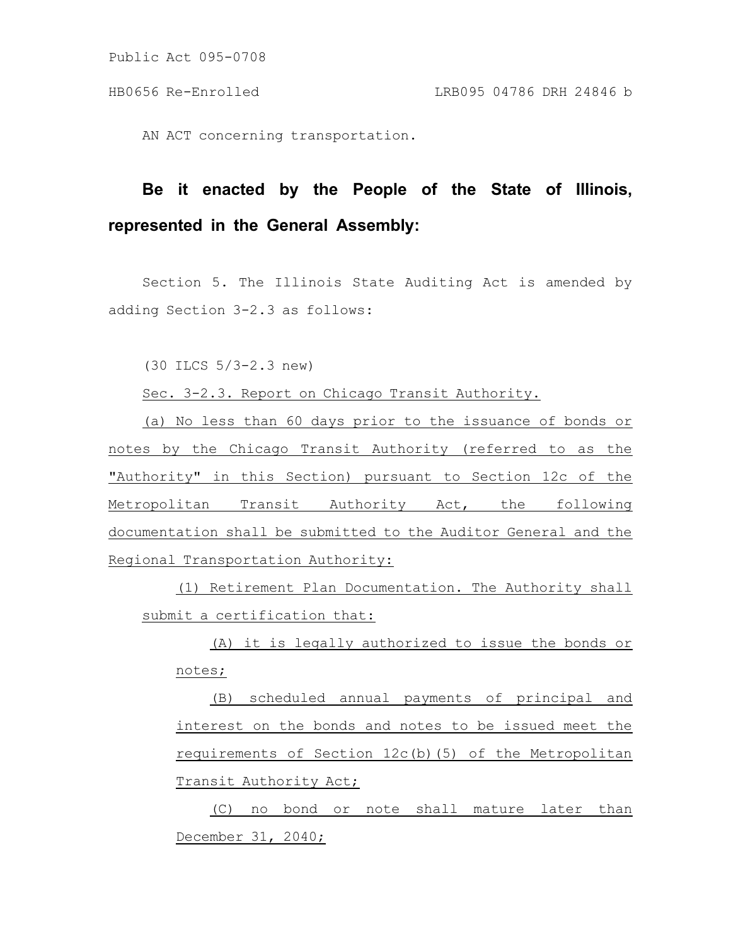AN ACT concerning transportation.

# **Be it enacted by the People of the State of Illinois, represented in the General Assembly:**

Section 5. The Illinois State Auditing Act is amended by adding Section 3-2.3 as follows:

(30 ILCS 5/3-2.3 new)

Sec. 3-2.3. Report on Chicago Transit Authority.

(a) No less than 60 days prior to the issuance of bonds or notes by the Chicago Transit Authority (referred to as the "Authority" in this Section) pursuant to Section 12c of the Metropolitan Transit Authority Act, the following documentation shall be submitted to the Auditor General and the Regional Transportation Authority:

(1) Retirement Plan Documentation. The Authority shall submit a certification that:

(A) it is legally authorized to issue the bonds or notes;

(B) scheduled annual payments of principal and interest on the bonds and notes to be issued meet the requirements of Section 12c(b)(5) of the Metropolitan Transit Authority Act;

(C) no bond or note shall mature later than December 31, 2040;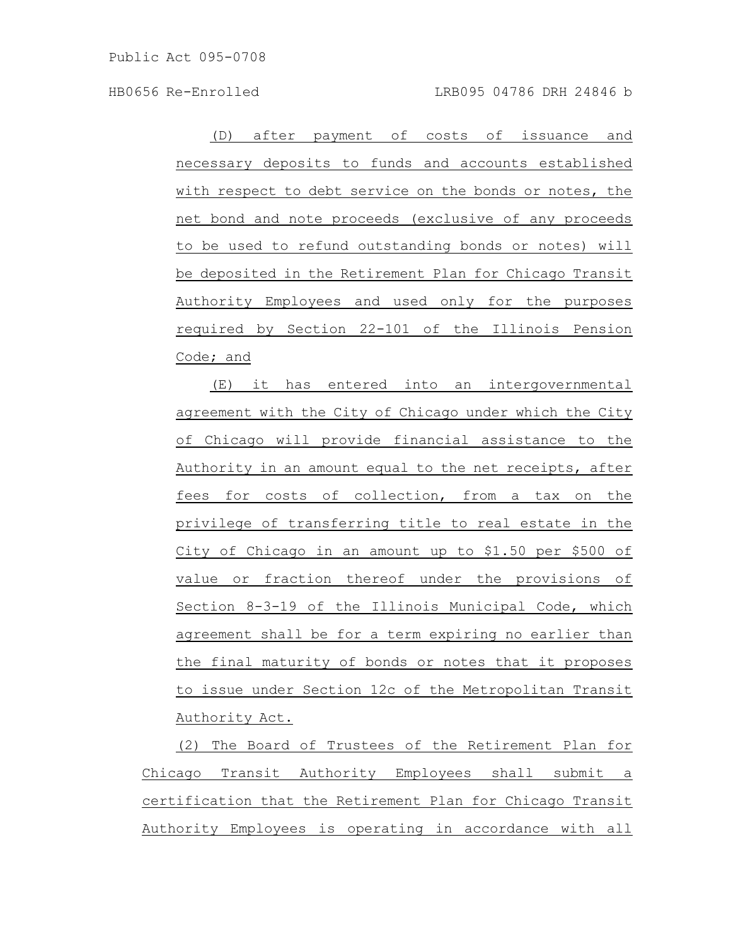(D) after payment of costs of issuance and necessary deposits to funds and accounts established with respect to debt service on the bonds or notes, the net bond and note proceeds (exclusive of any proceeds to be used to refund outstanding bonds or notes) will be deposited in the Retirement Plan for Chicago Transit Authority Employees and used only for the purposes required by Section 22-101 of the Illinois Pension Code; and

(E) it has entered into an intergovernmental agreement with the City of Chicago under which the City of Chicago will provide financial assistance to the Authority in an amount equal to the net receipts, after fees for costs of collection, from a tax on the privilege of transferring title to real estate in the City of Chicago in an amount up to \$1.50 per \$500 of value or fraction thereof under the provisions of Section 8-3-19 of the Illinois Municipal Code, which agreement shall be for a term expiring no earlier than the final maturity of bonds or notes that it proposes to issue under Section 12c of the Metropolitan Transit Authority Act.

(2) The Board of Trustees of the Retirement Plan for Chicago Transit Authority Employees shall submit a certification that the Retirement Plan for Chicago Transit Authority Employees is operating in accordance with all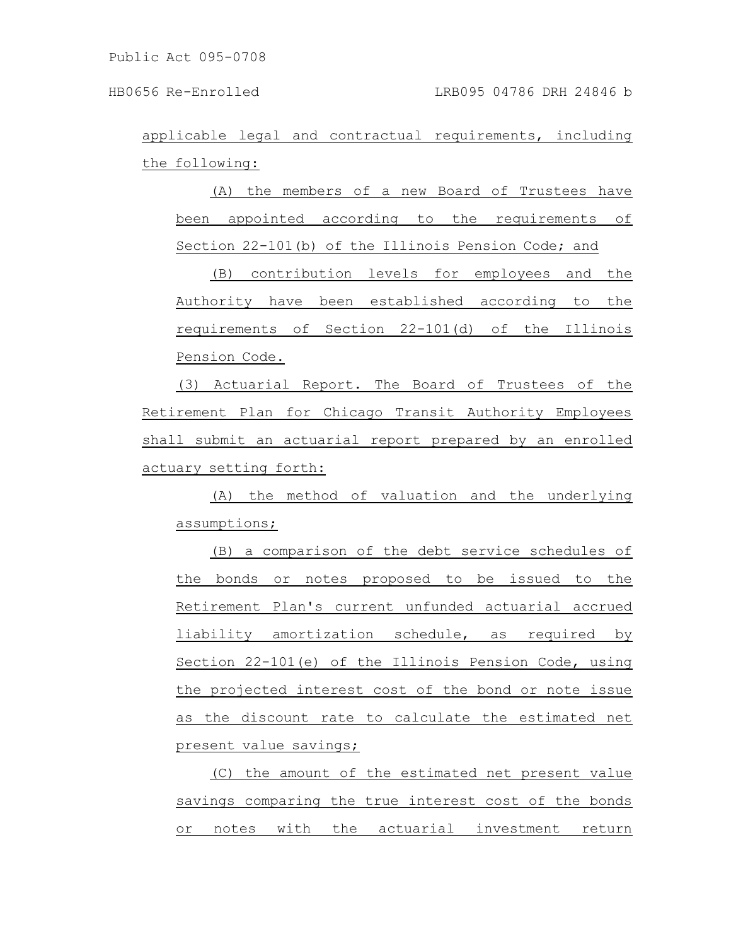applicable legal and contractual requirements, including the following:

(A) the members of a new Board of Trustees have been appointed according to the requirements of Section 22-101(b) of the Illinois Pension Code; and

(B) contribution levels for employees and the Authority have been established according to the requirements of Section 22-101(d) of the Illinois Pension Code.

(3) Actuarial Report. The Board of Trustees of the Retirement Plan for Chicago Transit Authority Employees shall submit an actuarial report prepared by an enrolled actuary setting forth:

(A) the method of valuation and the underlying assumptions;

(B) a comparison of the debt service schedules of the bonds or notes proposed to be issued to the Retirement Plan's current unfunded actuarial accrued liability amortization schedule, as required by Section 22-101(e) of the Illinois Pension Code, using the projected interest cost of the bond or note issue as the discount rate to calculate the estimated net present value savings;

(C) the amount of the estimated net present value savings comparing the true interest cost of the bonds or notes with the actuarial investment return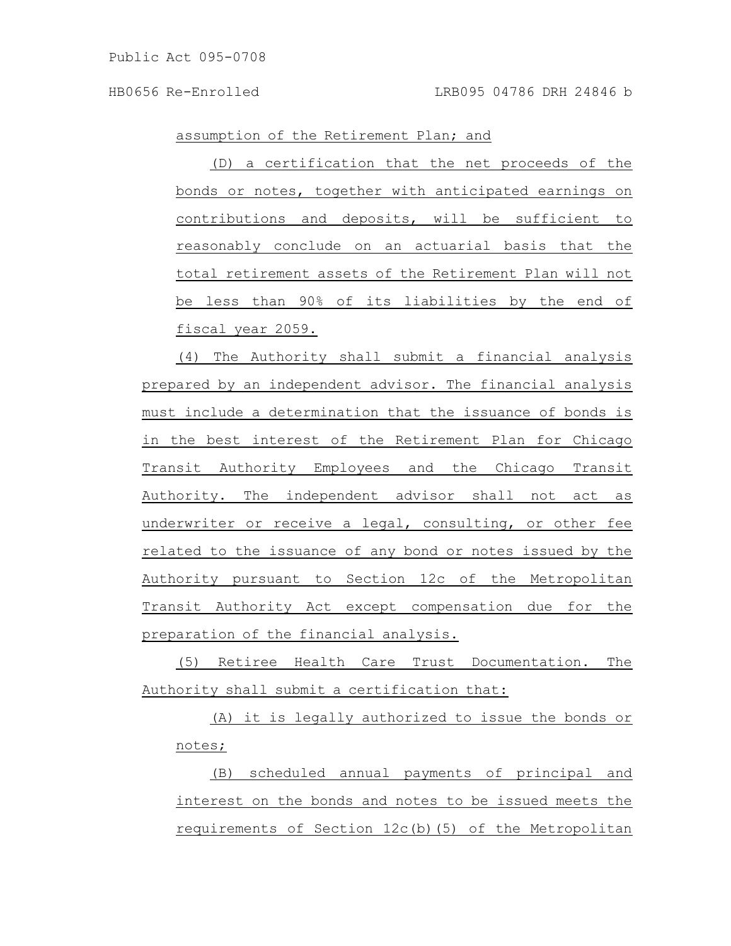assumption of the Retirement Plan; and

(D) a certification that the net proceeds of the bonds or notes, together with anticipated earnings on contributions and deposits, will be sufficient to reasonably conclude on an actuarial basis that the total retirement assets of the Retirement Plan will not be less than 90% of its liabilities by the end of fiscal year 2059.

(4) The Authority shall submit a financial analysis prepared by an independent advisor. The financial analysis must include a determination that the issuance of bonds is in the best interest of the Retirement Plan for Chicago Transit Authority Employees and the Chicago Transit Authority. The independent advisor shall not act as underwriter or receive a legal, consulting, or other fee related to the issuance of any bond or notes issued by the Authority pursuant to Section 12c of the Metropolitan Transit Authority Act except compensation due for the preparation of the financial analysis.

(5) Retiree Health Care Trust Documentation. The Authority shall submit a certification that:

(A) it is legally authorized to issue the bonds or notes;

(B) scheduled annual payments of principal and interest on the bonds and notes to be issued meets the requirements of Section 12c(b)(5) of the Metropolitan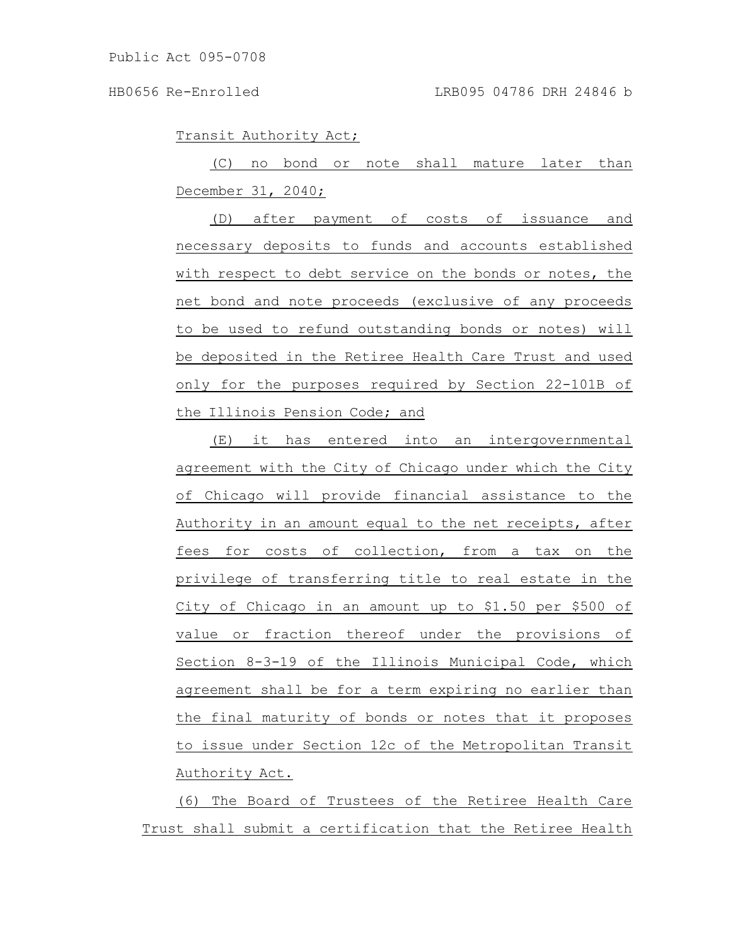Transit Authority Act;

(C) no bond or note shall mature later than December 31, 2040;

(D) after payment of costs of issuance and necessary deposits to funds and accounts established with respect to debt service on the bonds or notes, the net bond and note proceeds (exclusive of any proceeds to be used to refund outstanding bonds or notes) will be deposited in the Retiree Health Care Trust and used only for the purposes required by Section 22-101B of the Illinois Pension Code; and

(E) it has entered into an intergovernmental agreement with the City of Chicago under which the City of Chicago will provide financial assistance to the Authority in an amount equal to the net receipts, after fees for costs of collection, from a tax on the privilege of transferring title to real estate in the City of Chicago in an amount up to \$1.50 per \$500 of value or fraction thereof under the provisions of Section 8-3-19 of the Illinois Municipal Code, which agreement shall be for a term expiring no earlier than the final maturity of bonds or notes that it proposes to issue under Section 12c of the Metropolitan Transit Authority Act.

(6) The Board of Trustees of the Retiree Health Care Trust shall submit a certification that the Retiree Health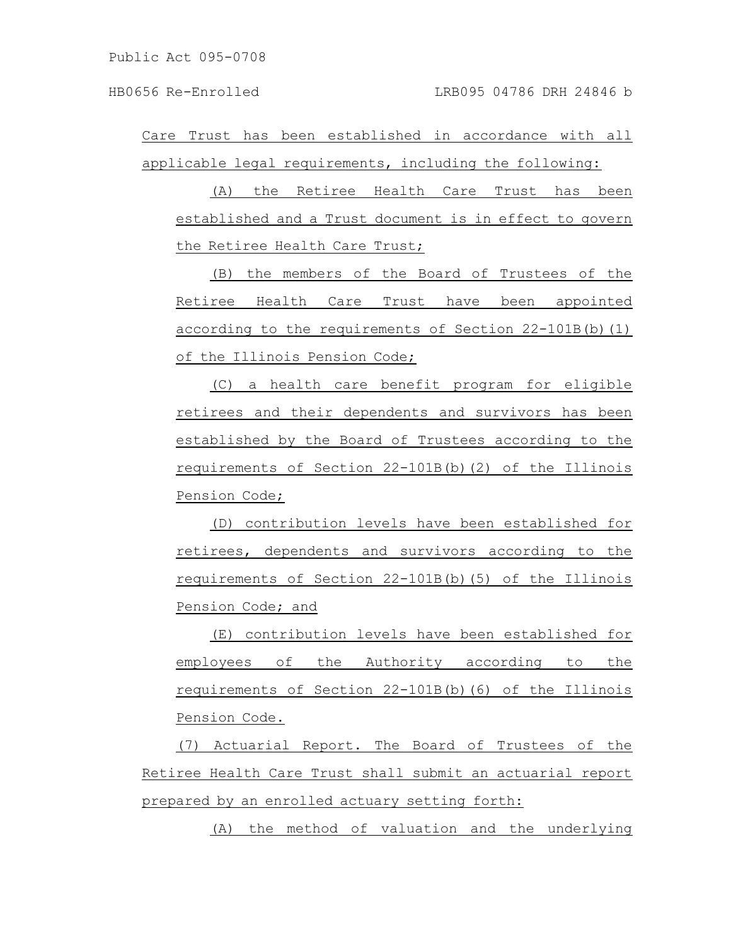(A) the Retiree Health Care Trust has been established and a Trust document is in effect to govern the Retiree Health Care Trust;

(B) the members of the Board of Trustees of the Retiree Health Care Trust have been appointed according to the requirements of Section 22-101B(b)(1) of the Illinois Pension Code;

(C) a health care benefit program for eligible retirees and their dependents and survivors has been established by the Board of Trustees according to the requirements of Section 22-101B(b)(2) of the Illinois Pension Code;

(D) contribution levels have been established for retirees, dependents and survivors according to the requirements of Section 22-101B(b)(5) of the Illinois Pension Code; and

(E) contribution levels have been established for employees of the Authority according to the requirements of Section 22-101B(b)(6) of the Illinois Pension Code.

(7) Actuarial Report. The Board of Trustees of the Retiree Health Care Trust shall submit an actuarial report prepared by an enrolled actuary setting forth:

(A) the method of valuation and the underlying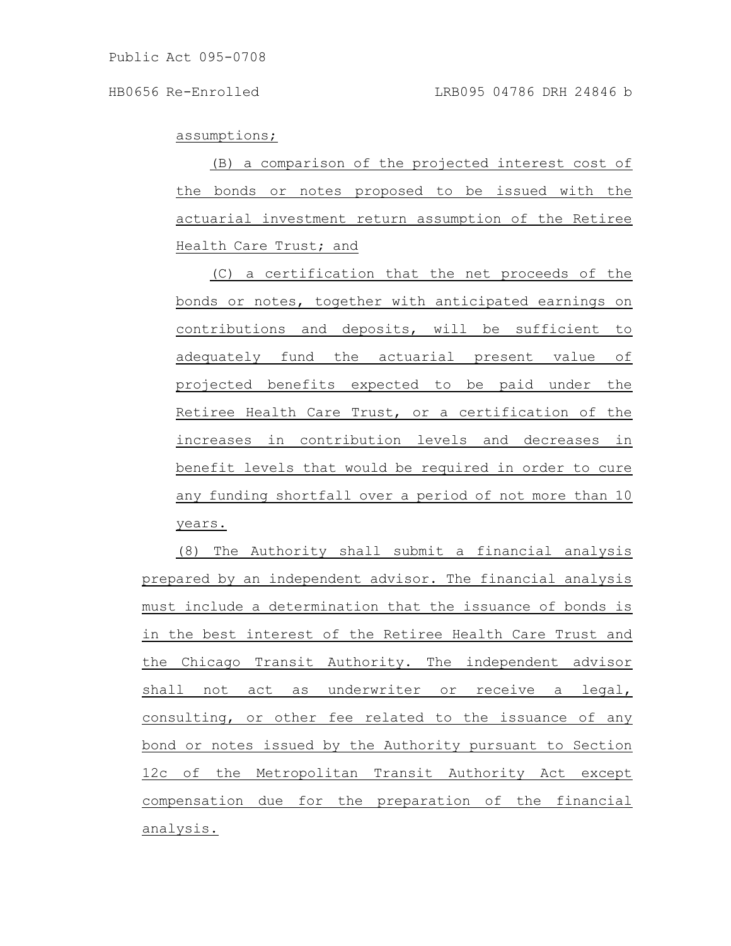assumptions;

(B) a comparison of the projected interest cost of the bonds or notes proposed to be issued with the actuarial investment return assumption of the Retiree Health Care Trust; and

(C) a certification that the net proceeds of the bonds or notes, together with anticipated earnings on contributions and deposits, will be sufficient to adequately fund the actuarial present value of projected benefits expected to be paid under the Retiree Health Care Trust, or a certification of the increases in contribution levels and decreases in benefit levels that would be required in order to cure any funding shortfall over a period of not more than 10 years.

(8) The Authority shall submit a financial analysis prepared by an independent advisor. The financial analysis must include a determination that the issuance of bonds is in the best interest of the Retiree Health Care Trust and the Chicago Transit Authority. The independent advisor shall not act as underwriter or receive a legal, consulting, or other fee related to the issuance of any bond or notes issued by the Authority pursuant to Section 12c of the Metropolitan Transit Authority Act except compensation due for the preparation of the financial analysis.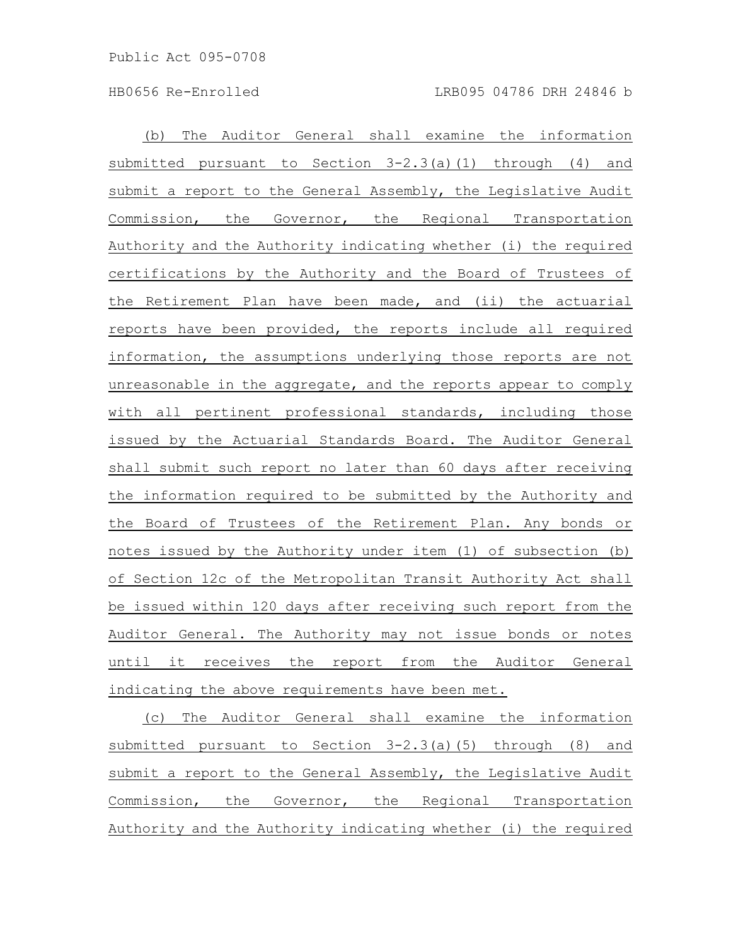(b) The Auditor General shall examine the information submitted pursuant to Section 3-2.3(a)(1) through (4) and submit a report to the General Assembly, the Legislative Audit Commission, the Governor, the Regional Transportation Authority and the Authority indicating whether (i) the required certifications by the Authority and the Board of Trustees of the Retirement Plan have been made, and (ii) the actuarial reports have been provided, the reports include all required information, the assumptions underlying those reports are not unreasonable in the aggregate, and the reports appear to comply with all pertinent professional standards, including those issued by the Actuarial Standards Board. The Auditor General shall submit such report no later than 60 days after receiving the information required to be submitted by the Authority and the Board of Trustees of the Retirement Plan. Any bonds or notes issued by the Authority under item (1) of subsection (b) of Section 12c of the Metropolitan Transit Authority Act shall be issued within 120 days after receiving such report from the Auditor General. The Authority may not issue bonds or notes until it receives the report from the Auditor General indicating the above requirements have been met.

(c) The Auditor General shall examine the information submitted pursuant to Section 3-2.3(a)(5) through (8) and submit a report to the General Assembly, the Legislative Audit Commission, the Governor, the Regional Transportation Authority and the Authority indicating whether (i) the required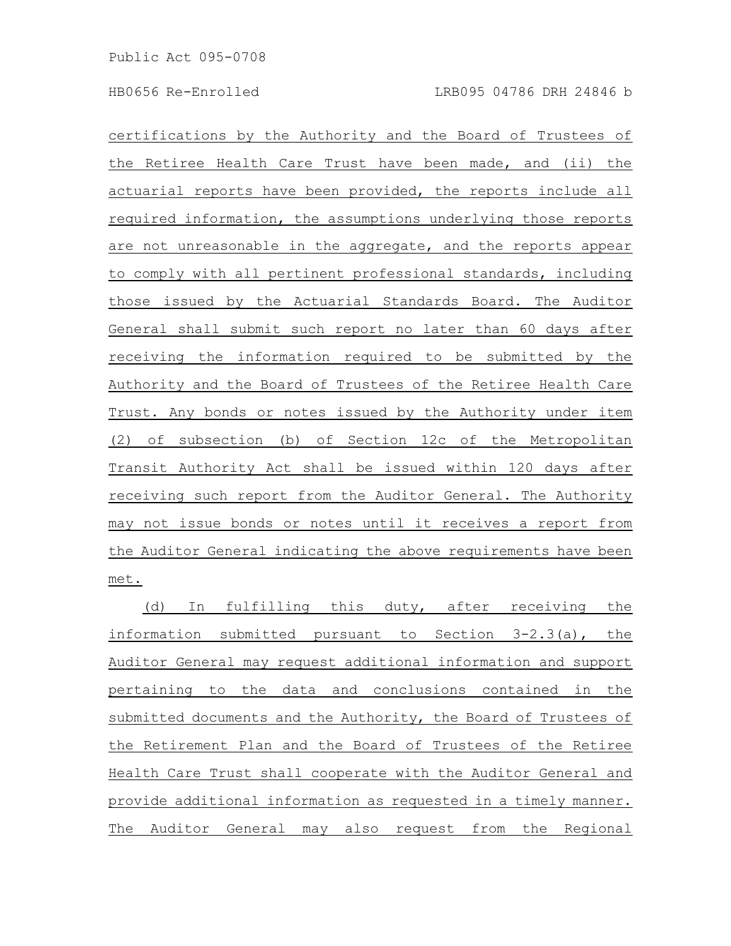certifications by the Authority and the Board of Trustees of the Retiree Health Care Trust have been made, and (ii) the actuarial reports have been provided, the reports include all required information, the assumptions underlying those reports are not unreasonable in the aggregate, and the reports appear to comply with all pertinent professional standards, including those issued by the Actuarial Standards Board. The Auditor General shall submit such report no later than 60 days after receiving the information required to be submitted by the Authority and the Board of Trustees of the Retiree Health Care Trust. Any bonds or notes issued by the Authority under item (2) of subsection (b) of Section 12c of the Metropolitan Transit Authority Act shall be issued within 120 days after receiving such report from the Auditor General. The Authority may not issue bonds or notes until it receives a report from the Auditor General indicating the above requirements have been met.

(d) In fulfilling this duty, after receiving the information submitted pursuant to Section 3-2.3(a), the Auditor General may request additional information and support pertaining to the data and conclusions contained in the submitted documents and the Authority, the Board of Trustees of the Retirement Plan and the Board of Trustees of the Retiree Health Care Trust shall cooperate with the Auditor General and provide additional information as requested in a timely manner. The Auditor General may also request from the Regional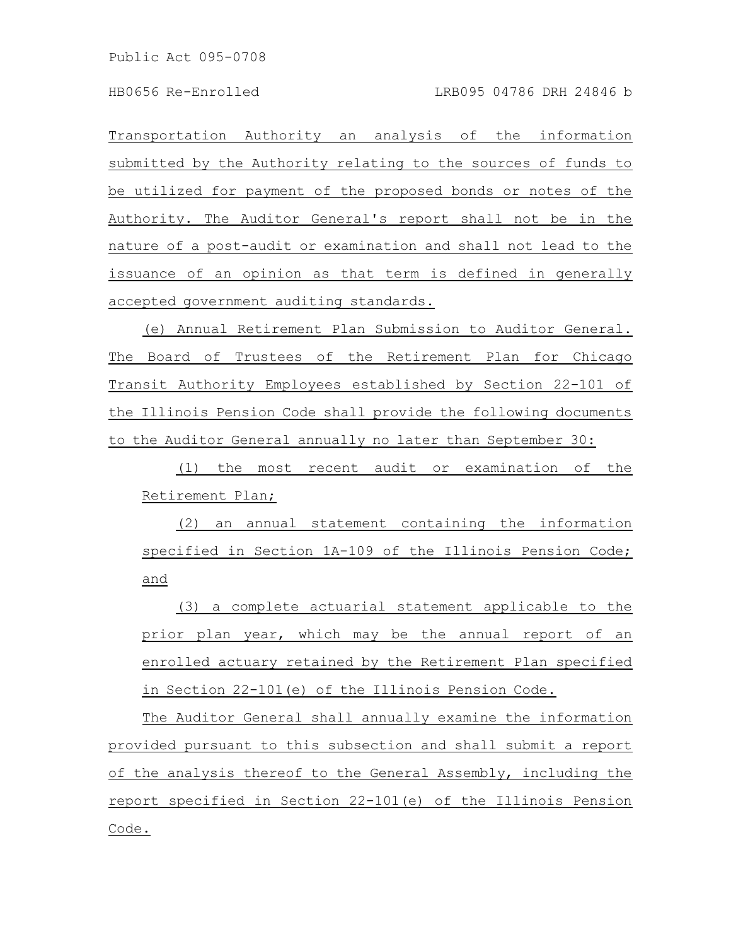Transportation Authority an analysis of the information submitted by the Authority relating to the sources of funds to be utilized for payment of the proposed bonds or notes of the Authority. The Auditor General's report shall not be in the nature of a post-audit or examination and shall not lead to the issuance of an opinion as that term is defined in generally accepted government auditing standards.

(e) Annual Retirement Plan Submission to Auditor General. The Board of Trustees of the Retirement Plan for Chicago Transit Authority Employees established by Section 22-101 of the Illinois Pension Code shall provide the following documents to the Auditor General annually no later than September 30:

(1) the most recent audit or examination of the Retirement Plan;

(2) an annual statement containing the information specified in Section 1A-109 of the Illinois Pension Code; and

(3) a complete actuarial statement applicable to the prior plan year, which may be the annual report of an enrolled actuary retained by the Retirement Plan specified in Section 22-101(e) of the Illinois Pension Code.

The Auditor General shall annually examine the information provided pursuant to this subsection and shall submit a report of the analysis thereof to the General Assembly, including the report specified in Section 22-101(e) of the Illinois Pension Code.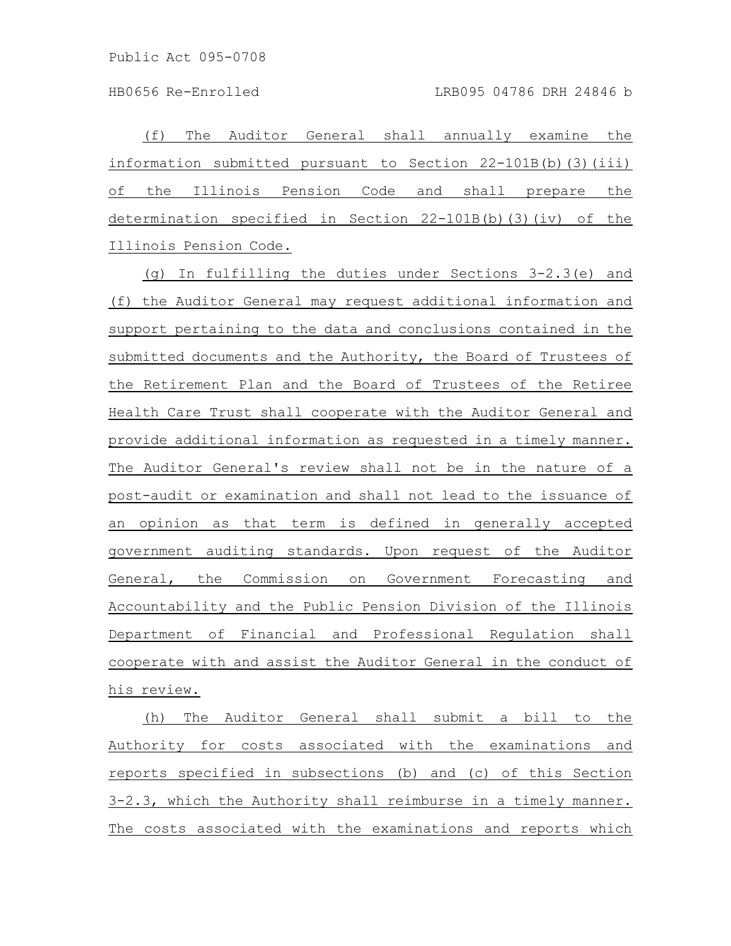(f) The Auditor General shall annually examine the information submitted pursuant to Section 22-101B(b)(3)(iii) of the Illinois Pension Code and shall prepare the determination specified in Section 22-101B(b)(3)(iv) of the Illinois Pension Code.

(g) In fulfilling the duties under Sections 3-2.3(e) and (f) the Auditor General may request additional information and support pertaining to the data and conclusions contained in the submitted documents and the Authority, the Board of Trustees of the Retirement Plan and the Board of Trustees of the Retiree Health Care Trust shall cooperate with the Auditor General and provide additional information as requested in a timely manner. The Auditor General's review shall not be in the nature of a post-audit or examination and shall not lead to the issuance of an opinion as that term is defined in generally accepted government auditing standards. Upon request of the Auditor General, the Commission on Government Forecasting and Accountability and the Public Pension Division of the Illinois Department of Financial and Professional Regulation shall cooperate with and assist the Auditor General in the conduct of his review.

(h) The Auditor General shall submit a bill to the Authority for costs associated with the examinations and reports specified in subsections (b) and (c) of this Section 3-2.3, which the Authority shall reimburse in a timely manner. The costs associated with the examinations and reports which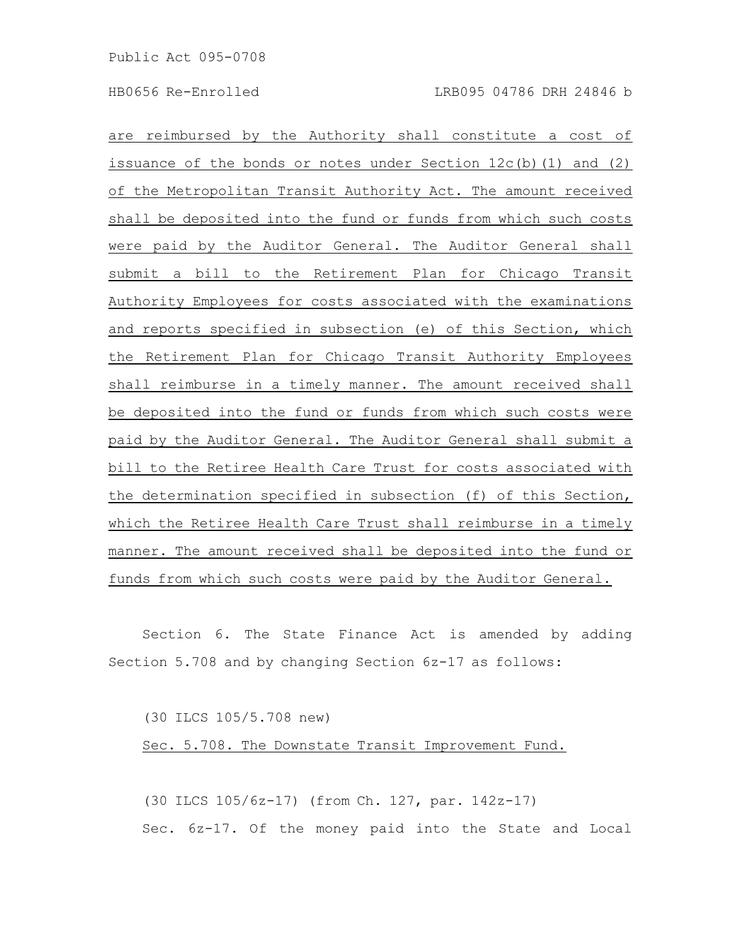are reimbursed by the Authority shall constitute a cost of issuance of the bonds or notes under Section  $12c(b)(1)$  and  $(2)$ of the Metropolitan Transit Authority Act. The amount received shall be deposited into the fund or funds from which such costs were paid by the Auditor General. The Auditor General shall submit a bill to the Retirement Plan for Chicago Transit Authority Employees for costs associated with the examinations and reports specified in subsection (e) of this Section, which the Retirement Plan for Chicago Transit Authority Employees shall reimburse in a timely manner. The amount received shall be deposited into the fund or funds from which such costs were paid by the Auditor General. The Auditor General shall submit a bill to the Retiree Health Care Trust for costs associated with the determination specified in subsection (f) of this Section, which the Retiree Health Care Trust shall reimburse in a timely manner. The amount received shall be deposited into the fund or funds from which such costs were paid by the Auditor General.

Section 6. The State Finance Act is amended by adding Section 5.708 and by changing Section 6z-17 as follows:

(30 ILCS 105/5.708 new)

Sec. 5.708. The Downstate Transit Improvement Fund.

(30 ILCS 105/6z-17) (from Ch. 127, par. 142z-17) Sec. 6z-17. Of the money paid into the State and Local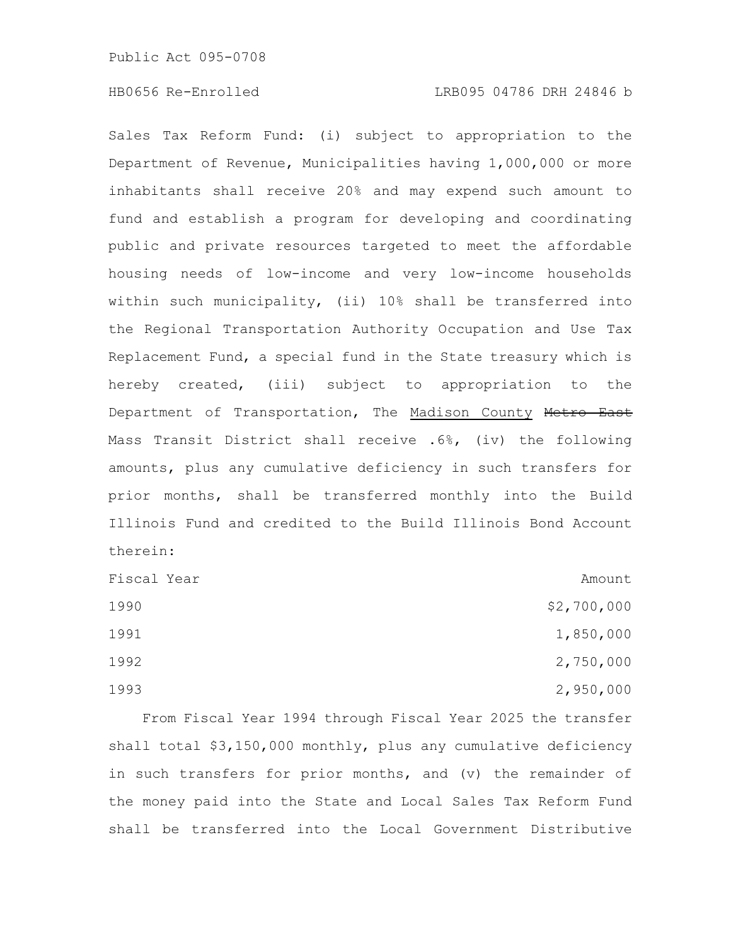### HB0656 Re-Enrolled LRB095 04786 DRH 24846 b

Sales Tax Reform Fund: (i) subject to appropriation to the Department of Revenue, Municipalities having 1,000,000 or more inhabitants shall receive 20% and may expend such amount to fund and establish a program for developing and coordinating public and private resources targeted to meet the affordable housing needs of low-income and very low-income households within such municipality, (ii) 10% shall be transferred into the Regional Transportation Authority Occupation and Use Tax Replacement Fund, a special fund in the State treasury which is hereby created, (iii) subject to appropriation to the Department of Transportation, The Madison County Metro East Mass Transit District shall receive .6%, (iv) the following amounts, plus any cumulative deficiency in such transfers for prior months, shall be transferred monthly into the Build Illinois Fund and credited to the Build Illinois Bond Account therein:

| Fiscal Year | Amount      |
|-------------|-------------|
| 1990        | \$2,700,000 |
| 1991        | 1,850,000   |
| 1992        | 2,750,000   |
| 1993        | 2,950,000   |

From Fiscal Year 1994 through Fiscal Year 2025 the transfer shall total \$3,150,000 monthly, plus any cumulative deficiency in such transfers for prior months, and (v) the remainder of the money paid into the State and Local Sales Tax Reform Fund shall be transferred into the Local Government Distributive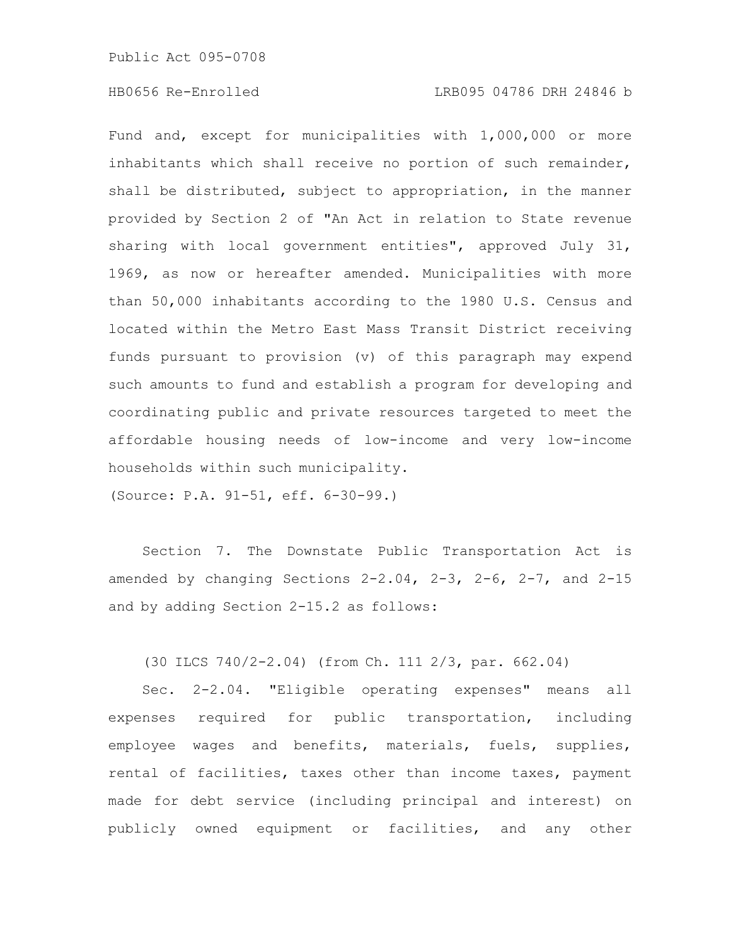Fund and, except for municipalities with 1,000,000 or more inhabitants which shall receive no portion of such remainder, shall be distributed, subject to appropriation, in the manner provided by Section 2 of "An Act in relation to State revenue sharing with local government entities", approved July 31, 1969, as now or hereafter amended. Municipalities with more than 50,000 inhabitants according to the 1980 U.S. Census and located within the Metro East Mass Transit District receiving funds pursuant to provision (v) of this paragraph may expend such amounts to fund and establish a program for developing and coordinating public and private resources targeted to meet the affordable housing needs of low-income and very low-income households within such municipality.

(Source: P.A. 91-51, eff. 6-30-99.)

Section 7. The Downstate Public Transportation Act is amended by changing Sections  $2-2.04$ ,  $2-3$ ,  $2-6$ ,  $2-7$ , and  $2-15$ and by adding Section 2-15.2 as follows:

(30 ILCS 740/2-2.04) (from Ch. 111 2/3, par. 662.04)

Sec. 2-2.04. "Eligible operating expenses" means all expenses required for public transportation, including employee wages and benefits, materials, fuels, supplies, rental of facilities, taxes other than income taxes, payment made for debt service (including principal and interest) on publicly owned equipment or facilities, and any other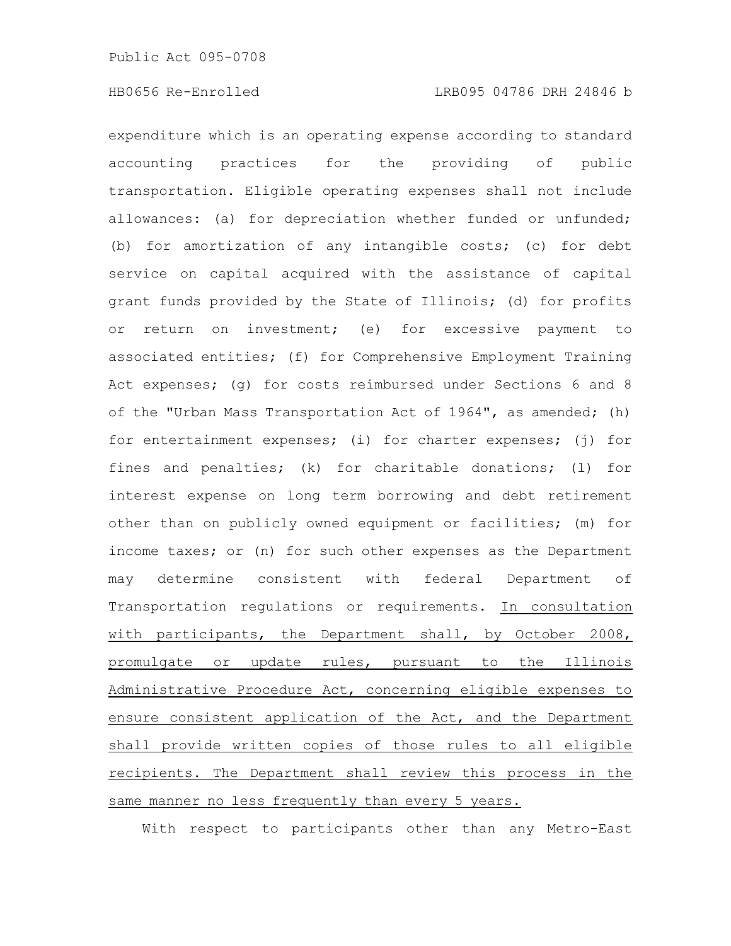expenditure which is an operating expense according to standard accounting practices for the providing of public transportation. Eligible operating expenses shall not include allowances: (a) for depreciation whether funded or unfunded; (b) for amortization of any intangible costs; (c) for debt service on capital acquired with the assistance of capital grant funds provided by the State of Illinois; (d) for profits or return on investment; (e) for excessive payment to associated entities; (f) for Comprehensive Employment Training Act expenses; (g) for costs reimbursed under Sections 6 and 8 of the "Urban Mass Transportation Act of 1964", as amended; (h) for entertainment expenses; (i) for charter expenses; (j) for fines and penalties; (k) for charitable donations; (l) for interest expense on long term borrowing and debt retirement other than on publicly owned equipment or facilities; (m) for income taxes; or (n) for such other expenses as the Department may determine consistent with federal Department of Transportation regulations or requirements. In consultation with participants, the Department shall, by October 2008, promulgate or update rules, pursuant to the Illinois Administrative Procedure Act, concerning eligible expenses to ensure consistent application of the Act, and the Department shall provide written copies of those rules to all eligible recipients. The Department shall review this process in the same manner no less frequently than every 5 years.

With respect to participants other than any Metro-East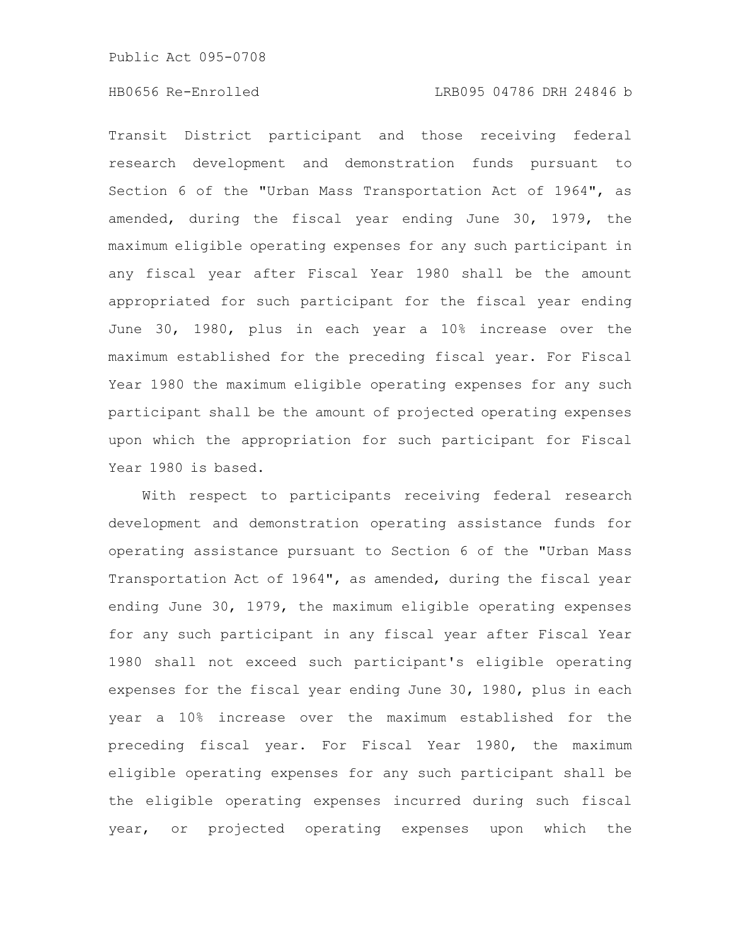#### HB0656 Re-Enrolled LRB095 04786 DRH 24846 b

Transit District participant and those receiving federal research development and demonstration funds pursuant to Section 6 of the "Urban Mass Transportation Act of 1964", as amended, during the fiscal year ending June 30, 1979, the maximum eligible operating expenses for any such participant in any fiscal year after Fiscal Year 1980 shall be the amount appropriated for such participant for the fiscal year ending June 30, 1980, plus in each year a 10% increase over the maximum established for the preceding fiscal year. For Fiscal Year 1980 the maximum eligible operating expenses for any such participant shall be the amount of projected operating expenses upon which the appropriation for such participant for Fiscal Year 1980 is based.

With respect to participants receiving federal research development and demonstration operating assistance funds for operating assistance pursuant to Section 6 of the "Urban Mass Transportation Act of 1964", as amended, during the fiscal year ending June 30, 1979, the maximum eligible operating expenses for any such participant in any fiscal year after Fiscal Year 1980 shall not exceed such participant's eligible operating expenses for the fiscal year ending June 30, 1980, plus in each year a 10% increase over the maximum established for the preceding fiscal year. For Fiscal Year 1980, the maximum eligible operating expenses for any such participant shall be the eligible operating expenses incurred during such fiscal year, or projected operating expenses upon which the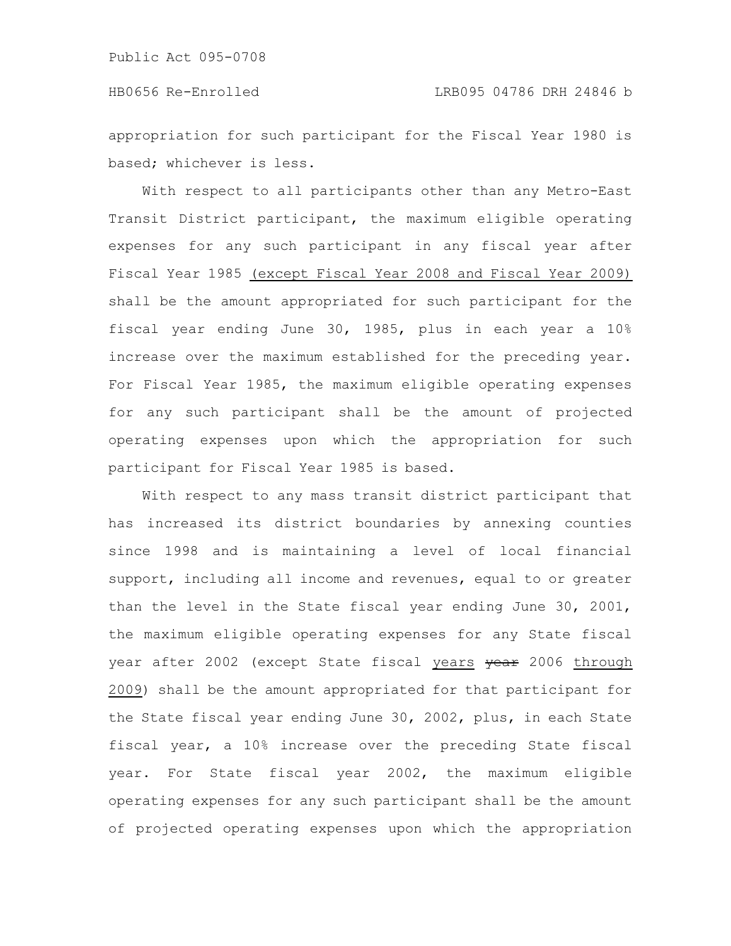appropriation for such participant for the Fiscal Year 1980 is based; whichever is less.

With respect to all participants other than any Metro-East Transit District participant, the maximum eligible operating expenses for any such participant in any fiscal year after Fiscal Year 1985 (except Fiscal Year 2008 and Fiscal Year 2009) shall be the amount appropriated for such participant for the fiscal year ending June 30, 1985, plus in each year a 10% increase over the maximum established for the preceding year. For Fiscal Year 1985, the maximum eligible operating expenses for any such participant shall be the amount of projected operating expenses upon which the appropriation for such participant for Fiscal Year 1985 is based.

With respect to any mass transit district participant that has increased its district boundaries by annexing counties since 1998 and is maintaining a level of local financial support, including all income and revenues, equal to or greater than the level in the State fiscal year ending June 30, 2001, the maximum eligible operating expenses for any State fiscal year after 2002 (except State fiscal years year 2006 through 2009) shall be the amount appropriated for that participant for the State fiscal year ending June 30, 2002, plus, in each State fiscal year, a 10% increase over the preceding State fiscal year. For State fiscal year 2002, the maximum eligible operating expenses for any such participant shall be the amount of projected operating expenses upon which the appropriation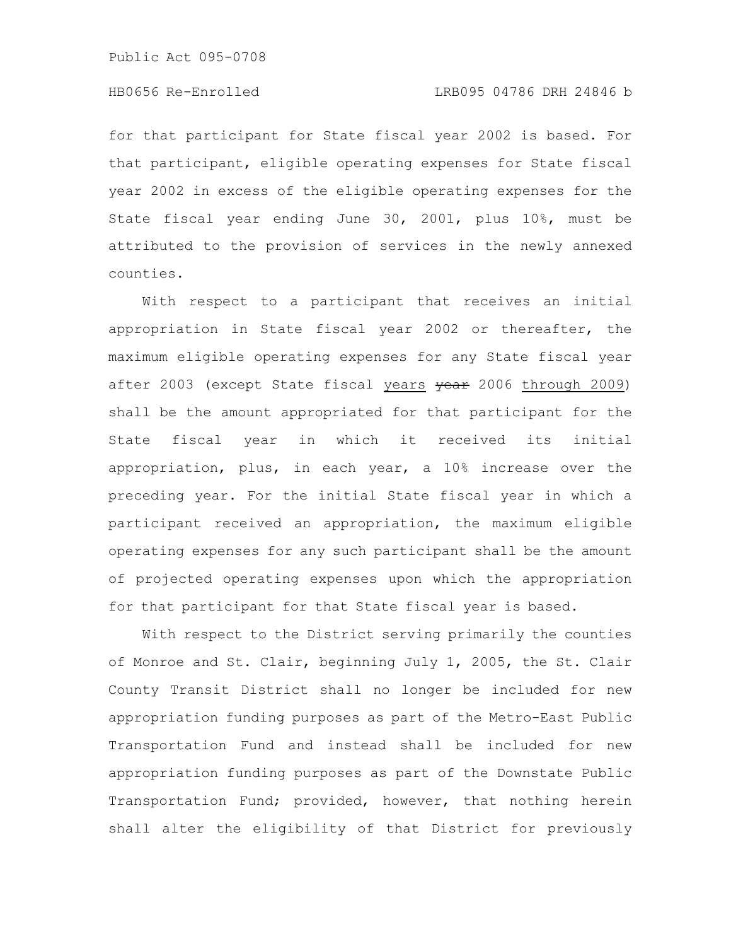for that participant for State fiscal year 2002 is based. For that participant, eligible operating expenses for State fiscal year 2002 in excess of the eligible operating expenses for the State fiscal year ending June 30, 2001, plus 10%, must be attributed to the provision of services in the newly annexed counties.

With respect to a participant that receives an initial appropriation in State fiscal year 2002 or thereafter, the maximum eligible operating expenses for any State fiscal year after 2003 (except State fiscal years vear 2006 through 2009) shall be the amount appropriated for that participant for the State fiscal year in which it received its initial appropriation, plus, in each year, a 10% increase over the preceding year. For the initial State fiscal year in which a participant received an appropriation, the maximum eligible operating expenses for any such participant shall be the amount of projected operating expenses upon which the appropriation for that participant for that State fiscal year is based.

With respect to the District serving primarily the counties of Monroe and St. Clair, beginning July 1, 2005, the St. Clair County Transit District shall no longer be included for new appropriation funding purposes as part of the Metro-East Public Transportation Fund and instead shall be included for new appropriation funding purposes as part of the Downstate Public Transportation Fund; provided, however, that nothing herein shall alter the eligibility of that District for previously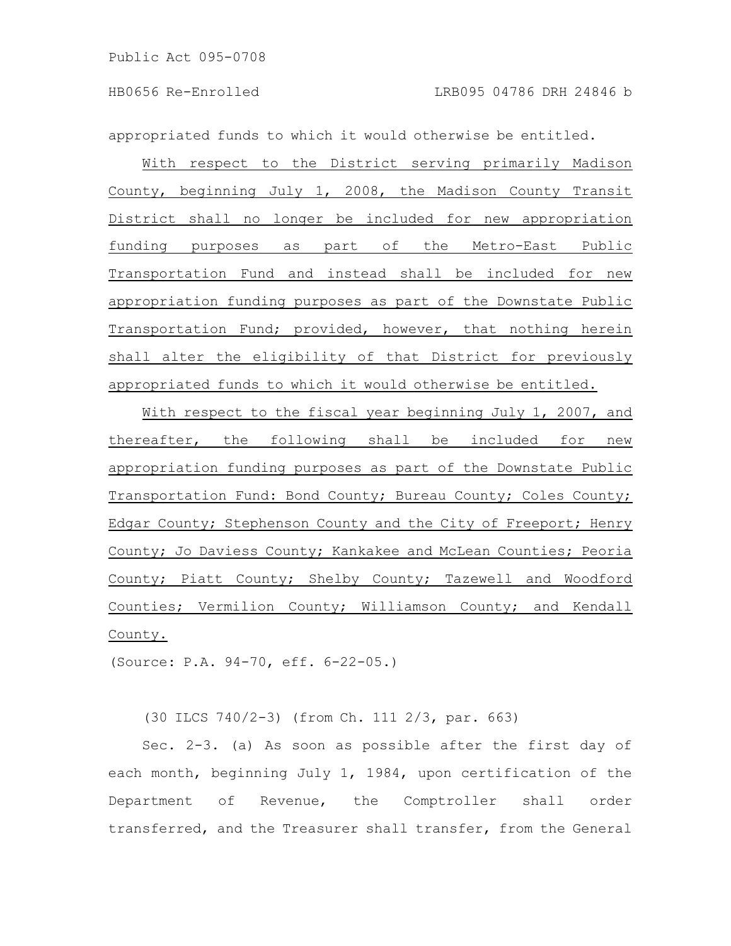appropriated funds to which it would otherwise be entitled.

With respect to the District serving primarily Madison County, beginning July 1, 2008, the Madison County Transit District shall no longer be included for new appropriation funding purposes as part of the Metro-East Public Transportation Fund and instead shall be included for new appropriation funding purposes as part of the Downstate Public Transportation Fund; provided, however, that nothing herein shall alter the eligibility of that District for previously appropriated funds to which it would otherwise be entitled.

With respect to the fiscal year beginning July 1, 2007, and thereafter, the following shall be included for new appropriation funding purposes as part of the Downstate Public Transportation Fund: Bond County; Bureau County; Coles County; Edgar County; Stephenson County and the City of Freeport; Henry County; Jo Daviess County; Kankakee and McLean Counties; Peoria County; Piatt County; Shelby County; Tazewell and Woodford Counties; Vermilion County; Williamson County; and Kendall County.

(Source: P.A. 94-70, eff. 6-22-05.)

(30 ILCS 740/2-3) (from Ch. 111 2/3, par. 663)

Sec. 2-3. (a) As soon as possible after the first day of each month, beginning July 1, 1984, upon certification of the Department of Revenue, the Comptroller shall order transferred, and the Treasurer shall transfer, from the General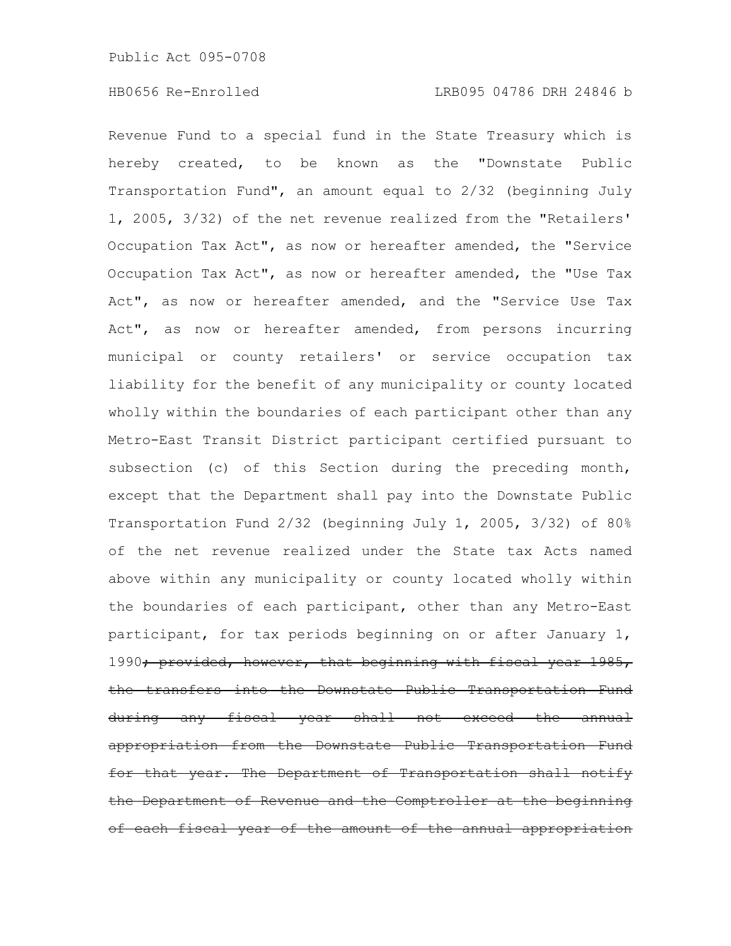Revenue Fund to a special fund in the State Treasury which is hereby created, to be known as the "Downstate Public Transportation Fund", an amount equal to 2/32 (beginning July 1, 2005, 3/32) of the net revenue realized from the "Retailers' Occupation Tax Act", as now or hereafter amended, the "Service Occupation Tax Act", as now or hereafter amended, the "Use Tax Act", as now or hereafter amended, and the "Service Use Tax Act", as now or hereafter amended, from persons incurring municipal or county retailers' or service occupation tax liability for the benefit of any municipality or county located wholly within the boundaries of each participant other than any Metro-East Transit District participant certified pursuant to subsection (c) of this Section during the preceding month, except that the Department shall pay into the Downstate Public Transportation Fund 2/32 (beginning July 1, 2005, 3/32) of 80% of the net revenue realized under the State tax Acts named above within any municipality or county located wholly within the boundaries of each participant, other than any Metro-East participant, for tax periods beginning on or after January 1, 1990<del>; provided, however, that beginning with fiscal year 1985,</del> the transfers into the Downstate Public Transportation Fund during any fiscal year shall not exceed the annual appropriation from the Downstate Public Transportation for that year. The Department of Transportation shall the Department of Revenue and the Comptroller at the beginning of each fiscal year of the amount of the annual appropriation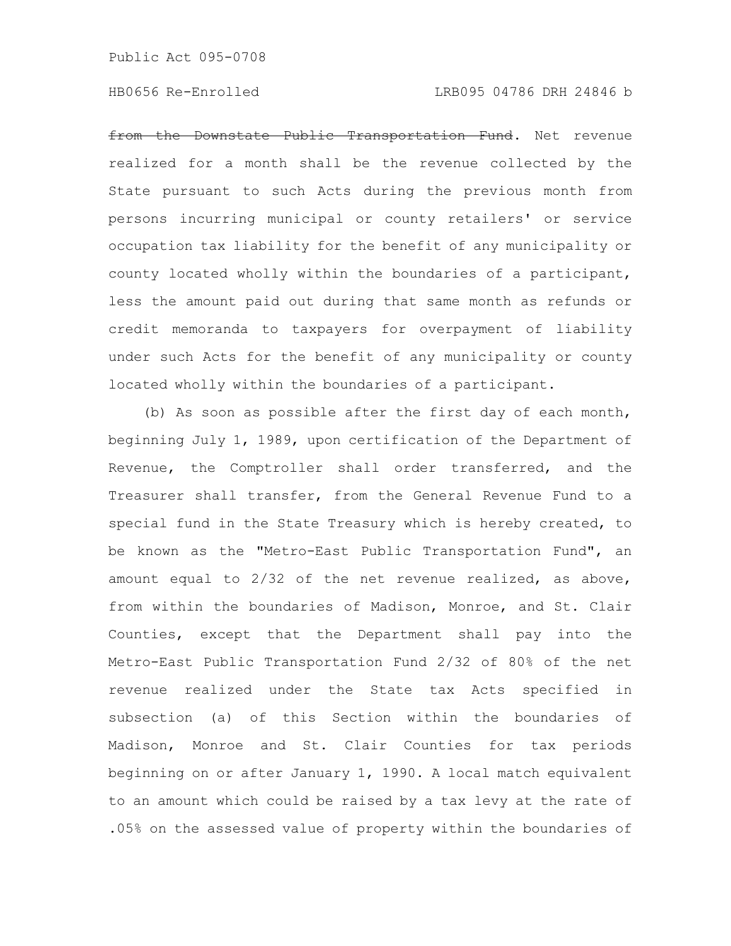#### HB0656 Re-Enrolled LRB095 04786 DRH 24846 b

from the Downstate Public Transportation Fund. Net revenue realized for a month shall be the revenue collected by the State pursuant to such Acts during the previous month from persons incurring municipal or county retailers' or service occupation tax liability for the benefit of any municipality or county located wholly within the boundaries of a participant, less the amount paid out during that same month as refunds or credit memoranda to taxpayers for overpayment of liability under such Acts for the benefit of any municipality or county located wholly within the boundaries of a participant.

(b) As soon as possible after the first day of each month, beginning July 1, 1989, upon certification of the Department of Revenue, the Comptroller shall order transferred, and the Treasurer shall transfer, from the General Revenue Fund to a special fund in the State Treasury which is hereby created, to be known as the "Metro-East Public Transportation Fund", an amount equal to 2/32 of the net revenue realized, as above, from within the boundaries of Madison, Monroe, and St. Clair Counties, except that the Department shall pay into the Metro-East Public Transportation Fund 2/32 of 80% of the net revenue realized under the State tax Acts specified in subsection (a) of this Section within the boundaries of Madison, Monroe and St. Clair Counties for tax periods beginning on or after January 1, 1990. A local match equivalent to an amount which could be raised by a tax levy at the rate of .05% on the assessed value of property within the boundaries of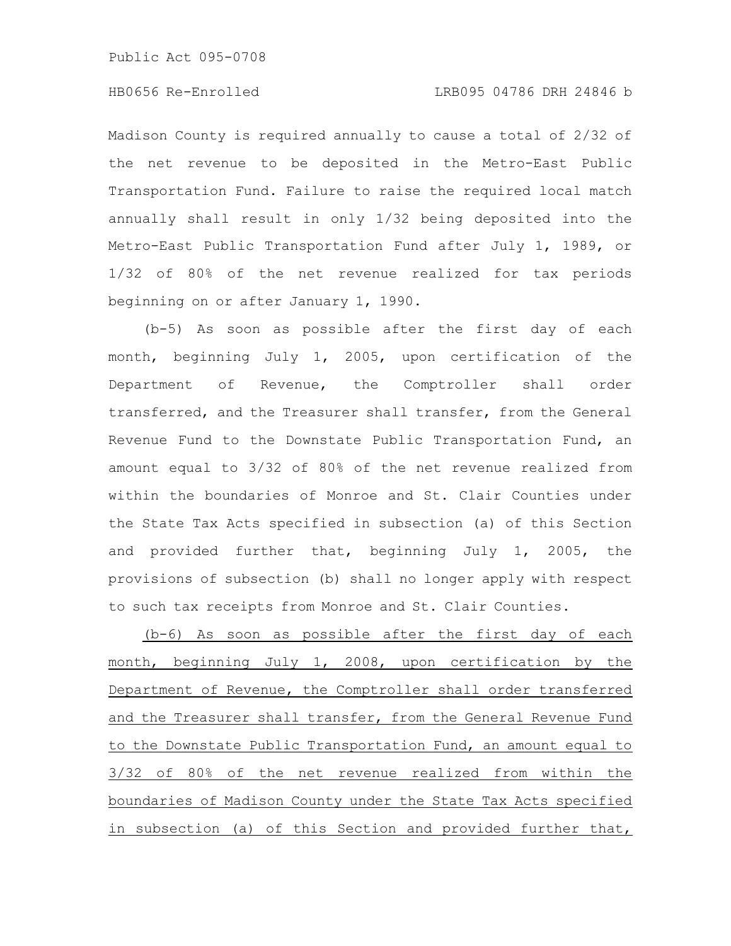Madison County is required annually to cause a total of 2/32 of the net revenue to be deposited in the Metro-East Public Transportation Fund. Failure to raise the required local match annually shall result in only 1/32 being deposited into the Metro-East Public Transportation Fund after July 1, 1989, or 1/32 of 80% of the net revenue realized for tax periods beginning on or after January 1, 1990.

(b-5) As soon as possible after the first day of each month, beginning July 1, 2005, upon certification of the Department of Revenue, the Comptroller shall order transferred, and the Treasurer shall transfer, from the General Revenue Fund to the Downstate Public Transportation Fund, an amount equal to 3/32 of 80% of the net revenue realized from within the boundaries of Monroe and St. Clair Counties under the State Tax Acts specified in subsection (a) of this Section and provided further that, beginning July 1, 2005, the provisions of subsection (b) shall no longer apply with respect to such tax receipts from Monroe and St. Clair Counties.

(b-6) As soon as possible after the first day of each month, beginning July 1, 2008, upon certification by the Department of Revenue, the Comptroller shall order transferred and the Treasurer shall transfer, from the General Revenue Fund to the Downstate Public Transportation Fund, an amount equal to 3/32 of 80% of the net revenue realized from within the boundaries of Madison County under the State Tax Acts specified in subsection (a) of this Section and provided further that,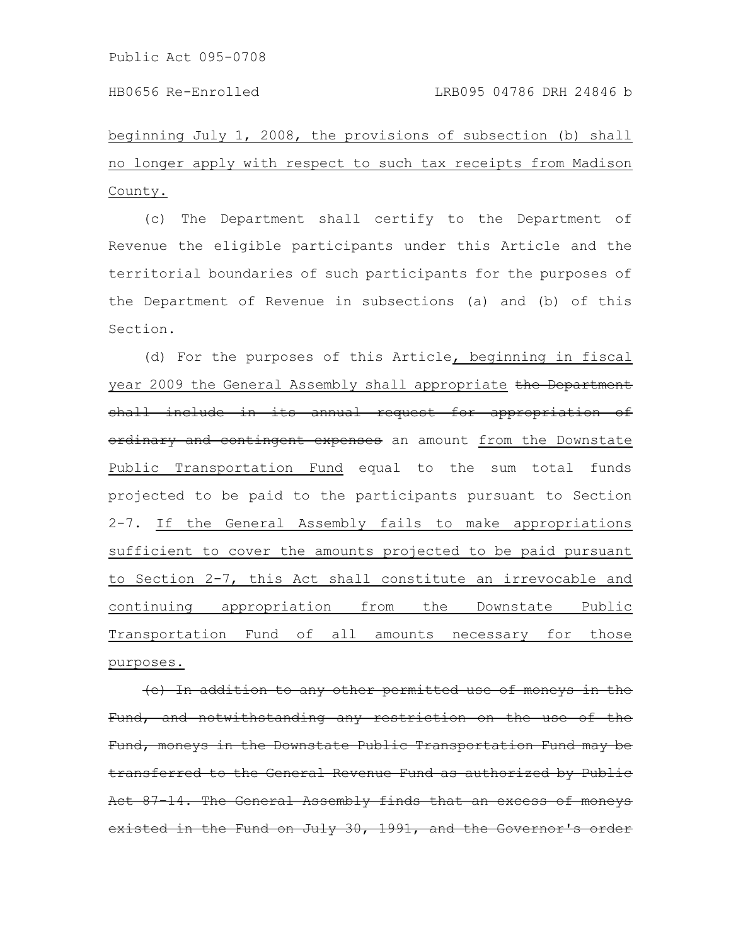beginning July 1, 2008, the provisions of subsection (b) shall no longer apply with respect to such tax receipts from Madison County.

(c) The Department shall certify to the Department of Revenue the eligible participants under this Article and the territorial boundaries of such participants for the purposes of the Department of Revenue in subsections (a) and (b) of this Section.

(d) For the purposes of this Article, beginning in fiscal year 2009 the General Assembly shall appropriate the Department shall include in its annual request for appropriation of ordinary and contingent expenses an amount from the Downstate Public Transportation Fund equal to the sum total funds projected to be paid to the participants pursuant to Section 2-7. If the General Assembly fails to make appropriations sufficient to cover the amounts projected to be paid pursuant to Section 2-7, this Act shall constitute an irrevocable and continuing appropriation from the Downstate Public Transportation Fund of all amounts necessary for those purposes.

(e) In addition to any other permitted use of moneys Fund, and notwithstanding any restriction on the use of the Fund, moneys in the Downstate Public Transportation Fund may be transferred to the General Revenue Fund as authorized by Act 87-14. The General Assembly finds that an excess existed in the Fund on July 30, 1991, and the Governor'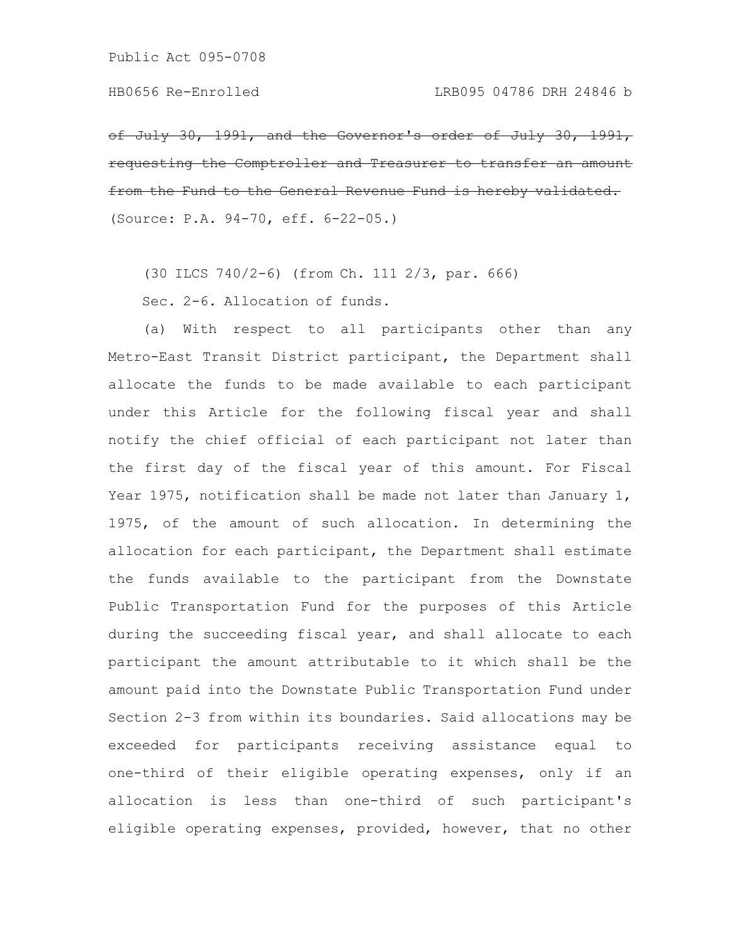of July 30, 1991, and the Governor's order of requesting the Comptroller and Treasurer to transfer an from the Fund to the General Revenue Fund is (Source: P.A. 94-70, eff. 6-22-05.)

(30 ILCS 740/2-6) (from Ch. 111 2/3, par. 666)

Sec. 2-6. Allocation of funds.

(a) With respect to all participants other than any Metro-East Transit District participant, the Department shall allocate the funds to be made available to each participant under this Article for the following fiscal year and shall notify the chief official of each participant not later than the first day of the fiscal year of this amount. For Fiscal Year 1975, notification shall be made not later than January 1, 1975, of the amount of such allocation. In determining the allocation for each participant, the Department shall estimate the funds available to the participant from the Downstate Public Transportation Fund for the purposes of this Article during the succeeding fiscal year, and shall allocate to each participant the amount attributable to it which shall be the amount paid into the Downstate Public Transportation Fund under Section 2-3 from within its boundaries. Said allocations may be exceeded for participants receiving assistance equal to one-third of their eligible operating expenses, only if an allocation is less than one-third of such participant's eligible operating expenses, provided, however, that no other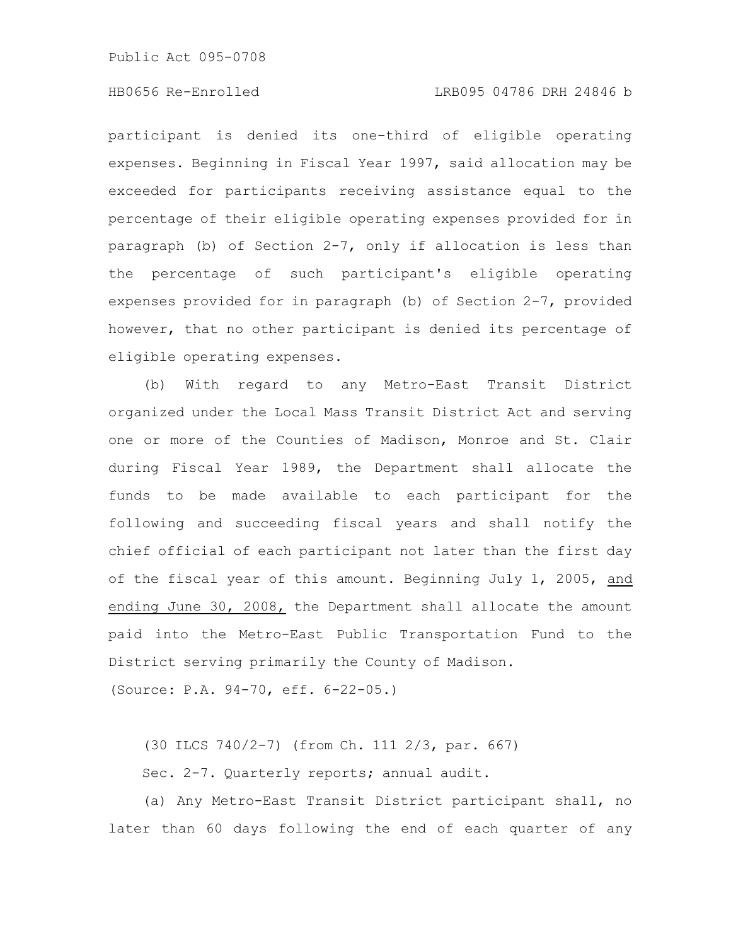participant is denied its one-third of eligible operating expenses. Beginning in Fiscal Year 1997, said allocation may be exceeded for participants receiving assistance equal to the percentage of their eligible operating expenses provided for in paragraph (b) of Section 2-7, only if allocation is less than the percentage of such participant's eligible operating expenses provided for in paragraph (b) of Section 2-7, provided however, that no other participant is denied its percentage of eligible operating expenses.

(b) With regard to any Metro-East Transit District organized under the Local Mass Transit District Act and serving one or more of the Counties of Madison, Monroe and St. Clair during Fiscal Year 1989, the Department shall allocate the funds to be made available to each participant for the following and succeeding fiscal years and shall notify the chief official of each participant not later than the first day of the fiscal year of this amount. Beginning July 1, 2005, and ending June 30, 2008, the Department shall allocate the amount paid into the Metro-East Public Transportation Fund to the District serving primarily the County of Madison.

(Source: P.A. 94-70, eff. 6-22-05.)

(30 ILCS 740/2-7) (from Ch. 111 2/3, par. 667)

Sec. 2-7. Quarterly reports; annual audit.

(a) Any Metro-East Transit District participant shall, no later than 60 days following the end of each quarter of any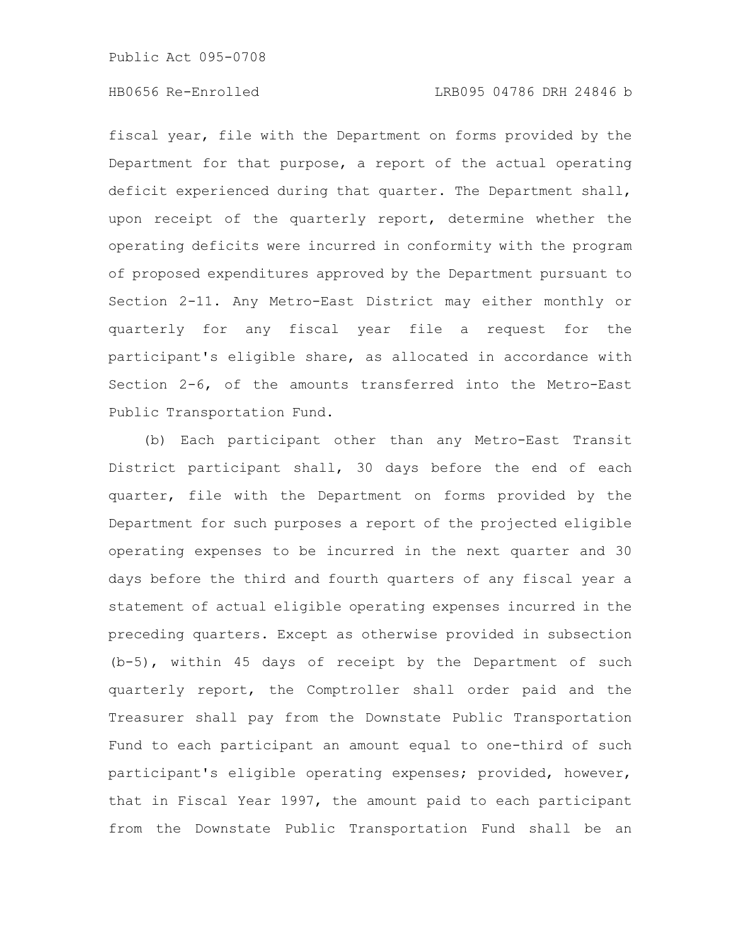fiscal year, file with the Department on forms provided by the Department for that purpose, a report of the actual operating deficit experienced during that quarter. The Department shall, upon receipt of the quarterly report, determine whether the operating deficits were incurred in conformity with the program of proposed expenditures approved by the Department pursuant to Section 2-11. Any Metro-East District may either monthly or quarterly for any fiscal year file a request for the participant's eligible share, as allocated in accordance with Section 2-6, of the amounts transferred into the Metro-East Public Transportation Fund.

(b) Each participant other than any Metro-East Transit District participant shall, 30 days before the end of each quarter, file with the Department on forms provided by the Department for such purposes a report of the projected eligible operating expenses to be incurred in the next quarter and 30 days before the third and fourth quarters of any fiscal year a statement of actual eligible operating expenses incurred in the preceding quarters. Except as otherwise provided in subsection (b-5), within 45 days of receipt by the Department of such quarterly report, the Comptroller shall order paid and the Treasurer shall pay from the Downstate Public Transportation Fund to each participant an amount equal to one-third of such participant's eligible operating expenses; provided, however, that in Fiscal Year 1997, the amount paid to each participant from the Downstate Public Transportation Fund shall be an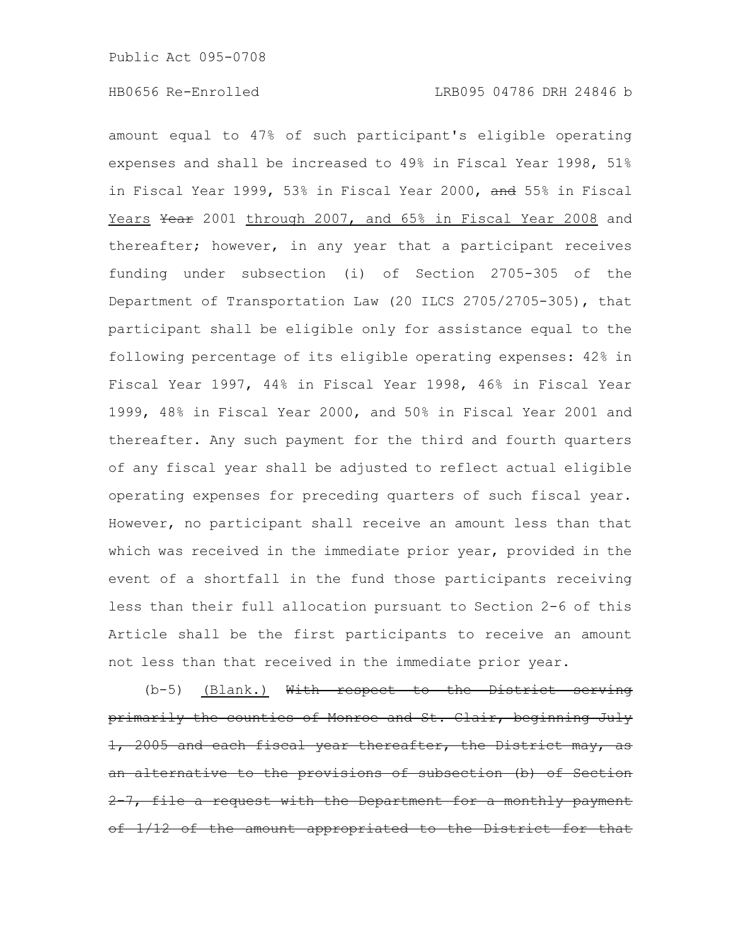amount equal to 47% of such participant's eligible operating expenses and shall be increased to 49% in Fiscal Year 1998, 51% in Fiscal Year 1999, 53% in Fiscal Year 2000, and 55% in Fiscal Years Year 2001 through 2007, and 65% in Fiscal Year 2008 and thereafter; however, in any year that a participant receives funding under subsection (i) of Section 2705-305 of the Department of Transportation Law (20 ILCS 2705/2705-305), that participant shall be eligible only for assistance equal to the following percentage of its eligible operating expenses: 42% in Fiscal Year 1997, 44% in Fiscal Year 1998, 46% in Fiscal Year 1999, 48% in Fiscal Year 2000, and 50% in Fiscal Year 2001 and thereafter. Any such payment for the third and fourth quarters of any fiscal year shall be adjusted to reflect actual eligible operating expenses for preceding quarters of such fiscal year. However, no participant shall receive an amount less than that which was received in the immediate prior year, provided in the event of a shortfall in the fund those participants receiving less than their full allocation pursuant to Section 2-6 of this Article shall be the first participants to receive an amount not less than that received in the immediate prior year.

(b-5) (Blank.) With respect to the District primarily the counties of Monroe and St. Clair, beginning July 2005 and each fiscal year thereafter, the alternative to the provisions of subsection file a request with the Department for a monthly the amount appropriated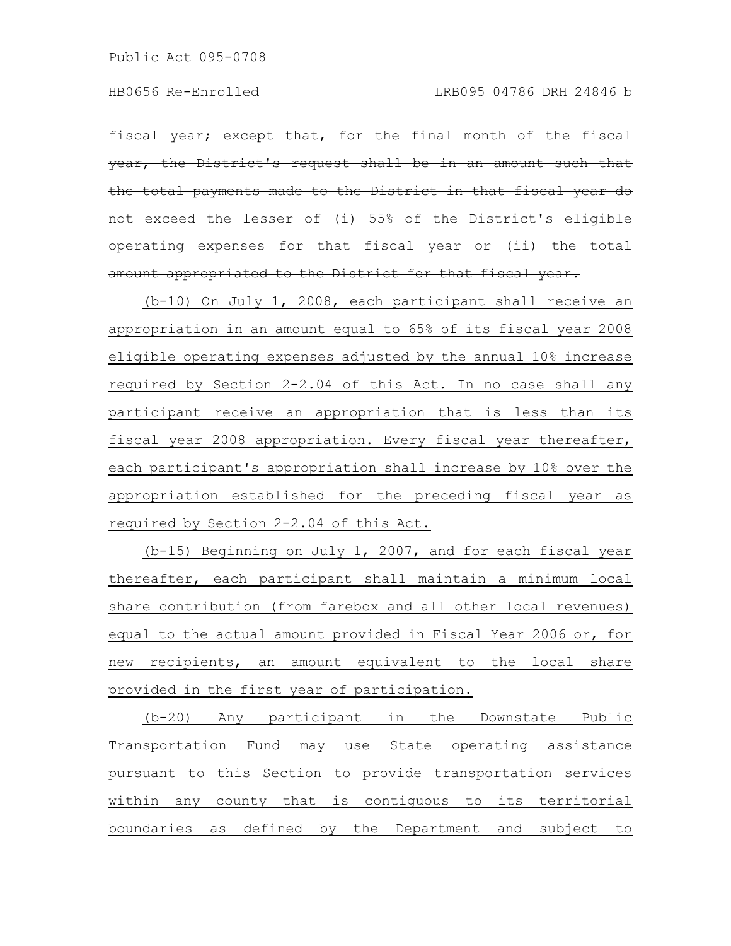year; except that, for the final month of the fiscal the District's request shall be in an amount such the total payments made to the District in that fiscal the lesser of  $(i)$  55% of the District's operating expenses for that fiscal year or (ii) the total amount appropriated to the District for that fiscal year.

(b-10) On July 1, 2008, each participant shall receive an appropriation in an amount equal to 65% of its fiscal year 2008 eligible operating expenses adjusted by the annual 10% increase required by Section 2-2.04 of this Act. In no case shall any participant receive an appropriation that is less than its fiscal year 2008 appropriation. Every fiscal year thereafter, each participant's appropriation shall increase by 10% over the appropriation established for the preceding fiscal year as required by Section 2-2.04 of this Act.

(b-15) Beginning on July 1, 2007, and for each fiscal year thereafter, each participant shall maintain a minimum local share contribution (from farebox and all other local revenues) equal to the actual amount provided in Fiscal Year 2006 or, for new recipients, an amount equivalent to the local share provided in the first year of participation.

(b-20) Any participant in the Downstate Public Transportation Fund may use State operating assistance pursuant to this Section to provide transportation services within any county that is contiguous to its territorial boundaries as defined by the Department and subject to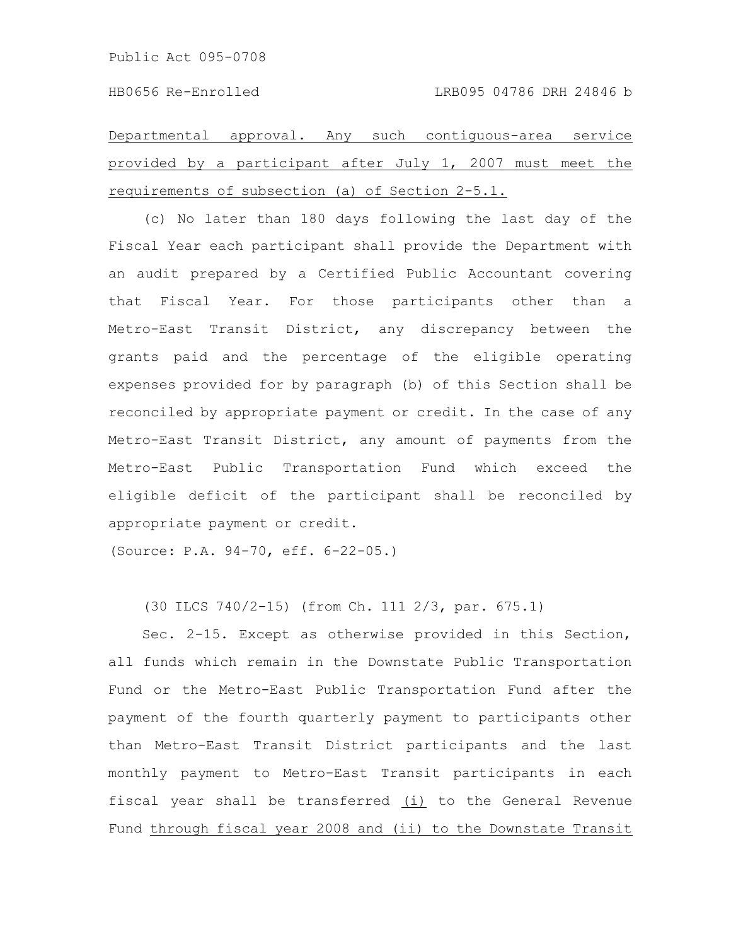Departmental approval. Any such contiguous-area service provided by a participant after July 1, 2007 must meet the requirements of subsection (a) of Section 2-5.1.

(c) No later than 180 days following the last day of the Fiscal Year each participant shall provide the Department with an audit prepared by a Certified Public Accountant covering that Fiscal Year. For those participants other than a Metro-East Transit District, any discrepancy between the grants paid and the percentage of the eligible operating expenses provided for by paragraph (b) of this Section shall be reconciled by appropriate payment or credit. In the case of any Metro-East Transit District, any amount of payments from the Metro-East Public Transportation Fund which exceed the eligible deficit of the participant shall be reconciled by appropriate payment or credit.

(Source: P.A. 94-70, eff. 6-22-05.)

(30 ILCS 740/2-15) (from Ch. 111 2/3, par. 675.1)

Sec. 2-15. Except as otherwise provided in this Section, all funds which remain in the Downstate Public Transportation Fund or the Metro-East Public Transportation Fund after the payment of the fourth quarterly payment to participants other than Metro-East Transit District participants and the last monthly payment to Metro-East Transit participants in each fiscal year shall be transferred (i) to the General Revenue Fund through fiscal year 2008 and (ii) to the Downstate Transit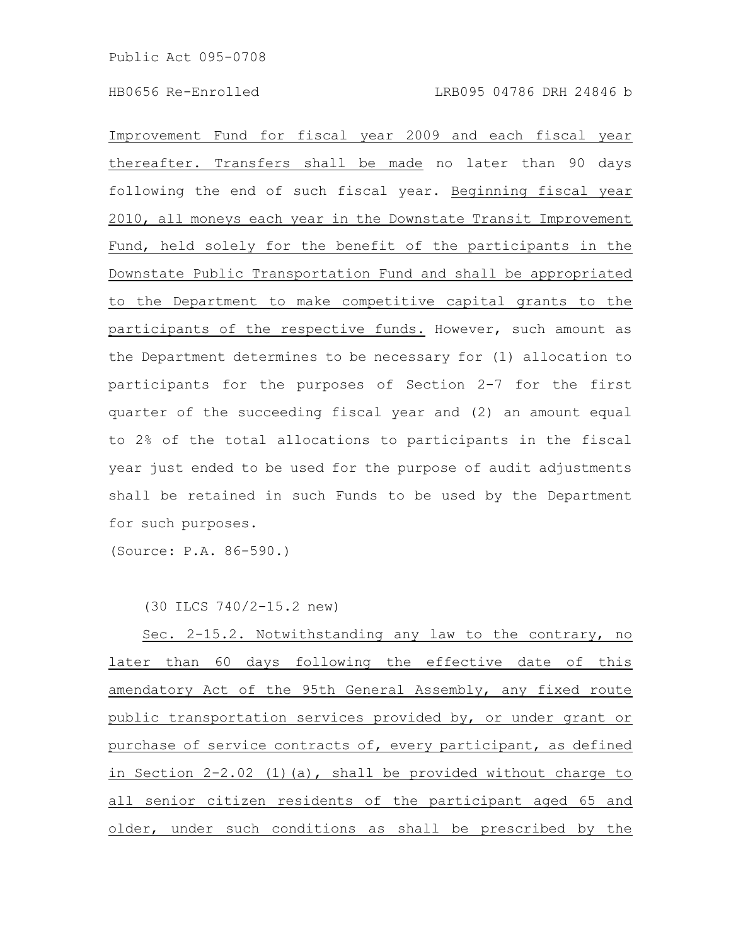Improvement Fund for fiscal year 2009 and each fiscal year thereafter. Transfers shall be made no later than 90 days following the end of such fiscal year. Beginning fiscal year 2010, all moneys each year in the Downstate Transit Improvement Fund, held solely for the benefit of the participants in the Downstate Public Transportation Fund and shall be appropriated to the Department to make competitive capital grants to the participants of the respective funds. However, such amount as the Department determines to be necessary for (1) allocation to participants for the purposes of Section 2-7 for the first quarter of the succeeding fiscal year and (2) an amount equal to 2% of the total allocations to participants in the fiscal year just ended to be used for the purpose of audit adjustments shall be retained in such Funds to be used by the Department for such purposes.

(Source: P.A. 86-590.)

(30 ILCS 740/2-15.2 new)

Sec. 2-15.2. Notwithstanding any law to the contrary, no later than 60 days following the effective date of this amendatory Act of the 95th General Assembly, any fixed route public transportation services provided by, or under grant or purchase of service contracts of, every participant, as defined in Section 2-2.02 (1)(a), shall be provided without charge to all senior citizen residents of the participant aged 65 and older, under such conditions as shall be prescribed by the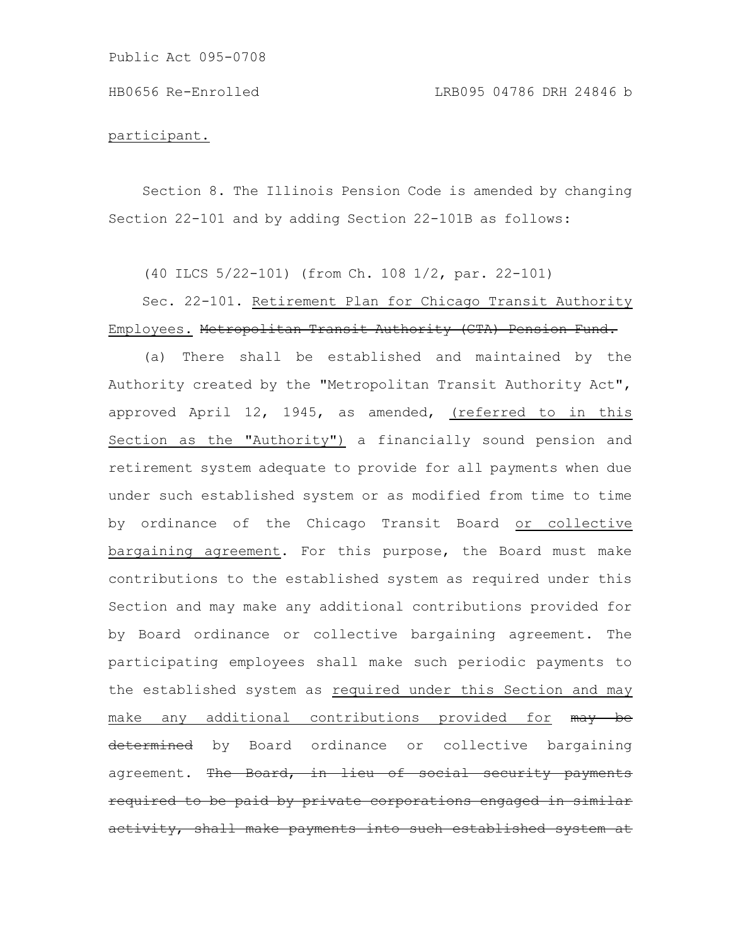#### participant.

Section 8. The Illinois Pension Code is amended by changing Section 22-101 and by adding Section 22-101B as follows:

(40 ILCS 5/22-101) (from Ch. 108 1/2, par. 22-101)

## Sec. 22-101. Retirement Plan for Chicago Transit Authority Employees. Metropolitan Transit Authority (CTA) Pension Fund.

(a) There shall be established and maintained by the Authority created by the "Metropolitan Transit Authority Act", approved April 12, 1945, as amended, (referred to in this Section as the "Authority") a financially sound pension and retirement system adequate to provide for all payments when due under such established system or as modified from time to time by ordinance of the Chicago Transit Board or collective bargaining agreement. For this purpose, the Board must make contributions to the established system as required under this Section and may make any additional contributions provided for by Board ordinance or collective bargaining agreement. The participating employees shall make such periodic payments to the established system as required under this Section and may make any additional contributions provided for may be determined by Board ordinance or collective bargaining agreement. The Board, in lieu of social security payments required to be paid by private corporations engaged activity, shall make payments into such established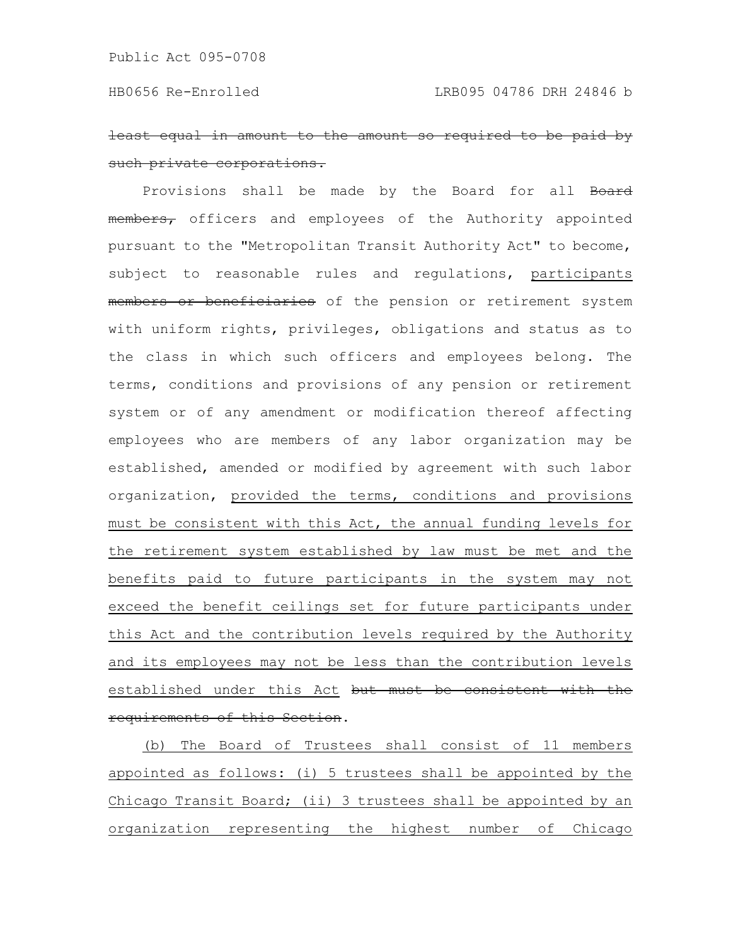least equal in amount to the amount so requ such private corporations.

Provisions shall be made by the Board for all Board members, officers and employees of the Authority appointed pursuant to the "Metropolitan Transit Authority Act" to become, subject to reasonable rules and regulations, participants members or beneficiaries of the pension or retirement system with uniform rights, privileges, obligations and status as to the class in which such officers and employees belong. The terms, conditions and provisions of any pension or retirement system or of any amendment or modification thereof affecting employees who are members of any labor organization may be established, amended or modified by agreement with such labor organization, provided the terms, conditions and provisions must be consistent with this Act, the annual funding levels for the retirement system established by law must be met and the benefits paid to future participants in the system may not exceed the benefit ceilings set for future participants under this Act and the contribution levels required by the Authority and its employees may not be less than the contribution levels established under this Act but must be consistent with the requirements of this Section.

(b) The Board of Trustees shall consist of 11 members appointed as follows: (i) 5 trustees shall be appointed by the Chicago Transit Board; (ii) 3 trustees shall be appointed by an organization representing the highest number of Chicago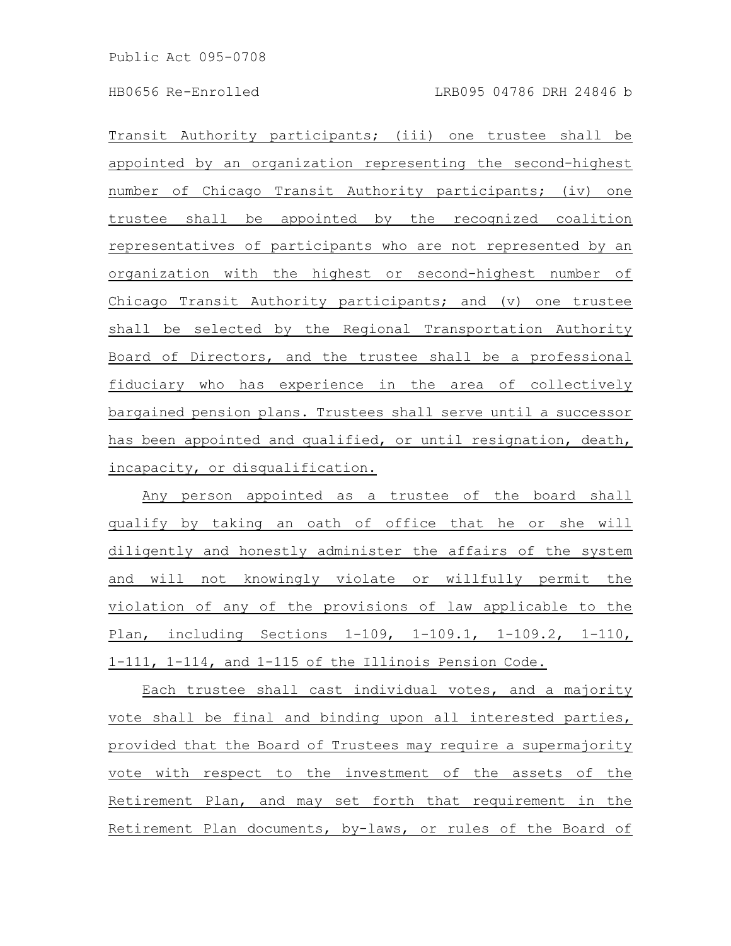Transit Authority participants; (iii) one trustee shall be appointed by an organization representing the second-highest number of Chicago Transit Authority participants; (iv) one trustee shall be appointed by the recognized coalition representatives of participants who are not represented by an organization with the highest or second-highest number of Chicago Transit Authority participants; and (v) one trustee shall be selected by the Regional Transportation Authority Board of Directors, and the trustee shall be a professional fiduciary who has experience in the area of collectively bargained pension plans. Trustees shall serve until a successor has been appointed and qualified, or until resignation, death, incapacity, or disqualification.

Any person appointed as a trustee of the board shall qualify by taking an oath of office that he or she will diligently and honestly administer the affairs of the system and will not knowingly violate or willfully permit the violation of any of the provisions of law applicable to the Plan, including Sections 1-109, 1-109.1, 1-109.2, 1-110, 1-111, 1-114, and 1-115 of the Illinois Pension Code.

Each trustee shall cast individual votes, and a majority vote shall be final and binding upon all interested parties, provided that the Board of Trustees may require a supermajority vote with respect to the investment of the assets of the Retirement Plan, and may set forth that requirement in the Retirement Plan documents, by-laws, or rules of the Board of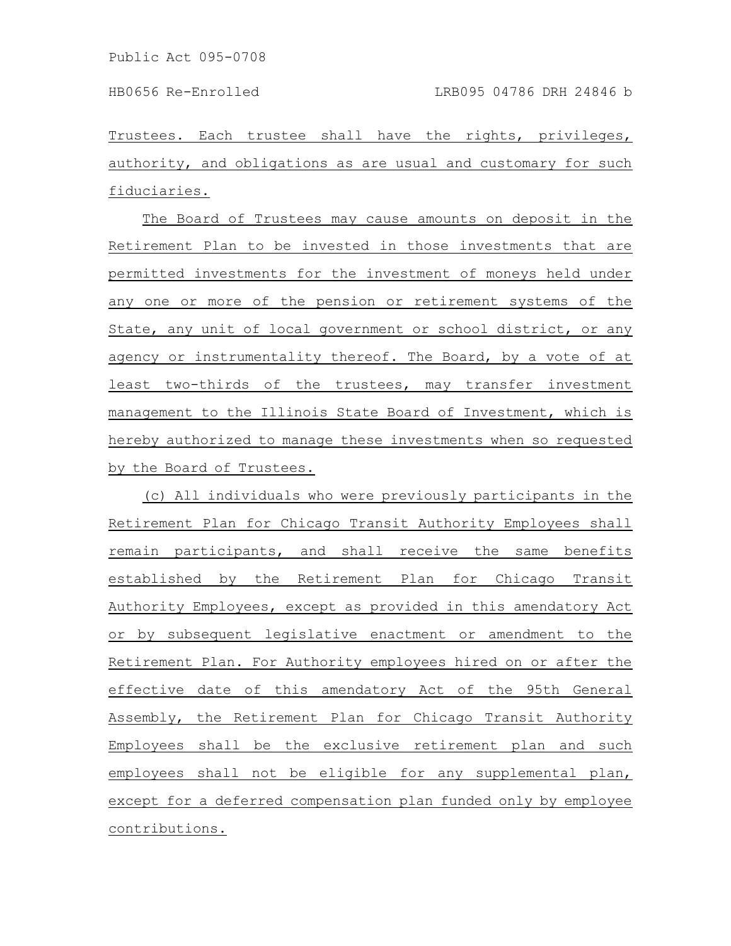Trustees. Each trustee shall have the rights, privileges, authority, and obligations as are usual and customary for such fiduciaries.

The Board of Trustees may cause amounts on deposit in the Retirement Plan to be invested in those investments that are permitted investments for the investment of moneys held under any one or more of the pension or retirement systems of the State, any unit of local government or school district, or any agency or instrumentality thereof. The Board, by a vote of at least two-thirds of the trustees, may transfer investment management to the Illinois State Board of Investment, which is hereby authorized to manage these investments when so requested by the Board of Trustees.

(c) All individuals who were previously participants in the Retirement Plan for Chicago Transit Authority Employees shall remain participants, and shall receive the same benefits established by the Retirement Plan for Chicago Transit Authority Employees, except as provided in this amendatory Act or by subsequent legislative enactment or amendment to the Retirement Plan. For Authority employees hired on or after the effective date of this amendatory Act of the 95th General Assembly, the Retirement Plan for Chicago Transit Authority Employees shall be the exclusive retirement plan and such employees shall not be eligible for any supplemental plan, except for a deferred compensation plan funded only by employee contributions.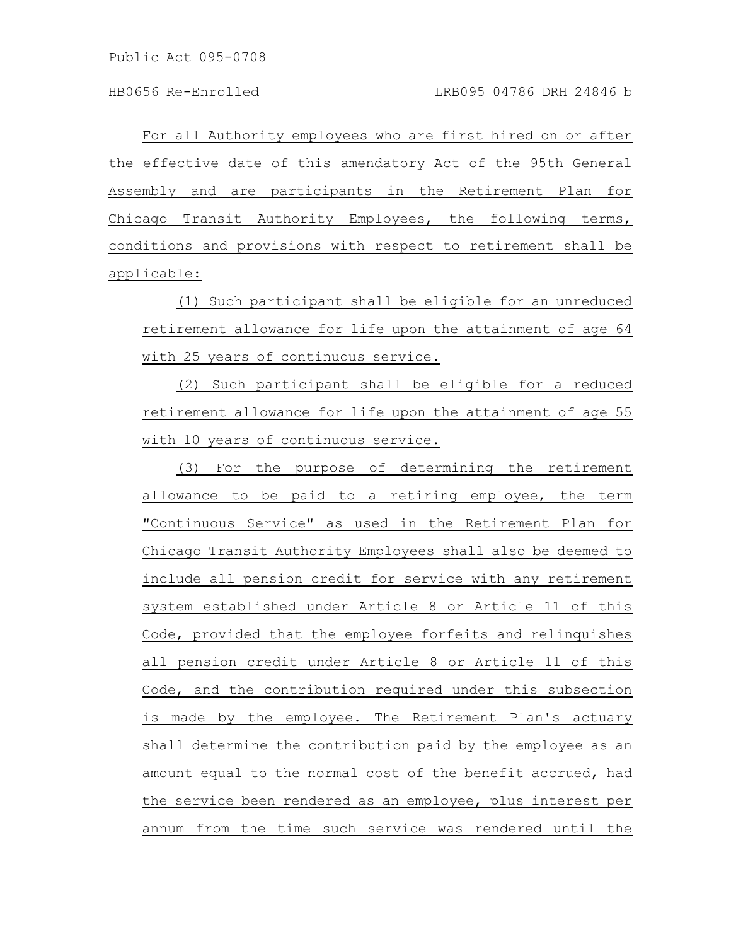For all Authority employees who are first hired on or after the effective date of this amendatory Act of the 95th General Assembly and are participants in the Retirement Plan for Chicago Transit Authority Employees, the following terms, conditions and provisions with respect to retirement shall be applicable:

(1) Such participant shall be eligible for an unreduced retirement allowance for life upon the attainment of age 64 with 25 years of continuous service.

(2) Such participant shall be eligible for a reduced retirement allowance for life upon the attainment of age 55 with 10 years of continuous service.

(3) For the purpose of determining the retirement allowance to be paid to a retiring employee, the term "Continuous Service" as used in the Retirement Plan for Chicago Transit Authority Employees shall also be deemed to include all pension credit for service with any retirement system established under Article 8 or Article 11 of this Code, provided that the employee forfeits and relinquishes all pension credit under Article 8 or Article 11 of this Code, and the contribution required under this subsection is made by the employee. The Retirement Plan's actuary shall determine the contribution paid by the employee as an amount equal to the normal cost of the benefit accrued, had the service been rendered as an employee, plus interest per annum from the time such service was rendered until the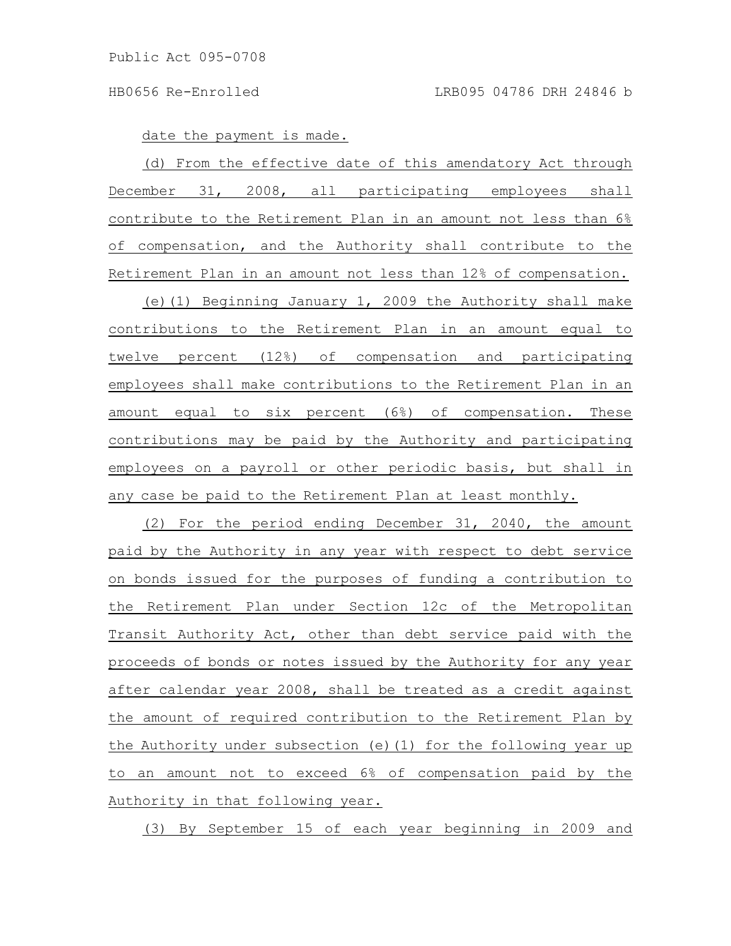date the payment is made.

(d) From the effective date of this amendatory Act through December 31, 2008, all participating employees shall contribute to the Retirement Plan in an amount not less than 6% of compensation, and the Authority shall contribute to the Retirement Plan in an amount not less than 12% of compensation.

(e)(1) Beginning January 1, 2009 the Authority shall make contributions to the Retirement Plan in an amount equal to twelve percent (12%) of compensation and participating employees shall make contributions to the Retirement Plan in an amount equal to six percent (6%) of compensation. These contributions may be paid by the Authority and participating employees on a payroll or other periodic basis, but shall in any case be paid to the Retirement Plan at least monthly.

(2) For the period ending December 31, 2040, the amount paid by the Authority in any year with respect to debt service on bonds issued for the purposes of funding a contribution to the Retirement Plan under Section 12c of the Metropolitan Transit Authority Act, other than debt service paid with the proceeds of bonds or notes issued by the Authority for any year after calendar year 2008, shall be treated as a credit against the amount of required contribution to the Retirement Plan by the Authority under subsection (e)(1) for the following year up to an amount not to exceed 6% of compensation paid by the Authority in that following year.

(3) By September 15 of each year beginning in 2009 and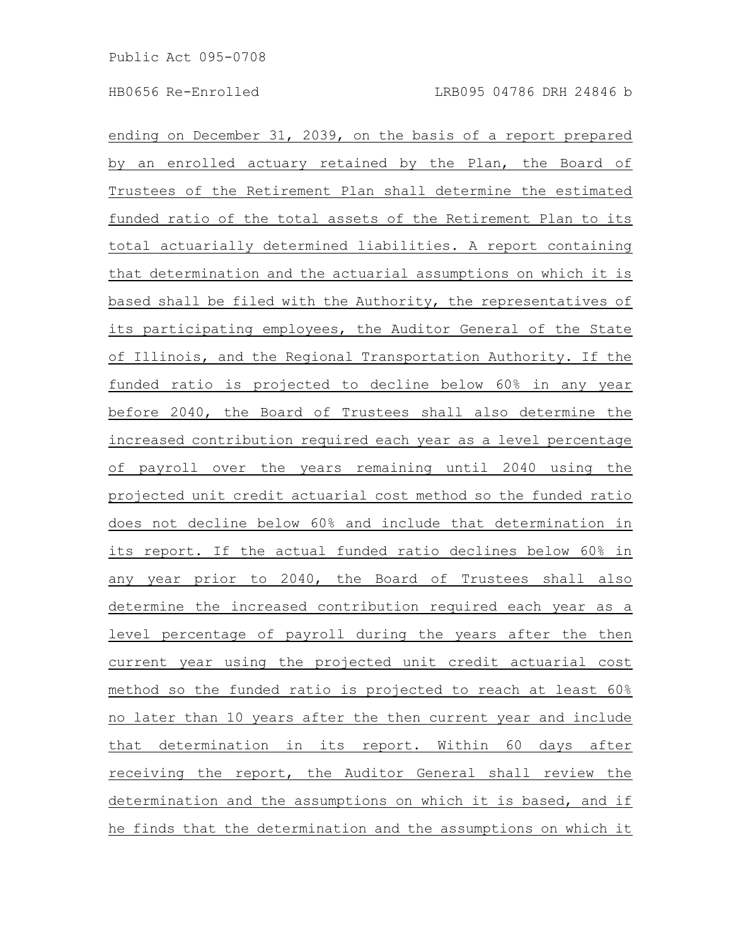ending on December 31, 2039, on the basis of a report prepared by an enrolled actuary retained by the Plan, the Board of Trustees of the Retirement Plan shall determine the estimated funded ratio of the total assets of the Retirement Plan to its total actuarially determined liabilities. A report containing that determination and the actuarial assumptions on which it is based shall be filed with the Authority, the representatives of its participating employees, the Auditor General of the State of Illinois, and the Regional Transportation Authority. If the funded ratio is projected to decline below 60% in any year before 2040, the Board of Trustees shall also determine the increased contribution required each year as a level percentage of payroll over the years remaining until 2040 using the projected unit credit actuarial cost method so the funded ratio does not decline below 60% and include that determination in its report. If the actual funded ratio declines below 60% in any year prior to 2040, the Board of Trustees shall also determine the increased contribution required each year as a level percentage of payroll during the years after the then current year using the projected unit credit actuarial cost method so the funded ratio is projected to reach at least 60% no later than 10 years after the then current year and include that determination in its report. Within 60 days after receiving the report, the Auditor General shall review the determination and the assumptions on which it is based, and if he finds that the determination and the assumptions on which it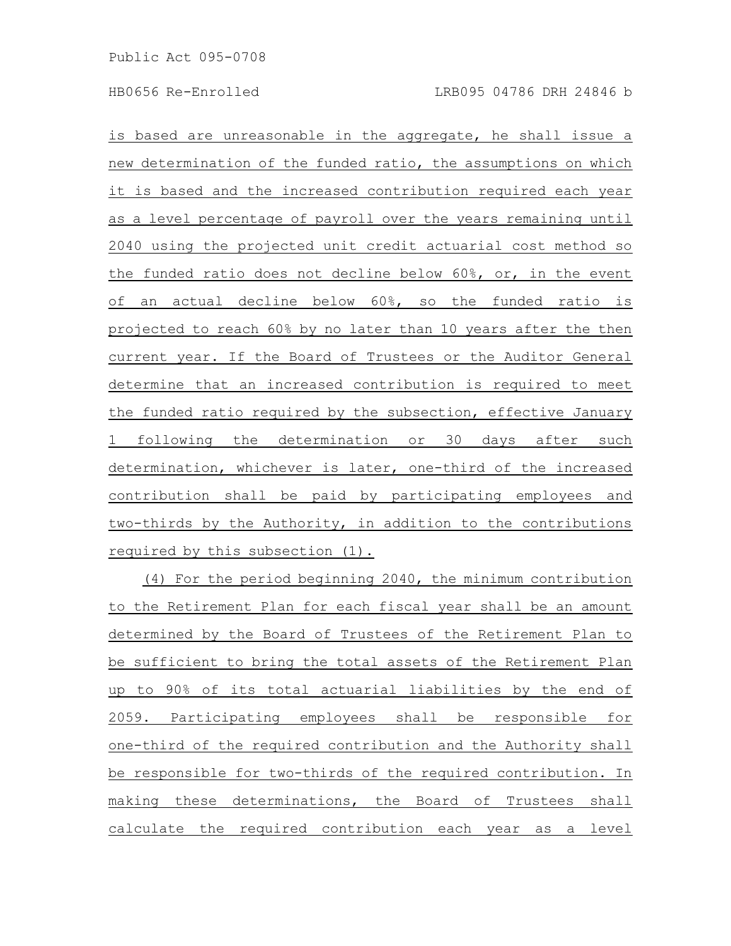is based are unreasonable in the aggregate, he shall issue a new determination of the funded ratio, the assumptions on which it is based and the increased contribution required each year as a level percentage of payroll over the years remaining until 2040 using the projected unit credit actuarial cost method so the funded ratio does not decline below 60%, or, in the event of an actual decline below 60%, so the funded ratio is projected to reach 60% by no later than 10 years after the then current year. If the Board of Trustees or the Auditor General determine that an increased contribution is required to meet the funded ratio required by the subsection, effective January 1 following the determination or 30 days after such determination, whichever is later, one-third of the increased contribution shall be paid by participating employees and two-thirds by the Authority, in addition to the contributions required by this subsection (1).

(4) For the period beginning 2040, the minimum contribution to the Retirement Plan for each fiscal year shall be an amount determined by the Board of Trustees of the Retirement Plan to be sufficient to bring the total assets of the Retirement Plan up to 90% of its total actuarial liabilities by the end of 2059. Participating employees shall be responsible for one-third of the required contribution and the Authority shall be responsible for two-thirds of the required contribution. In making these determinations, the Board of Trustees shall calculate the required contribution each year as a level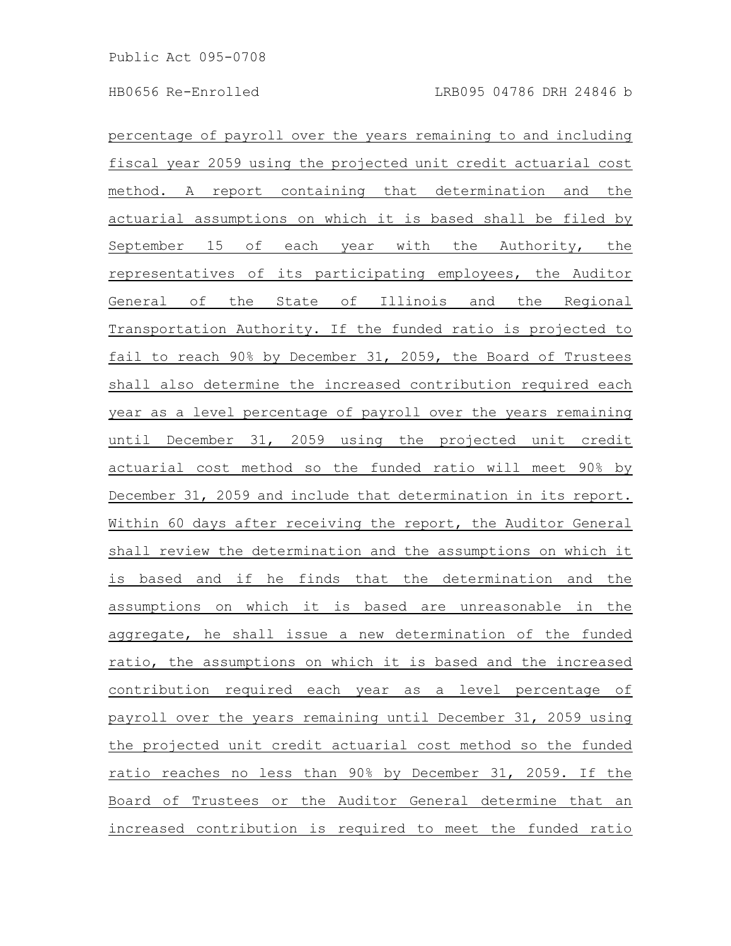percentage of payroll over the years remaining to and including fiscal year 2059 using the projected unit credit actuarial cost method. A report containing that determination and the actuarial assumptions on which it is based shall be filed by September 15 of each year with the Authority, the representatives of its participating employees, the Auditor General of the State of Illinois and the Regional Transportation Authority. If the funded ratio is projected to fail to reach 90% by December 31, 2059, the Board of Trustees shall also determine the increased contribution required each year as a level percentage of payroll over the years remaining until December 31, 2059 using the projected unit credit actuarial cost method so the funded ratio will meet 90% by December 31, 2059 and include that determination in its report. Within 60 days after receiving the report, the Auditor General shall review the determination and the assumptions on which it is based and if he finds that the determination and the assumptions on which it is based are unreasonable in the aggregate, he shall issue a new determination of the funded ratio, the assumptions on which it is based and the increased contribution required each year as a level percentage of payroll over the years remaining until December 31, 2059 using the projected unit credit actuarial cost method so the funded ratio reaches no less than 90% by December 31, 2059. If the Board of Trustees or the Auditor General determine that an increased contribution is required to meet the funded ratio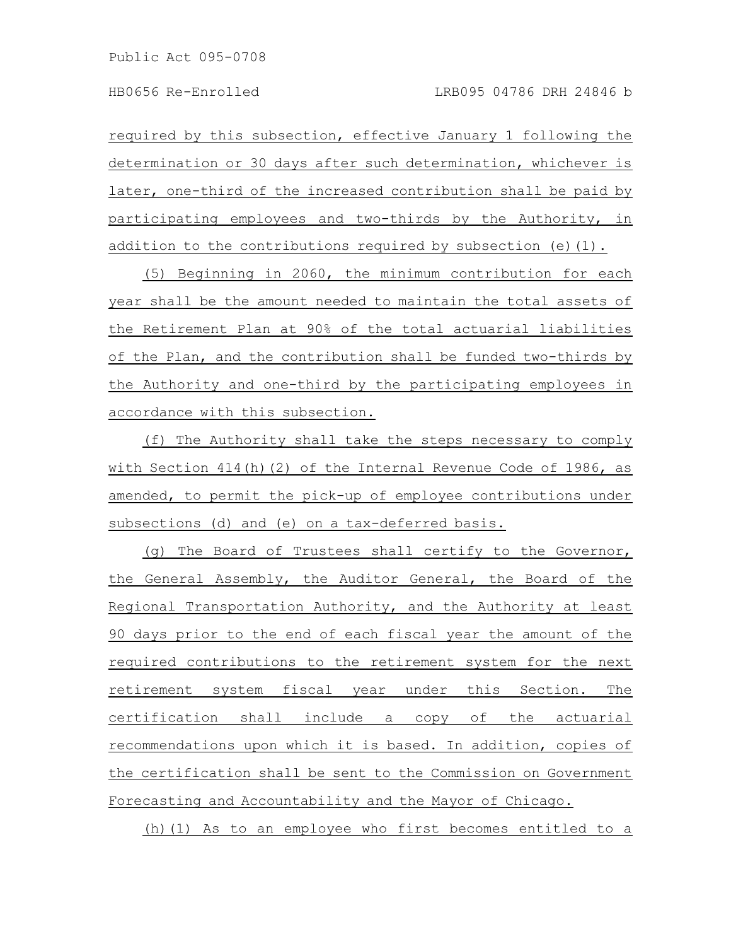required by this subsection, effective January 1 following the determination or 30 days after such determination, whichever is later, one-third of the increased contribution shall be paid by participating employees and two-thirds by the Authority, in addition to the contributions required by subsection (e)(1).

(5) Beginning in 2060, the minimum contribution for each year shall be the amount needed to maintain the total assets of the Retirement Plan at 90% of the total actuarial liabilities of the Plan, and the contribution shall be funded two-thirds by the Authority and one-third by the participating employees in accordance with this subsection.

(f) The Authority shall take the steps necessary to comply with Section 414(h)(2) of the Internal Revenue Code of 1986, as amended, to permit the pick-up of employee contributions under subsections (d) and (e) on a tax-deferred basis.

(g) The Board of Trustees shall certify to the Governor, the General Assembly, the Auditor General, the Board of the Regional Transportation Authority, and the Authority at least 90 days prior to the end of each fiscal year the amount of the required contributions to the retirement system for the next retirement system fiscal year under this Section. The certification shall include a copy of the actuarial recommendations upon which it is based. In addition, copies of the certification shall be sent to the Commission on Government Forecasting and Accountability and the Mayor of Chicago.

(h)(1) As to an employee who first becomes entitled to a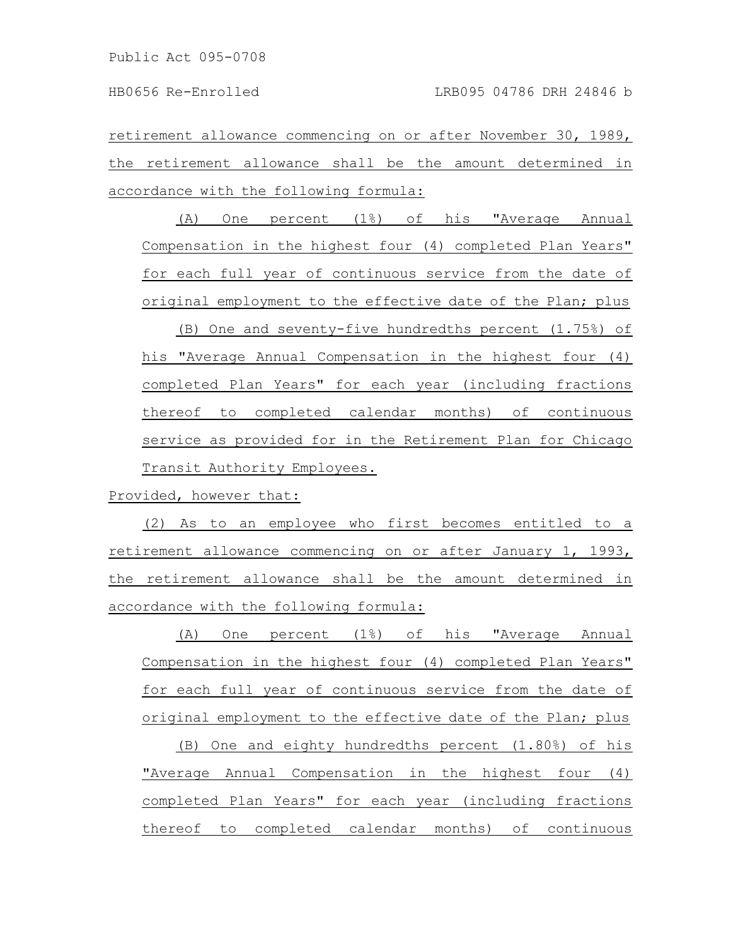retirement allowance commencing on or after November 30, 1989, the retirement allowance shall be the amount determined in accordance with the following formula:

(A) One percent (1%) of his "Average Annual Compensation in the highest four (4) completed Plan Years" for each full year of continuous service from the date of original employment to the effective date of the Plan; plus

(B) One and seventy-five hundredths percent (1.75%) of his "Average Annual Compensation in the highest four (4) completed Plan Years" for each year (including fractions thereof to completed calendar months) of continuous service as provided for in the Retirement Plan for Chicago Transit Authority Employees.

Provided, however that:

(2) As to an employee who first becomes entitled to a retirement allowance commencing on or after January 1, 1993, the retirement allowance shall be the amount determined in accordance with the following formula:

(A) One percent (1%) of his "Average Annual Compensation in the highest four (4) completed Plan Years" for each full year of continuous service from the date of original employment to the effective date of the Plan; plus

(B) One and eighty hundredths percent (1.80%) of his "Average Annual Compensation in the highest four (4) completed Plan Years" for each year (including fractions thereof to completed calendar months) of continuous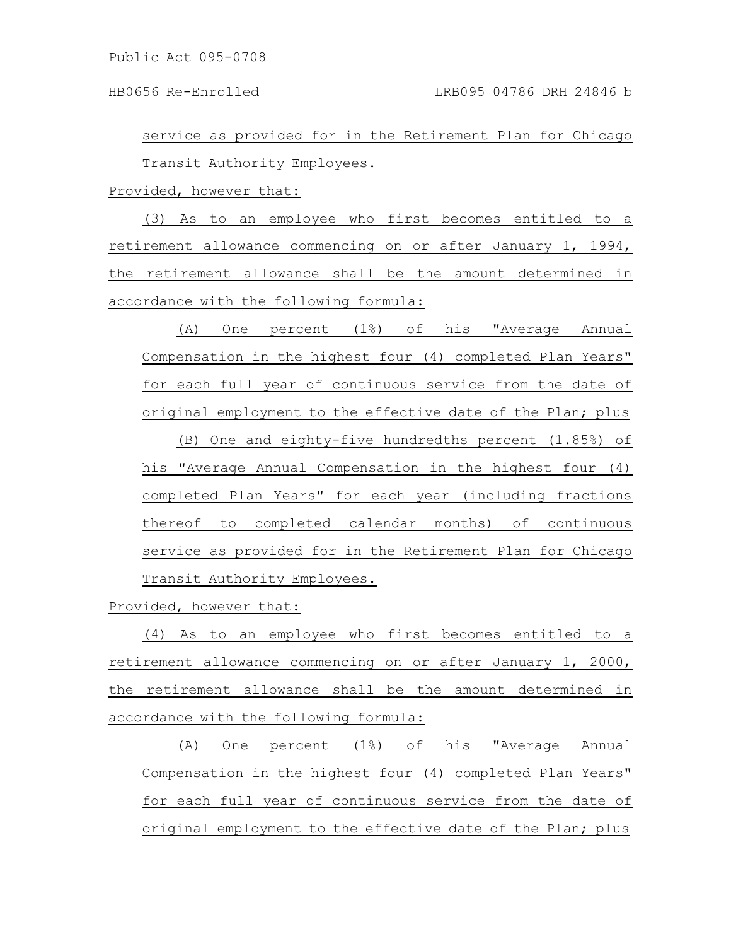service as provided for in the Retirement Plan for Chicago Transit Authority Employees.

Provided, however that:

(3) As to an employee who first becomes entitled to a retirement allowance commencing on or after January 1, 1994, the retirement allowance shall be the amount determined in accordance with the following formula:

(A) One percent (1%) of his "Average Annual Compensation in the highest four (4) completed Plan Years" for each full year of continuous service from the date of original employment to the effective date of the Plan; plus

(B) One and eighty-five hundredths percent (1.85%) of his "Average Annual Compensation in the highest four (4) completed Plan Years" for each year (including fractions thereof to completed calendar months) of continuous service as provided for in the Retirement Plan for Chicago Transit Authority Employees.

Provided, however that:

(4) As to an employee who first becomes entitled to a retirement allowance commencing on or after January 1, 2000, the retirement allowance shall be the amount determined in accordance with the following formula:

(A) One percent (1%) of his "Average Annual Compensation in the highest four (4) completed Plan Years" for each full year of continuous service from the date of original employment to the effective date of the Plan; plus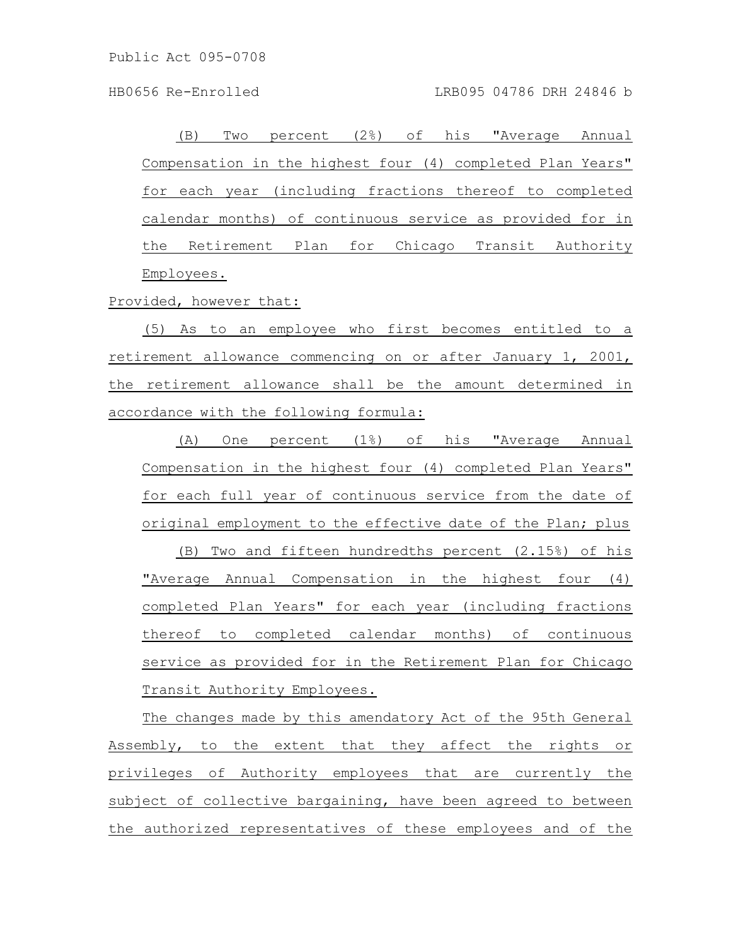(B) Two percent (2%) of his "Average Annual Compensation in the highest four (4) completed Plan Years" for each year (including fractions thereof to completed calendar months) of continuous service as provided for in the Retirement Plan for Chicago Transit Authority Employees.

Provided, however that:

(5) As to an employee who first becomes entitled to a retirement allowance commencing on or after January 1, 2001, the retirement allowance shall be the amount determined in accordance with the following formula:

(A) One percent (1%) of his "Average Annual Compensation in the highest four (4) completed Plan Years" for each full year of continuous service from the date of original employment to the effective date of the Plan; plus

(B) Two and fifteen hundredths percent (2.15%) of his "Average Annual Compensation in the highest four (4) completed Plan Years" for each year (including fractions thereof to completed calendar months) of continuous service as provided for in the Retirement Plan for Chicago Transit Authority Employees.

The changes made by this amendatory Act of the 95th General Assembly, to the extent that they affect the rights or privileges of Authority employees that are currently the subject of collective bargaining, have been agreed to between the authorized representatives of these employees and of the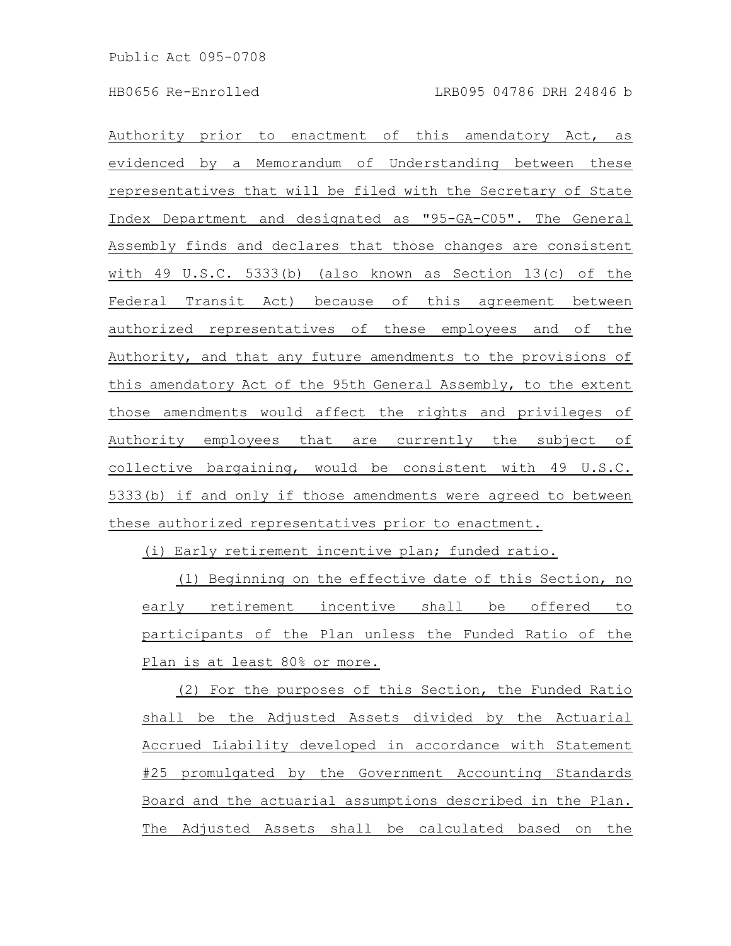Authority prior to enactment of this amendatory Act, as evidenced by a Memorandum of Understanding between these representatives that will be filed with the Secretary of State Index Department and designated as "95-GA-C05". The General Assembly finds and declares that those changes are consistent with 49 U.S.C. 5333(b) (also known as Section 13(c) of the Federal Transit Act) because of this agreement between authorized representatives of these employees and of the Authority, and that any future amendments to the provisions of this amendatory Act of the 95th General Assembly, to the extent those amendments would affect the rights and privileges of Authority employees that are currently the subject of collective bargaining, would be consistent with 49 U.S.C. 5333(b) if and only if those amendments were agreed to between these authorized representatives prior to enactment.

(i) Early retirement incentive plan; funded ratio.

(1) Beginning on the effective date of this Section, no early retirement incentive shall be offered to participants of the Plan unless the Funded Ratio of the Plan is at least 80% or more.

(2) For the purposes of this Section, the Funded Ratio shall be the Adjusted Assets divided by the Actuarial Accrued Liability developed in accordance with Statement #25 promulgated by the Government Accounting Standards Board and the actuarial assumptions described in the Plan. The Adjusted Assets shall be calculated based on the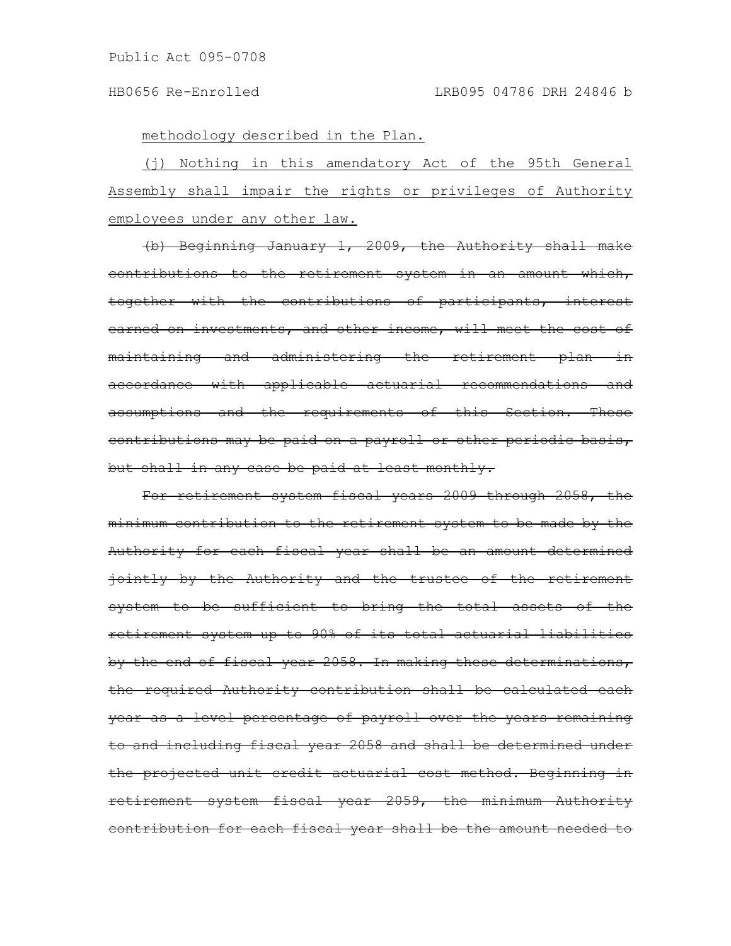methodology described in the Plan.

(j) Nothing in this amendatory Act of the 95th General Assembly shall impair the rights or privileges of Authority employees under any other law.

(b) Beginning January 1, 2009, the Authority shall make contributions to the retirement system in an amount which, together with the contributions of participants, interest earned on investments, and other income, will meet the cost of maintaining and administering the retirement plan in accordance with applicable actuarial recommendations and assumptions and the requirements of this Section. These contributions may be paid on a payroll or other periodic basis, but shall in any case be paid at least monthly.

For retirement system fiscal years 2009 through 2058, the minimum contribution to the retirement system to be made by the Authority for each fiscal year shall be an amount determined jointly by the Authority and the trustee of the retirement system to be sufficient to bring the total assets of the retirement system up to 90% of its total actuarial liabilities by the end of fiscal year 2058. In making these determinations, the required Authority contribution shall be calculated each year as a level percentage of payroll over the years remaining to and including fiscal year 2058 and shall be determined under the projected unit credit actuarial cost method. Beginning in retirement system fiscal year 2059, the minimum Authority contribution for each fiscal year shall be the amount needed to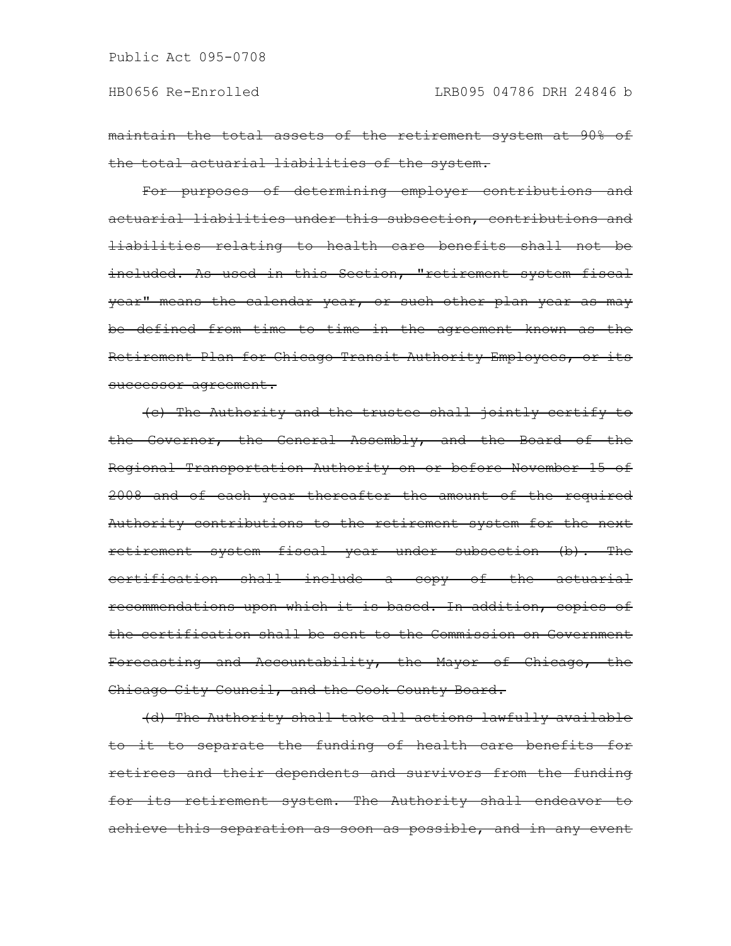maintain the total assets of the retirement system at 90% of the total actuarial liabilities of the system.

For purposes of determining employer contributions and actuarial liabilities under this subsection, contributions and liabilities relating to health care benefits shall not be included. As used in this Section, "retirement system fiscal year" means the calendar year, or such other plan year as may be defined from time to time in the agreement known as the Retirement Plan for Chicago Transit Authority Employees, or its successor agreement.

(c) The Authority and the trustee shall jointly certify to the Governor, the General Assembly, and the Board of the Regional Transportation Authority on or before November 15 of 2008 and of each year thereafter the amount of the required Authority contributions to the retirement system for the next retirement system fiscal year under subsection (b). The certification shall include a copy of the actuarial recommendations upon which it is based. In addition, copies of the certification shall be sent to the Commission on Government Forecasting and Accountability, the Mayor of Chicago, the Chicago City Council, and the Cook County Board.

(d) The Authority shall take all actions lawfully available to it to separate the funding of health care benefits for retirees and their dependents and survivors from the funding for its retirement system. The Authority shall endeavor to achieve this separation as soon as possible, and in any event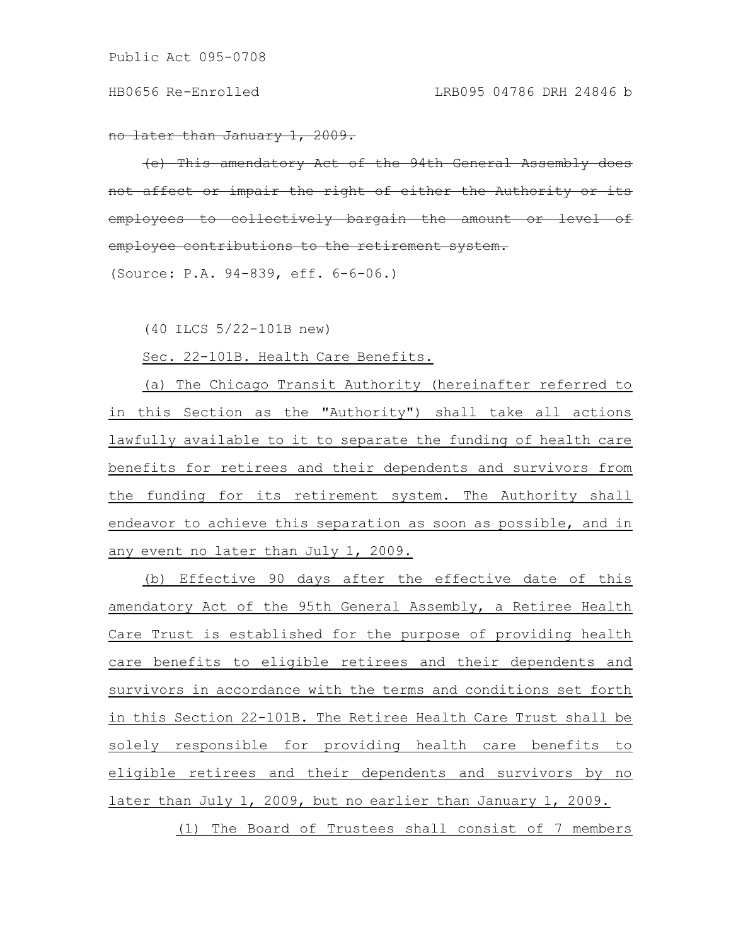no later than January 1, 2009.

This amendatory Act of the 94th General Assembly affect or impair the right of either the Authority eyees to collectively bargain the amount employee contributions to the retirement system.

(Source: P.A. 94-839, eff. 6-6-06.)

(40 ILCS 5/22-101B new)

Sec. 22-101B. Health Care Benefits.

(a) The Chicago Transit Authority (hereinafter referred to in this Section as the "Authority") shall take all actions lawfully available to it to separate the funding of health care benefits for retirees and their dependents and survivors from the funding for its retirement system. The Authority shall endeavor to achieve this separation as soon as possible, and in any event no later than July 1, 2009.

(b) Effective 90 days after the effective date of this amendatory Act of the 95th General Assembly, a Retiree Health Care Trust is established for the purpose of providing health care benefits to eligible retirees and their dependents and survivors in accordance with the terms and conditions set forth in this Section 22-101B. The Retiree Health Care Trust shall be solely responsible for providing health care benefits to eligible retirees and their dependents and survivors by no later than July 1, 2009, but no earlier than January 1, 2009.

(1) The Board of Trustees shall consist of 7 members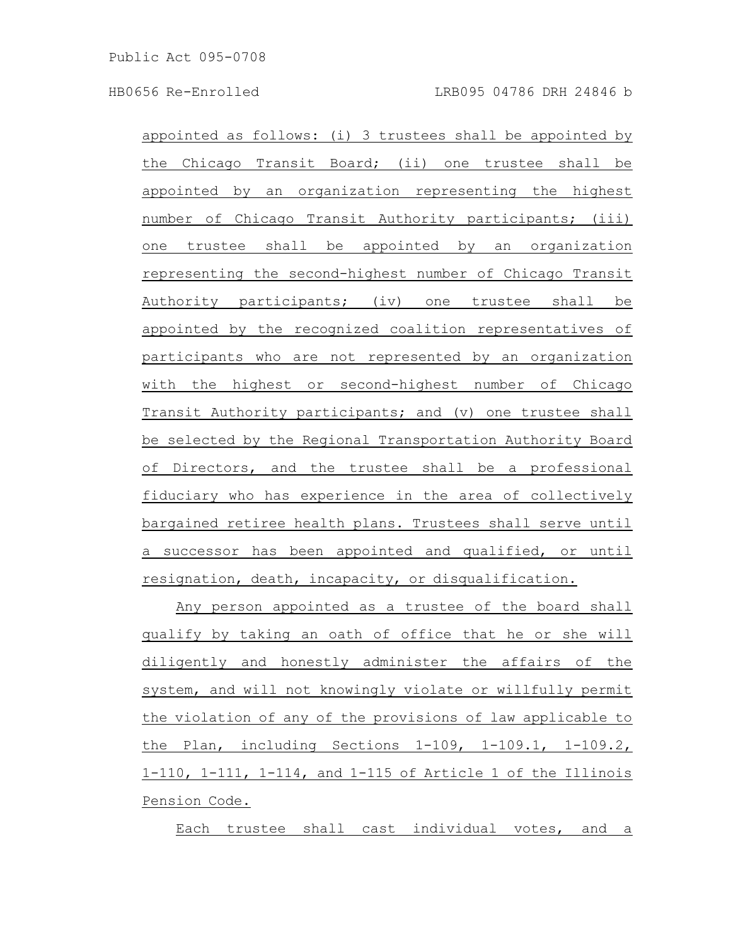appointed as follows:  $(i)$  3 trustees shall be appointed by the Chicago Transit Board; (ii) one trustee shall be appointed by an organization representing the highest number of Chicago Transit Authority participants; (iii) one trustee shall be appointed by an organization representing the second-highest number of Chicago Transit Authority participants; (iv) one trustee shall be appointed by the recognized coalition representatives of participants who are not represented by an organization with the highest or second-highest number of Chicago Transit Authority participants; and (v) one trustee shall be selected by the Regional Transportation Authority Board of Directors, and the trustee shall be a professional fiduciary who has experience in the area of collectively bargained retiree health plans. Trustees shall serve until a successor has been appointed and qualified, or until resignation, death, incapacity, or disqualification.

Any person appointed as a trustee of the board shall qualify by taking an oath of office that he or she will diligently and honestly administer the affairs of the system, and will not knowingly violate or willfully permit the violation of any of the provisions of law applicable to the Plan, including Sections 1-109, 1-109.1, 1-109.2, 1-110, 1-111, 1-114, and 1-115 of Article 1 of the Illinois Pension Code.

Each trustee shall cast individual votes, and a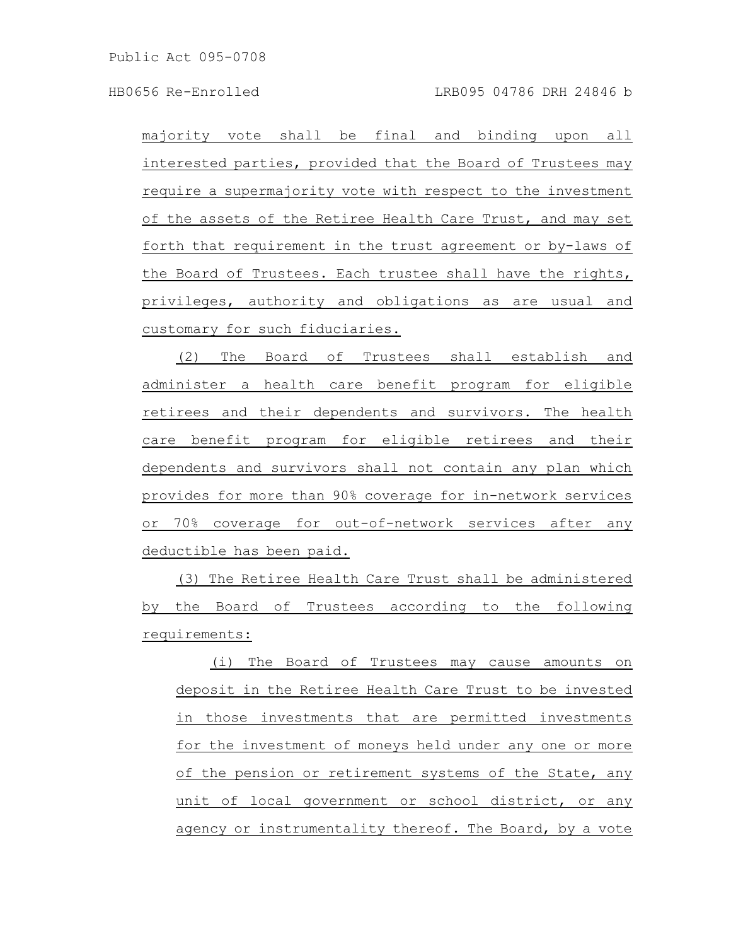majority vote shall be final and binding upon all interested parties, provided that the Board of Trustees may require a supermajority vote with respect to the investment of the assets of the Retiree Health Care Trust, and may set forth that requirement in the trust agreement or by-laws of the Board of Trustees. Each trustee shall have the rights, privileges, authority and obligations as are usual and customary for such fiduciaries.

(2) The Board of Trustees shall establish and administer a health care benefit program for eligible retirees and their dependents and survivors. The health care benefit program for eligible retirees and their dependents and survivors shall not contain any plan which provides for more than 90% coverage for in-network services or 70% coverage for out-of-network services after any deductible has been paid.

(3) The Retiree Health Care Trust shall be administered by the Board of Trustees according to the following requirements:

(i) The Board of Trustees may cause amounts on deposit in the Retiree Health Care Trust to be invested in those investments that are permitted investments for the investment of moneys held under any one or more of the pension or retirement systems of the State, any unit of local government or school district, or any agency or instrumentality thereof. The Board, by a vote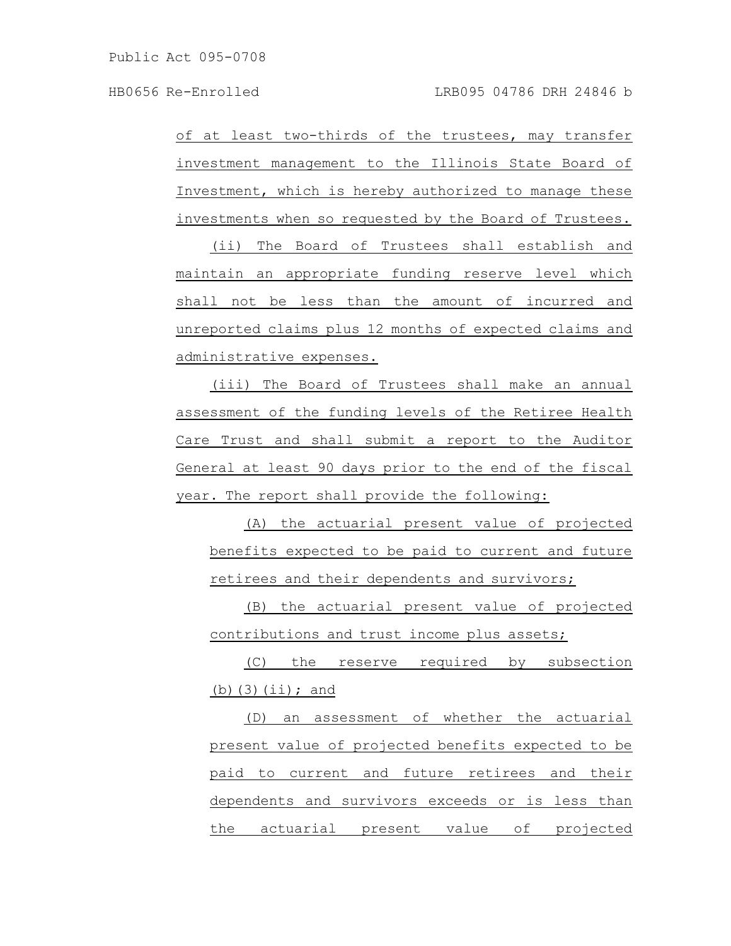of at least two-thirds of the trustees, may transfer investment management to the Illinois State Board of Investment, which is hereby authorized to manage these investments when so requested by the Board of Trustees.

(ii) The Board of Trustees shall establish and maintain an appropriate funding reserve level which shall not be less than the amount of incurred and unreported claims plus 12 months of expected claims and administrative expenses.

(iii) The Board of Trustees shall make an annual assessment of the funding levels of the Retiree Health Care Trust and shall submit a report to the Auditor General at least 90 days prior to the end of the fiscal year. The report shall provide the following:

(A) the actuarial present value of projected benefits expected to be paid to current and future retirees and their dependents and survivors;

(B) the actuarial present value of projected contributions and trust income plus assets;

(C) the reserve required by subsection (b) $(3)(iii);$  and

(D) an assessment of whether the actuarial present value of projected benefits expected to be paid to current and future retirees and their dependents and survivors exceeds or is less than the actuarial present value of projected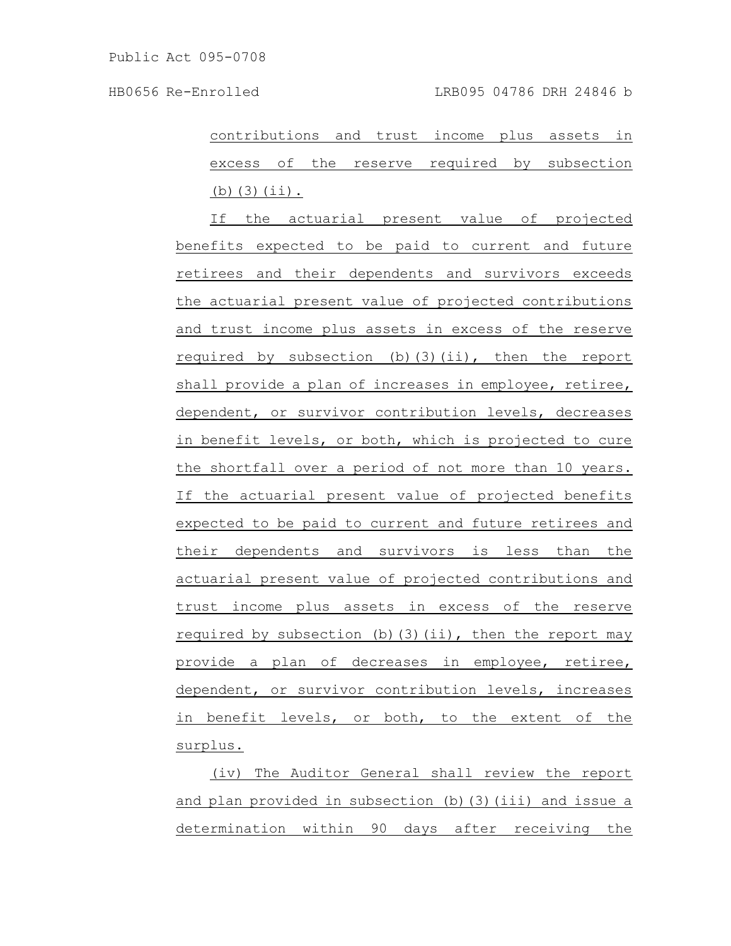contributions and trust income plus assets in excess of the reserve required by subsection (b)(3)(ii).

If the actuarial present value of projected benefits expected to be paid to current and future retirees and their dependents and survivors exceeds the actuarial present value of projected contributions and trust income plus assets in excess of the reserve required by subsection (b)(3)(ii), then the report shall provide a plan of increases in employee, retiree, dependent, or survivor contribution levels, decreases in benefit levels, or both, which is projected to cure the shortfall over a period of not more than 10 years. If the actuarial present value of projected benefits expected to be paid to current and future retirees and their dependents and survivors is less than the actuarial present value of projected contributions and trust income plus assets in excess of the reserve required by subsection (b)(3)(ii), then the report may provide a plan of decreases in employee, retiree, dependent, or survivor contribution levels, increases in benefit levels, or both, to the extent of the surplus.

(iv) The Auditor General shall review the report and plan provided in subsection (b)(3)(iii) and issue a determination within 90 days after receiving the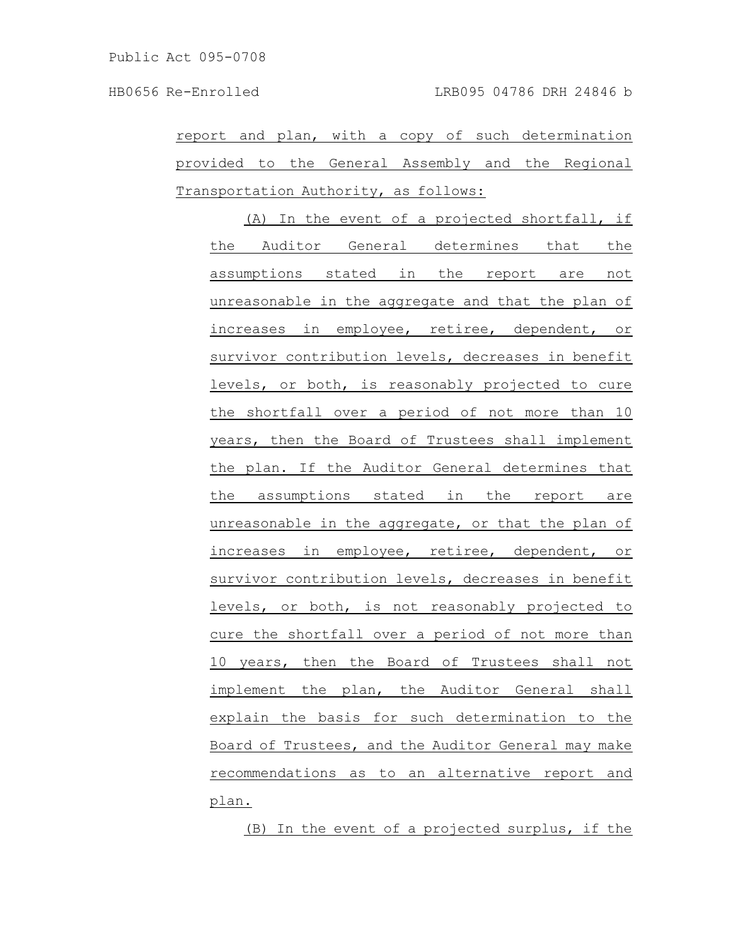report and plan, with a copy of such determination provided to the General Assembly and the Regional Transportation Authority, as follows:

(A) In the event of a projected shortfall, if the Auditor General determines that the assumptions stated in the report are not unreasonable in the aggregate and that the plan of increases in employee, retiree, dependent, or survivor contribution levels, decreases in benefit levels, or both, is reasonably projected to cure the shortfall over a period of not more than 10 years, then the Board of Trustees shall implement the plan. If the Auditor General determines that the assumptions stated in the report are unreasonable in the aggregate, or that the plan of increases in employee, retiree, dependent, or survivor contribution levels, decreases in benefit levels, or both, is not reasonably projected to cure the shortfall over a period of not more than 10 years, then the Board of Trustees shall not implement the plan, the Auditor General shall explain the basis for such determination to the Board of Trustees, and the Auditor General may make recommendations as to an alternative report and plan.

(B) In the event of a projected surplus, if the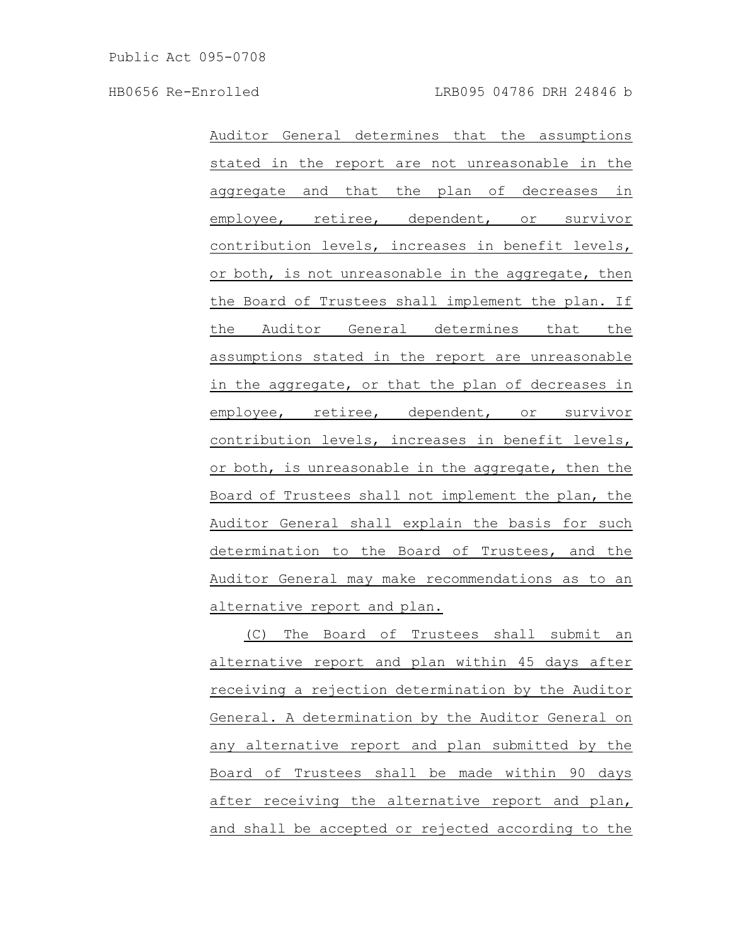Auditor General determines that the assumptions stated in the report are not unreasonable in the aggregate and that the plan of decreases in employee, retiree, dependent, or survivor contribution levels, increases in benefit levels, or both, is not unreasonable in the aggregate, then the Board of Trustees shall implement the plan. If the Auditor General determines that the assumptions stated in the report are unreasonable in the aggregate, or that the plan of decreases in employee, retiree, dependent, or survivor contribution levels, increases in benefit levels, or both, is unreasonable in the aggregate, then the Board of Trustees shall not implement the plan, the Auditor General shall explain the basis for such determination to the Board of Trustees, and the Auditor General may make recommendations as to an alternative report and plan.

(C) The Board of Trustees shall submit an alternative report and plan within 45 days after receiving a rejection determination by the Auditor General. A determination by the Auditor General on any alternative report and plan submitted by the Board of Trustees shall be made within 90 days after receiving the alternative report and plan, and shall be accepted or rejected according to the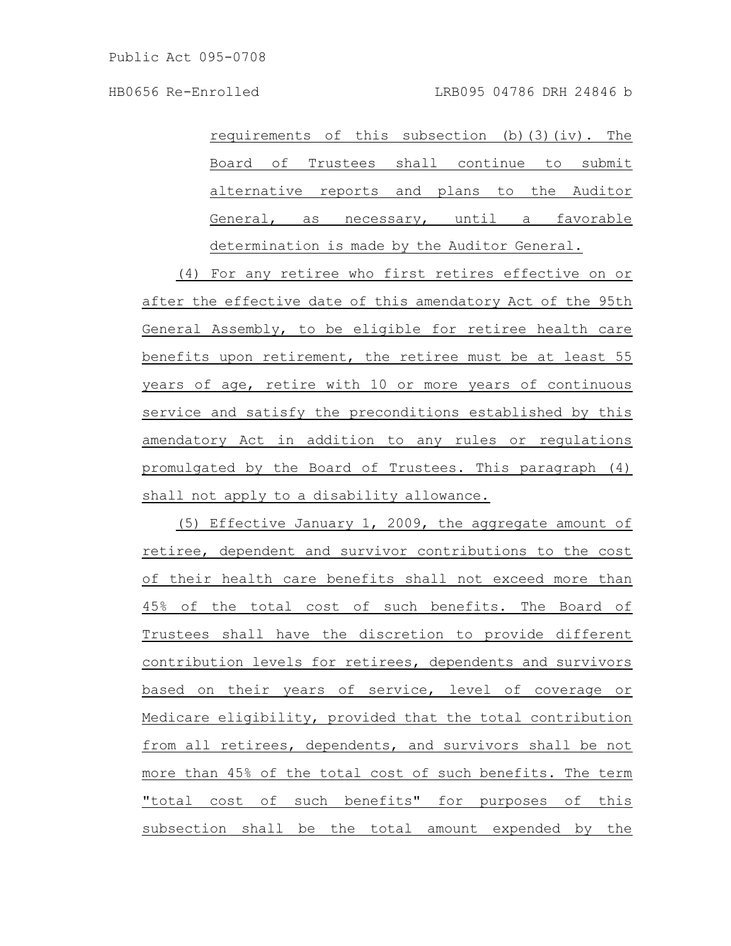requirements of this subsection  $(b)$  (3)(iv). The Board of Trustees shall continue to submit alternative reports and plans to the Auditor General, as necessary, until a favorable determination is made by the Auditor General.

(4) For any retiree who first retires effective on or after the effective date of this amendatory Act of the 95th General Assembly, to be eligible for retiree health care benefits upon retirement, the retiree must be at least 55 years of age, retire with 10 or more years of continuous service and satisfy the preconditions established by this amendatory Act in addition to any rules or regulations promulgated by the Board of Trustees. This paragraph (4) shall not apply to a disability allowance.

(5) Effective January 1, 2009, the aggregate amount of retiree, dependent and survivor contributions to the cost of their health care benefits shall not exceed more than 45% of the total cost of such benefits. The Board of Trustees shall have the discretion to provide different contribution levels for retirees, dependents and survivors based on their years of service, level of coverage or Medicare eligibility, provided that the total contribution from all retirees, dependents, and survivors shall be not more than 45% of the total cost of such benefits. The term "total cost of such benefits" for purposes of this subsection shall be the total amount expended by the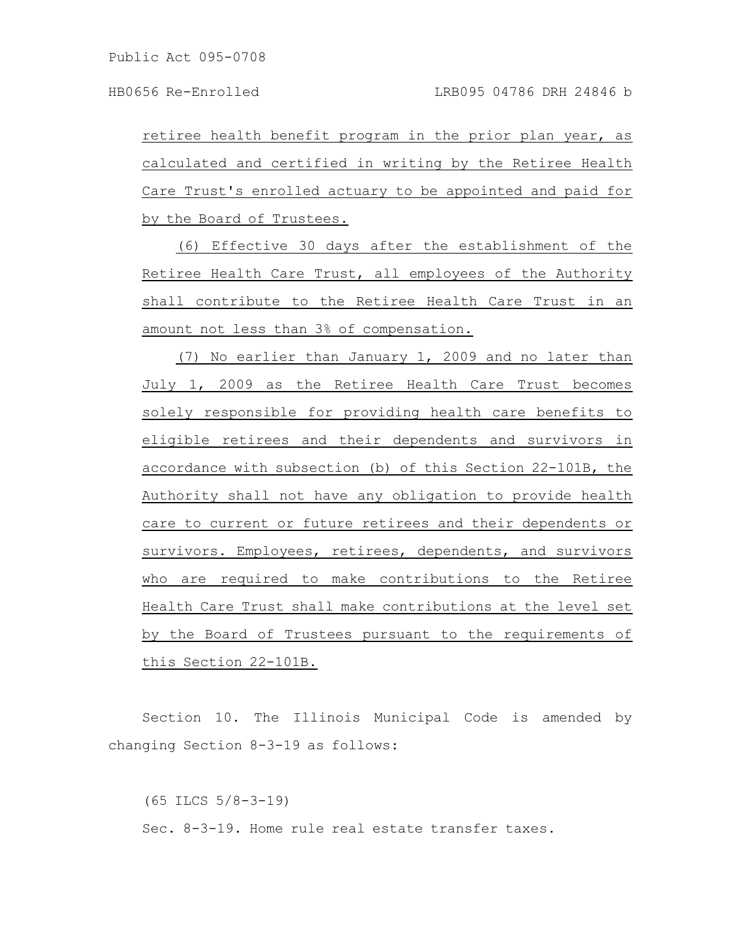retiree health benefit program in the prior plan year, as calculated and certified in writing by the Retiree Health Care Trust's enrolled actuary to be appointed and paid for by the Board of Trustees.

(6) Effective 30 days after the establishment of the Retiree Health Care Trust, all employees of the Authority shall contribute to the Retiree Health Care Trust in an amount not less than 3% of compensation.

(7) No earlier than January 1, 2009 and no later than July 1, 2009 as the Retiree Health Care Trust becomes solely responsible for providing health care benefits to eligible retirees and their dependents and survivors in accordance with subsection (b) of this Section 22-101B, the Authority shall not have any obligation to provide health care to current or future retirees and their dependents or survivors. Employees, retirees, dependents, and survivors who are required to make contributions to the Retiree Health Care Trust shall make contributions at the level set by the Board of Trustees pursuant to the requirements of this Section 22-101B.

Section 10. The Illinois Municipal Code is amended by changing Section 8-3-19 as follows:

(65 ILCS 5/8-3-19) Sec. 8-3-19. Home rule real estate transfer taxes.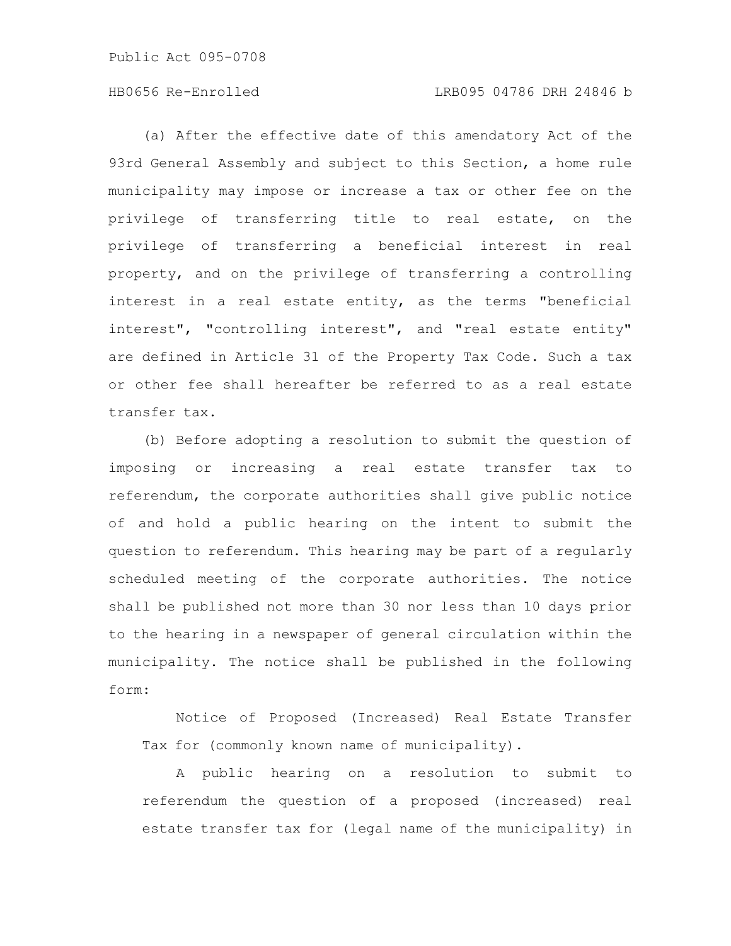## HB0656 Re-Enrolled LRB095 04786 DRH 24846 b

(a) After the effective date of this amendatory Act of the 93rd General Assembly and subject to this Section, a home rule municipality may impose or increase a tax or other fee on the privilege of transferring title to real estate, on the privilege of transferring a beneficial interest in real property, and on the privilege of transferring a controlling interest in a real estate entity, as the terms "beneficial interest", "controlling interest", and "real estate entity" are defined in Article 31 of the Property Tax Code. Such a tax or other fee shall hereafter be referred to as a real estate transfer tax.

(b) Before adopting a resolution to submit the question of imposing or increasing a real estate transfer tax to referendum, the corporate authorities shall give public notice of and hold a public hearing on the intent to submit the question to referendum. This hearing may be part of a regularly scheduled meeting of the corporate authorities. The notice shall be published not more than 30 nor less than 10 days prior to the hearing in a newspaper of general circulation within the municipality. The notice shall be published in the following form:

Notice of Proposed (Increased) Real Estate Transfer Tax for (commonly known name of municipality).

A public hearing on a resolution to submit to referendum the question of a proposed (increased) real estate transfer tax for (legal name of the municipality) in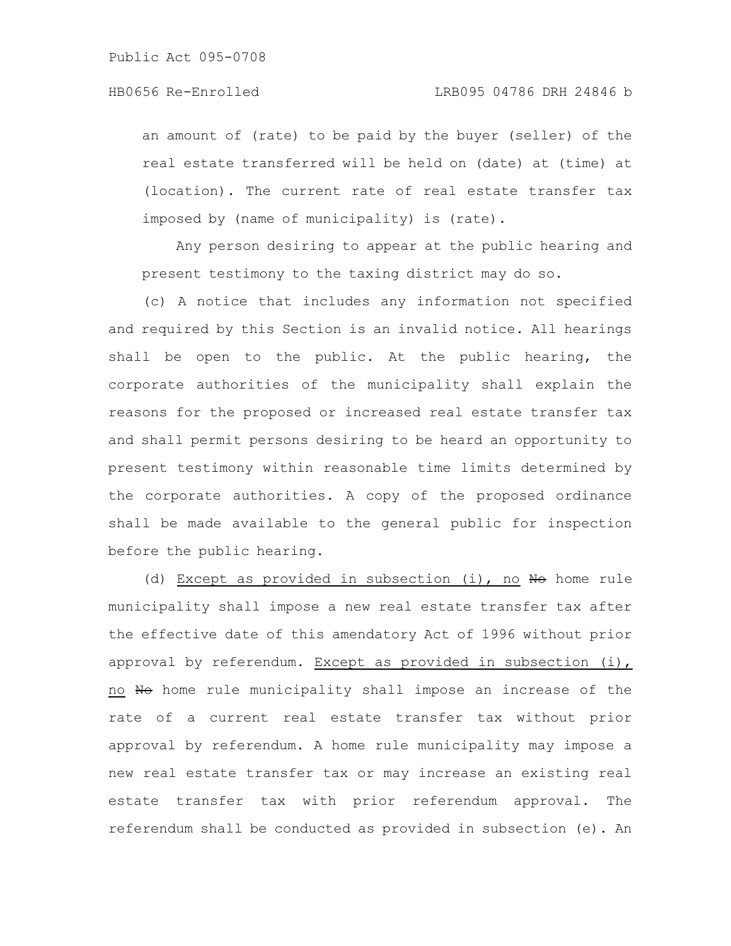an amount of (rate) to be paid by the buyer (seller) of the real estate transferred will be held on (date) at (time) at (location). The current rate of real estate transfer tax imposed by (name of municipality) is (rate).

Any person desiring to appear at the public hearing and present testimony to the taxing district may do so.

(c) A notice that includes any information not specified and required by this Section is an invalid notice. All hearings shall be open to the public. At the public hearing, the corporate authorities of the municipality shall explain the reasons for the proposed or increased real estate transfer tax and shall permit persons desiring to be heard an opportunity to present testimony within reasonable time limits determined by the corporate authorities. A copy of the proposed ordinance shall be made available to the general public for inspection before the public hearing.

(d) Except as provided in subsection (i), no  $H\rightarrow$  home rule municipality shall impose a new real estate transfer tax after the effective date of this amendatory Act of 1996 without prior approval by referendum. Except as provided in subsection (i), no No home rule municipality shall impose an increase of the rate of a current real estate transfer tax without prior approval by referendum. A home rule municipality may impose a new real estate transfer tax or may increase an existing real estate transfer tax with prior referendum approval. The referendum shall be conducted as provided in subsection (e). An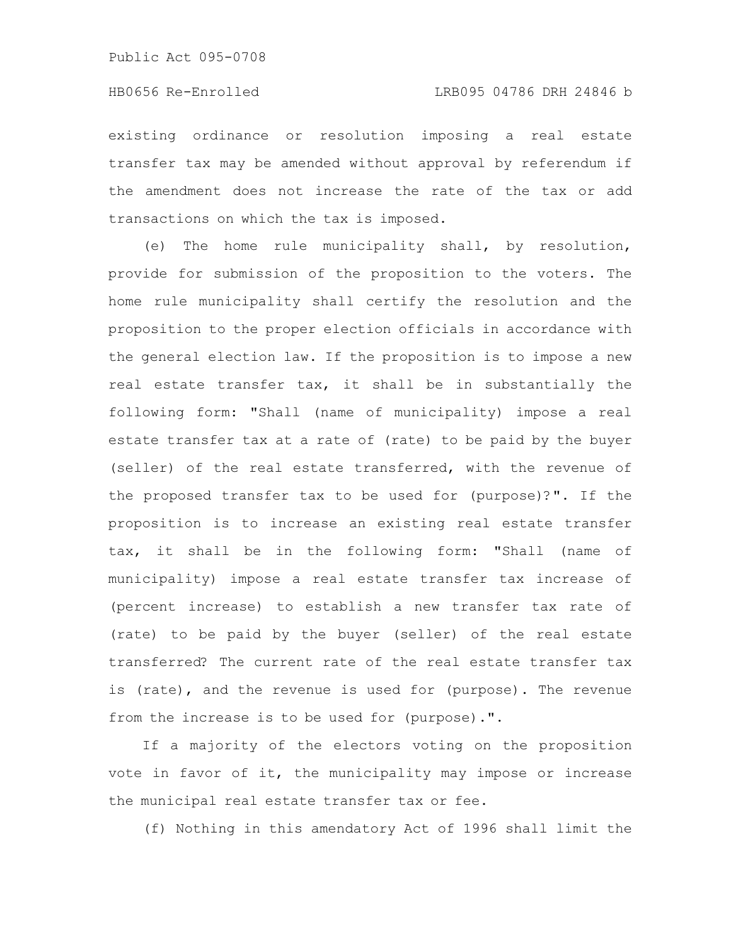existing ordinance or resolution imposing a real estate transfer tax may be amended without approval by referendum if the amendment does not increase the rate of the tax or add transactions on which the tax is imposed.

(e) The home rule municipality shall, by resolution, provide for submission of the proposition to the voters. The home rule municipality shall certify the resolution and the proposition to the proper election officials in accordance with the general election law. If the proposition is to impose a new real estate transfer tax, it shall be in substantially the following form: "Shall (name of municipality) impose a real estate transfer tax at a rate of (rate) to be paid by the buyer (seller) of the real estate transferred, with the revenue of the proposed transfer tax to be used for (purpose)?". If the proposition is to increase an existing real estate transfer tax, it shall be in the following form: "Shall (name of municipality) impose a real estate transfer tax increase of (percent increase) to establish a new transfer tax rate of (rate) to be paid by the buyer (seller) of the real estate transferred? The current rate of the real estate transfer tax is (rate), and the revenue is used for (purpose). The revenue from the increase is to be used for (purpose).".

If a majority of the electors voting on the proposition vote in favor of it, the municipality may impose or increase the municipal real estate transfer tax or fee.

(f) Nothing in this amendatory Act of 1996 shall limit the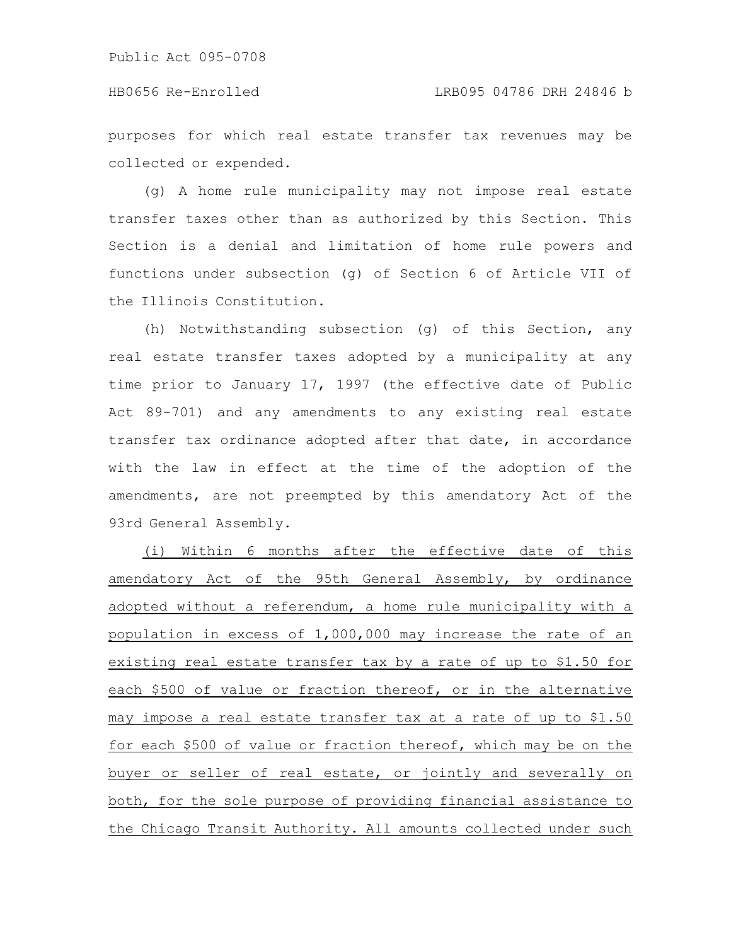purposes for which real estate transfer tax revenues may be collected or expended.

(g) A home rule municipality may not impose real estate transfer taxes other than as authorized by this Section. This Section is a denial and limitation of home rule powers and functions under subsection (g) of Section 6 of Article VII of the Illinois Constitution.

(h) Notwithstanding subsection (g) of this Section, any real estate transfer taxes adopted by a municipality at any time prior to January 17, 1997 (the effective date of Public Act 89-701) and any amendments to any existing real estate transfer tax ordinance adopted after that date, in accordance with the law in effect at the time of the adoption of the amendments, are not preempted by this amendatory Act of the 93rd General Assembly.

(i) Within 6 months after the effective date of this amendatory Act of the 95th General Assembly, by ordinance adopted without a referendum, a home rule municipality with a population in excess of 1,000,000 may increase the rate of an existing real estate transfer tax by a rate of up to \$1.50 for each \$500 of value or fraction thereof, or in the alternative may impose a real estate transfer tax at a rate of up to \$1.50 for each \$500 of value or fraction thereof, which may be on the buyer or seller of real estate, or jointly and severally on both, for the sole purpose of providing financial assistance to the Chicago Transit Authority. All amounts collected under such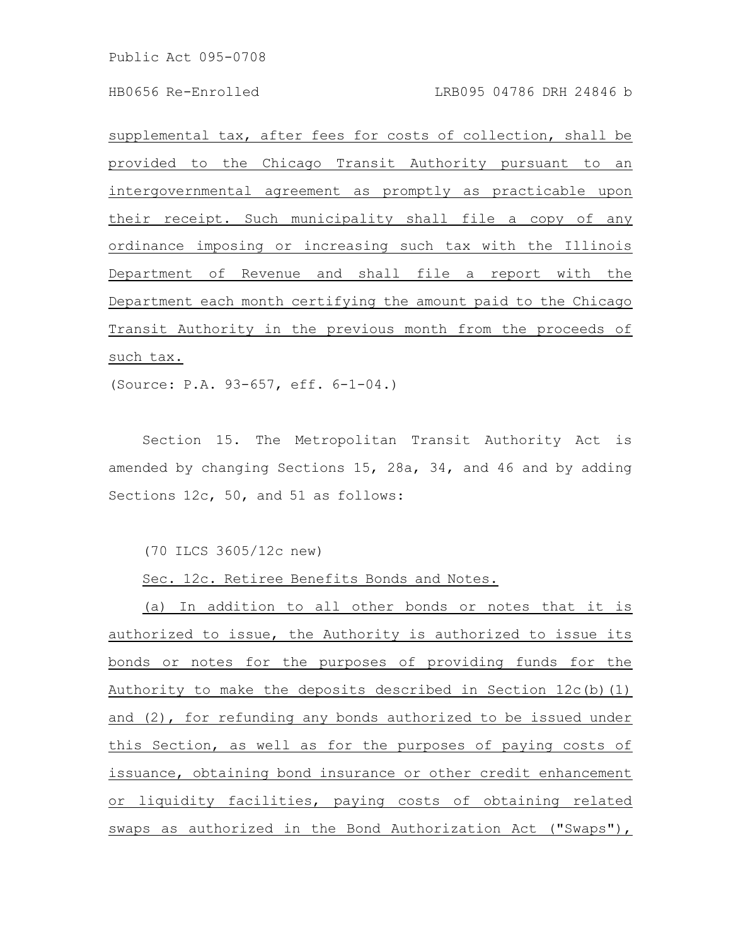supplemental tax, after fees for costs of collection, shall be provided to the Chicago Transit Authority pursuant to an intergovernmental agreement as promptly as practicable upon their receipt. Such municipality shall file a copy of any ordinance imposing or increasing such tax with the Illinois Department of Revenue and shall file a report with the Department each month certifying the amount paid to the Chicago Transit Authority in the previous month from the proceeds of such tax.

(Source: P.A. 93-657, eff. 6-1-04.)

Section 15. The Metropolitan Transit Authority Act is amended by changing Sections 15, 28a, 34, and 46 and by adding Sections 12c, 50, and 51 as follows:

(70 ILCS 3605/12c new)

Sec. 12c. Retiree Benefits Bonds and Notes.

(a) In addition to all other bonds or notes that it is authorized to issue, the Authority is authorized to issue its bonds or notes for the purposes of providing funds for the Authority to make the deposits described in Section 12c(b)(1) and (2), for refunding any bonds authorized to be issued under this Section, as well as for the purposes of paying costs of issuance, obtaining bond insurance or other credit enhancement or liquidity facilities, paying costs of obtaining related swaps as authorized in the Bond Authorization Act ("Swaps"),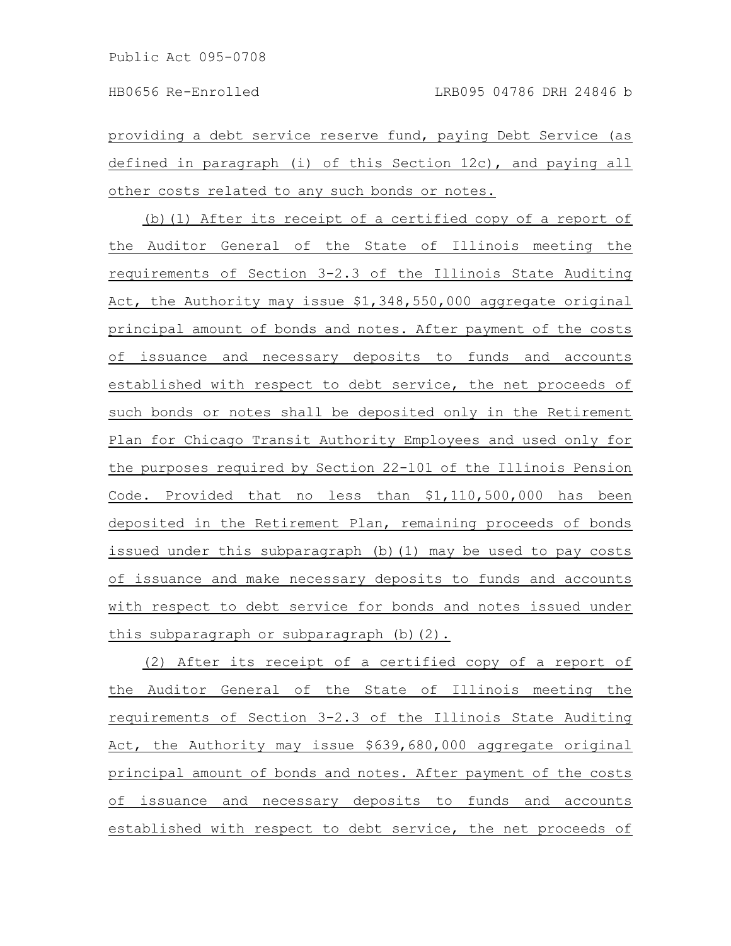providing a debt service reserve fund, paying Debt Service (as defined in paragraph (i) of this Section 12c), and paying all other costs related to any such bonds or notes.

(b)(1) After its receipt of a certified copy of a report of the Auditor General of the State of Illinois meeting the requirements of Section 3-2.3 of the Illinois State Auditing Act, the Authority may issue \$1,348,550,000 aggregate original principal amount of bonds and notes. After payment of the costs of issuance and necessary deposits to funds and accounts established with respect to debt service, the net proceeds of such bonds or notes shall be deposited only in the Retirement Plan for Chicago Transit Authority Employees and used only for the purposes required by Section 22-101 of the Illinois Pension Code. Provided that no less than \$1,110,500,000 has been deposited in the Retirement Plan, remaining proceeds of bonds issued under this subparagraph (b)(1) may be used to pay costs of issuance and make necessary deposits to funds and accounts with respect to debt service for bonds and notes issued under this subparagraph or subparagraph (b)(2).

(2) After its receipt of a certified copy of a report of the Auditor General of the State of Illinois meeting the requirements of Section 3-2.3 of the Illinois State Auditing Act, the Authority may issue \$639,680,000 aggregate original principal amount of bonds and notes. After payment of the costs of issuance and necessary deposits to funds and accounts established with respect to debt service, the net proceeds of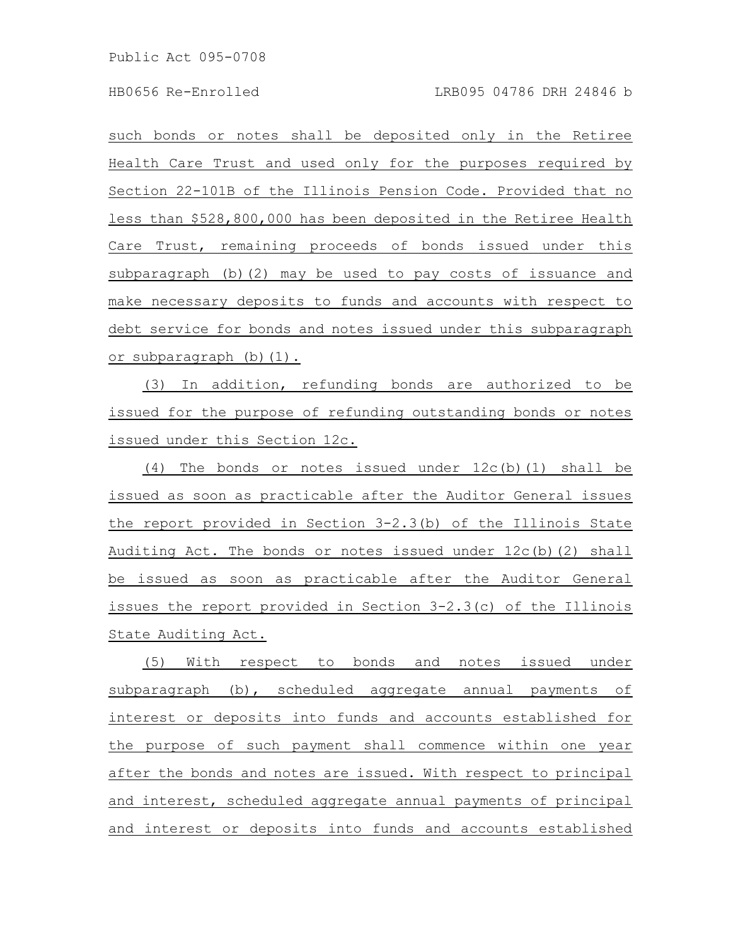such bonds or notes shall be deposited only in the Retiree Health Care Trust and used only for the purposes required by Section 22-101B of the Illinois Pension Code. Provided that no less than \$528,800,000 has been deposited in the Retiree Health Care Trust, remaining proceeds of bonds issued under this subparagraph (b)(2) may be used to pay costs of issuance and make necessary deposits to funds and accounts with respect to debt service for bonds and notes issued under this subparagraph or subparagraph (b)(1).

(3) In addition, refunding bonds are authorized to be issued for the purpose of refunding outstanding bonds or notes issued under this Section 12c.

(4) The bonds or notes issued under 12c(b)(1) shall be issued as soon as practicable after the Auditor General issues the report provided in Section 3-2.3(b) of the Illinois State Auditing Act. The bonds or notes issued under 12c(b)(2) shall be issued as soon as practicable after the Auditor General issues the report provided in Section 3-2.3(c) of the Illinois State Auditing Act.

(5) With respect to bonds and notes issued under subparagraph (b), scheduled aggregate annual payments of interest or deposits into funds and accounts established for the purpose of such payment shall commence within one year after the bonds and notes are issued. With respect to principal and interest, scheduled aggregate annual payments of principal and interest or deposits into funds and accounts established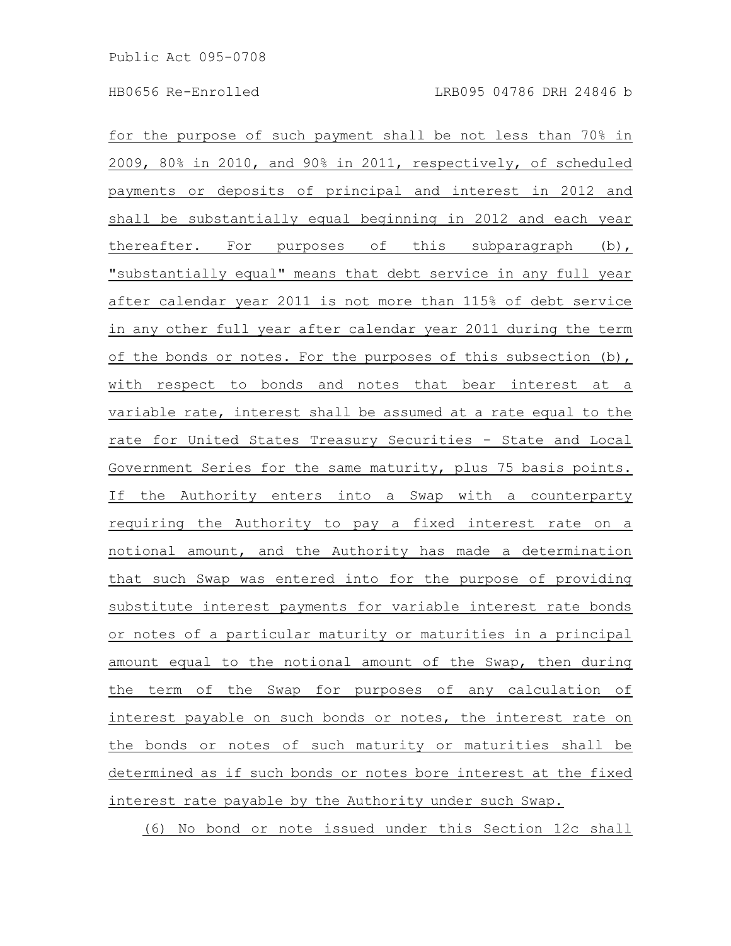for the purpose of such payment shall be not less than 70% in 2009, 80% in 2010, and 90% in 2011, respectively, of scheduled payments or deposits of principal and interest in 2012 and shall be substantially equal beginning in 2012 and each year thereafter. For purposes of this subparagraph (b), "substantially equal" means that debt service in any full year after calendar year 2011 is not more than 115% of debt service in any other full year after calendar year 2011 during the term of the bonds or notes. For the purposes of this subsection (b), with respect to bonds and notes that bear interest at a variable rate, interest shall be assumed at a rate equal to the rate for United States Treasury Securities - State and Local Government Series for the same maturity, plus 75 basis points. If the Authority enters into a Swap with a counterparty requiring the Authority to pay a fixed interest rate on a notional amount, and the Authority has made a determination that such Swap was entered into for the purpose of providing substitute interest payments for variable interest rate bonds or notes of a particular maturity or maturities in a principal amount equal to the notional amount of the Swap, then during the term of the Swap for purposes of any calculation of interest payable on such bonds or notes, the interest rate on the bonds or notes of such maturity or maturities shall be determined as if such bonds or notes bore interest at the fixed interest rate payable by the Authority under such Swap.

(6) No bond or note issued under this Section 12c shall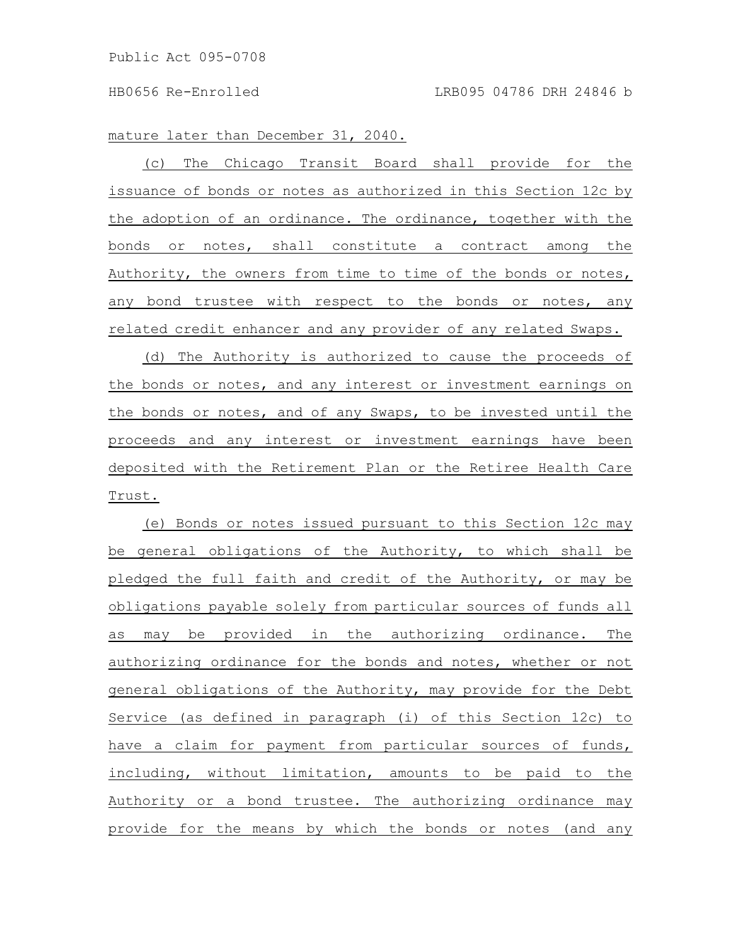mature later than December 31, 2040.

(c) The Chicago Transit Board shall provide for the issuance of bonds or notes as authorized in this Section 12c by the adoption of an ordinance. The ordinance, together with the bonds or notes, shall constitute a contract among the Authority, the owners from time to time of the bonds or notes, any bond trustee with respect to the bonds or notes, any related credit enhancer and any provider of any related Swaps.

(d) The Authority is authorized to cause the proceeds of the bonds or notes, and any interest or investment earnings on the bonds or notes, and of any Swaps, to be invested until the proceeds and any interest or investment earnings have been deposited with the Retirement Plan or the Retiree Health Care Trust.

(e) Bonds or notes issued pursuant to this Section 12c may be general obligations of the Authority, to which shall be pledged the full faith and credit of the Authority, or may be obligations payable solely from particular sources of funds all as may be provided in the authorizing ordinance. The authorizing ordinance for the bonds and notes, whether or not general obligations of the Authority, may provide for the Debt Service (as defined in paragraph (i) of this Section 12c) to have a claim for payment from particular sources of funds, including, without limitation, amounts to be paid to the Authority or a bond trustee. The authorizing ordinance may provide for the means by which the bonds or notes (and any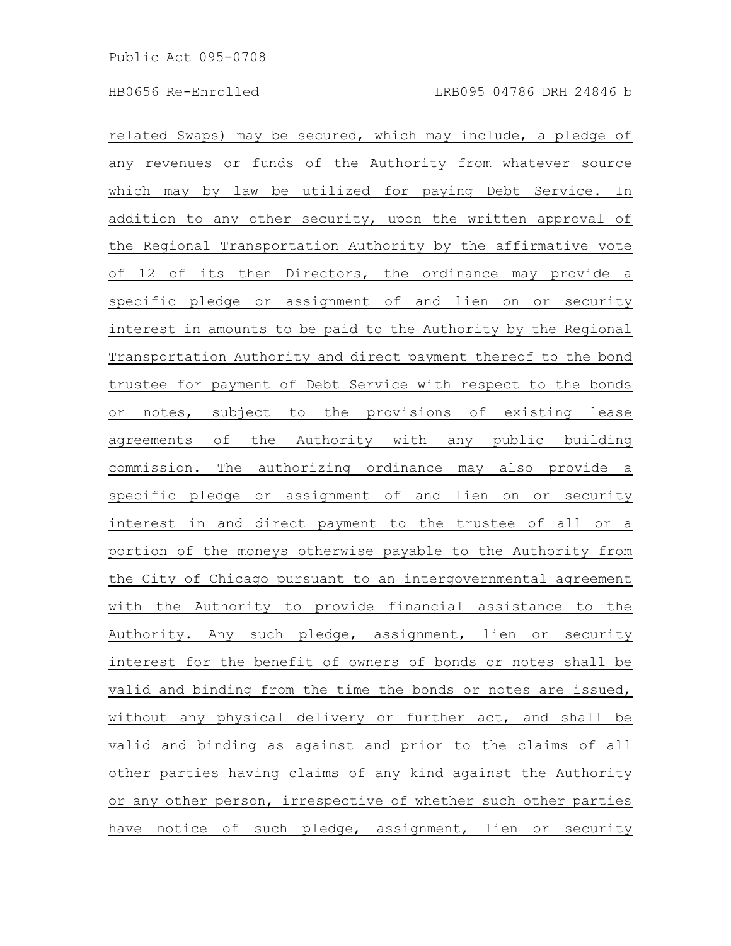related Swaps) may be secured, which may include, a pledge of any revenues or funds of the Authority from whatever source which may by law be utilized for paying Debt Service. In addition to any other security, upon the written approval of the Regional Transportation Authority by the affirmative vote of 12 of its then Directors, the ordinance may provide a specific pledge or assignment of and lien on or security interest in amounts to be paid to the Authority by the Regional Transportation Authority and direct payment thereof to the bond trustee for payment of Debt Service with respect to the bonds or notes, subject to the provisions of existing lease agreements of the Authority with any public building commission. The authorizing ordinance may also provide a specific pledge or assignment of and lien on or security interest in and direct payment to the trustee of all or a portion of the moneys otherwise payable to the Authority from the City of Chicago pursuant to an intergovernmental agreement with the Authority to provide financial assistance to the Authority. Any such pledge, assignment, lien or security interest for the benefit of owners of bonds or notes shall be valid and binding from the time the bonds or notes are issued, without any physical delivery or further act, and shall be valid and binding as against and prior to the claims of all other parties having claims of any kind against the Authority or any other person, irrespective of whether such other parties have notice of such pledge, assignment, lien or security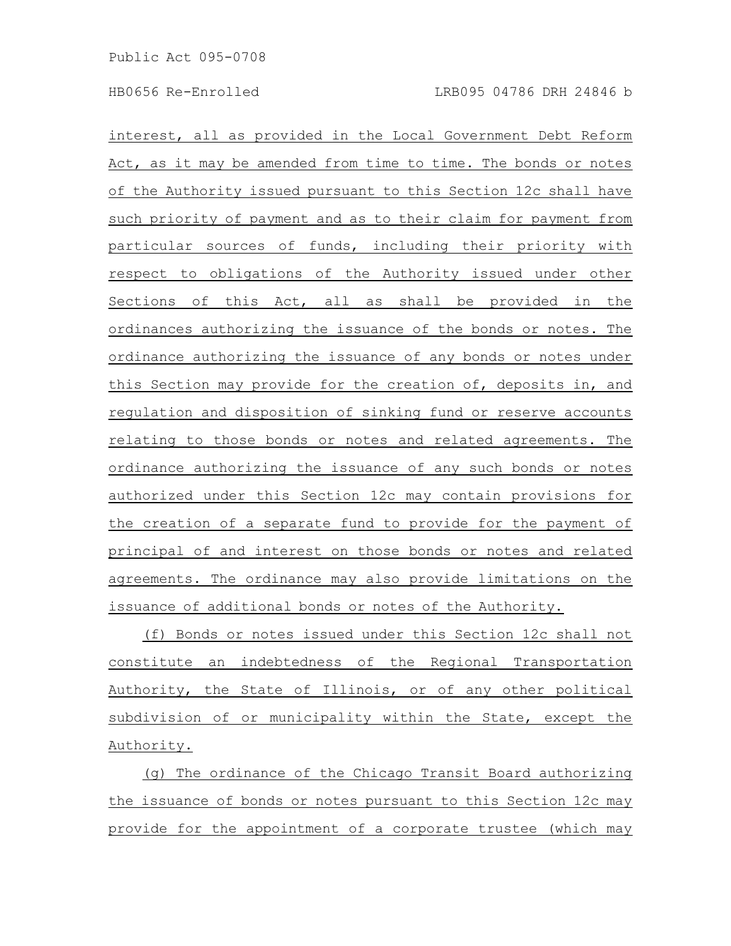interest, all as provided in the Local Government Debt Reform Act, as it may be amended from time to time. The bonds or notes of the Authority issued pursuant to this Section 12c shall have such priority of payment and as to their claim for payment from particular sources of funds, including their priority with respect to obligations of the Authority issued under other Sections of this Act, all as shall be provided in the ordinances authorizing the issuance of the bonds or notes. The ordinance authorizing the issuance of any bonds or notes under this Section may provide for the creation of, deposits in, and regulation and disposition of sinking fund or reserve accounts relating to those bonds or notes and related agreements. The ordinance authorizing the issuance of any such bonds or notes authorized under this Section 12c may contain provisions for the creation of a separate fund to provide for the payment of principal of and interest on those bonds or notes and related agreements. The ordinance may also provide limitations on the issuance of additional bonds or notes of the Authority.

(f) Bonds or notes issued under this Section 12c shall not constitute an indebtedness of the Regional Transportation Authority, the State of Illinois, or of any other political subdivision of or municipality within the State, except the Authority.

(g) The ordinance of the Chicago Transit Board authorizing the issuance of bonds or notes pursuant to this Section 12c may provide for the appointment of a corporate trustee (which may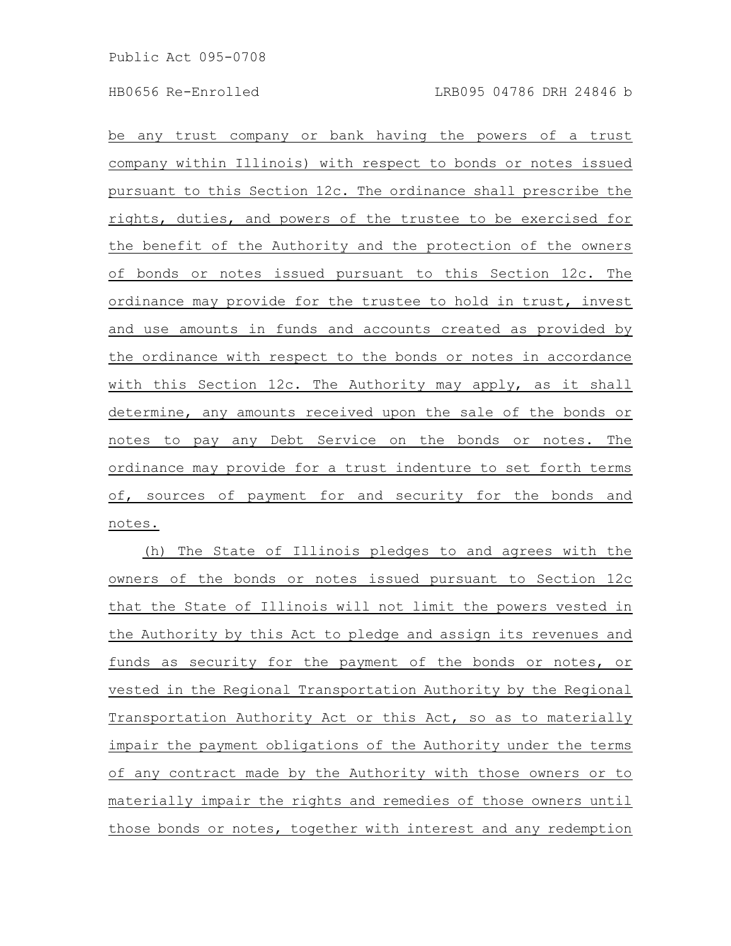be any trust company or bank having the powers of a trust company within Illinois) with respect to bonds or notes issued pursuant to this Section 12c. The ordinance shall prescribe the rights, duties, and powers of the trustee to be exercised for the benefit of the Authority and the protection of the owners of bonds or notes issued pursuant to this Section 12c. The ordinance may provide for the trustee to hold in trust, invest and use amounts in funds and accounts created as provided by the ordinance with respect to the bonds or notes in accordance with this Section 12c. The Authority may apply, as it shall determine, any amounts received upon the sale of the bonds or notes to pay any Debt Service on the bonds or notes. The ordinance may provide for a trust indenture to set forth terms of, sources of payment for and security for the bonds and notes.

(h) The State of Illinois pledges to and agrees with the owners of the bonds or notes issued pursuant to Section 12c that the State of Illinois will not limit the powers vested in the Authority by this Act to pledge and assign its revenues and funds as security for the payment of the bonds or notes, or vested in the Regional Transportation Authority by the Regional Transportation Authority Act or this Act, so as to materially impair the payment obligations of the Authority under the terms of any contract made by the Authority with those owners or to materially impair the rights and remedies of those owners until those bonds or notes, together with interest and any redemption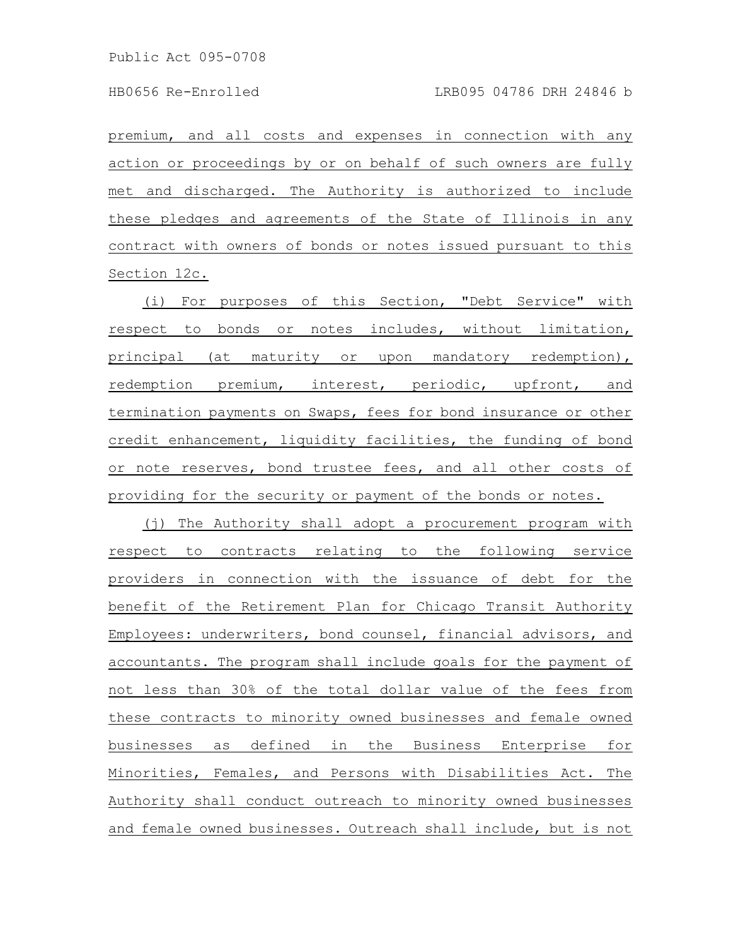premium, and all costs and expenses in connection with any action or proceedings by or on behalf of such owners are fully met and discharged. The Authority is authorized to include these pledges and agreements of the State of Illinois in any contract with owners of bonds or notes issued pursuant to this Section 12c.

(i) For purposes of this Section, "Debt Service" with respect to bonds or notes includes, without limitation, principal (at maturity or upon mandatory redemption), redemption premium, interest, periodic, upfront, and termination payments on Swaps, fees for bond insurance or other credit enhancement, liquidity facilities, the funding of bond or note reserves, bond trustee fees, and all other costs of providing for the security or payment of the bonds or notes.

(j) The Authority shall adopt a procurement program with respect to contracts relating to the following service providers in connection with the issuance of debt for the benefit of the Retirement Plan for Chicago Transit Authority Employees: underwriters, bond counsel, financial advisors, and accountants. The program shall include goals for the payment of not less than 30% of the total dollar value of the fees from these contracts to minority owned businesses and female owned businesses as defined in the Business Enterprise for Minorities, Females, and Persons with Disabilities Act. The Authority shall conduct outreach to minority owned businesses and female owned businesses. Outreach shall include, but is not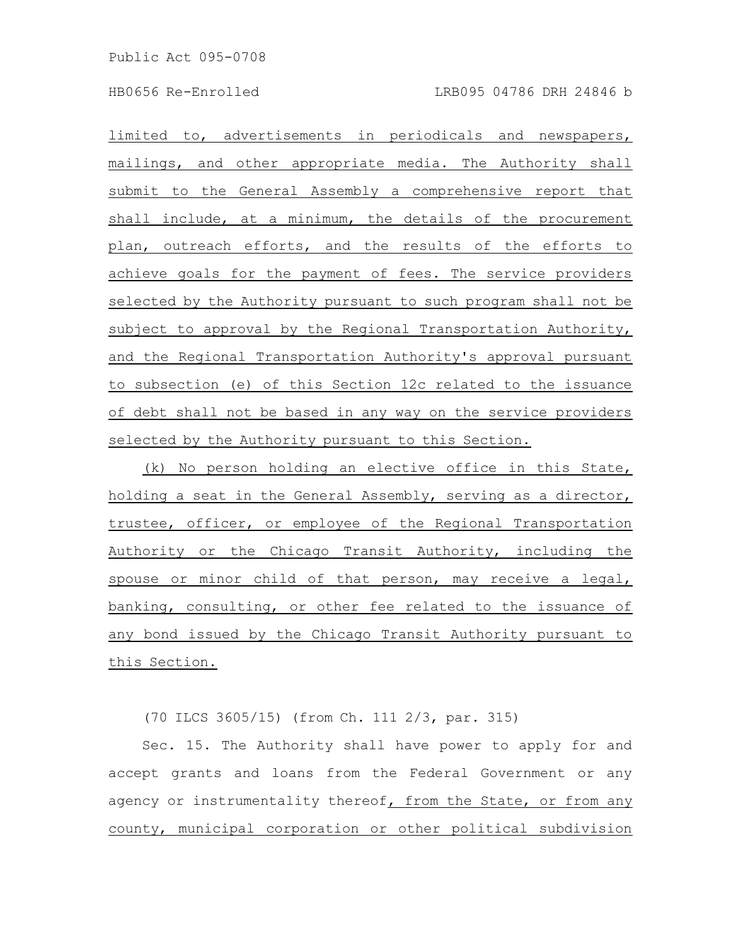limited to, advertisements in periodicals and newspapers, mailings, and other appropriate media. The Authority shall submit to the General Assembly a comprehensive report that shall include, at a minimum, the details of the procurement plan, outreach efforts, and the results of the efforts to achieve goals for the payment of fees. The service providers selected by the Authority pursuant to such program shall not be subject to approval by the Regional Transportation Authority, and the Regional Transportation Authority's approval pursuant to subsection (e) of this Section 12c related to the issuance of debt shall not be based in any way on the service providers selected by the Authority pursuant to this Section.

(k) No person holding an elective office in this State, holding a seat in the General Assembly, serving as a director, trustee, officer, or employee of the Regional Transportation Authority or the Chicago Transit Authority, including the spouse or minor child of that person, may receive a legal, banking, consulting, or other fee related to the issuance of any bond issued by the Chicago Transit Authority pursuant to this Section.

(70 ILCS 3605/15) (from Ch. 111 2/3, par. 315)

Sec. 15. The Authority shall have power to apply for and accept grants and loans from the Federal Government or any agency or instrumentality thereof, from the State, or from any county, municipal corporation or other political subdivision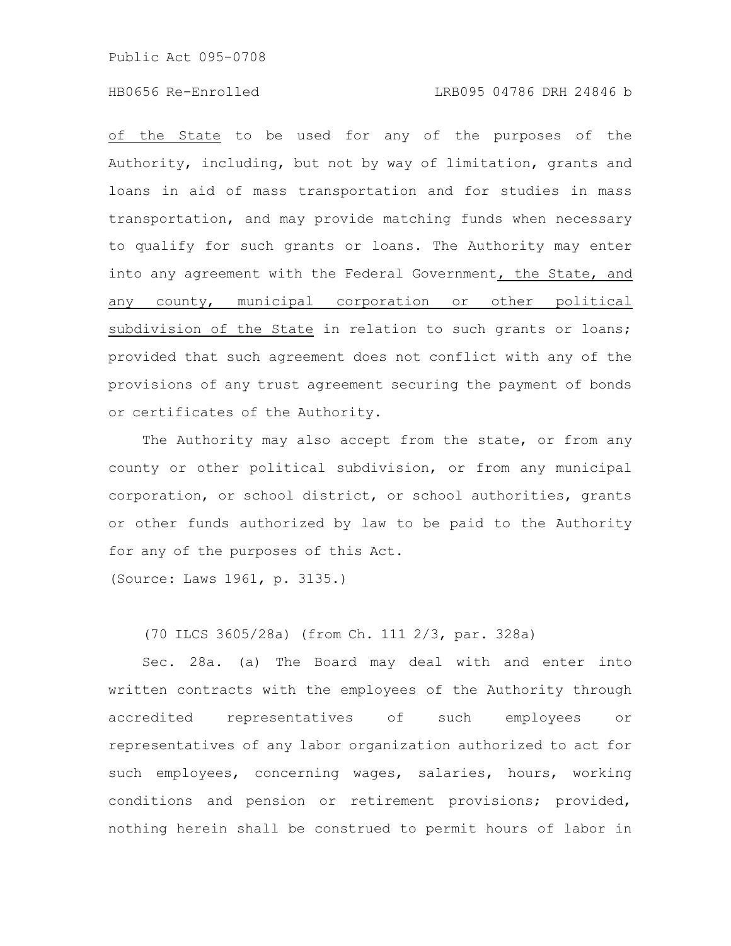## HB0656 Re-Enrolled LRB095 04786 DRH 24846 b

of the State to be used for any of the purposes of the Authority, including, but not by way of limitation, grants and loans in aid of mass transportation and for studies in mass transportation, and may provide matching funds when necessary to qualify for such grants or loans. The Authority may enter into any agreement with the Federal Government, the State, and any county, municipal corporation or other political subdivision of the State in relation to such grants or loans; provided that such agreement does not conflict with any of the provisions of any trust agreement securing the payment of bonds or certificates of the Authority.

The Authority may also accept from the state, or from any county or other political subdivision, or from any municipal corporation, or school district, or school authorities, grants or other funds authorized by law to be paid to the Authority for any of the purposes of this Act.

(Source: Laws 1961, p. 3135.)

(70 ILCS 3605/28a) (from Ch. 111 2/3, par. 328a)

Sec. 28a. (a) The Board may deal with and enter into written contracts with the employees of the Authority through accredited representatives of such employees or representatives of any labor organization authorized to act for such employees, concerning wages, salaries, hours, working conditions and pension or retirement provisions; provided, nothing herein shall be construed to permit hours of labor in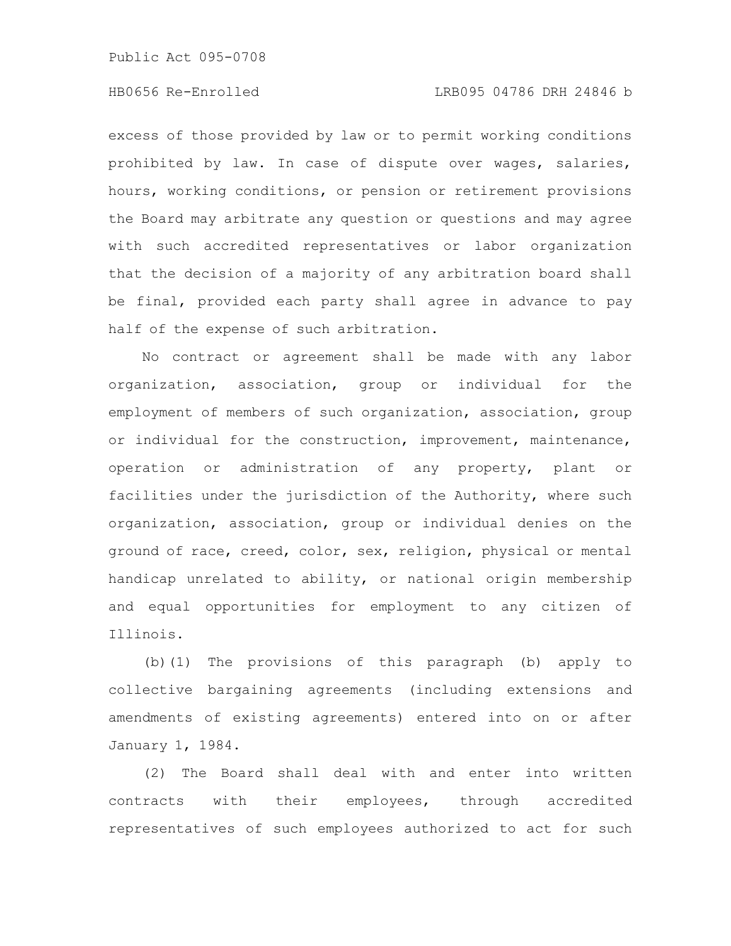## HB0656 Re-Enrolled LRB095 04786 DRH 24846 b

excess of those provided by law or to permit working conditions prohibited by law. In case of dispute over wages, salaries, hours, working conditions, or pension or retirement provisions the Board may arbitrate any question or questions and may agree with such accredited representatives or labor organization that the decision of a majority of any arbitration board shall be final, provided each party shall agree in advance to pay half of the expense of such arbitration.

No contract or agreement shall be made with any labor organization, association, group or individual for the employment of members of such organization, association, group or individual for the construction, improvement, maintenance, operation or administration of any property, plant or facilities under the jurisdiction of the Authority, where such organization, association, group or individual denies on the ground of race, creed, color, sex, religion, physical or mental handicap unrelated to ability, or national origin membership and equal opportunities for employment to any citizen of Illinois.

(b)(1) The provisions of this paragraph (b) apply to collective bargaining agreements (including extensions and amendments of existing agreements) entered into on or after January 1, 1984.

(2) The Board shall deal with and enter into written contracts with their employees, through accredited representatives of such employees authorized to act for such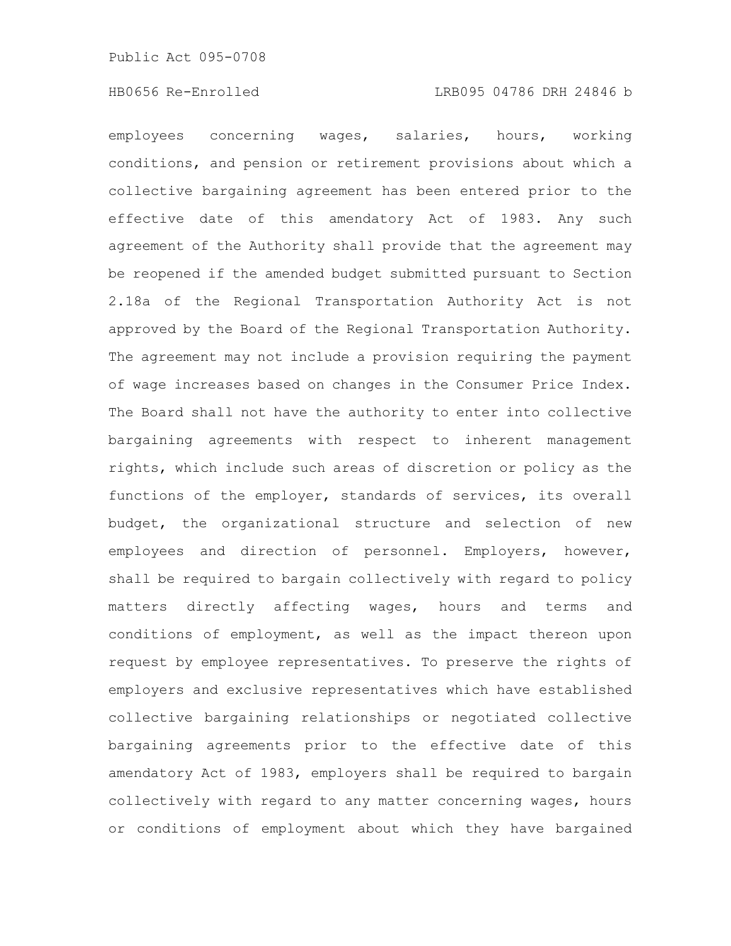employees concerning wages, salaries, hours, working conditions, and pension or retirement provisions about which a collective bargaining agreement has been entered prior to the effective date of this amendatory Act of 1983. Any such agreement of the Authority shall provide that the agreement may be reopened if the amended budget submitted pursuant to Section 2.18a of the Regional Transportation Authority Act is not approved by the Board of the Regional Transportation Authority. The agreement may not include a provision requiring the payment of wage increases based on changes in the Consumer Price Index. The Board shall not have the authority to enter into collective bargaining agreements with respect to inherent management rights, which include such areas of discretion or policy as the functions of the employer, standards of services, its overall budget, the organizational structure and selection of new employees and direction of personnel. Employers, however, shall be required to bargain collectively with regard to policy matters directly affecting wages, hours and terms and conditions of employment, as well as the impact thereon upon request by employee representatives. To preserve the rights of employers and exclusive representatives which have established collective bargaining relationships or negotiated collective bargaining agreements prior to the effective date of this amendatory Act of 1983, employers shall be required to bargain collectively with regard to any matter concerning wages, hours or conditions of employment about which they have bargained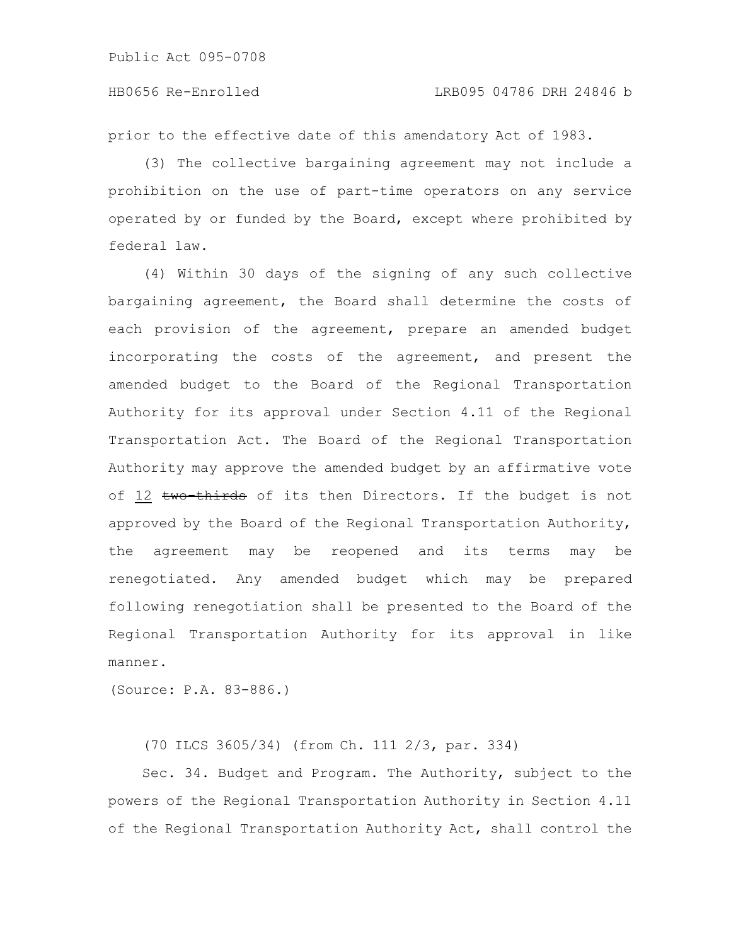prior to the effective date of this amendatory Act of 1983.

(3) The collective bargaining agreement may not include a prohibition on the use of part-time operators on any service operated by or funded by the Board, except where prohibited by federal law.

(4) Within 30 days of the signing of any such collective bargaining agreement, the Board shall determine the costs of each provision of the agreement, prepare an amended budget incorporating the costs of the agreement, and present the amended budget to the Board of the Regional Transportation Authority for its approval under Section 4.11 of the Regional Transportation Act. The Board of the Regional Transportation Authority may approve the amended budget by an affirmative vote of 12 two-thirds of its then Directors. If the budget is not approved by the Board of the Regional Transportation Authority, the agreement may be reopened and its terms may be renegotiated. Any amended budget which may be prepared following renegotiation shall be presented to the Board of the Regional Transportation Authority for its approval in like manner.

(Source: P.A. 83-886.)

(70 ILCS 3605/34) (from Ch. 111 2/3, par. 334)

Sec. 34. Budget and Program. The Authority, subject to the powers of the Regional Transportation Authority in Section 4.11 of the Regional Transportation Authority Act, shall control the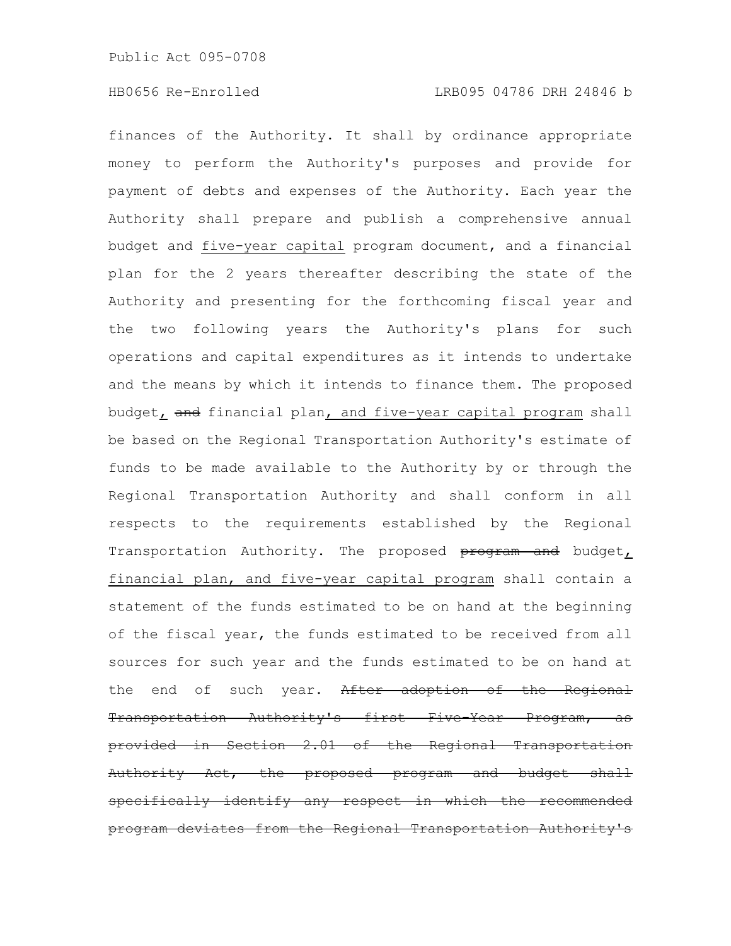finances of the Authority. It shall by ordinance appropriate money to perform the Authority's purposes and provide for payment of debts and expenses of the Authority. Each year the Authority shall prepare and publish a comprehensive annual budget and five-year capital program document, and a financial plan for the 2 years thereafter describing the state of the Authority and presenting for the forthcoming fiscal year and the two following years the Authority's plans for such operations and capital expenditures as it intends to undertake and the means by which it intends to finance them. The proposed budget, and financial plan, and five-year capital program shall be based on the Regional Transportation Authority's estimate of funds to be made available to the Authority by or through the Regional Transportation Authority and shall conform in all respects to the requirements established by the Regional Transportation Authority. The proposed program and budget, financial plan, and five-year capital program shall contain a statement of the funds estimated to be on hand at the beginning of the fiscal year, the funds estimated to be received from all sources for such year and the funds estimated to be on hand at the end of such year. After adoption of the Regional Transportation Authority's first Five-Year Program, as provided in Section 2.01 of the Regional Transportation Authority Act, the proposed program and budget shall specifically identify any respect in which the recommended program deviates from the Regional Transportation Authority's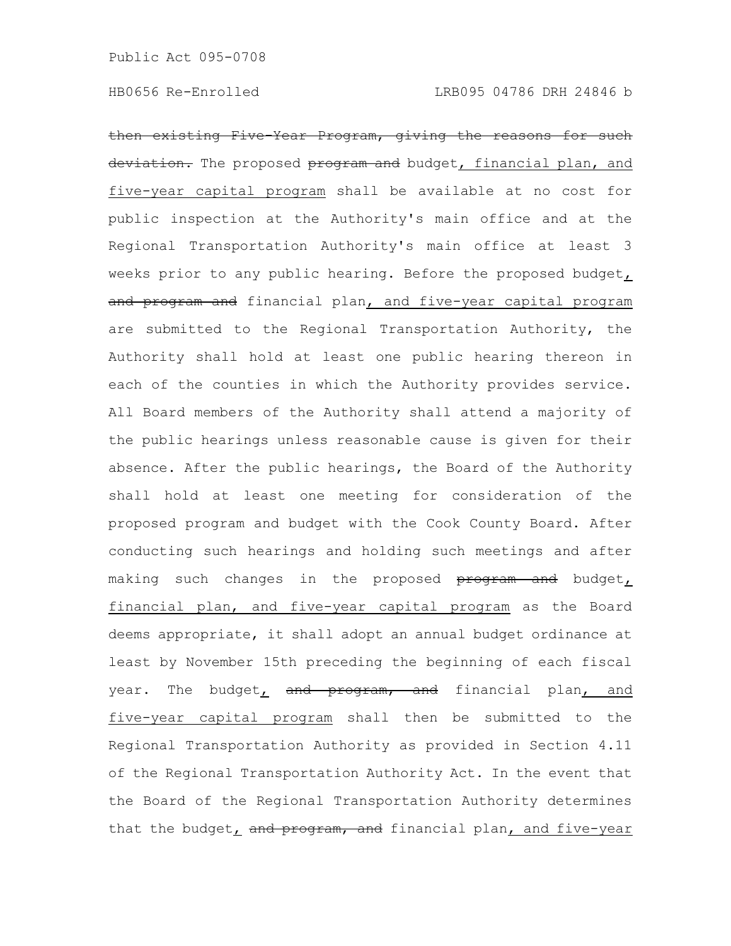then existing Five-Year Program, giving the reasons for such deviation. The proposed program and budget, financial plan, and five-year capital program shall be available at no cost for public inspection at the Authority's main office and at the Regional Transportation Authority's main office at least 3 weeks prior to any public hearing. Before the proposed budget, and program and financial plan, and five-year capital program are submitted to the Regional Transportation Authority, the Authority shall hold at least one public hearing thereon in each of the counties in which the Authority provides service. All Board members of the Authority shall attend a majority of the public hearings unless reasonable cause is given for their absence. After the public hearings, the Board of the Authority shall hold at least one meeting for consideration of the proposed program and budget with the Cook County Board. After conducting such hearings and holding such meetings and after making such changes in the proposed program and budget, financial plan, and five-year capital program as the Board deems appropriate, it shall adopt an annual budget ordinance at least by November 15th preceding the beginning of each fiscal year. The budget, and program, and financial plan, and five-year capital program shall then be submitted to the Regional Transportation Authority as provided in Section 4.11 of the Regional Transportation Authority Act. In the event that the Board of the Regional Transportation Authority determines that the budget, and program, and financial plan, and five-year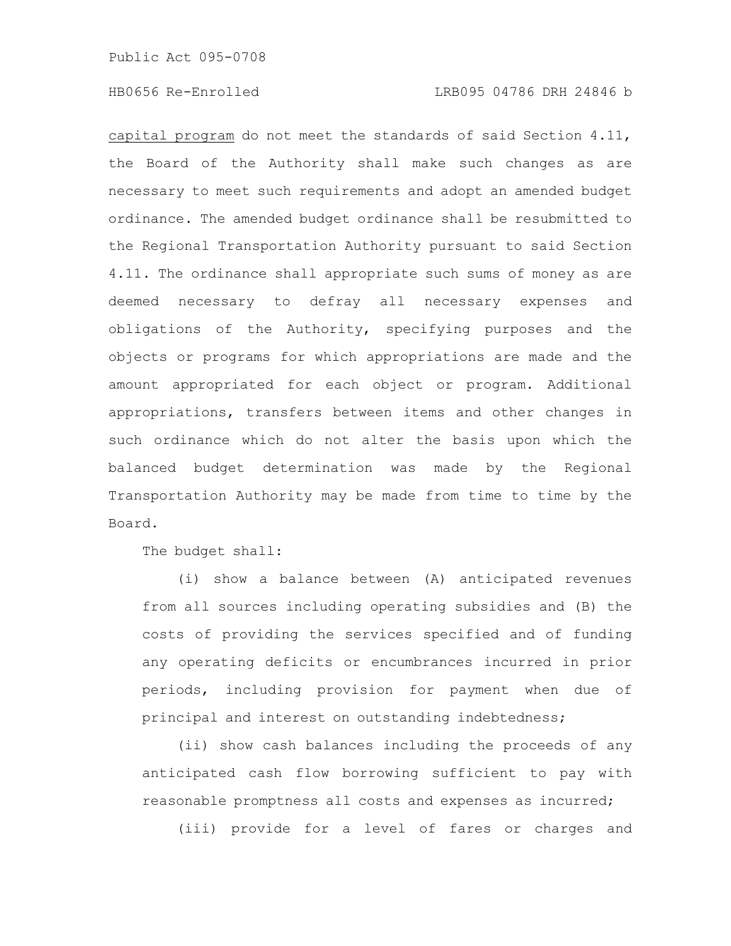capital program do not meet the standards of said Section 4.11, the Board of the Authority shall make such changes as are necessary to meet such requirements and adopt an amended budget ordinance. The amended budget ordinance shall be resubmitted to the Regional Transportation Authority pursuant to said Section 4.11. The ordinance shall appropriate such sums of money as are deemed necessary to defray all necessary expenses and obligations of the Authority, specifying purposes and the objects or programs for which appropriations are made and the amount appropriated for each object or program. Additional appropriations, transfers between items and other changes in such ordinance which do not alter the basis upon which the balanced budget determination was made by the Regional Transportation Authority may be made from time to time by the Board.

The budget shall:

(i) show a balance between (A) anticipated revenues from all sources including operating subsidies and (B) the costs of providing the services specified and of funding any operating deficits or encumbrances incurred in prior periods, including provision for payment when due of principal and interest on outstanding indebtedness;

(ii) show cash balances including the proceeds of any anticipated cash flow borrowing sufficient to pay with reasonable promptness all costs and expenses as incurred;

(iii) provide for a level of fares or charges and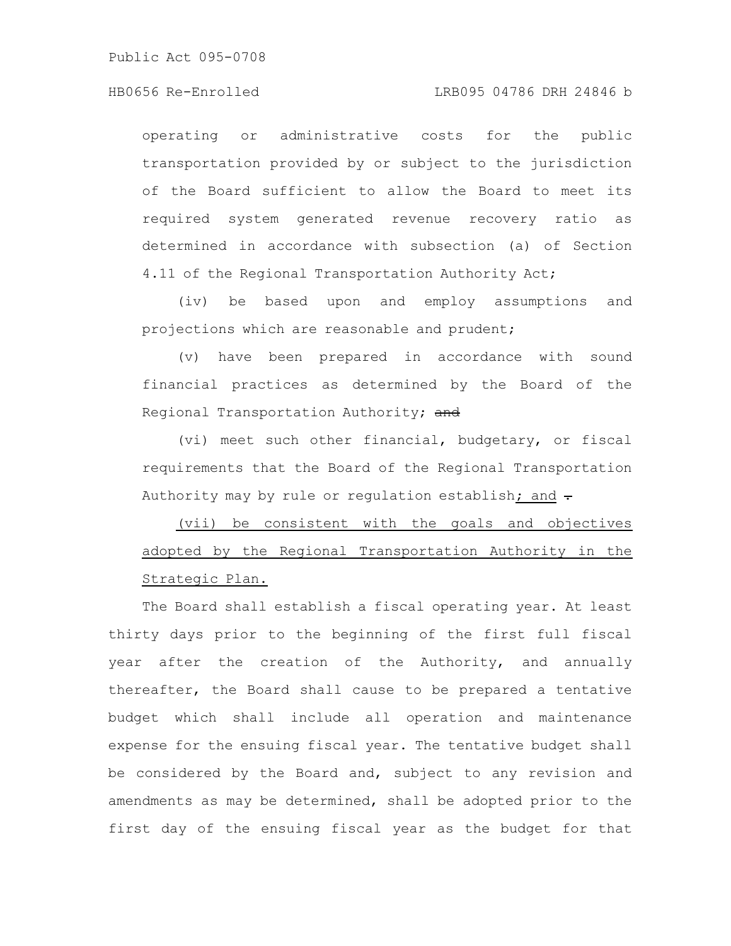## HB0656 Re-Enrolled LRB095 04786 DRH 24846 b

operating or administrative costs for the public transportation provided by or subject to the jurisdiction of the Board sufficient to allow the Board to meet its required system generated revenue recovery ratio as determined in accordance with subsection (a) of Section 4.11 of the Regional Transportation Authority Act;

(iv) be based upon and employ assumptions and projections which are reasonable and prudent;

(v) have been prepared in accordance with sound financial practices as determined by the Board of the Regional Transportation Authority; and

(vi) meet such other financial, budgetary, or fiscal requirements that the Board of the Regional Transportation Authority may by rule or regulation establish; and  $\div$ 

(vii) be consistent with the goals and objectives adopted by the Regional Transportation Authority in the Strategic Plan.

The Board shall establish a fiscal operating year. At least thirty days prior to the beginning of the first full fiscal year after the creation of the Authority, and annually thereafter, the Board shall cause to be prepared a tentative budget which shall include all operation and maintenance expense for the ensuing fiscal year. The tentative budget shall be considered by the Board and, subject to any revision and amendments as may be determined, shall be adopted prior to the first day of the ensuing fiscal year as the budget for that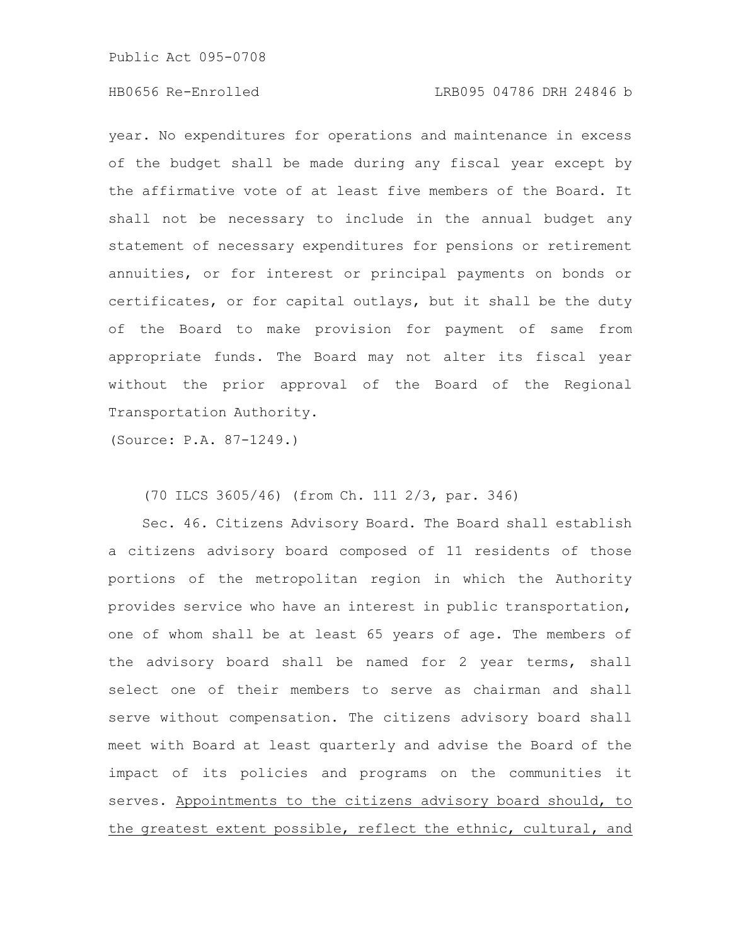## HB0656 Re-Enrolled LRB095 04786 DRH 24846 b

year. No expenditures for operations and maintenance in excess of the budget shall be made during any fiscal year except by the affirmative vote of at least five members of the Board. It shall not be necessary to include in the annual budget any statement of necessary expenditures for pensions or retirement annuities, or for interest or principal payments on bonds or certificates, or for capital outlays, but it shall be the duty of the Board to make provision for payment of same from appropriate funds. The Board may not alter its fiscal year without the prior approval of the Board of the Regional Transportation Authority.

(Source: P.A. 87-1249.)

#### (70 ILCS 3605/46) (from Ch. 111 2/3, par. 346)

Sec. 46. Citizens Advisory Board. The Board shall establish a citizens advisory board composed of 11 residents of those portions of the metropolitan region in which the Authority provides service who have an interest in public transportation, one of whom shall be at least 65 years of age. The members of the advisory board shall be named for 2 year terms, shall select one of their members to serve as chairman and shall serve without compensation. The citizens advisory board shall meet with Board at least quarterly and advise the Board of the impact of its policies and programs on the communities it serves. Appointments to the citizens advisory board should, to the greatest extent possible, reflect the ethnic, cultural, and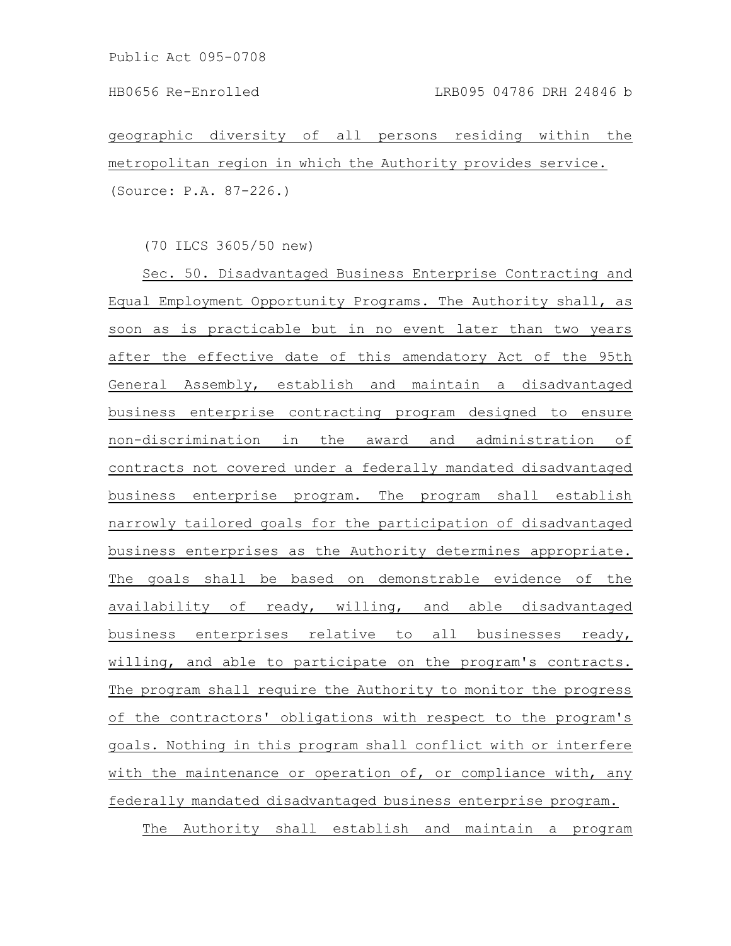geographic diversity of all persons residing within the metropolitan region in which the Authority provides service. (Source: P.A. 87-226.)

(70 ILCS 3605/50 new)

Sec. 50. Disadvantaged Business Enterprise Contracting and Equal Employment Opportunity Programs. The Authority shall, as soon as is practicable but in no event later than two years after the effective date of this amendatory Act of the 95th General Assembly, establish and maintain a disadvantaged business enterprise contracting program designed to ensure non-discrimination in the award and administration of contracts not covered under a federally mandated disadvantaged business enterprise program. The program shall establish narrowly tailored goals for the participation of disadvantaged business enterprises as the Authority determines appropriate. The goals shall be based on demonstrable evidence of the availability of ready, willing, and able disadvantaged business enterprises relative to all businesses ready, willing, and able to participate on the program's contracts. The program shall require the Authority to monitor the progress of the contractors' obligations with respect to the program's goals. Nothing in this program shall conflict with or interfere with the maintenance or operation of, or compliance with, any federally mandated disadvantaged business enterprise program. The Authority shall establish and maintain a program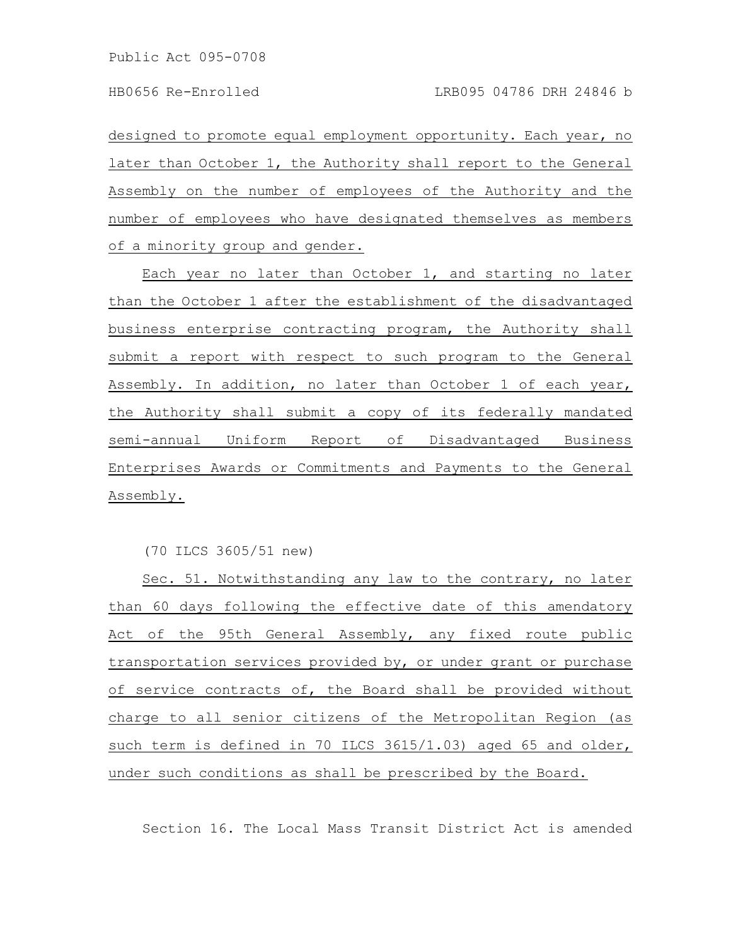designed to promote equal employment opportunity. Each year, no later than October 1, the Authority shall report to the General Assembly on the number of employees of the Authority and the number of employees who have designated themselves as members of a minority group and gender.

Each year no later than October 1, and starting no later than the October 1 after the establishment of the disadvantaged business enterprise contracting program, the Authority shall submit a report with respect to such program to the General Assembly. In addition, no later than October 1 of each year, the Authority shall submit a copy of its federally mandated semi-annual Uniform Report of Disadvantaged Business Enterprises Awards or Commitments and Payments to the General Assembly.

(70 ILCS 3605/51 new)

Sec. 51. Notwithstanding any law to the contrary, no later than 60 days following the effective date of this amendatory Act of the 95th General Assembly, any fixed route public transportation services provided by, or under grant or purchase of service contracts of, the Board shall be provided without charge to all senior citizens of the Metropolitan Region (as such term is defined in 70 ILCS 3615/1.03) aged 65 and older, under such conditions as shall be prescribed by the Board.

Section 16. The Local Mass Transit District Act is amended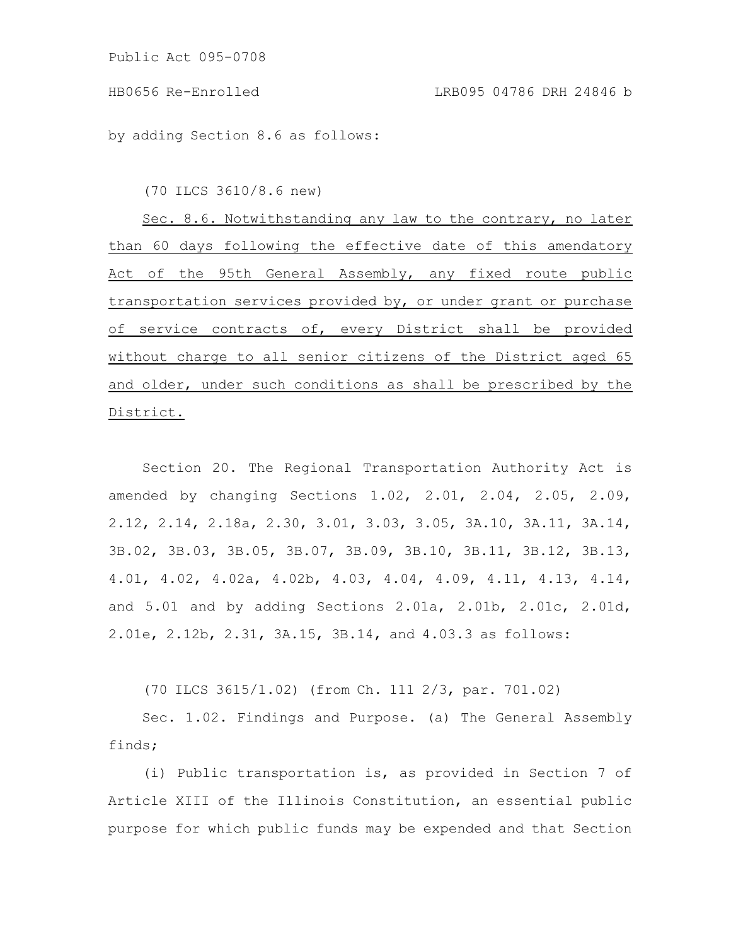by adding Section 8.6 as follows:

(70 ILCS 3610/8.6 new)

Sec. 8.6. Notwithstanding any law to the contrary, no later than 60 days following the effective date of this amendatory Act of the 95th General Assembly, any fixed route public transportation services provided by, or under grant or purchase of service contracts of, every District shall be provided without charge to all senior citizens of the District aged 65 and older, under such conditions as shall be prescribed by the District.

Section 20. The Regional Transportation Authority Act is amended by changing Sections 1.02, 2.01, 2.04, 2.05, 2.09, 2.12, 2.14, 2.18a, 2.30, 3.01, 3.03, 3.05, 3A.10, 3A.11, 3A.14, 3B.02, 3B.03, 3B.05, 3B.07, 3B.09, 3B.10, 3B.11, 3B.12, 3B.13, 4.01, 4.02, 4.02a, 4.02b, 4.03, 4.04, 4.09, 4.11, 4.13, 4.14, and 5.01 and by adding Sections 2.01a, 2.01b, 2.01c, 2.01d, 2.01e, 2.12b, 2.31, 3A.15, 3B.14, and 4.03.3 as follows:

(70 ILCS 3615/1.02) (from Ch. 111 2/3, par. 701.02)

Sec. 1.02. Findings and Purpose. (a) The General Assembly finds;

(i) Public transportation is, as provided in Section 7 of Article XIII of the Illinois Constitution, an essential public purpose for which public funds may be expended and that Section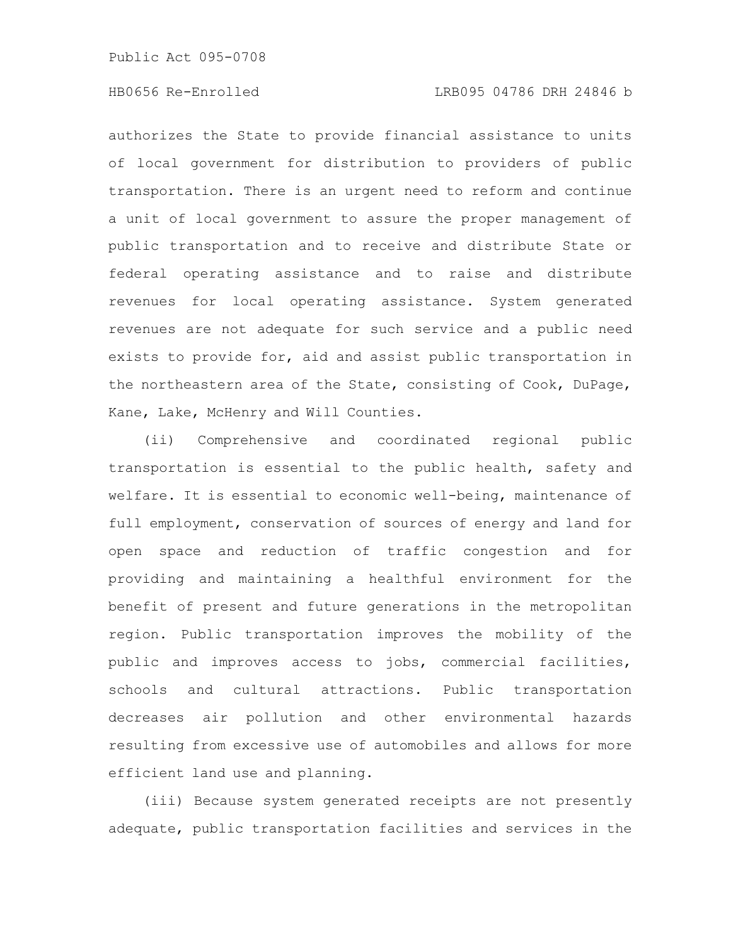authorizes the State to provide financial assistance to units of local government for distribution to providers of public transportation. There is an urgent need to reform and continue a unit of local government to assure the proper management of public transportation and to receive and distribute State or federal operating assistance and to raise and distribute revenues for local operating assistance. System generated revenues are not adequate for such service and a public need exists to provide for, aid and assist public transportation in the northeastern area of the State, consisting of Cook, DuPage, Kane, Lake, McHenry and Will Counties.

(ii) Comprehensive and coordinated regional public transportation is essential to the public health, safety and welfare. It is essential to economic well-being, maintenance of full employment, conservation of sources of energy and land for open space and reduction of traffic congestion and for providing and maintaining a healthful environment for the benefit of present and future generations in the metropolitan region. Public transportation improves the mobility of the public and improves access to jobs, commercial facilities, schools and cultural attractions. Public transportation decreases air pollution and other environmental hazards resulting from excessive use of automobiles and allows for more efficient land use and planning.

(iii) Because system generated receipts are not presently adequate, public transportation facilities and services in the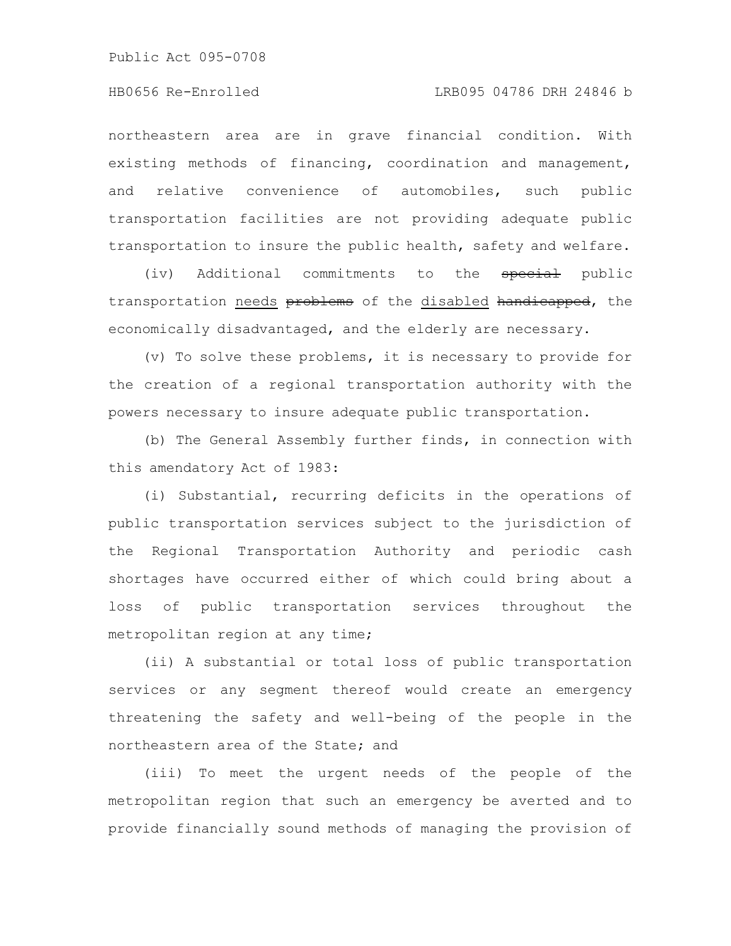## HB0656 Re-Enrolled LRB095 04786 DRH 24846 b

northeastern area are in grave financial condition. With existing methods of financing, coordination and management, and relative convenience of automobiles, such public transportation facilities are not providing adequate public transportation to insure the public health, safety and welfare.

(iv) Additional commitments to the special public transportation needs problems of the disabled handicapped, the economically disadvantaged, and the elderly are necessary.

(v) To solve these problems, it is necessary to provide for the creation of a regional transportation authority with the powers necessary to insure adequate public transportation.

(b) The General Assembly further finds, in connection with this amendatory Act of 1983:

(i) Substantial, recurring deficits in the operations of public transportation services subject to the jurisdiction of the Regional Transportation Authority and periodic cash shortages have occurred either of which could bring about a loss of public transportation services throughout the metropolitan region at any time;

(ii) A substantial or total loss of public transportation services or any segment thereof would create an emergency threatening the safety and well-being of the people in the northeastern area of the State; and

(iii) To meet the urgent needs of the people of the metropolitan region that such an emergency be averted and to provide financially sound methods of managing the provision of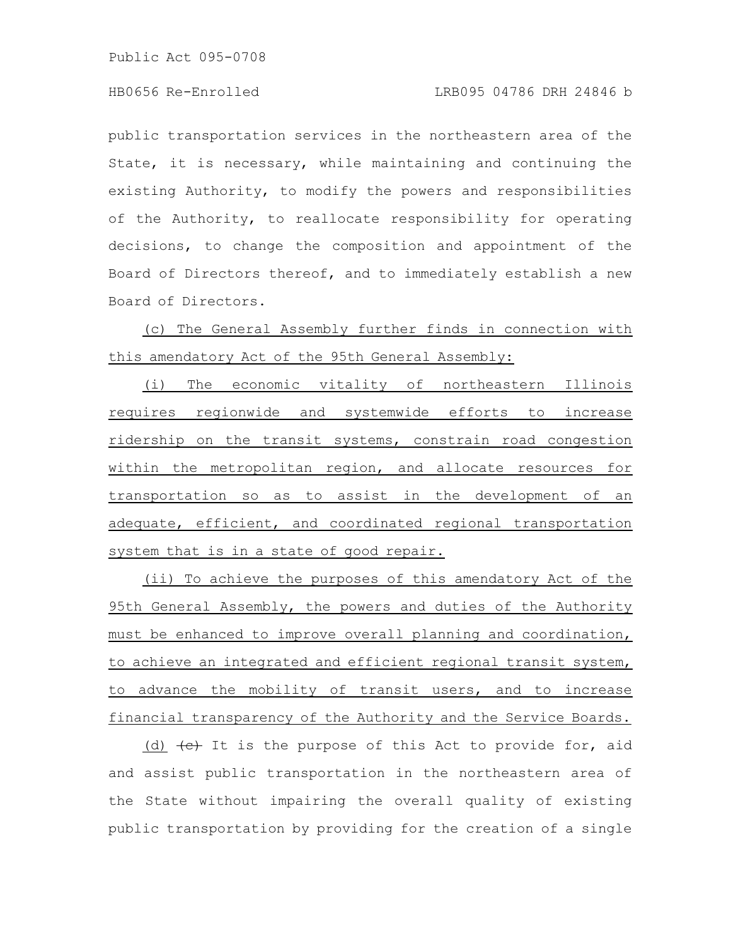## HB0656 Re-Enrolled LRB095 04786 DRH 24846 b

public transportation services in the northeastern area of the State, it is necessary, while maintaining and continuing the existing Authority, to modify the powers and responsibilities of the Authority, to reallocate responsibility for operating decisions, to change the composition and appointment of the Board of Directors thereof, and to immediately establish a new Board of Directors.

(c) The General Assembly further finds in connection with this amendatory Act of the 95th General Assembly:

(i) The economic vitality of northeastern Illinois requires regionwide and systemwide efforts to increase ridership on the transit systems, constrain road congestion within the metropolitan region, and allocate resources for transportation so as to assist in the development of an adequate, efficient, and coordinated regional transportation system that is in a state of good repair.

(ii) To achieve the purposes of this amendatory Act of the 95th General Assembly, the powers and duties of the Authority must be enhanced to improve overall planning and coordination, to achieve an integrated and efficient regional transit system, to advance the mobility of transit users, and to increase financial transparency of the Authority and the Service Boards.

(d)  $\left\lbrace e \right\rbrace$  It is the purpose of this Act to provide for, aid and assist public transportation in the northeastern area of the State without impairing the overall quality of existing public transportation by providing for the creation of a single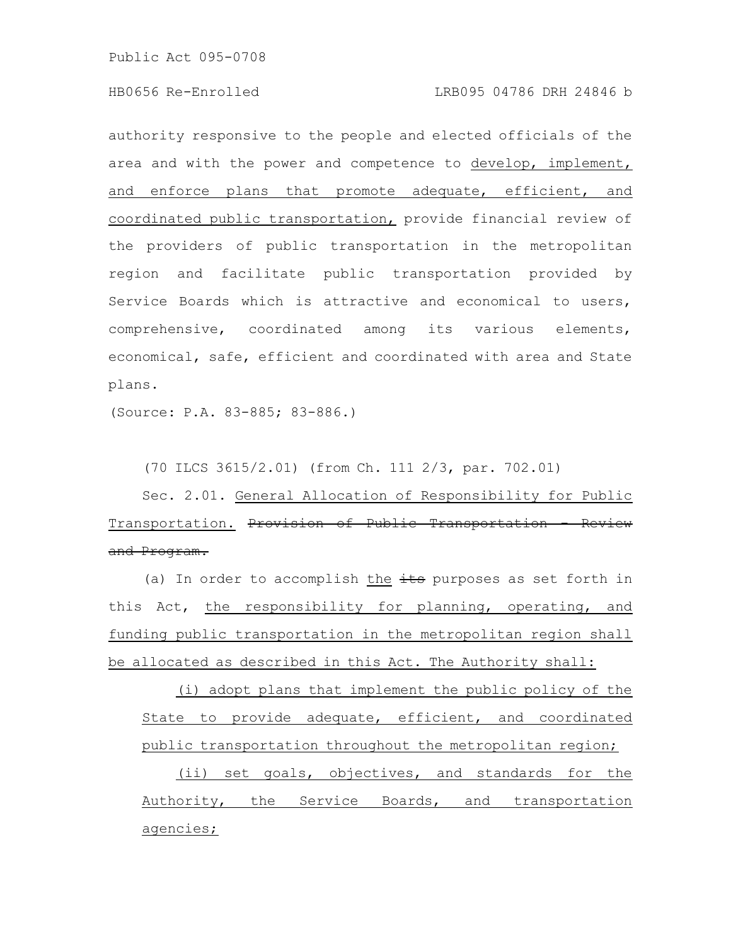authority responsive to the people and elected officials of the area and with the power and competence to develop, implement, and enforce plans that promote adequate, efficient, and coordinated public transportation, provide financial review of the providers of public transportation in the metropolitan region and facilitate public transportation provided by Service Boards which is attractive and economical to users, comprehensive, coordinated among its various elements, economical, safe, efficient and coordinated with area and State plans.

(Source: P.A. 83-885; 83-886.)

(70 ILCS 3615/2.01) (from Ch. 111 2/3, par. 702.01)

Sec. 2.01. General Allocation of Responsibility for Public Transportation. Provision of Public Transportation and Program.

(a) In order to accomplish the  $\frac{1}{10}$  purposes as set forth in this Act, the responsibility for planning, operating, and funding public transportation in the metropolitan region shall be allocated as described in this Act. The Authority shall:

(i) adopt plans that implement the public policy of the State to provide adequate, efficient, and coordinated public transportation throughout the metropolitan region;

(ii) set goals, objectives, and standards for the Authority, the Service Boards, and transportation agencies;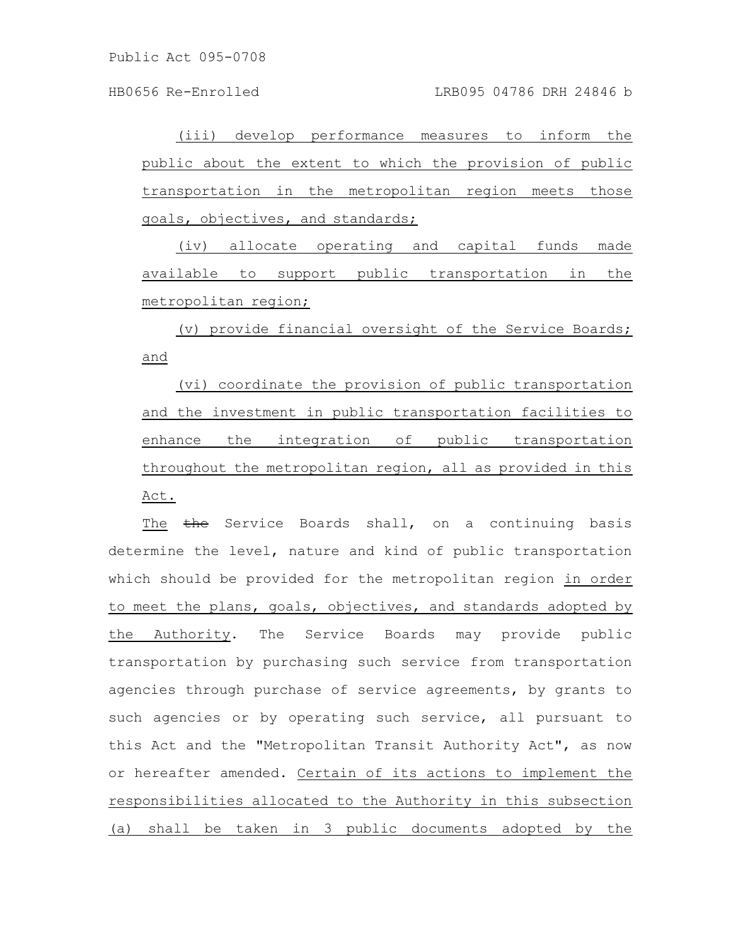HB0656 Re-Enrolled LRB095 04786 DRH 24846 b

(iii) develop performance measures to inform the public about the extent to which the provision of public transportation in the metropolitan region meets those goals, objectives, and standards;

(iv) allocate operating and capital funds made available to support public transportation in the metropolitan region;

(v) provide financial oversight of the Service Boards; and

(vi) coordinate the provision of public transportation and the investment in public transportation facilities to enhance the integration of public transportation throughout the metropolitan region, all as provided in this Act.

The the Service Boards shall, on a continuing basis determine the level, nature and kind of public transportation which should be provided for the metropolitan region in order to meet the plans, goals, objectives, and standards adopted by the Authority. The Service Boards may provide public transportation by purchasing such service from transportation agencies through purchase of service agreements, by grants to such agencies or by operating such service, all pursuant to this Act and the "Metropolitan Transit Authority Act", as now or hereafter amended. Certain of its actions to implement the responsibilities allocated to the Authority in this subsection (a) shall be taken in 3 public documents adopted by the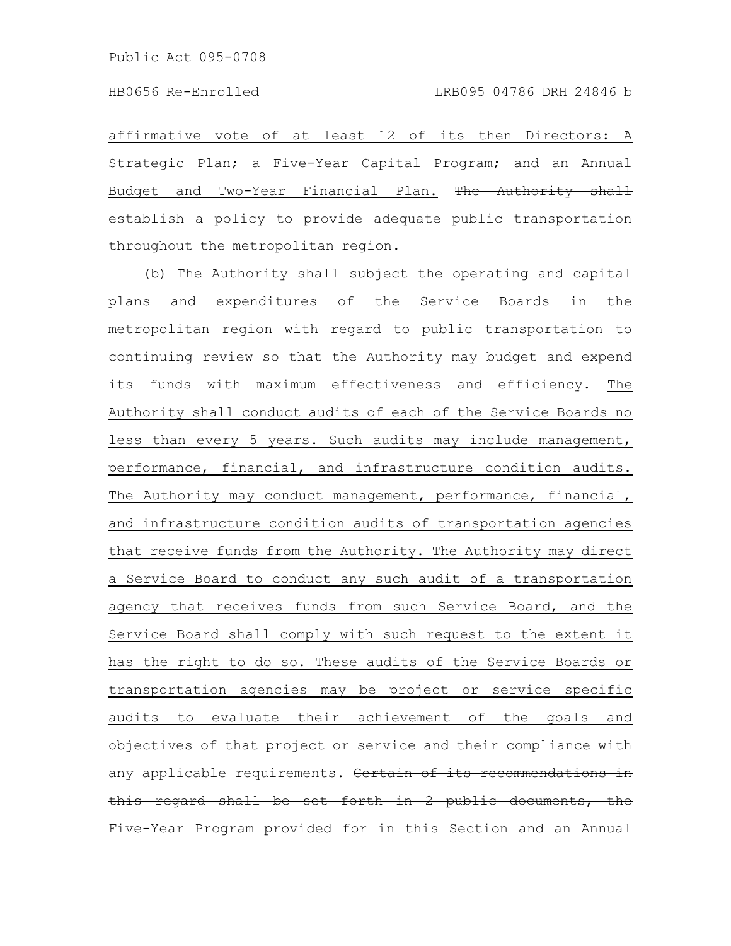affirmative vote of at least 12 of its then Directors: A Strategic Plan; a Five-Year Capital Program; and an Annual Budget and Two-Year Financial Plan. The Authority establish a policy to provide adequate public transportat throughout the metropolitan region.

(b) The Authority shall subject the operating and capital plans and expenditures of the Service Boards in the metropolitan region with regard to public transportation to continuing review so that the Authority may budget and expend its funds with maximum effectiveness and efficiency. The Authority shall conduct audits of each of the Service Boards no less than every 5 years. Such audits may include management, performance, financial, and infrastructure condition audits. The Authority may conduct management, performance, financial, and infrastructure condition audits of transportation agencies that receive funds from the Authority. The Authority may direct a Service Board to conduct any such audit of a transportation agency that receives funds from such Service Board, and the Service Board shall comply with such request to the extent it has the right to do so. These audits of the Service Boards or transportation agencies may be project or service specific audits to evaluate their achievement of the goals and objectives of that project or service and their compliance with any applicable requirements. Certain of its recommendations this regard shall be set forth in 2 public documents, Five-Year Program provided for in this Section and an Annual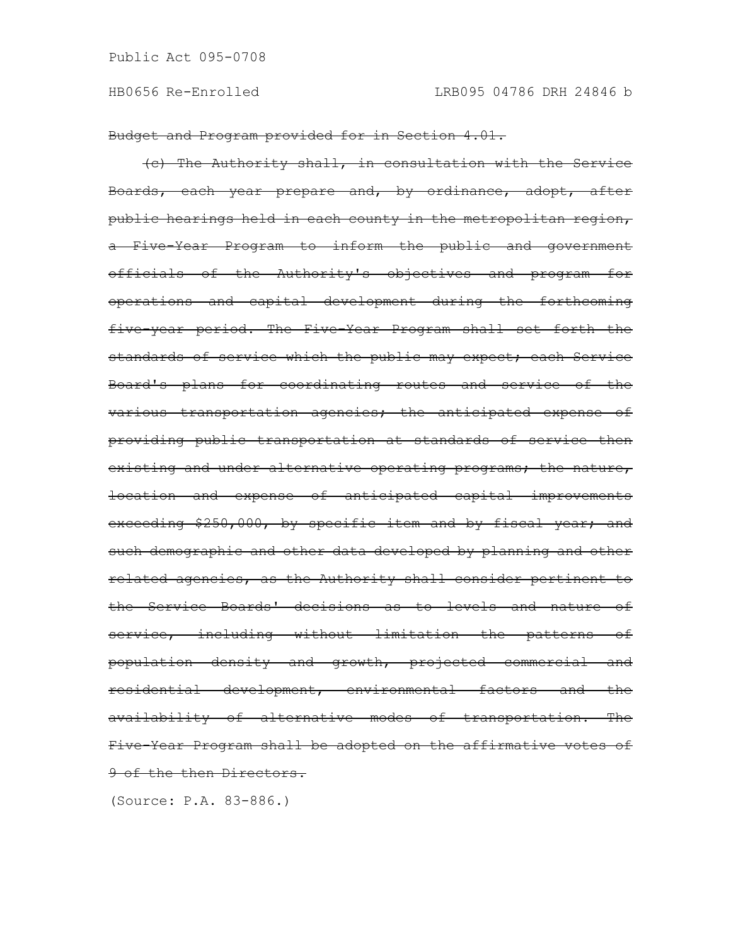Budget and Program provided for in Section 4.01.

(c) The Authority shall, in consultation with the Service Boards, each year prepare and, by ordinance, adopt, after public hearings held in each county in the metropolitan region, a Five-Year Program to inform the public and government officials of the Authority's objectives and program for operations and capital development during the forthcoming five-year period. The Five-Year Program shall set forth the standards of service which the public may expect; each Service Board's plans for coordinating routes and service of the various transportation agencies; the anticipated expense of providing public transportation at standards of service then existing and under alternative operating programs; the nature, location and expense of anticipated capital improvements exceeding \$250,000, by specific item and by fiscal year; and such demographic and other data developed by planning and other related agencies, as the Authority shall consider pertinent to the Service Boards' decisions as to levels and nature of service, including without limitation the patterns of population density and growth, projected commercial and residential development, environmental factors and the availability of alternative modes of transportation. The Five-Year Program shall be adopted on the affirmative votes of 9 of the then Directors.

(Source: P.A. 83-886.)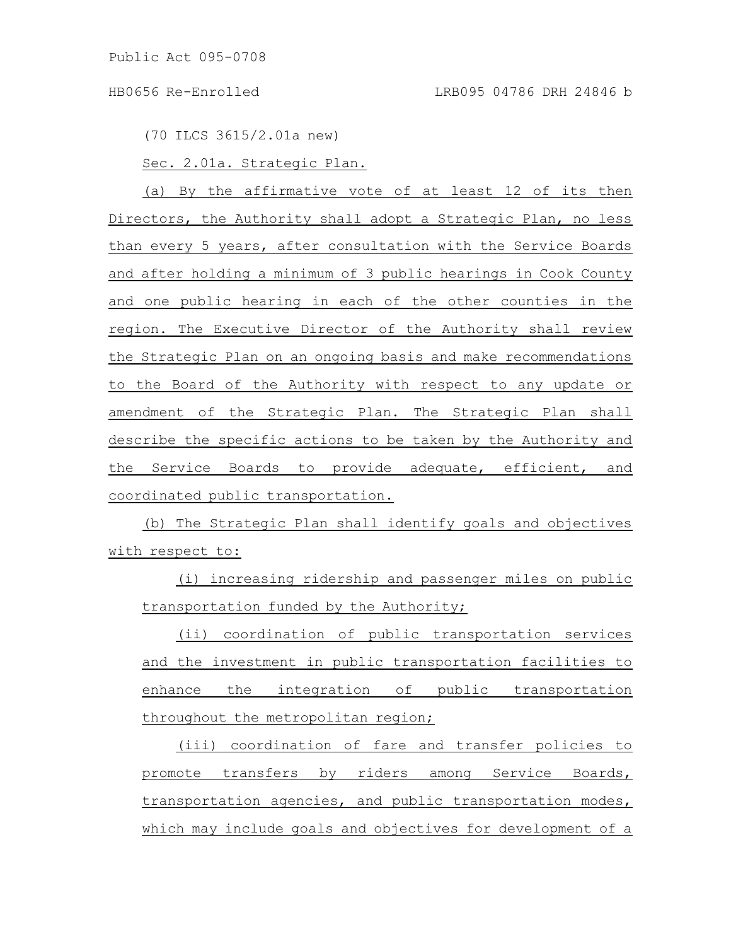(70 ILCS 3615/2.01a new)

Sec. 2.01a. Strategic Plan.

(a) By the affirmative vote of at least 12 of its then Directors, the Authority shall adopt a Strategic Plan, no less than every 5 years, after consultation with the Service Boards and after holding a minimum of 3 public hearings in Cook County and one public hearing in each of the other counties in the region. The Executive Director of the Authority shall review the Strategic Plan on an ongoing basis and make recommendations to the Board of the Authority with respect to any update or amendment of the Strategic Plan. The Strategic Plan shall describe the specific actions to be taken by the Authority and the Service Boards to provide adequate, efficient, and coordinated public transportation.

(b) The Strategic Plan shall identify goals and objectives with respect to:

(i) increasing ridership and passenger miles on public transportation funded by the Authority;

(ii) coordination of public transportation services and the investment in public transportation facilities to enhance the integration of public transportation throughout the metropolitan region;

(iii) coordination of fare and transfer policies to promote transfers by riders among Service Boards, transportation agencies, and public transportation modes, which may include goals and objectives for development of a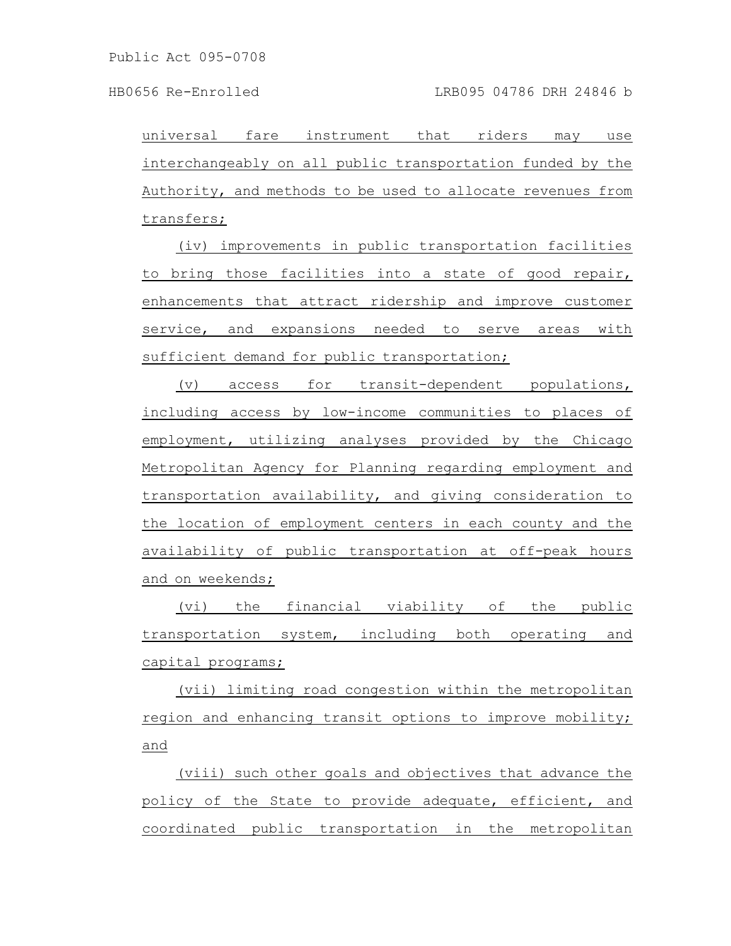universal fare instrument that riders may use interchangeably on all public transportation funded by the Authority, and methods to be used to allocate revenues from transfers;

(iv) improvements in public transportation facilities to bring those facilities into a state of good repair, enhancements that attract ridership and improve customer service, and expansions needed to serve areas with sufficient demand for public transportation;

(v) access for transit-dependent populations, including access by low-income communities to places of employment, utilizing analyses provided by the Chicago Metropolitan Agency for Planning regarding employment and transportation availability, and giving consideration to the location of employment centers in each county and the availability of public transportation at off-peak hours and on weekends;

(vi) the financial viability of the public transportation system, including both operating and capital programs;

(vii) limiting road congestion within the metropolitan region and enhancing transit options to improve mobility; and

(viii) such other goals and objectives that advance the policy of the State to provide adequate, efficient, and coordinated public transportation in the metropolitan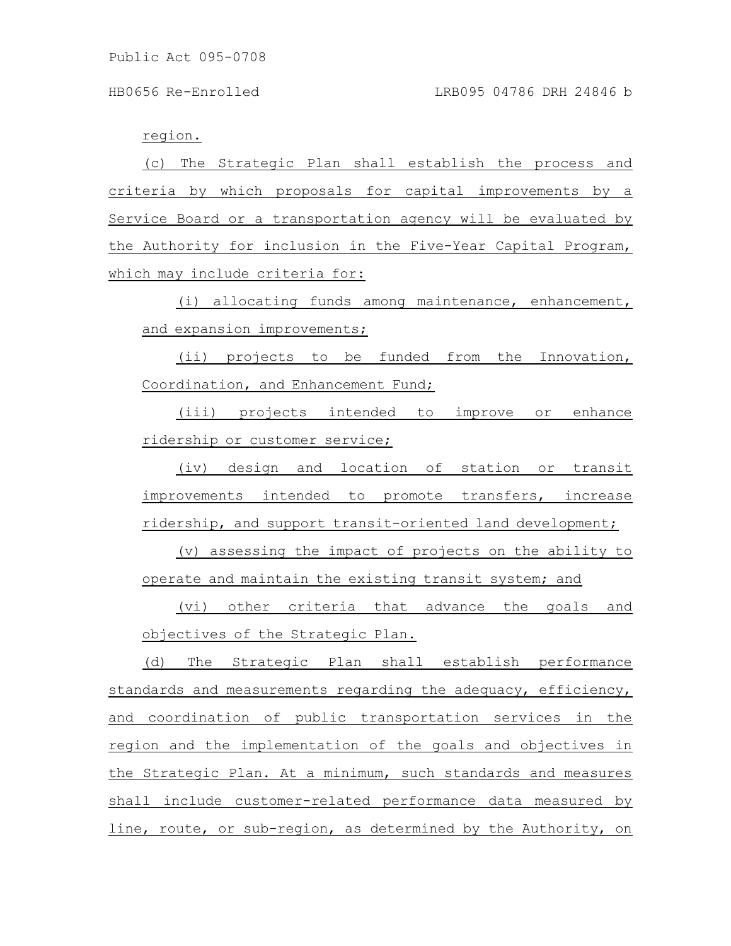### region.

(c) The Strategic Plan shall establish the process and criteria by which proposals for capital improvements by a Service Board or a transportation agency will be evaluated by the Authority for inclusion in the Five-Year Capital Program, which may include criteria for:

(i) allocating funds among maintenance, enhancement, and expansion improvements;

(ii) projects to be funded from the Innovation, Coordination, and Enhancement Fund;

(iii) projects intended to improve or enhance ridership or customer service;

(iv) design and location of station or transit improvements intended to promote transfers, increase ridership, and support transit-oriented land development;

(v) assessing the impact of projects on the ability to operate and maintain the existing transit system; and

(vi) other criteria that advance the goals and objectives of the Strategic Plan.

(d) The Strategic Plan shall establish performance standards and measurements regarding the adequacy, efficiency, and coordination of public transportation services in the region and the implementation of the goals and objectives in the Strategic Plan. At a minimum, such standards and measures shall include customer-related performance data measured by line, route, or sub-region, as determined by the Authority, on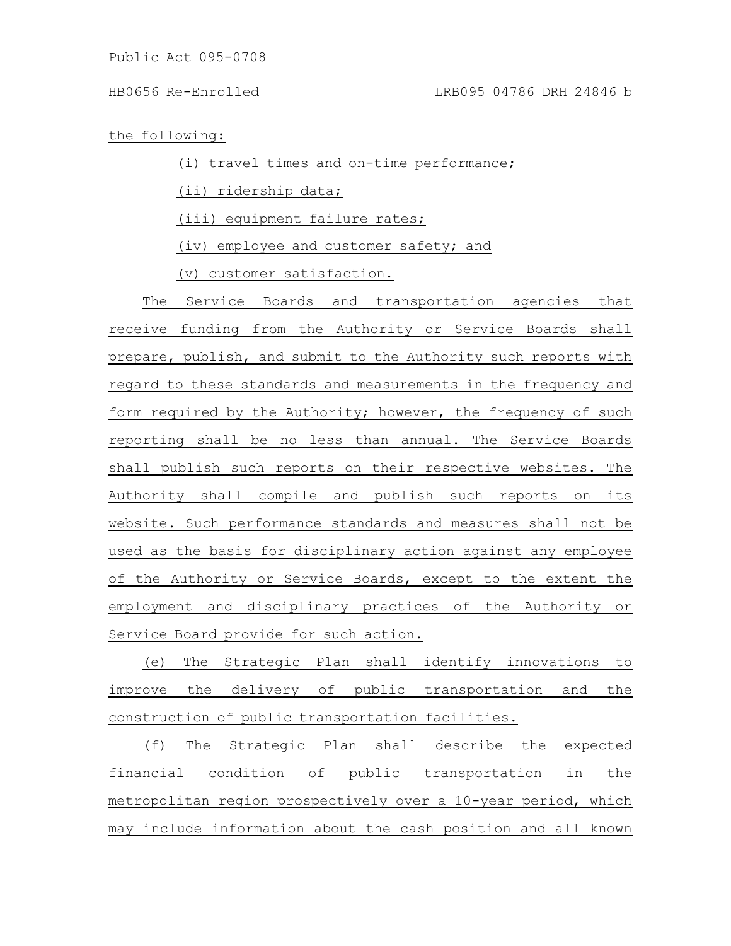the following:

(i) travel times and on-time performance;

(ii) ridership data;

(iii) equipment failure rates;

(iv) employee and customer safety; and

(v) customer satisfaction.

The Service Boards and transportation agencies that receive funding from the Authority or Service Boards shall prepare, publish, and submit to the Authority such reports with regard to these standards and measurements in the frequency and form required by the Authority; however, the frequency of such reporting shall be no less than annual. The Service Boards shall publish such reports on their respective websites. The Authority shall compile and publish such reports on its website. Such performance standards and measures shall not be used as the basis for disciplinary action against any employee of the Authority or Service Boards, except to the extent the employment and disciplinary practices of the Authority or Service Board provide for such action.

(e) The Strategic Plan shall identify innovations to improve the delivery of public transportation and the construction of public transportation facilities.

(f) The Strategic Plan shall describe the expected financial condition of public transportation in the metropolitan region prospectively over a 10-year period, which may include information about the cash position and all known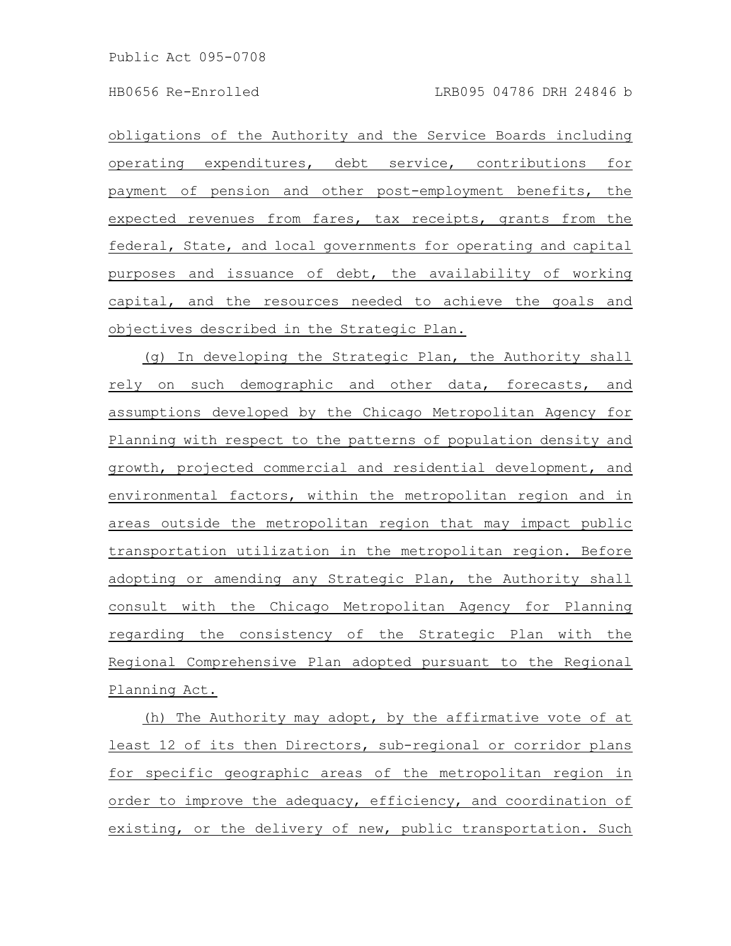obligations of the Authority and the Service Boards including operating expenditures, debt service, contributions for payment of pension and other post-employment benefits, the expected revenues from fares, tax receipts, grants from the federal, State, and local governments for operating and capital purposes and issuance of debt, the availability of working capital, and the resources needed to achieve the goals and objectives described in the Strategic Plan.

(g) In developing the Strategic Plan, the Authority shall rely on such demographic and other data, forecasts, and assumptions developed by the Chicago Metropolitan Agency for Planning with respect to the patterns of population density and growth, projected commercial and residential development, and environmental factors, within the metropolitan region and in areas outside the metropolitan region that may impact public transportation utilization in the metropolitan region. Before adopting or amending any Strategic Plan, the Authority shall consult with the Chicago Metropolitan Agency for Planning regarding the consistency of the Strategic Plan with the Regional Comprehensive Plan adopted pursuant to the Regional Planning Act.

(h) The Authority may adopt, by the affirmative vote of at least 12 of its then Directors, sub-regional or corridor plans for specific geographic areas of the metropolitan region in order to improve the adequacy, efficiency, and coordination of existing, or the delivery of new, public transportation. Such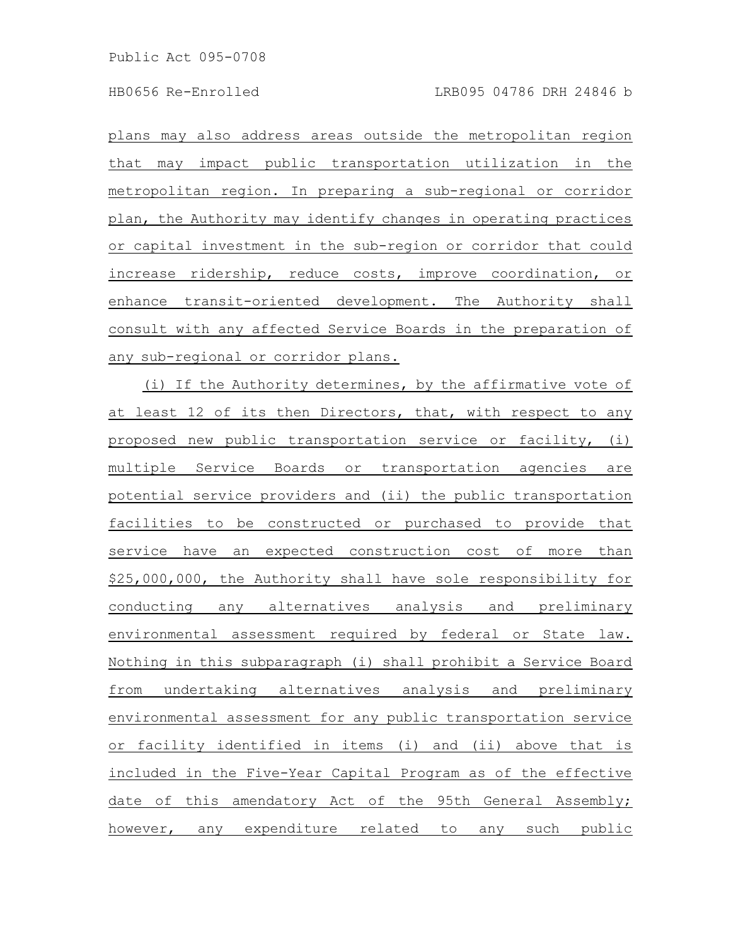plans may also address areas outside the metropolitan region that may impact public transportation utilization in the metropolitan region. In preparing a sub-regional or corridor plan, the Authority may *identify changes in operating practices* or capital investment in the sub-region or corridor that could increase ridership, reduce costs, improve coordination, or enhance transit-oriented development. The Authority shall consult with any affected Service Boards in the preparation of any sub-regional or corridor plans.

(i) If the Authority determines, by the affirmative vote of at least 12 of its then Directors, that, with respect to any proposed new public transportation service or facility, (i) multiple Service Boards or transportation agencies are potential service providers and (ii) the public transportation facilities to be constructed or purchased to provide that service have an expected construction cost of more than \$25,000,000, the Authority shall have sole responsibility for conducting any alternatives analysis and preliminary environmental assessment required by federal or State law. Nothing in this subparagraph (i) shall prohibit a Service Board from undertaking alternatives analysis and preliminary environmental assessment for any public transportation service or facility identified in items (i) and (ii) above that is included in the Five-Year Capital Program as of the effective date of this amendatory Act of the 95th General Assembly; however, any expenditure related to any such public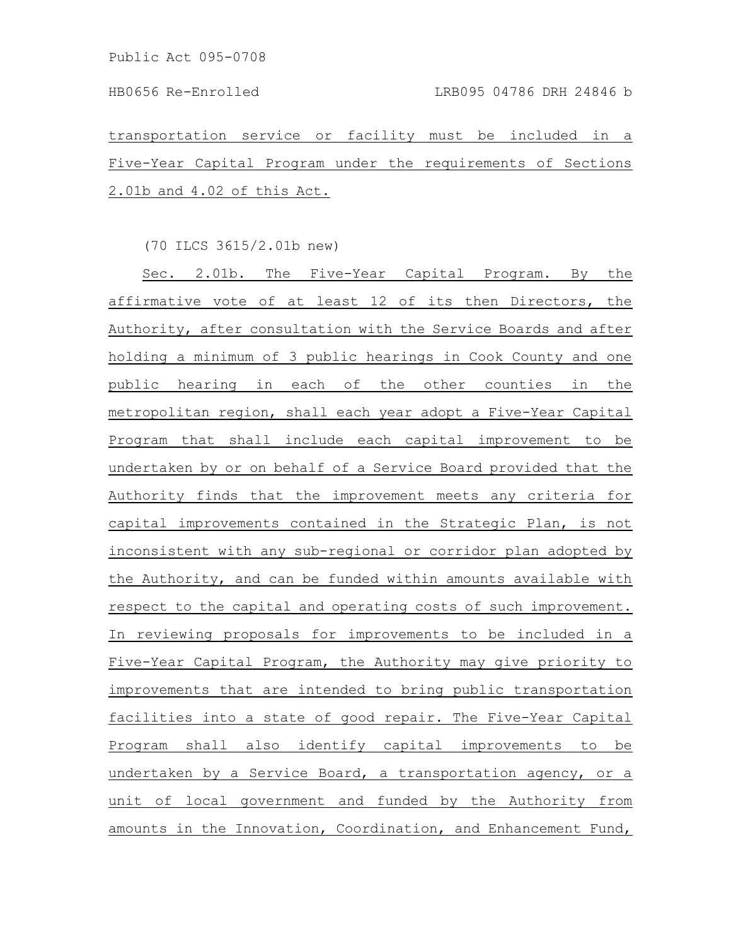transportation service or facility must be included in a Five-Year Capital Program under the requirements of Sections 2.01b and 4.02 of this Act.

(70 ILCS 3615/2.01b new)

Sec. 2.01b. The Five-Year Capital Program. By the affirmative vote of at least 12 of its then Directors, the Authority, after consultation with the Service Boards and after holding a minimum of 3 public hearings in Cook County and one public hearing in each of the other counties in the metropolitan region, shall each year adopt a Five-Year Capital Program that shall include each capital improvement to be undertaken by or on behalf of a Service Board provided that the Authority finds that the improvement meets any criteria for capital improvements contained in the Strategic Plan, is not inconsistent with any sub-regional or corridor plan adopted by the Authority, and can be funded within amounts available with respect to the capital and operating costs of such improvement. In reviewing proposals for improvements to be included in a Five-Year Capital Program, the Authority may give priority to improvements that are intended to bring public transportation facilities into a state of good repair. The Five-Year Capital Program shall also identify capital improvements to be undertaken by a Service Board, a transportation agency, or a unit of local government and funded by the Authority from amounts in the Innovation, Coordination, and Enhancement Fund,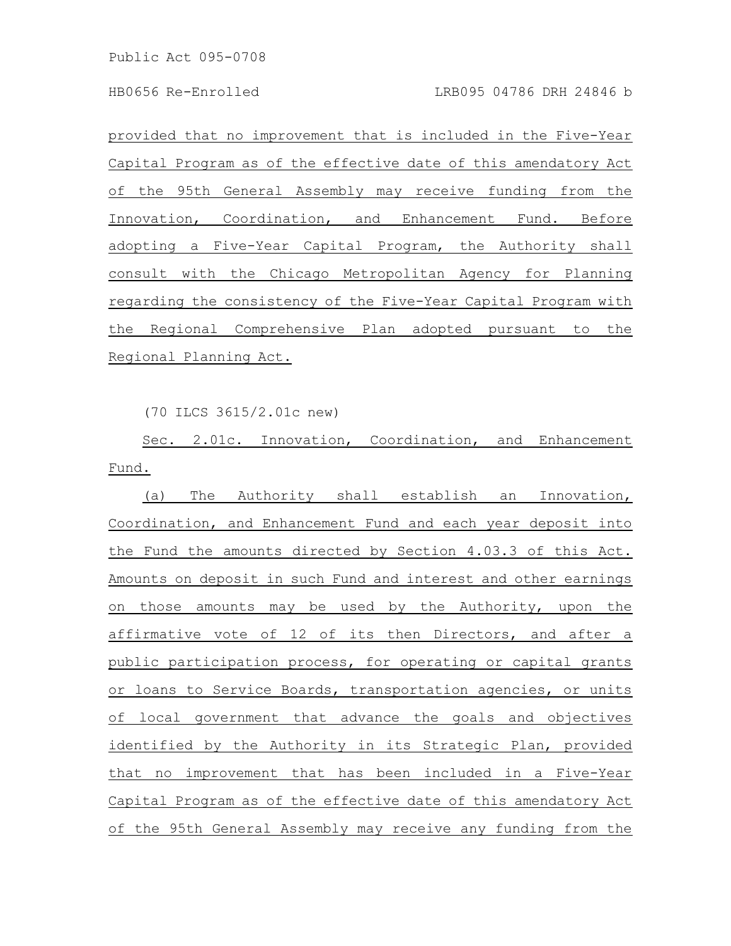provided that no improvement that is included in the Five-Year Capital Program as of the effective date of this amendatory Act of the 95th General Assembly may receive funding from the Innovation, Coordination, and Enhancement Fund. Before adopting a Five-Year Capital Program, the Authority shall consult with the Chicago Metropolitan Agency for Planning regarding the consistency of the Five-Year Capital Program with the Regional Comprehensive Plan adopted pursuant to the Regional Planning Act.

(70 ILCS 3615/2.01c new)

Sec. 2.01c. Innovation, Coordination, and Enhancement Fund.

(a) The Authority shall establish an Innovation, Coordination, and Enhancement Fund and each year deposit into the Fund the amounts directed by Section 4.03.3 of this Act. Amounts on deposit in such Fund and interest and other earnings on those amounts may be used by the Authority, upon the affirmative vote of 12 of its then Directors, and after a public participation process, for operating or capital grants or loans to Service Boards, transportation agencies, or units of local government that advance the goals and objectives identified by the Authority in its Strategic Plan, provided that no improvement that has been included in a Five-Year Capital Program as of the effective date of this amendatory Act of the 95th General Assembly may receive any funding from the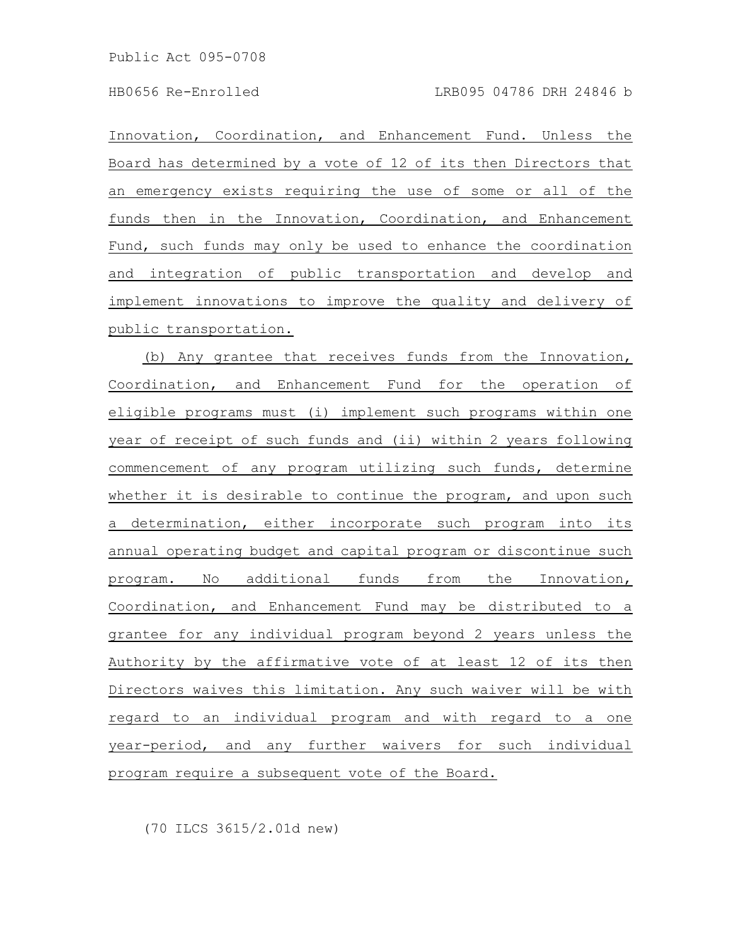Innovation, Coordination, and Enhancement Fund. Unless the Board has determined by a vote of 12 of its then Directors that an emergency exists requiring the use of some or all of the funds then in the Innovation, Coordination, and Enhancement Fund, such funds may only be used to enhance the coordination and integration of public transportation and develop and implement innovations to improve the quality and delivery of public transportation.

(b) Any grantee that receives funds from the Innovation, Coordination, and Enhancement Fund for the operation of eligible programs must (i) implement such programs within one year of receipt of such funds and (ii) within 2 years following commencement of any program utilizing such funds, determine whether it is desirable to continue the program, and upon such a determination, either incorporate such program into its annual operating budget and capital program or discontinue such program. No additional funds from the Innovation, Coordination, and Enhancement Fund may be distributed to a grantee for any individual program beyond 2 years unless the Authority by the affirmative vote of at least 12 of its then Directors waives this limitation. Any such waiver will be with regard to an individual program and with regard to a one year-period, and any further waivers for such individual program require a subsequent vote of the Board.

(70 ILCS 3615/2.01d new)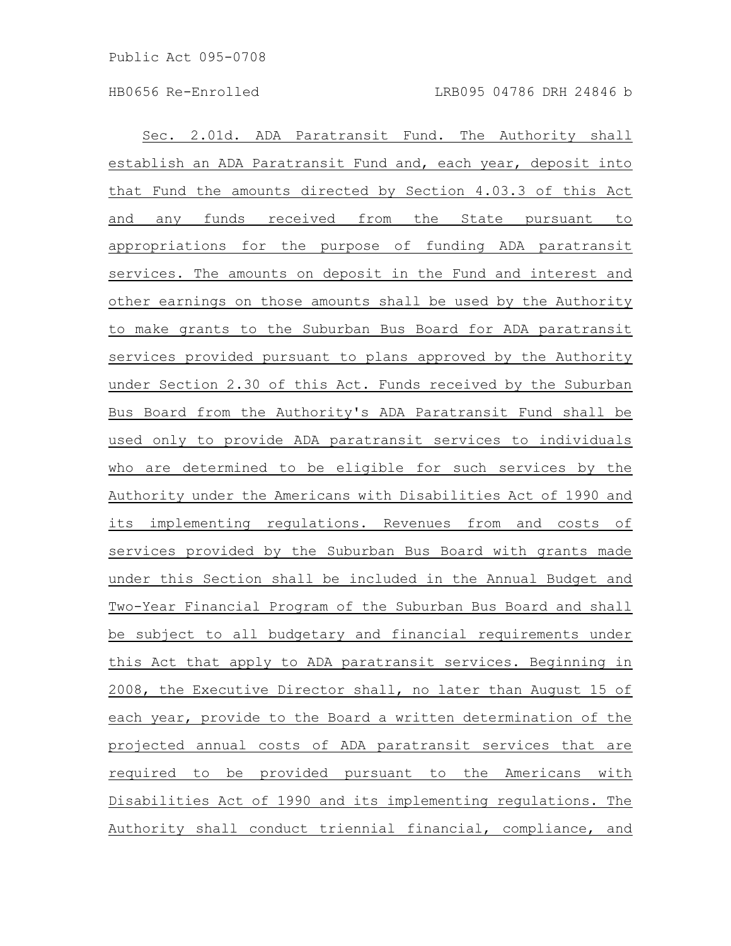Sec. 2.01d. ADA Paratransit Fund. The Authority shall establish an ADA Paratransit Fund and, each year, deposit into that Fund the amounts directed by Section 4.03.3 of this Act and any funds received from the State pursuant to appropriations for the purpose of funding ADA paratransit services. The amounts on deposit in the Fund and interest and other earnings on those amounts shall be used by the Authority to make grants to the Suburban Bus Board for ADA paratransit services provided pursuant to plans approved by the Authority under Section 2.30 of this Act. Funds received by the Suburban Bus Board from the Authority's ADA Paratransit Fund shall be used only to provide ADA paratransit services to individuals who are determined to be eligible for such services by the Authority under the Americans with Disabilities Act of 1990 and its implementing regulations. Revenues from and costs of services provided by the Suburban Bus Board with grants made under this Section shall be included in the Annual Budget and Two-Year Financial Program of the Suburban Bus Board and shall be subject to all budgetary and financial requirements under this Act that apply to ADA paratransit services. Beginning in 2008, the Executive Director shall, no later than August 15 of each year, provide to the Board a written determination of the projected annual costs of ADA paratransit services that are required to be provided pursuant to the Americans with Disabilities Act of 1990 and its implementing regulations. The Authority shall conduct triennial financial, compliance, and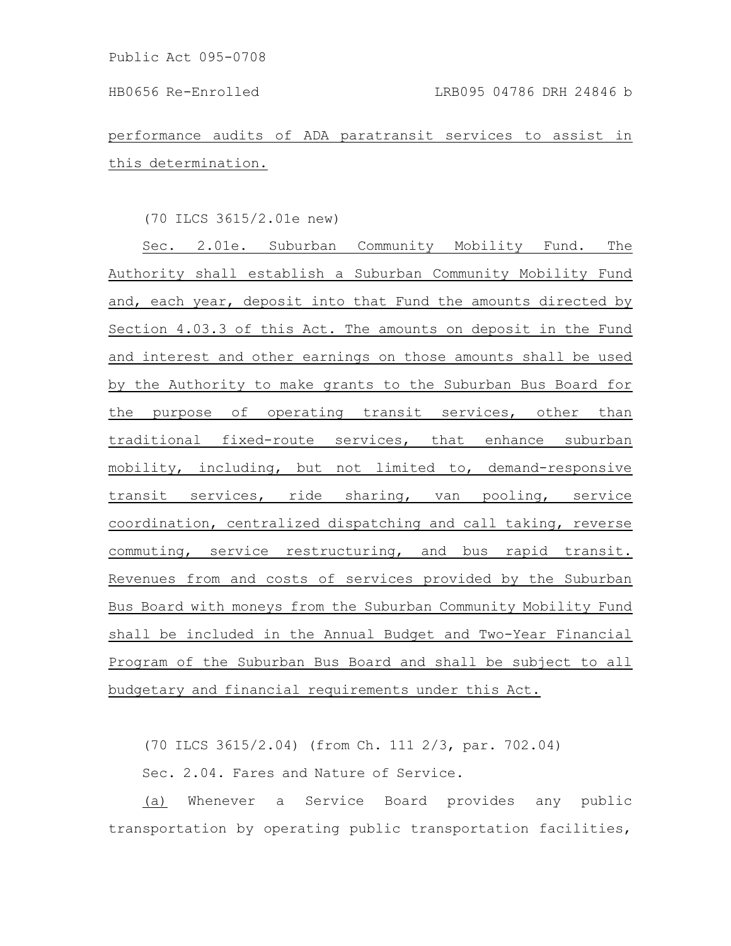performance audits of ADA paratransit services to assist in this determination.

# (70 ILCS 3615/2.01e new)

Sec. 2.01e. Suburban Community Mobility Fund. The Authority shall establish a Suburban Community Mobility Fund and, each year, deposit into that Fund the amounts directed by Section 4.03.3 of this Act. The amounts on deposit in the Fund and interest and other earnings on those amounts shall be used by the Authority to make grants to the Suburban Bus Board for the purpose of operating transit services, other than traditional fixed-route services, that enhance suburban mobility, including, but not limited to, demand-responsive transit services, ride sharing, van pooling, service coordination, centralized dispatching and call taking, reverse commuting, service restructuring, and bus rapid transit. Revenues from and costs of services provided by the Suburban Bus Board with moneys from the Suburban Community Mobility Fund shall be included in the Annual Budget and Two-Year Financial Program of the Suburban Bus Board and shall be subject to all budgetary and financial requirements under this Act.

(70 ILCS 3615/2.04) (from Ch. 111 2/3, par. 702.04)

Sec. 2.04. Fares and Nature of Service.

(a) Whenever a Service Board provides any public transportation by operating public transportation facilities,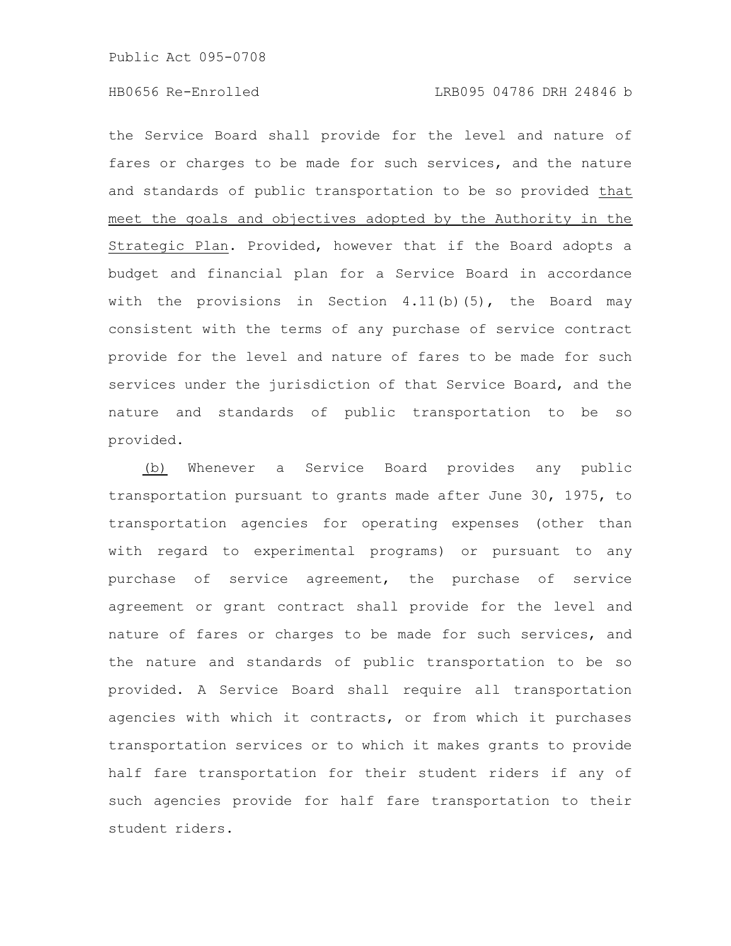the Service Board shall provide for the level and nature of fares or charges to be made for such services, and the nature and standards of public transportation to be so provided that meet the goals and objectives adopted by the Authority in the Strategic Plan. Provided, however that if the Board adopts a budget and financial plan for a Service Board in accordance with the provisions in Section  $4.11(b)(5)$ , the Board may consistent with the terms of any purchase of service contract provide for the level and nature of fares to be made for such services under the jurisdiction of that Service Board, and the nature and standards of public transportation to be so provided.

(b) Whenever a Service Board provides any public transportation pursuant to grants made after June 30, 1975, to transportation agencies for operating expenses (other than with regard to experimental programs) or pursuant to any purchase of service agreement, the purchase of service agreement or grant contract shall provide for the level and nature of fares or charges to be made for such services, and the nature and standards of public transportation to be so provided. A Service Board shall require all transportation agencies with which it contracts, or from which it purchases transportation services or to which it makes grants to provide half fare transportation for their student riders if any of such agencies provide for half fare transportation to their student riders.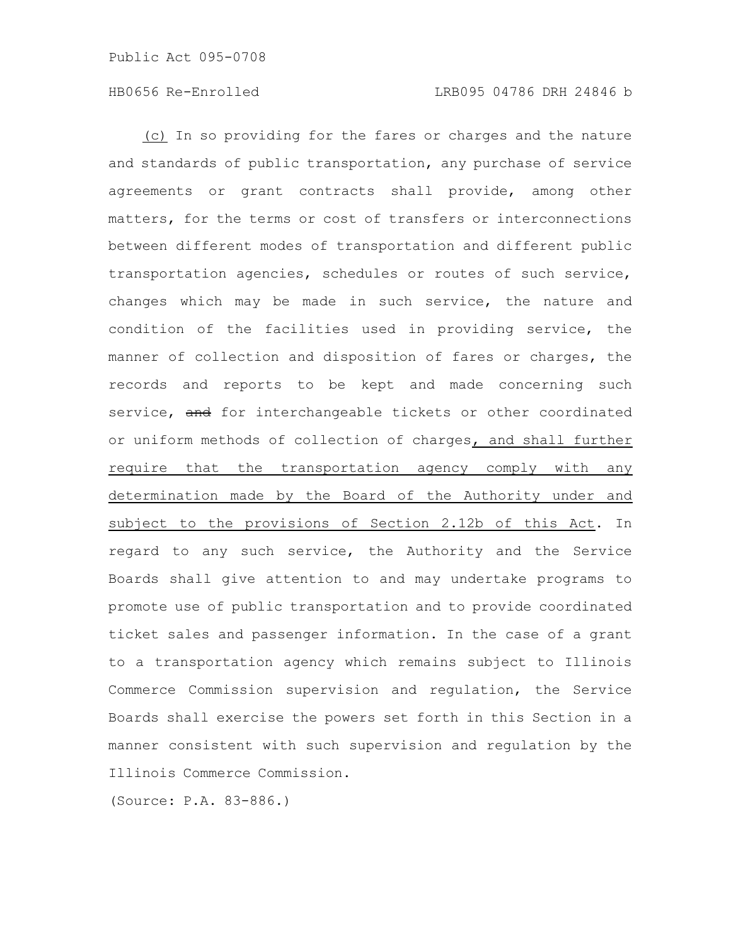(c) In so providing for the fares or charges and the nature and standards of public transportation, any purchase of service agreements or grant contracts shall provide, among other matters, for the terms or cost of transfers or interconnections between different modes of transportation and different public transportation agencies, schedules or routes of such service, changes which may be made in such service, the nature and condition of the facilities used in providing service, the manner of collection and disposition of fares or charges, the records and reports to be kept and made concerning such service, and for interchangeable tickets or other coordinated or uniform methods of collection of charges, and shall further require that the transportation agency comply with any determination made by the Board of the Authority under and subject to the provisions of Section 2.12b of this Act. In regard to any such service, the Authority and the Service Boards shall give attention to and may undertake programs to promote use of public transportation and to provide coordinated ticket sales and passenger information. In the case of a grant to a transportation agency which remains subject to Illinois Commerce Commission supervision and regulation, the Service Boards shall exercise the powers set forth in this Section in a manner consistent with such supervision and regulation by the Illinois Commerce Commission.

(Source: P.A. 83-886.)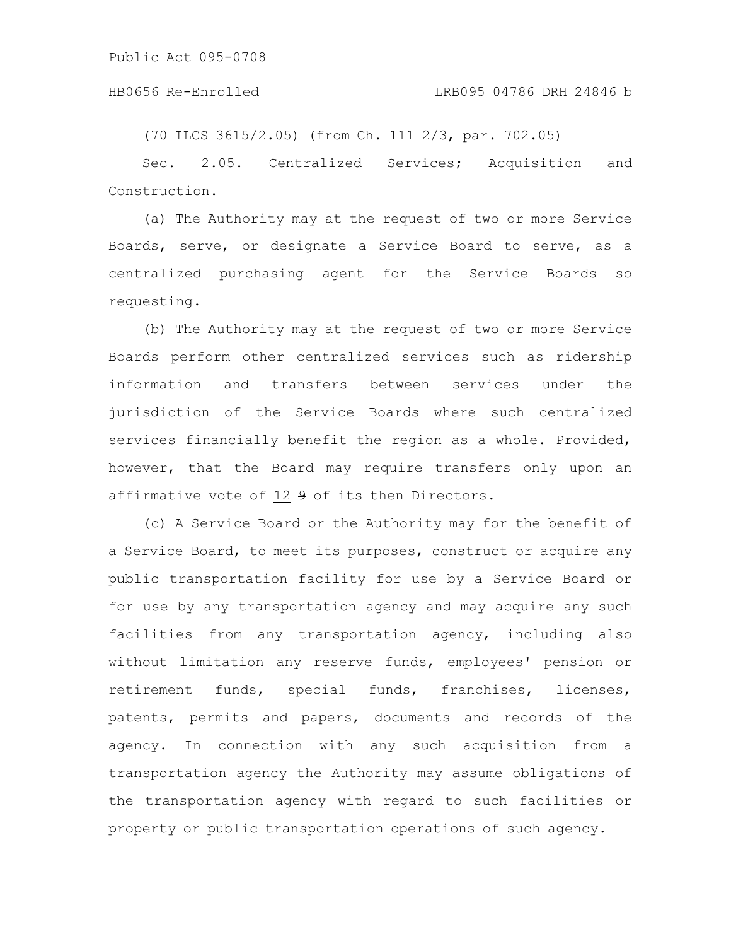### HB0656 Re-Enrolled LRB095 04786 DRH 24846 b

(70 ILCS 3615/2.05) (from Ch. 111 2/3, par. 702.05)

Sec. 2.05. Centralized Services; Acquisition and Construction.

(a) The Authority may at the request of two or more Service Boards, serve, or designate a Service Board to serve, as a centralized purchasing agent for the Service Boards so requesting.

(b) The Authority may at the request of two or more Service Boards perform other centralized services such as ridership information and transfers between services under the jurisdiction of the Service Boards where such centralized services financially benefit the region as a whole. Provided, however, that the Board may require transfers only upon an affirmative vote of 12 9 of its then Directors.

(c) A Service Board or the Authority may for the benefit of a Service Board, to meet its purposes, construct or acquire any public transportation facility for use by a Service Board or for use by any transportation agency and may acquire any such facilities from any transportation agency, including also without limitation any reserve funds, employees' pension or retirement funds, special funds, franchises, licenses, patents, permits and papers, documents and records of the agency. In connection with any such acquisition from a transportation agency the Authority may assume obligations of the transportation agency with regard to such facilities or property or public transportation operations of such agency.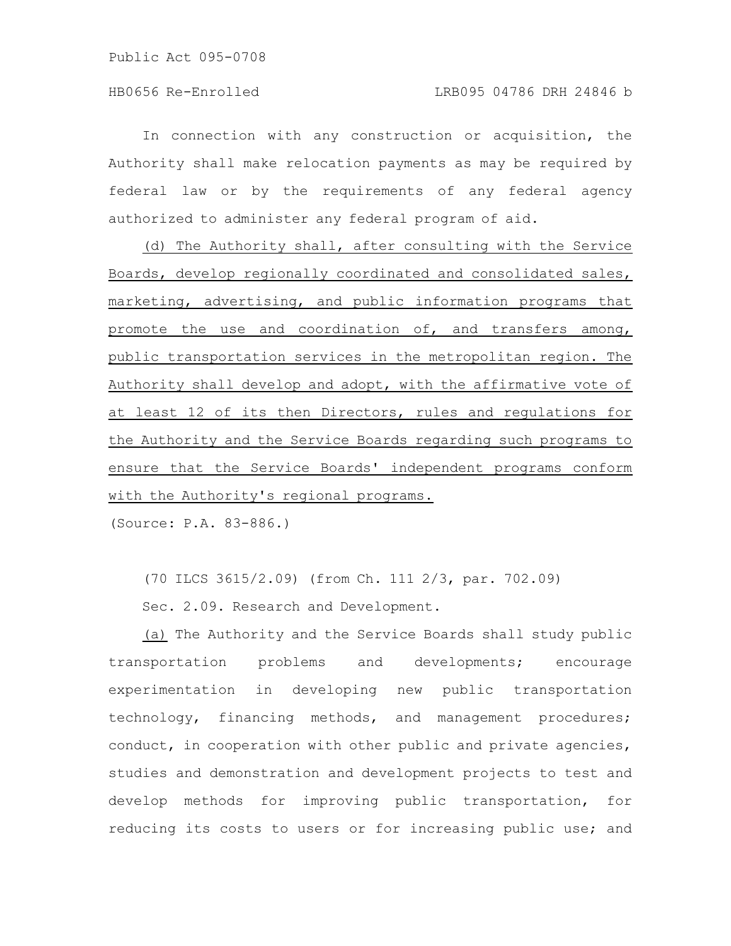In connection with any construction or acquisition, the Authority shall make relocation payments as may be required by federal law or by the requirements of any federal agency authorized to administer any federal program of aid.

(d) The Authority shall, after consulting with the Service Boards, develop regionally coordinated and consolidated sales, marketing, advertising, and public information programs that promote the use and coordination of, and transfers among, public transportation services in the metropolitan region. The Authority shall develop and adopt, with the affirmative vote of at least 12 of its then Directors, rules and regulations for the Authority and the Service Boards regarding such programs to ensure that the Service Boards' independent programs conform with the Authority's regional programs.

(Source: P.A. 83-886.)

(70 ILCS 3615/2.09) (from Ch. 111 2/3, par. 702.09)

Sec. 2.09. Research and Development.

(a) The Authority and the Service Boards shall study public transportation problems and developments; encourage experimentation in developing new public transportation technology, financing methods, and management procedures; conduct, in cooperation with other public and private agencies, studies and demonstration and development projects to test and develop methods for improving public transportation, for reducing its costs to users or for increasing public use; and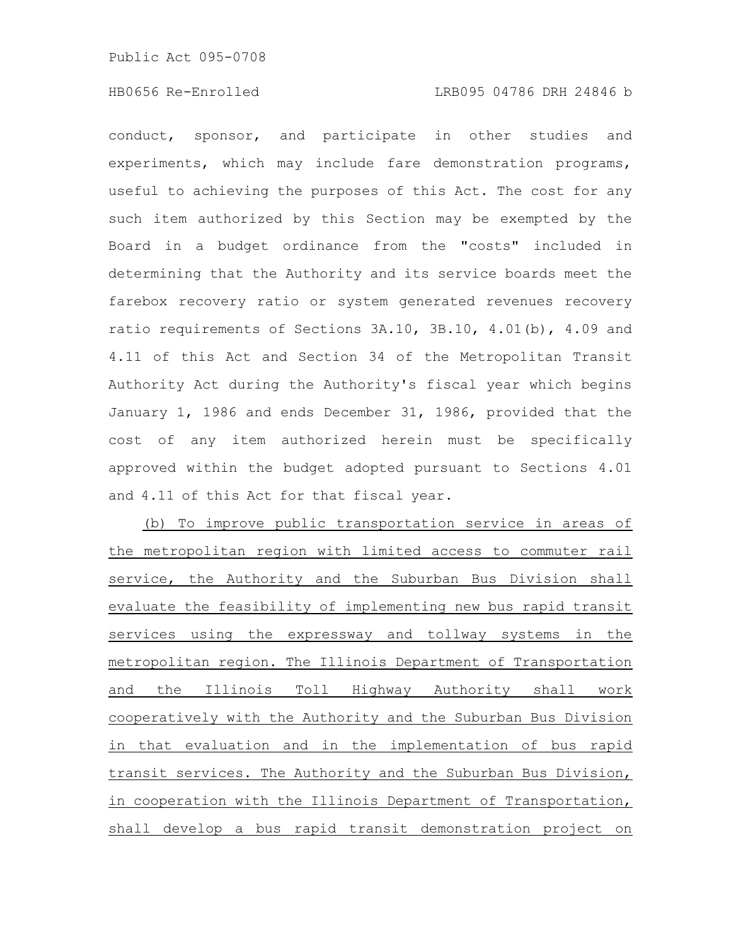conduct, sponsor, and participate in other studies and experiments, which may include fare demonstration programs, useful to achieving the purposes of this Act. The cost for any such item authorized by this Section may be exempted by the Board in a budget ordinance from the "costs" included in determining that the Authority and its service boards meet the farebox recovery ratio or system generated revenues recovery ratio requirements of Sections 3A.10, 3B.10, 4.01(b), 4.09 and 4.11 of this Act and Section 34 of the Metropolitan Transit Authority Act during the Authority's fiscal year which begins January 1, 1986 and ends December 31, 1986, provided that the cost of any item authorized herein must be specifically approved within the budget adopted pursuant to Sections 4.01 and 4.11 of this Act for that fiscal year.

(b) To improve public transportation service in areas of the metropolitan region with limited access to commuter rail service, the Authority and the Suburban Bus Division shall evaluate the feasibility of implementing new bus rapid transit services using the expressway and tollway systems in the metropolitan region. The Illinois Department of Transportation and the Illinois Toll Highway Authority shall work cooperatively with the Authority and the Suburban Bus Division in that evaluation and in the implementation of bus rapid transit services. The Authority and the Suburban Bus Division, in cooperation with the Illinois Department of Transportation, shall develop a bus rapid transit demonstration project on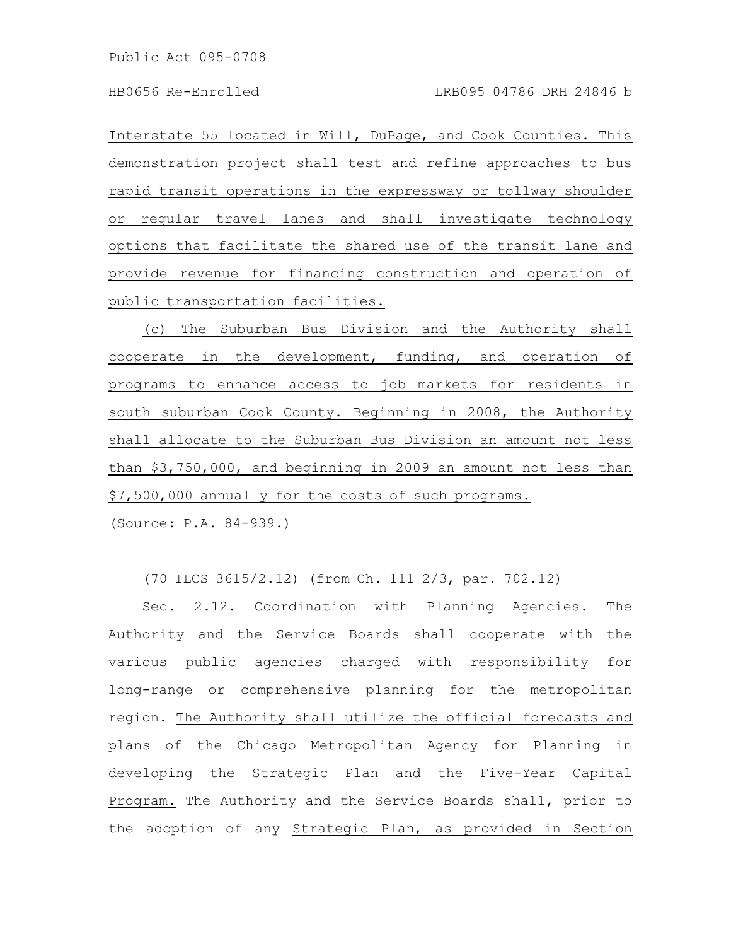Interstate 55 located in Will, DuPage, and Cook Counties. This demonstration project shall test and refine approaches to bus rapid transit operations in the expressway or tollway shoulder or regular travel lanes and shall investigate technology options that facilitate the shared use of the transit lane and provide revenue for financing construction and operation of public transportation facilities.

(c) The Suburban Bus Division and the Authority shall cooperate in the development, funding, and operation of programs to enhance access to job markets for residents in south suburban Cook County. Beginning in 2008, the Authority shall allocate to the Suburban Bus Division an amount not less than \$3,750,000, and beginning in 2009 an amount not less than \$7,500,000 annually for the costs of such programs.

(Source: P.A. 84-939.)

(70 ILCS 3615/2.12) (from Ch. 111 2/3, par. 702.12)

Sec. 2.12. Coordination with Planning Agencies. The Authority and the Service Boards shall cooperate with the various public agencies charged with responsibility for long-range or comprehensive planning for the metropolitan region. The Authority shall utilize the official forecasts and plans of the Chicago Metropolitan Agency for Planning in developing the Strategic Plan and the Five-Year Capital Program. The Authority and the Service Boards shall, prior to the adoption of any Strategic Plan, as provided in Section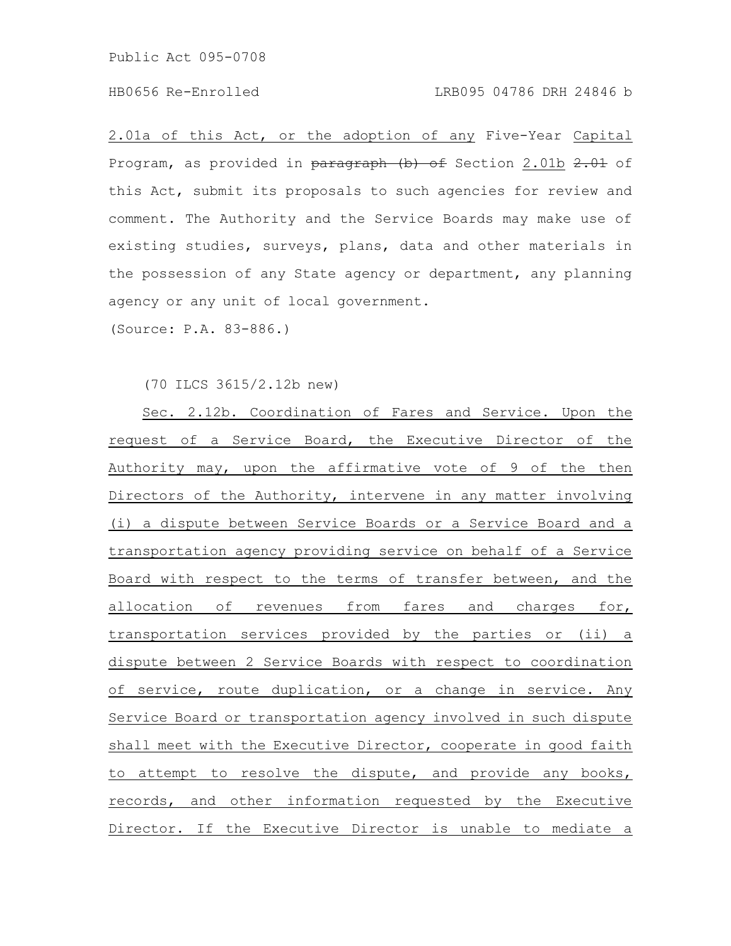## HB0656 Re-Enrolled LRB095 04786 DRH 24846 b

2.01a of this Act, or the adoption of any Five-Year Capital Program, as provided in paragraph (b) of Section 2.01b 2.01 of this Act, submit its proposals to such agencies for review and comment. The Authority and the Service Boards may make use of existing studies, surveys, plans, data and other materials in the possession of any State agency or department, any planning agency or any unit of local government.

(Source: P.A. 83-886.)

(70 ILCS 3615/2.12b new)

Sec. 2.12b. Coordination of Fares and Service. Upon the request of a Service Board, the Executive Director of the Authority may, upon the affirmative vote of 9 of the then Directors of the Authority, intervene in any matter involving (i) a dispute between Service Boards or a Service Board and a transportation agency providing service on behalf of a Service Board with respect to the terms of transfer between, and the allocation of revenues from fares and charges for, transportation services provided by the parties or (ii) a dispute between 2 Service Boards with respect to coordination of service, route duplication, or a change in service. Any Service Board or transportation agency involved in such dispute shall meet with the Executive Director, cooperate in good faith to attempt to resolve the dispute, and provide any books, records, and other information requested by the Executive Director. If the Executive Director is unable to mediate a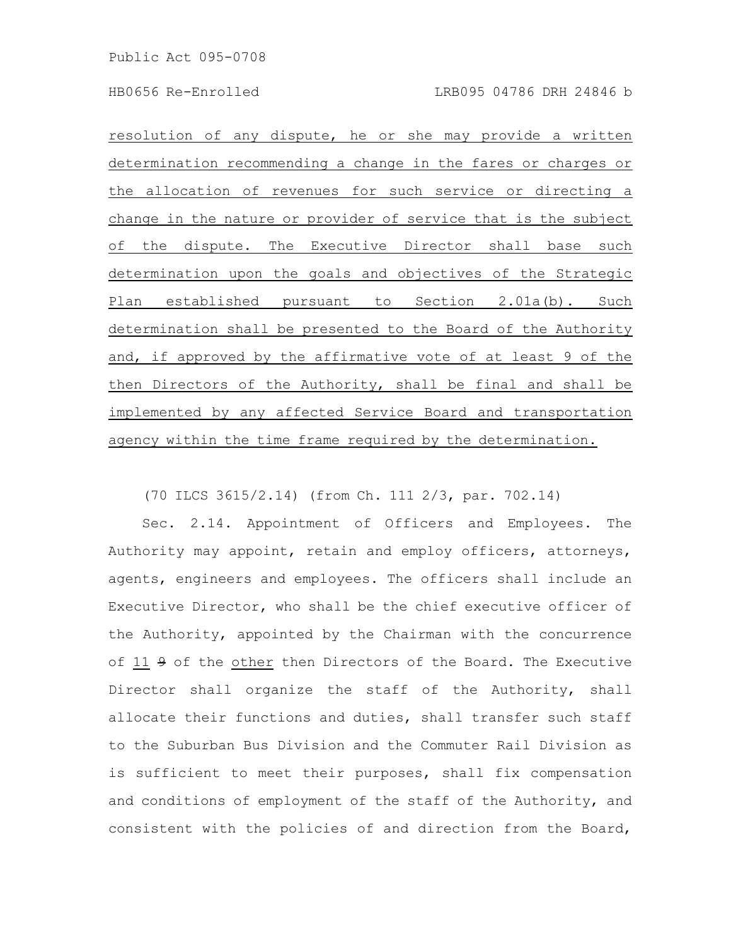resolution of any dispute, he or she may provide a written determination recommending a change in the fares or charges or the allocation of revenues for such service or directing a change in the nature or provider of service that is the subject of the dispute. The Executive Director shall base such determination upon the goals and objectives of the Strategic Plan established pursuant to Section 2.01a(b). Such determination shall be presented to the Board of the Authority and, if approved by the affirmative vote of at least 9 of the then Directors of the Authority, shall be final and shall be implemented by any affected Service Board and transportation agency within the time frame required by the determination.

(70 ILCS 3615/2.14) (from Ch. 111 2/3, par. 702.14)

Sec. 2.14. Appointment of Officers and Employees. The Authority may appoint, retain and employ officers, attorneys, agents, engineers and employees. The officers shall include an Executive Director, who shall be the chief executive officer of the Authority, appointed by the Chairman with the concurrence of 11 9 of the other then Directors of the Board. The Executive Director shall organize the staff of the Authority, shall allocate their functions and duties, shall transfer such staff to the Suburban Bus Division and the Commuter Rail Division as is sufficient to meet their purposes, shall fix compensation and conditions of employment of the staff of the Authority, and consistent with the policies of and direction from the Board,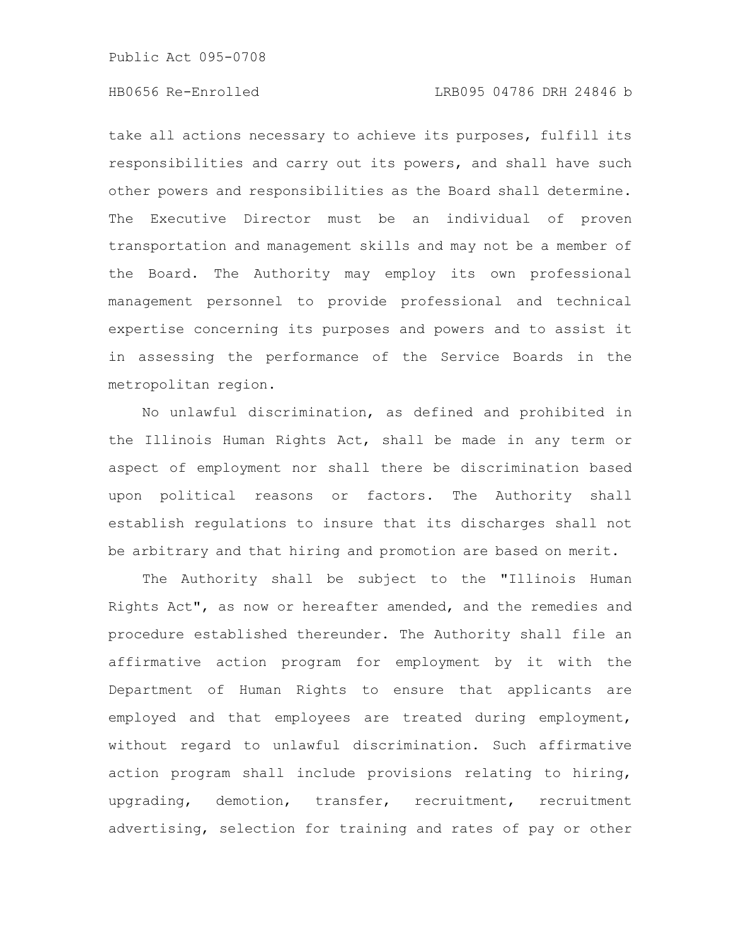take all actions necessary to achieve its purposes, fulfill its responsibilities and carry out its powers, and shall have such other powers and responsibilities as the Board shall determine. The Executive Director must be an individual of proven transportation and management skills and may not be a member of the Board. The Authority may employ its own professional management personnel to provide professional and technical expertise concerning its purposes and powers and to assist it in assessing the performance of the Service Boards in the metropolitan region.

No unlawful discrimination, as defined and prohibited in the Illinois Human Rights Act, shall be made in any term or aspect of employment nor shall there be discrimination based upon political reasons or factors. The Authority shall establish regulations to insure that its discharges shall not be arbitrary and that hiring and promotion are based on merit.

The Authority shall be subject to the "Illinois Human Rights Act", as now or hereafter amended, and the remedies and procedure established thereunder. The Authority shall file an affirmative action program for employment by it with the Department of Human Rights to ensure that applicants are employed and that employees are treated during employment, without regard to unlawful discrimination. Such affirmative action program shall include provisions relating to hiring, upgrading, demotion, transfer, recruitment, recruitment advertising, selection for training and rates of pay or other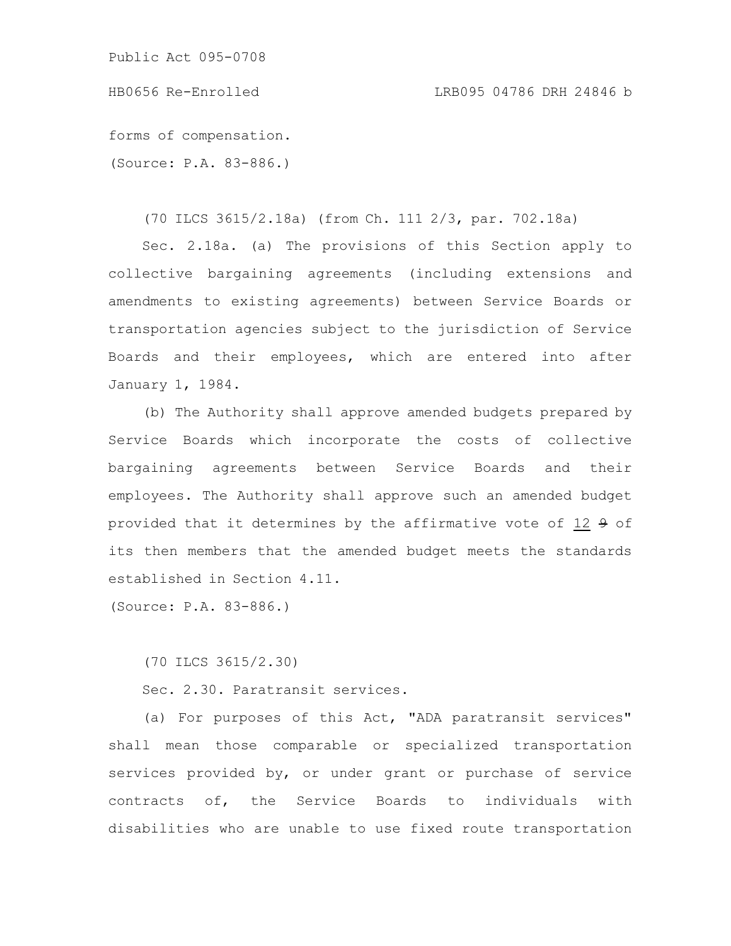Public Act 095-0708

HB0656 Re-Enrolled LRB095 04786 DRH 24846 b

forms of compensation. (Source: P.A. 83-886.)

(70 ILCS 3615/2.18a) (from Ch. 111 2/3, par. 702.18a)

Sec. 2.18a. (a) The provisions of this Section apply to collective bargaining agreements (including extensions and amendments to existing agreements) between Service Boards or transportation agencies subject to the jurisdiction of Service Boards and their employees, which are entered into after January 1, 1984.

(b) The Authority shall approve amended budgets prepared by Service Boards which incorporate the costs of collective bargaining agreements between Service Boards and their employees. The Authority shall approve such an amended budget provided that it determines by the affirmative vote of 12 9 of its then members that the amended budget meets the standards established in Section 4.11.

(Source: P.A. 83-886.)

(70 ILCS 3615/2.30)

Sec. 2.30. Paratransit services.

(a) For purposes of this Act, "ADA paratransit services" shall mean those comparable or specialized transportation services provided by, or under grant or purchase of service contracts of, the Service Boards to individuals with disabilities who are unable to use fixed route transportation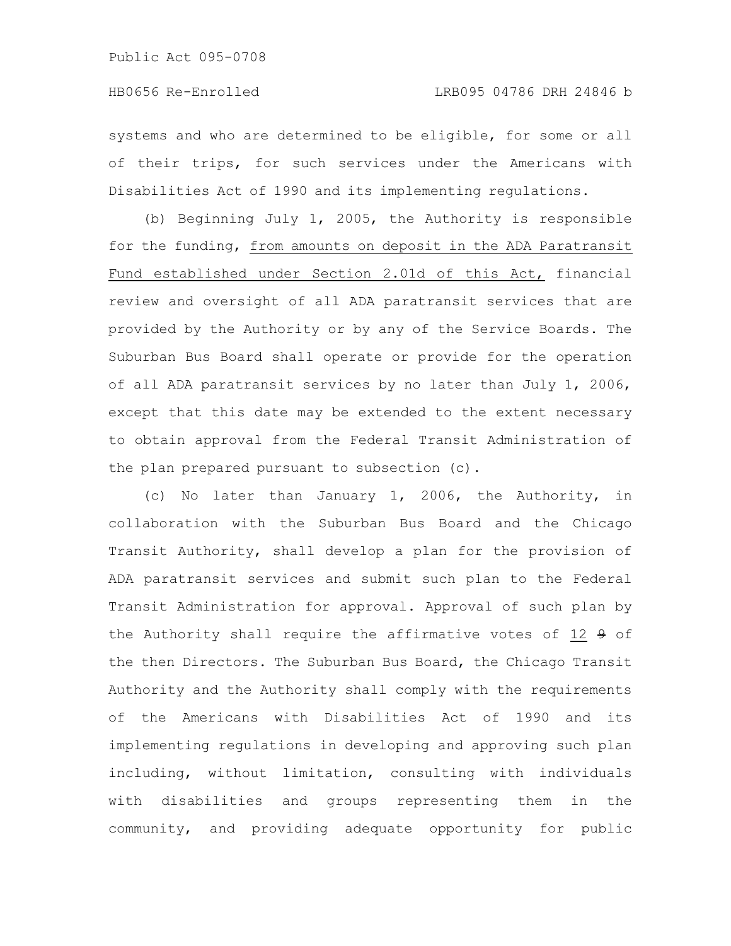systems and who are determined to be eligible, for some or all of their trips, for such services under the Americans with Disabilities Act of 1990 and its implementing regulations.

(b) Beginning July 1, 2005, the Authority is responsible for the funding, from amounts on deposit in the ADA Paratransit Fund established under Section 2.01d of this Act, financial review and oversight of all ADA paratransit services that are provided by the Authority or by any of the Service Boards. The Suburban Bus Board shall operate or provide for the operation of all ADA paratransit services by no later than July 1, 2006, except that this date may be extended to the extent necessary to obtain approval from the Federal Transit Administration of the plan prepared pursuant to subsection (c).

(c) No later than January 1, 2006, the Authority, in collaboration with the Suburban Bus Board and the Chicago Transit Authority, shall develop a plan for the provision of ADA paratransit services and submit such plan to the Federal Transit Administration for approval. Approval of such plan by the Authority shall require the affirmative votes of  $12$   $9$  of the then Directors. The Suburban Bus Board, the Chicago Transit Authority and the Authority shall comply with the requirements of the Americans with Disabilities Act of 1990 and its implementing regulations in developing and approving such plan including, without limitation, consulting with individuals with disabilities and groups representing them in the community, and providing adequate opportunity for public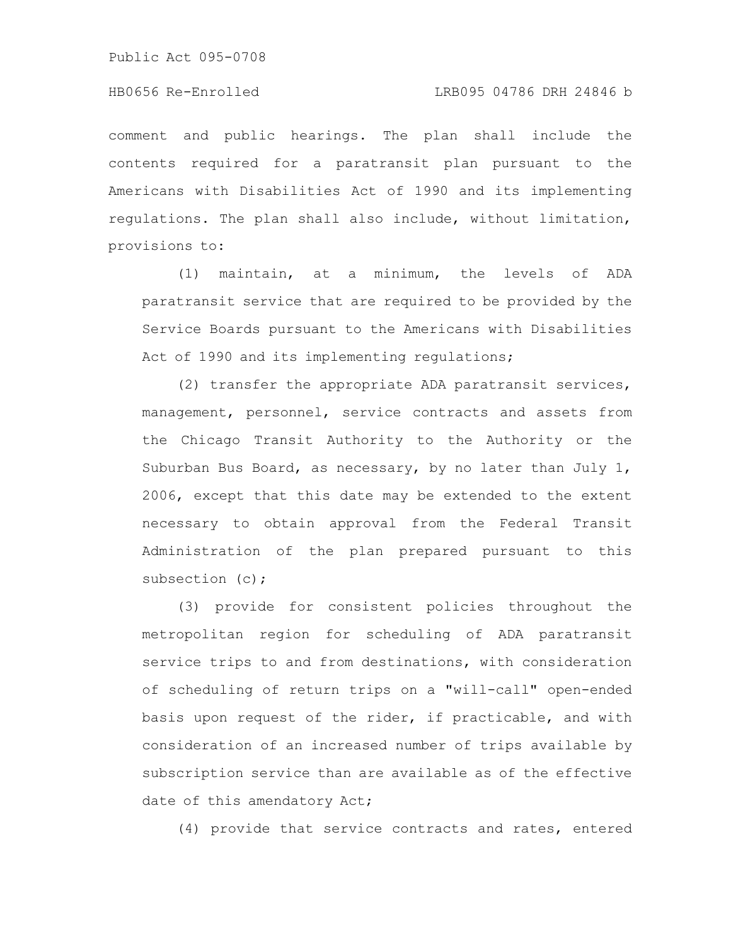Public Act 095-0708

comment and public hearings. The plan shall include the contents required for a paratransit plan pursuant to the Americans with Disabilities Act of 1990 and its implementing regulations. The plan shall also include, without limitation, provisions to:

(1) maintain, at a minimum, the levels of ADA paratransit service that are required to be provided by the Service Boards pursuant to the Americans with Disabilities Act of 1990 and its implementing regulations;

(2) transfer the appropriate ADA paratransit services, management, personnel, service contracts and assets from the Chicago Transit Authority to the Authority or the Suburban Bus Board, as necessary, by no later than July 1, 2006, except that this date may be extended to the extent necessary to obtain approval from the Federal Transit Administration of the plan prepared pursuant to this subsection (c);

(3) provide for consistent policies throughout the metropolitan region for scheduling of ADA paratransit service trips to and from destinations, with consideration of scheduling of return trips on a "will-call" open-ended basis upon request of the rider, if practicable, and with consideration of an increased number of trips available by subscription service than are available as of the effective date of this amendatory Act;

(4) provide that service contracts and rates, entered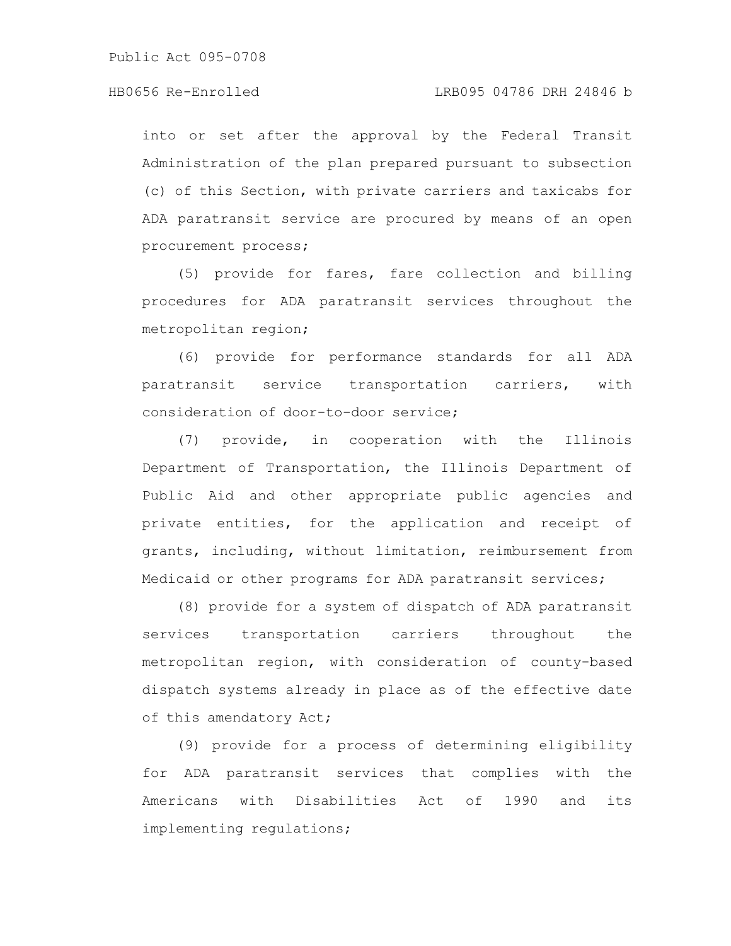into or set after the approval by the Federal Transit Administration of the plan prepared pursuant to subsection (c) of this Section, with private carriers and taxicabs for ADA paratransit service are procured by means of an open procurement process;

(5) provide for fares, fare collection and billing procedures for ADA paratransit services throughout the metropolitan region;

(6) provide for performance standards for all ADA paratransit service transportation carriers, with consideration of door-to-door service;

(7) provide, in cooperation with the Illinois Department of Transportation, the Illinois Department of Public Aid and other appropriate public agencies and private entities, for the application and receipt of grants, including, without limitation, reimbursement from Medicaid or other programs for ADA paratransit services;

(8) provide for a system of dispatch of ADA paratransit services transportation carriers throughout the metropolitan region, with consideration of county-based dispatch systems already in place as of the effective date of this amendatory Act;

(9) provide for a process of determining eligibility for ADA paratransit services that complies with the Americans with Disabilities Act of 1990 and its implementing regulations;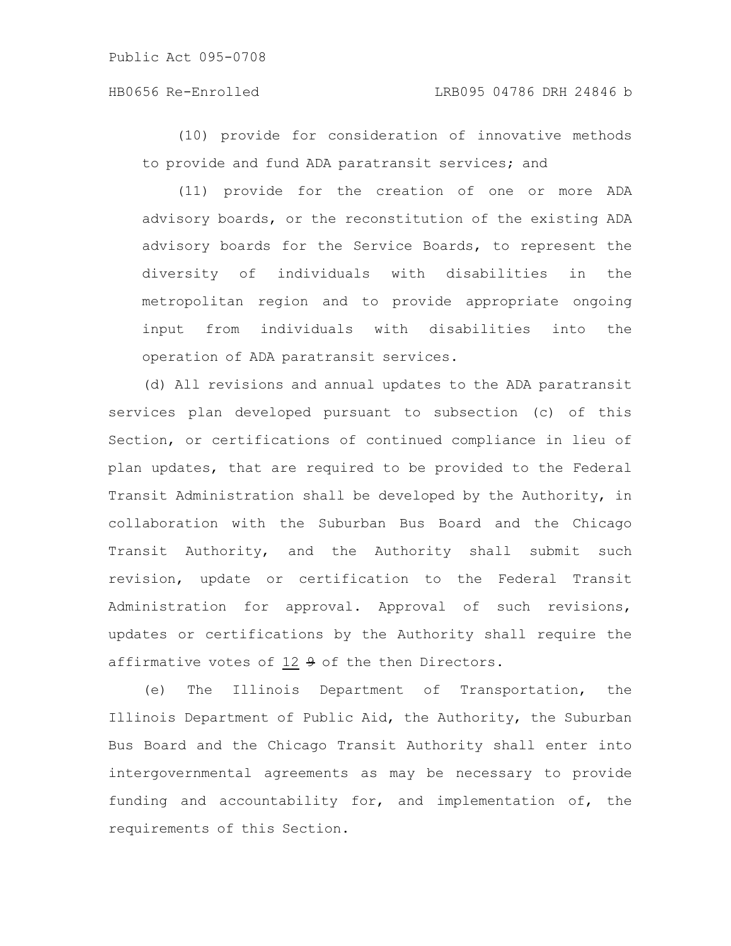(10) provide for consideration of innovative methods to provide and fund ADA paratransit services; and

(11) provide for the creation of one or more ADA advisory boards, or the reconstitution of the existing ADA advisory boards for the Service Boards, to represent the diversity of individuals with disabilities in the metropolitan region and to provide appropriate ongoing input from individuals with disabilities into the operation of ADA paratransit services.

(d) All revisions and annual updates to the ADA paratransit services plan developed pursuant to subsection (c) of this Section, or certifications of continued compliance in lieu of plan updates, that are required to be provided to the Federal Transit Administration shall be developed by the Authority, in collaboration with the Suburban Bus Board and the Chicago Transit Authority, and the Authority shall submit such revision, update or certification to the Federal Transit Administration for approval. Approval of such revisions, updates or certifications by the Authority shall require the affirmative votes of 12 9 of the then Directors.

(e) The Illinois Department of Transportation, the Illinois Department of Public Aid, the Authority, the Suburban Bus Board and the Chicago Transit Authority shall enter into intergovernmental agreements as may be necessary to provide funding and accountability for, and implementation of, the requirements of this Section.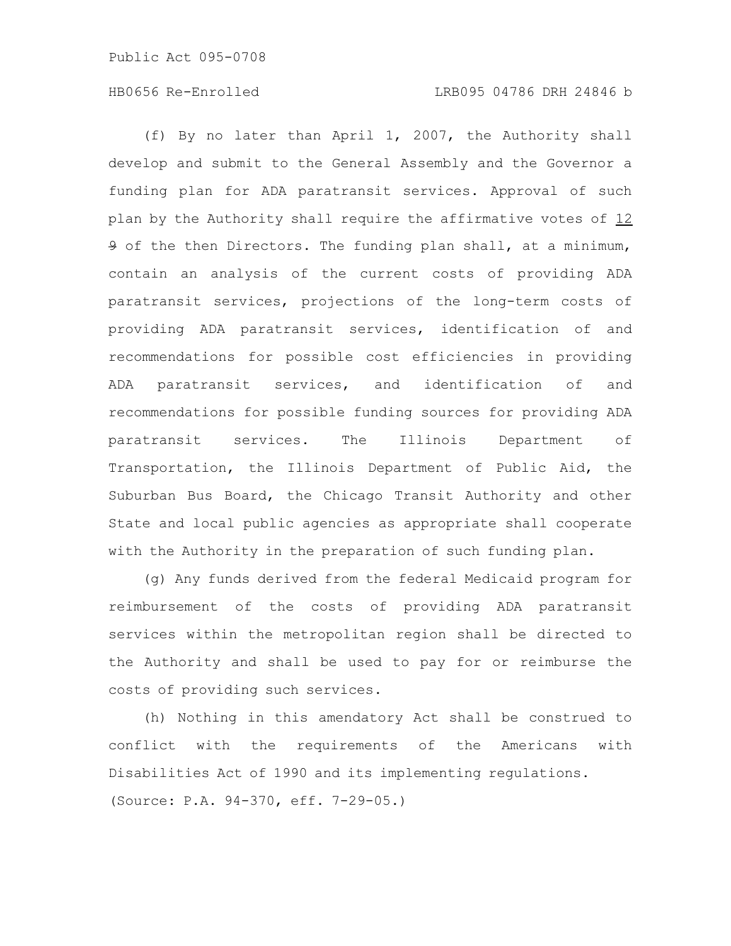## HB0656 Re-Enrolled LRB095 04786 DRH 24846 b

(f) By no later than April 1, 2007, the Authority shall develop and submit to the General Assembly and the Governor a funding plan for ADA paratransit services. Approval of such plan by the Authority shall require the affirmative votes of 12 9 of the then Directors. The funding plan shall, at a minimum, contain an analysis of the current costs of providing ADA paratransit services, projections of the long-term costs of providing ADA paratransit services, identification of and recommendations for possible cost efficiencies in providing ADA paratransit services, and identification of and recommendations for possible funding sources for providing ADA paratransit services. The Illinois Department of Transportation, the Illinois Department of Public Aid, the Suburban Bus Board, the Chicago Transit Authority and other State and local public agencies as appropriate shall cooperate with the Authority in the preparation of such funding plan.

(g) Any funds derived from the federal Medicaid program for reimbursement of the costs of providing ADA paratransit services within the metropolitan region shall be directed to the Authority and shall be used to pay for or reimburse the costs of providing such services.

(h) Nothing in this amendatory Act shall be construed to conflict with the requirements of the Americans with Disabilities Act of 1990 and its implementing regulations. (Source: P.A. 94-370, eff. 7-29-05.)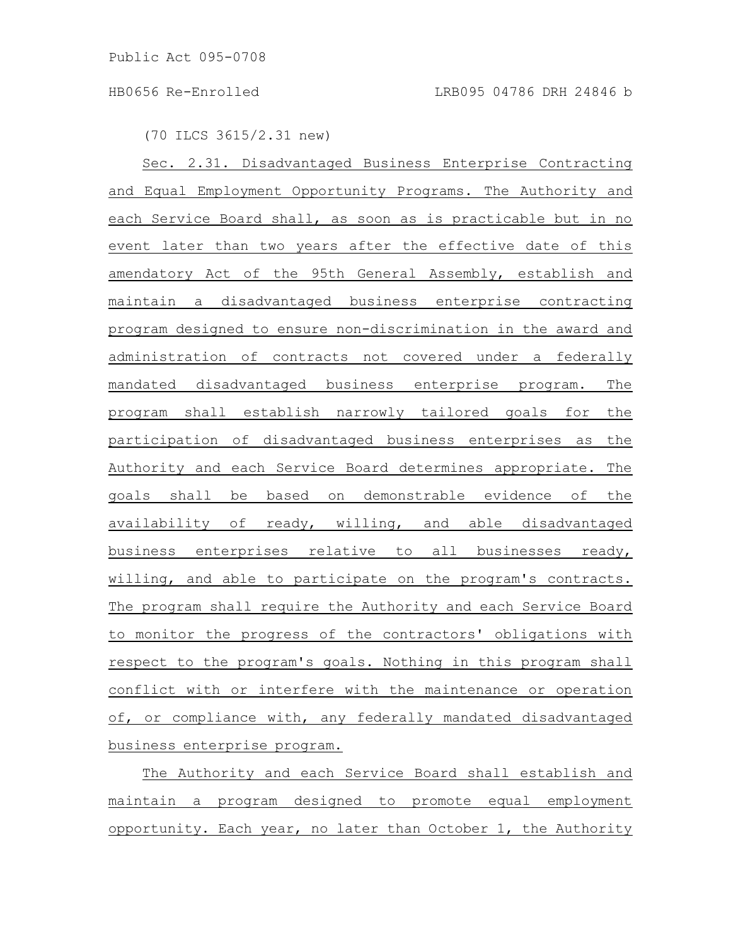(70 ILCS 3615/2.31 new)

Sec. 2.31. Disadvantaged Business Enterprise Contracting and Equal Employment Opportunity Programs. The Authority and each Service Board shall, as soon as is practicable but in no event later than two years after the effective date of this amendatory Act of the 95th General Assembly, establish and maintain a disadvantaged business enterprise contracting program designed to ensure non-discrimination in the award and administration of contracts not covered under a federally mandated disadvantaged business enterprise program. The program shall establish narrowly tailored goals for the participation of disadvantaged business enterprises as the Authority and each Service Board determines appropriate. The goals shall be based on demonstrable evidence of the availability of ready, willing, and able disadvantaged business enterprises relative to all businesses ready, willing, and able to participate on the program's contracts. The program shall require the Authority and each Service Board to monitor the progress of the contractors' obligations with respect to the program's goals. Nothing in this program shall conflict with or interfere with the maintenance or operation of, or compliance with, any federally mandated disadvantaged business enterprise program.

The Authority and each Service Board shall establish and maintain a program designed to promote equal employment opportunity. Each year, no later than October 1, the Authority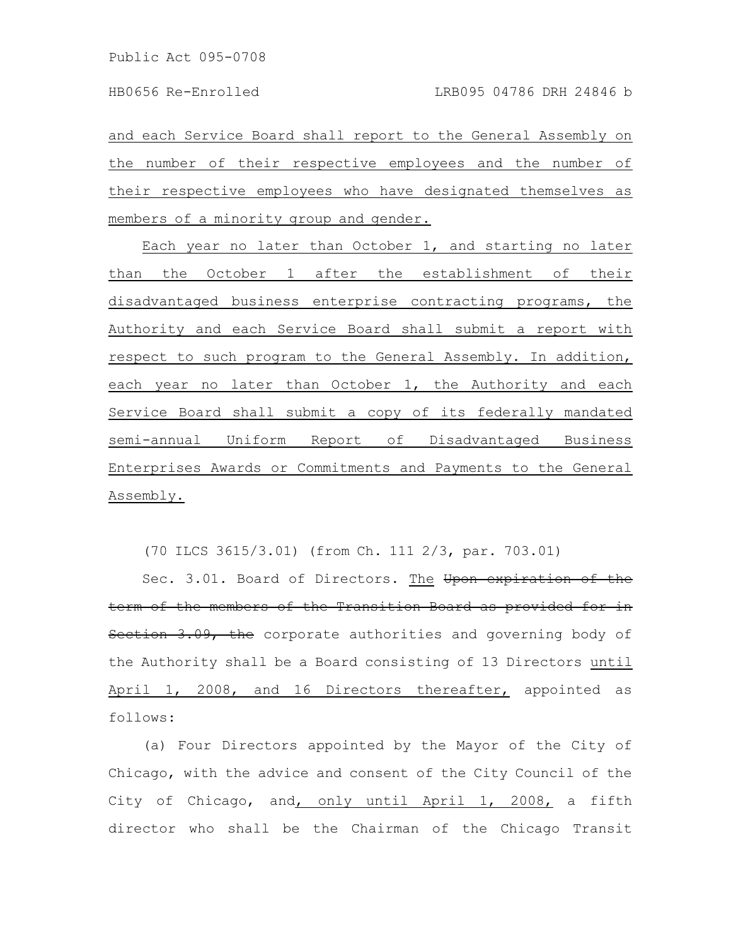and each Service Board shall report to the General Assembly on the number of their respective employees and the number of their respective employees who have designated themselves as members of a minority group and gender.

Each year no later than October 1, and starting no later than the October 1 after the establishment of their disadvantaged business enterprise contracting programs, the Authority and each Service Board shall submit a report with respect to such program to the General Assembly. In addition, each year no later than October 1, the Authority and each Service Board shall submit a copy of its federally mandated semi-annual Uniform Report of Disadvantaged Business Enterprises Awards or Commitments and Payments to the General Assembly.

(70 ILCS 3615/3.01) (from Ch. 111 2/3, par. 703.01)

Sec. 3.01. Board of Directors. The Upon expiration of the term of the members of the Transition Board as provided for in Section 3.09, the corporate authorities and governing body of the Authority shall be a Board consisting of 13 Directors until April 1, 2008, and 16 Directors thereafter, appointed as follows:

(a) Four Directors appointed by the Mayor of the City of Chicago, with the advice and consent of the City Council of the City of Chicago, and, only until April 1, 2008, a fifth director who shall be the Chairman of the Chicago Transit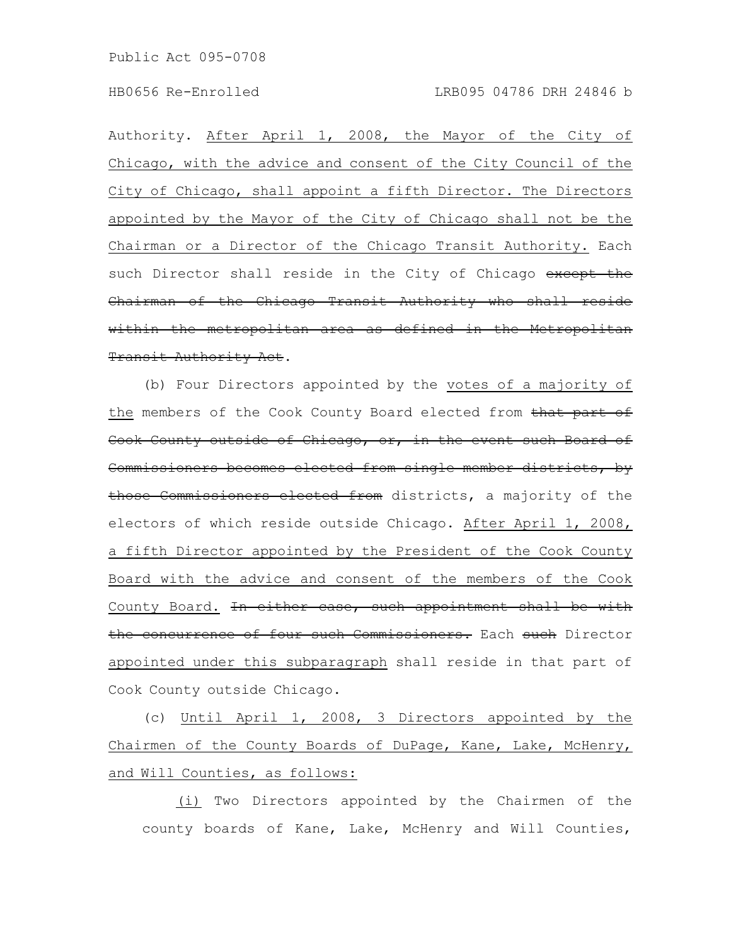Authority. After April 1, 2008, the Mayor of the City of Chicago, with the advice and consent of the City Council of the City of Chicago, shall appoint a fifth Director. The Directors appointed by the Mayor of the City of Chicago shall not be the Chairman or a Director of the Chicago Transit Authority. Each such Director shall reside in the City of Chicago except the Chairman of the Chicago Transit Authority who shall reside within the metropolitan area as defined in the Metropolitan Transit Authority Act.

(b) Four Directors appointed by the votes of a majority of the members of the Cook County Board elected from that part of Cook County outside of Chicago, or, in the event such Board of Commissioners becomes elected from single member districts, by those Commissioners elected from districts, a majority of the electors of which reside outside Chicago. After April 1, 2008, a fifth Director appointed by the President of the Cook County Board with the advice and consent of the members of the Cook County Board. In either case, such appointment shall be with the concurrence of four such Commissioners. Each such Director appointed under this subparagraph shall reside in that part of Cook County outside Chicago.

(c) Until April 1, 2008, 3 Directors appointed by the Chairmen of the County Boards of DuPage, Kane, Lake, McHenry, and Will Counties, as follows:

(i) Two Directors appointed by the Chairmen of the county boards of Kane, Lake, McHenry and Will Counties,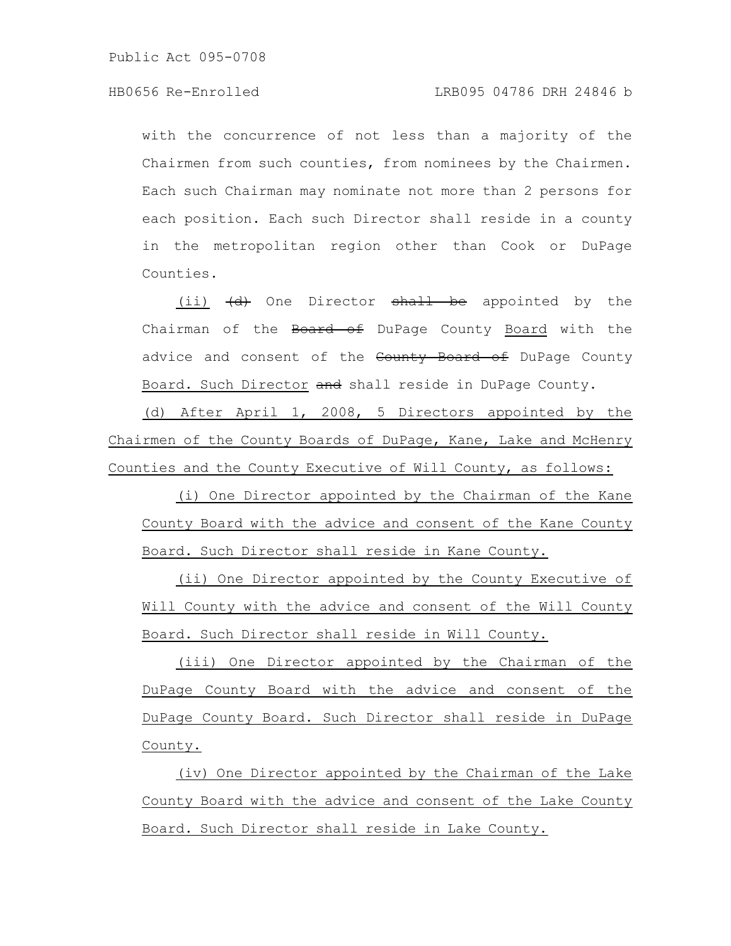with the concurrence of not less than a majority of the Chairmen from such counties, from nominees by the Chairmen. Each such Chairman may nominate not more than 2 persons for each position. Each such Director shall reside in a county in the metropolitan region other than Cook or DuPage Counties.

(ii)  $\left(\text{d}\right)$  One Director shall be appointed by the Chairman of the Board of DuPage County Board with the advice and consent of the County Board of DuPage County Board. Such Director and shall reside in DuPage County.

(d) After April 1, 2008, 5 Directors appointed by the Chairmen of the County Boards of DuPage, Kane, Lake and McHenry Counties and the County Executive of Will County, as follows:

(i) One Director appointed by the Chairman of the Kane County Board with the advice and consent of the Kane County Board. Such Director shall reside in Kane County.

(ii) One Director appointed by the County Executive of Will County with the advice and consent of the Will County Board. Such Director shall reside in Will County.

(iii) One Director appointed by the Chairman of the DuPage County Board with the advice and consent of the DuPage County Board. Such Director shall reside in DuPage County.

(iv) One Director appointed by the Chairman of the Lake County Board with the advice and consent of the Lake County Board. Such Director shall reside in Lake County.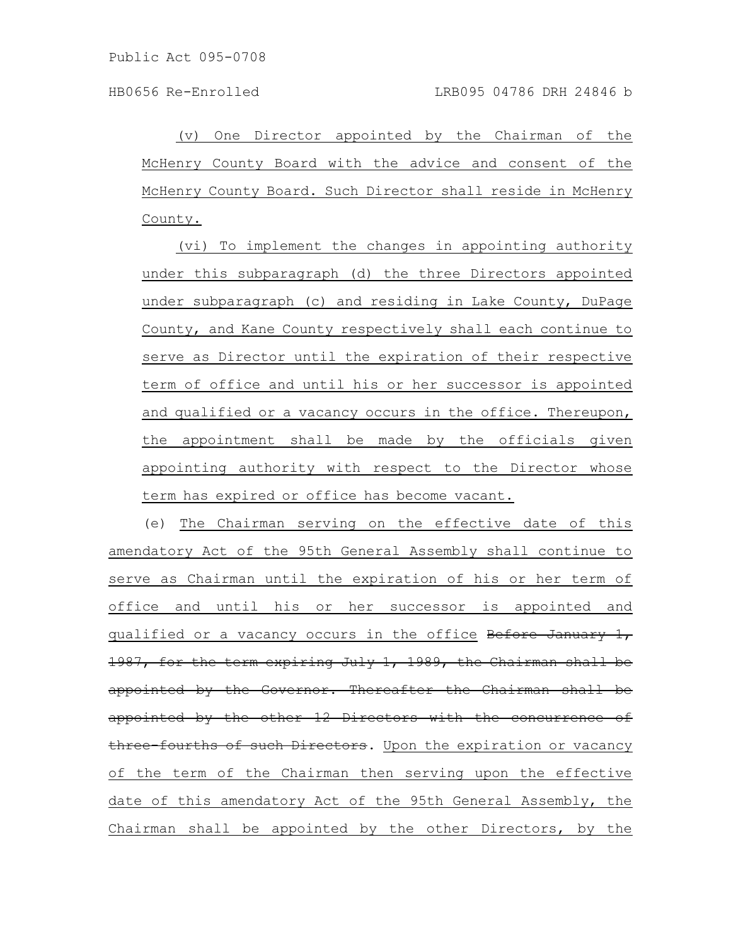(v) One Director appointed by the Chairman of the McHenry County Board with the advice and consent of the McHenry County Board. Such Director shall reside in McHenry County.

(vi) To implement the changes in appointing authority under this subparagraph (d) the three Directors appointed under subparagraph (c) and residing in Lake County, DuPage County, and Kane County respectively shall each continue to serve as Director until the expiration of their respective term of office and until his or her successor is appointed and qualified or a vacancy occurs in the office. Thereupon, the appointment shall be made by the officials given appointing authority with respect to the Director whose term has expired or office has become vacant.

(e) The Chairman serving on the effective date of this amendatory Act of the 95th General Assembly shall continue to serve as Chairman until the expiration of his or her term of office and until his or her successor is appointed and qualified or a vacancy occurs in the office Before January 1, 1987, for the term expiring July 1, 1989, the Chairman shall be appointed by the Governor. Thereafter the Chairman shall be appointed by the other 12 Directors with the concurrence of three-fourths of such Directors. Upon the expiration or vacancy of the term of the Chairman then serving upon the effective date of this amendatory Act of the 95th General Assembly, the Chairman shall be appointed by the other Directors, by the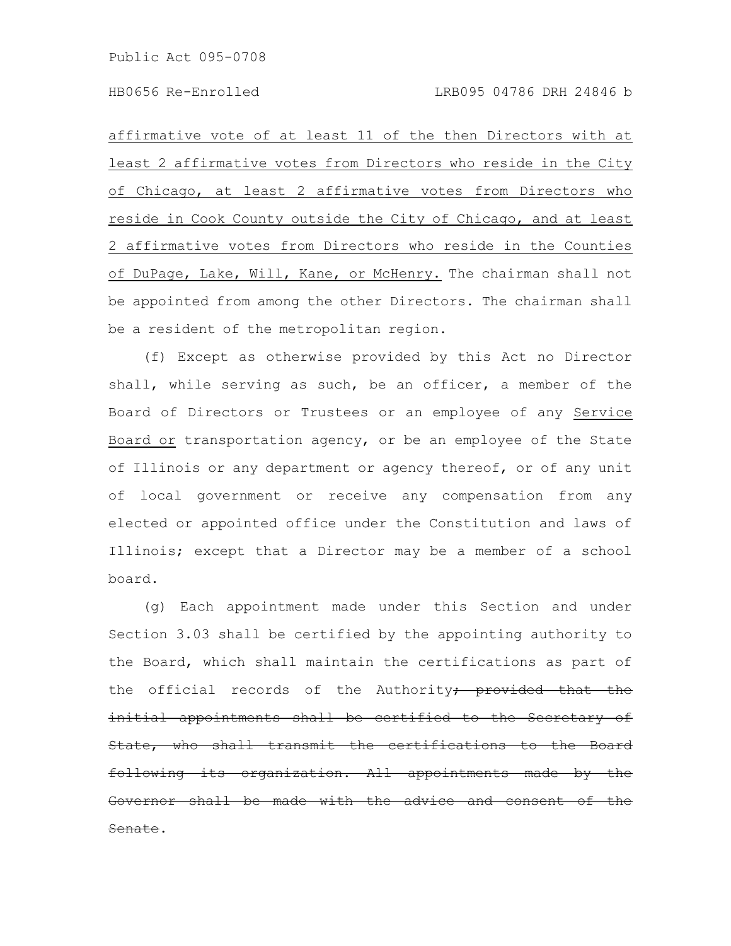affirmative vote of at least 11 of the then Directors with at least 2 affirmative votes from Directors who reside in the City of Chicago, at least 2 affirmative votes from Directors who reside in Cook County outside the City of Chicago, and at least 2 affirmative votes from Directors who reside in the Counties of DuPage, Lake, Will, Kane, or McHenry. The chairman shall not be appointed from among the other Directors. The chairman shall be a resident of the metropolitan region.

(f) Except as otherwise provided by this Act no Director shall, while serving as such, be an officer, a member of the Board of Directors or Trustees or an employee of any Service Board or transportation agency, or be an employee of the State of Illinois or any department or agency thereof, or of any unit of local government or receive any compensation from any elected or appointed office under the Constitution and laws of Illinois; except that a Director may be a member of a school board.

(g) Each appointment made under this Section and under Section 3.03 shall be certified by the appointing authority to the Board, which shall maintain the certifications as part of the official records of the Authority, provided that the initial appointments shall be certified to the Secretary of State, who shall transmit the certifications to following its organization. All appointments made  $\frac{1}{2}$  shall be made with the advice and consent Senate.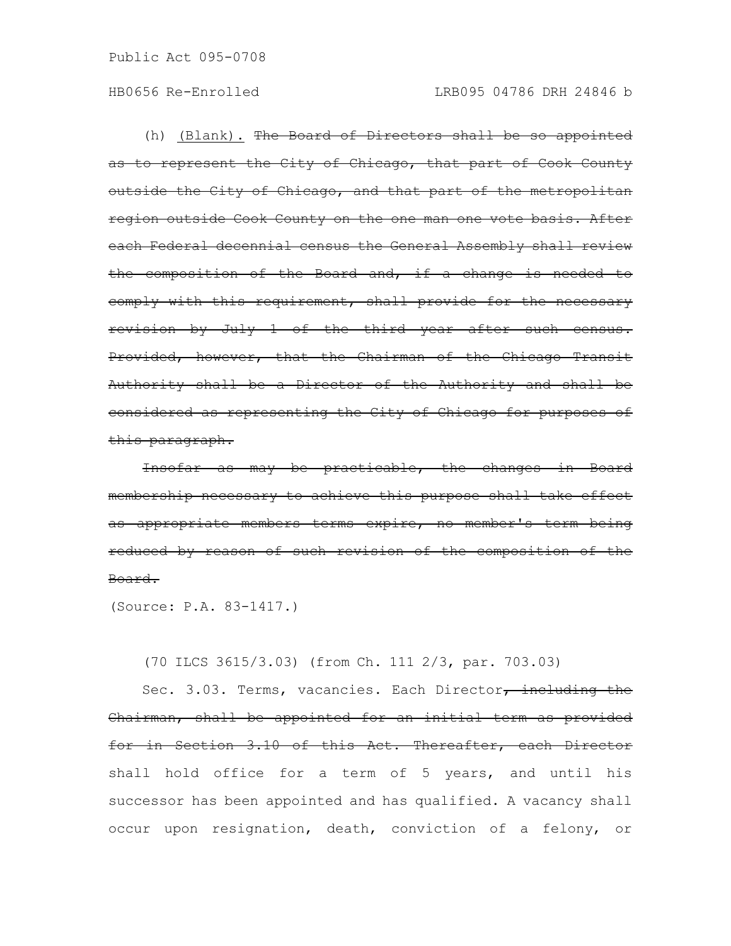(h) <u>(Blank).</u> The Board of Directors shall be so appointed as to represent the City of Chicago, that part of Cook County outside the City of Chicago, and that part of the metropolitan region outside Cook County on the one man one vote basis. After each Federal decennial census the General Assembly shall review the composition of the Board and, if a change is needed to comply with this requirement, shall provide for the necessary revision by July 1 of the third year after such census. Provided, however, that the Chairman of the Chicago Transit Authority shall be a Director of the Authority and shall be considered as representing the City of Chicago for purposes of this paragraph.

Insofar as may be practicable, the changes in Board membership necessary to achieve this purpose shall take effect as appropriate members terms expire, no member's term being reduced by reason of such revision of the composition of the Board.

(Source: P.A. 83-1417.)

(70 ILCS 3615/3.03) (from Ch. 111 2/3, par. 703.03)

Sec. 3.03. Terms, vacancies. Each Director, including the Chairman, shall be appointed for an initial term as provided for in Section 3.10 of this Act. Thereafter, each Director shall hold office for a term of 5 years, and until his successor has been appointed and has qualified. A vacancy shall occur upon resignation, death, conviction of a felony, or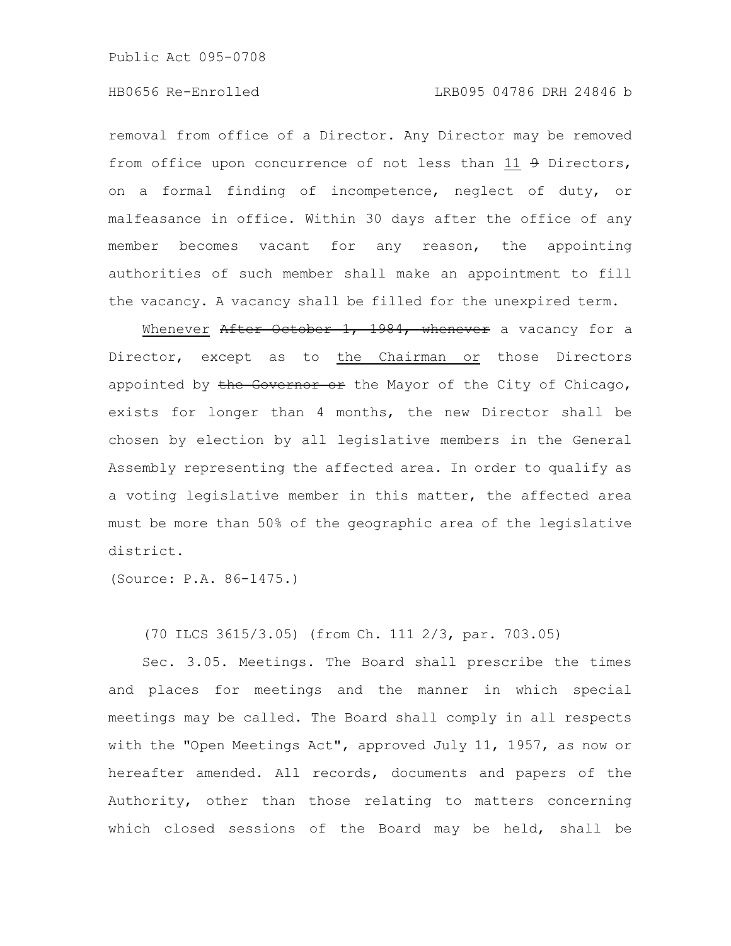Public Act 095-0708

removal from office of a Director. Any Director may be removed from office upon concurrence of not less than 11 9 Directors, on a formal finding of incompetence, neglect of duty, or malfeasance in office. Within 30 days after the office of any member becomes vacant for any reason, the appointing authorities of such member shall make an appointment to fill the vacancy. A vacancy shall be filled for the unexpired term.

Whenever After October 1, 1984, whenever a vacancy for a Director, except as to the Chairman or those Directors appointed by the Governor or the Mayor of the City of Chicago, exists for longer than 4 months, the new Director shall be chosen by election by all legislative members in the General Assembly representing the affected area. In order to qualify as a voting legislative member in this matter, the affected area must be more than 50% of the geographic area of the legislative district.

(Source: P.A. 86-1475.)

(70 ILCS 3615/3.05) (from Ch. 111 2/3, par. 703.05)

Sec. 3.05. Meetings. The Board shall prescribe the times and places for meetings and the manner in which special meetings may be called. The Board shall comply in all respects with the "Open Meetings Act", approved July 11, 1957, as now or hereafter amended. All records, documents and papers of the Authority, other than those relating to matters concerning which closed sessions of the Board may be held, shall be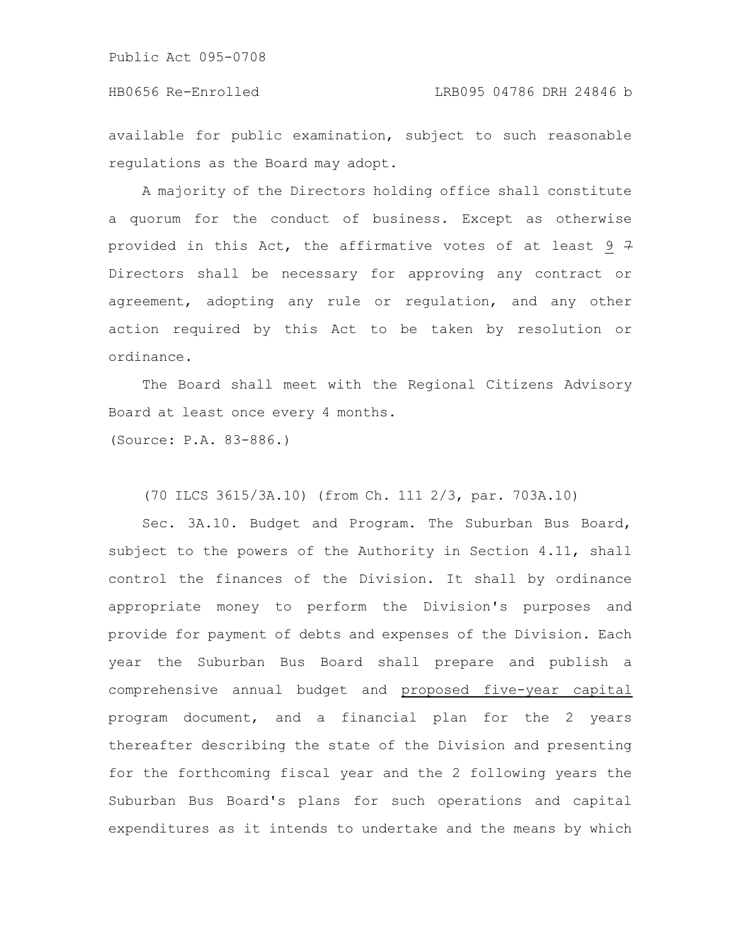available for public examination, subject to such reasonable regulations as the Board may adopt.

A majority of the Directors holding office shall constitute a quorum for the conduct of business. Except as otherwise provided in this Act, the affirmative votes of at least 9  $\frac{1}{7}$ Directors shall be necessary for approving any contract or agreement, adopting any rule or regulation, and any other action required by this Act to be taken by resolution or ordinance.

The Board shall meet with the Regional Citizens Advisory Board at least once every 4 months.

(Source: P.A. 83-886.)

(70 ILCS 3615/3A.10) (from Ch. 111 2/3, par. 703A.10)

Sec. 3A.10. Budget and Program. The Suburban Bus Board, subject to the powers of the Authority in Section 4.11, shall control the finances of the Division. It shall by ordinance appropriate money to perform the Division's purposes and provide for payment of debts and expenses of the Division. Each year the Suburban Bus Board shall prepare and publish a comprehensive annual budget and proposed five-year capital program document, and a financial plan for the 2 years thereafter describing the state of the Division and presenting for the forthcoming fiscal year and the 2 following years the Suburban Bus Board's plans for such operations and capital expenditures as it intends to undertake and the means by which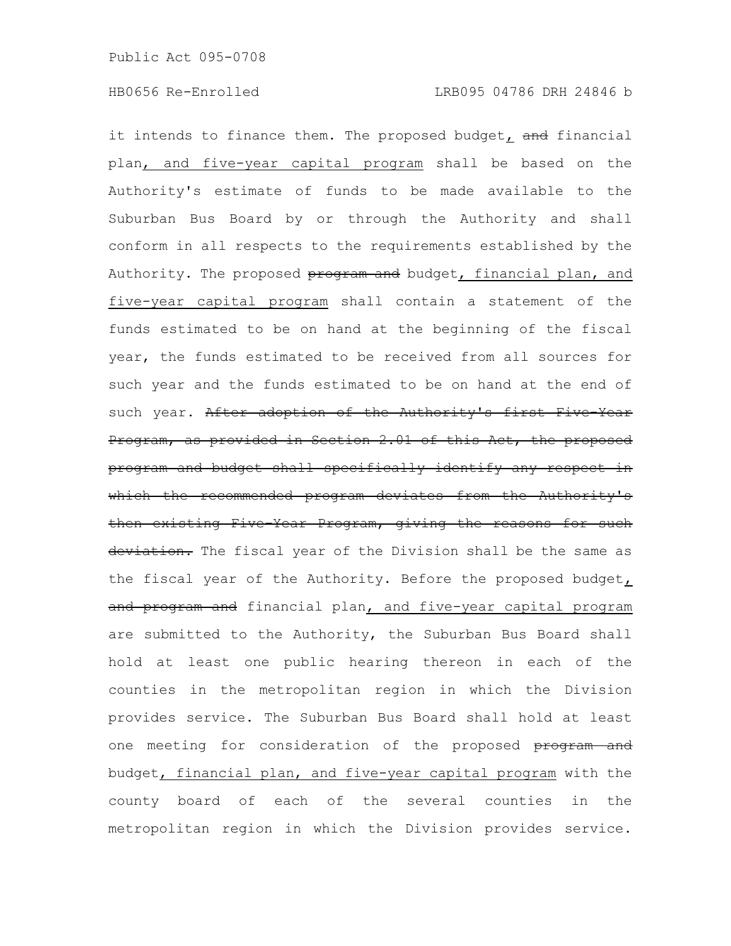it intends to finance them. The proposed budget, and financial plan, and five-year capital program shall be based on the Authority's estimate of funds to be made available to the Suburban Bus Board by or through the Authority and shall conform in all respects to the requirements established by the Authority. The proposed program and budget, financial plan, and five-year capital program shall contain a statement of the funds estimated to be on hand at the beginning of the fiscal year, the funds estimated to be received from all sources for such year and the funds estimated to be on hand at the end of such year. After adoption of the Authority's first Five-Year Program, as provided in Section 2.01 of this Act, the proposed program and budget shall specifically identify any respect in which the recommended program deviates from the Authority's then existing Five-Year Program, giving the reasons for such deviation. The fiscal year of the Division shall be the same as the fiscal year of the Authority. Before the proposed budget, and program and financial plan, and five-year capital program are submitted to the Authority, the Suburban Bus Board shall hold at least one public hearing thereon in each of the counties in the metropolitan region in which the Division provides service. The Suburban Bus Board shall hold at least one meeting for consideration of the proposed program and budget, financial plan, and five-year capital program with the county board of each of the several counties in the metropolitan region in which the Division provides service.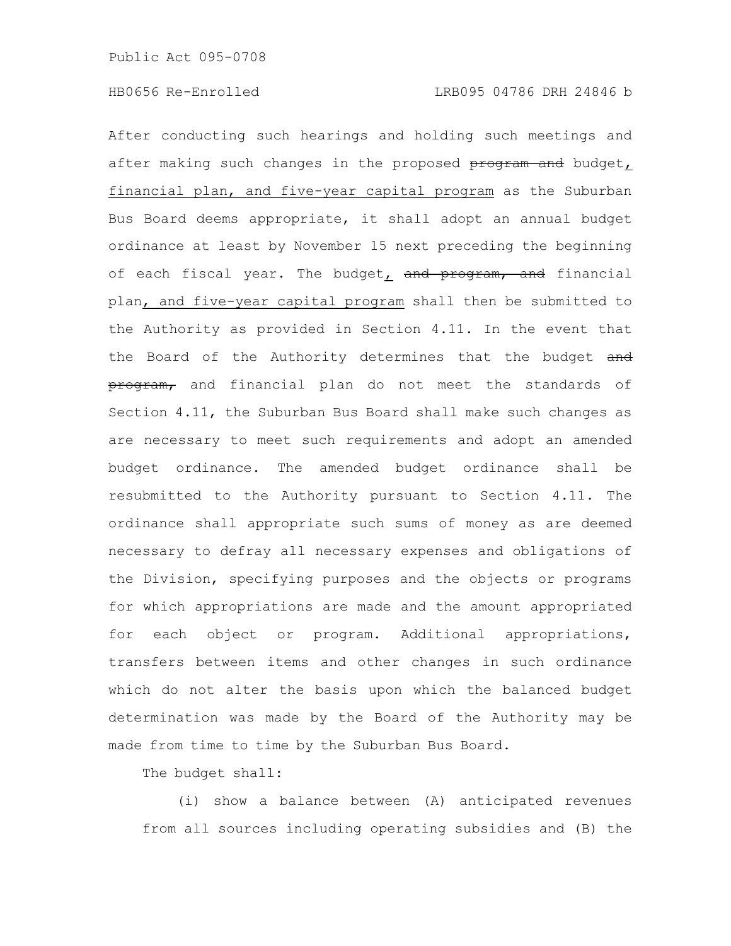After conducting such hearings and holding such meetings and after making such changes in the proposed program and budget, financial plan, and five-year capital program as the Suburban Bus Board deems appropriate, it shall adopt an annual budget ordinance at least by November 15 next preceding the beginning of each fiscal year. The budget, and program, and financial plan, and five-year capital program shall then be submitted to the Authority as provided in Section 4.11. In the event that the Board of the Authority determines that the budget and program, and financial plan do not meet the standards of Section 4.11, the Suburban Bus Board shall make such changes as are necessary to meet such requirements and adopt an amended budget ordinance. The amended budget ordinance shall be resubmitted to the Authority pursuant to Section 4.11. The ordinance shall appropriate such sums of money as are deemed necessary to defray all necessary expenses and obligations of the Division, specifying purposes and the objects or programs for which appropriations are made and the amount appropriated for each object or program. Additional appropriations, transfers between items and other changes in such ordinance which do not alter the basis upon which the balanced budget determination was made by the Board of the Authority may be made from time to time by the Suburban Bus Board.

The budget shall:

(i) show a balance between (A) anticipated revenues from all sources including operating subsidies and (B) the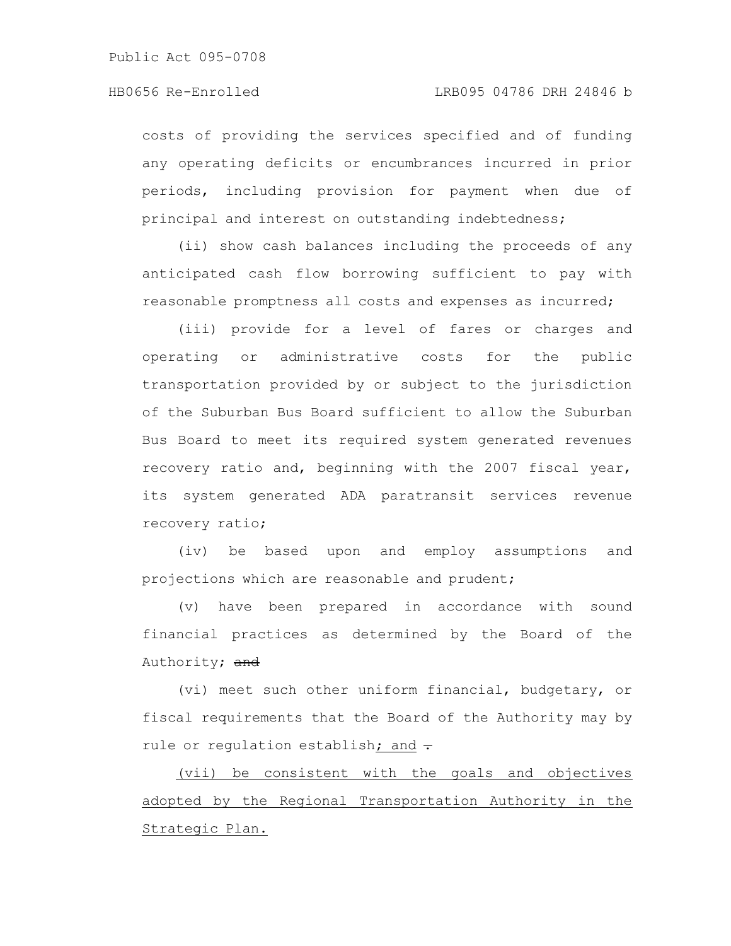costs of providing the services specified and of funding any operating deficits or encumbrances incurred in prior periods, including provision for payment when due of principal and interest on outstanding indebtedness;

(ii) show cash balances including the proceeds of any anticipated cash flow borrowing sufficient to pay with reasonable promptness all costs and expenses as incurred;

(iii) provide for a level of fares or charges and operating or administrative costs for the public transportation provided by or subject to the jurisdiction of the Suburban Bus Board sufficient to allow the Suburban Bus Board to meet its required system generated revenues recovery ratio and, beginning with the 2007 fiscal year, its system generated ADA paratransit services revenue recovery ratio;

(iv) be based upon and employ assumptions and projections which are reasonable and prudent;

(v) have been prepared in accordance with sound financial practices as determined by the Board of the Authority; and

(vi) meet such other uniform financial, budgetary, or fiscal requirements that the Board of the Authority may by rule or regulation establish; and  $\div$ 

(vii) be consistent with the goals and objectives adopted by the Regional Transportation Authority in the Strategic Plan.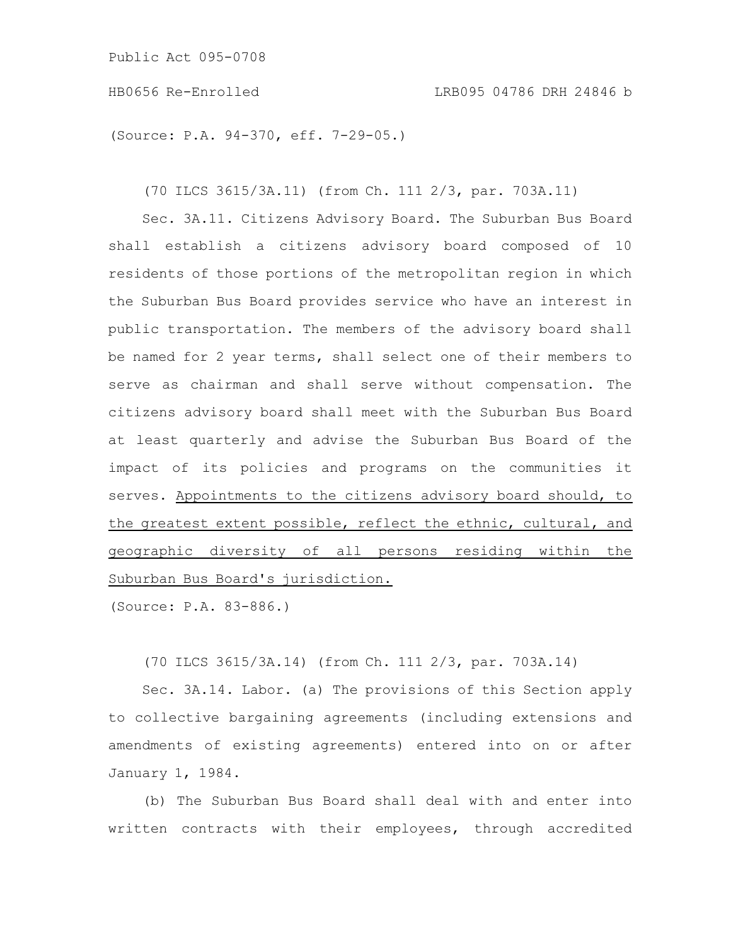(Source: P.A. 94-370, eff. 7-29-05.)

(70 ILCS 3615/3A.11) (from Ch. 111 2/3, par. 703A.11)

Sec. 3A.11. Citizens Advisory Board. The Suburban Bus Board shall establish a citizens advisory board composed of 10 residents of those portions of the metropolitan region in which the Suburban Bus Board provides service who have an interest in public transportation. The members of the advisory board shall be named for 2 year terms, shall select one of their members to serve as chairman and shall serve without compensation. The citizens advisory board shall meet with the Suburban Bus Board at least quarterly and advise the Suburban Bus Board of the impact of its policies and programs on the communities it serves. Appointments to the citizens advisory board should, to the greatest extent possible, reflect the ethnic, cultural, and geographic diversity of all persons residing within the Suburban Bus Board's jurisdiction.

(Source: P.A. 83-886.)

(70 ILCS 3615/3A.14) (from Ch. 111 2/3, par. 703A.14)

Sec. 3A.14. Labor. (a) The provisions of this Section apply to collective bargaining agreements (including extensions and amendments of existing agreements) entered into on or after January 1, 1984.

(b) The Suburban Bus Board shall deal with and enter into written contracts with their employees, through accredited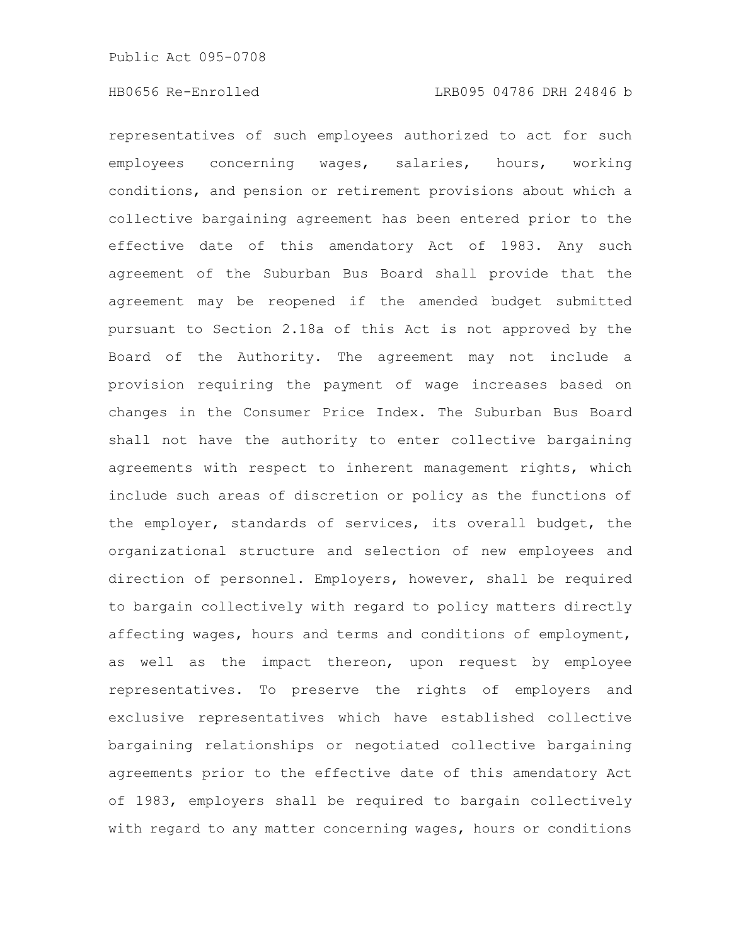representatives of such employees authorized to act for such employees concerning wages, salaries, hours, working conditions, and pension or retirement provisions about which a collective bargaining agreement has been entered prior to the effective date of this amendatory Act of 1983. Any such agreement of the Suburban Bus Board shall provide that the agreement may be reopened if the amended budget submitted pursuant to Section 2.18a of this Act is not approved by the Board of the Authority. The agreement may not include a provision requiring the payment of wage increases based on changes in the Consumer Price Index. The Suburban Bus Board shall not have the authority to enter collective bargaining agreements with respect to inherent management rights, which include such areas of discretion or policy as the functions of the employer, standards of services, its overall budget, the organizational structure and selection of new employees and direction of personnel. Employers, however, shall be required to bargain collectively with regard to policy matters directly affecting wages, hours and terms and conditions of employment, as well as the impact thereon, upon request by employee representatives. To preserve the rights of employers and exclusive representatives which have established collective bargaining relationships or negotiated collective bargaining agreements prior to the effective date of this amendatory Act of 1983, employers shall be required to bargain collectively with regard to any matter concerning wages, hours or conditions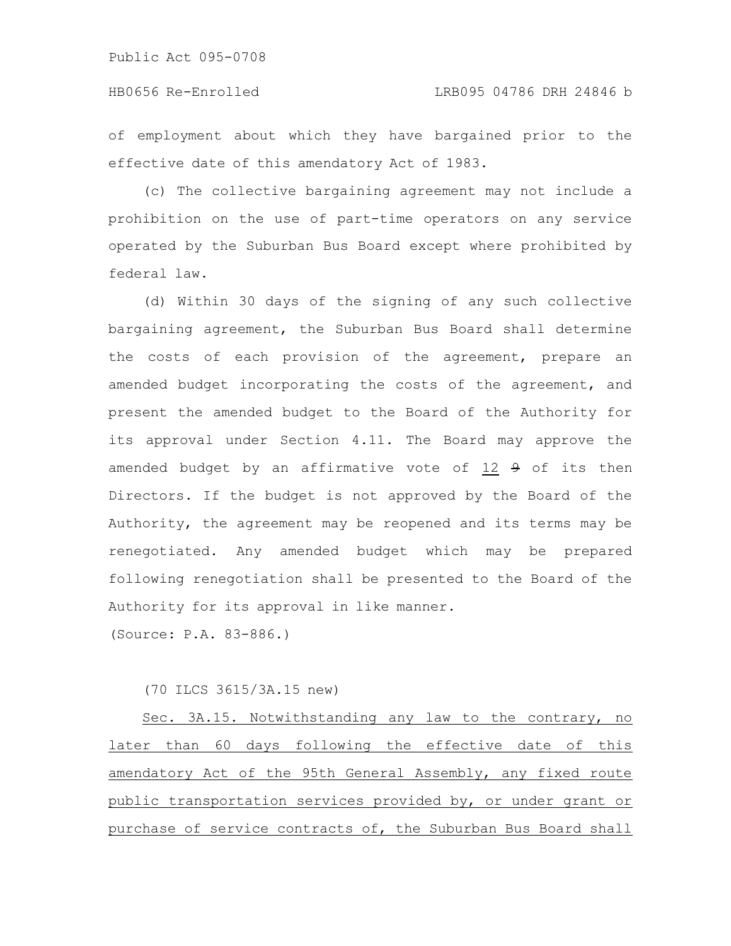of employment about which they have bargained prior to the effective date of this amendatory Act of 1983.

(c) The collective bargaining agreement may not include a prohibition on the use of part-time operators on any service operated by the Suburban Bus Board except where prohibited by federal law.

(d) Within 30 days of the signing of any such collective bargaining agreement, the Suburban Bus Board shall determine the costs of each provision of the agreement, prepare an amended budget incorporating the costs of the agreement, and present the amended budget to the Board of the Authority for its approval under Section 4.11. The Board may approve the amended budget by an affirmative vote of  $12$   $9$  of its then Directors. If the budget is not approved by the Board of the Authority, the agreement may be reopened and its terms may be renegotiated. Any amended budget which may be prepared following renegotiation shall be presented to the Board of the Authority for its approval in like manner.

(Source: P.A. 83-886.)

(70 ILCS 3615/3A.15 new)

Sec. 3A.15. Notwithstanding any law to the contrary, no later than 60 days following the effective date of this amendatory Act of the 95th General Assembly, any fixed route public transportation services provided by, or under grant or purchase of service contracts of, the Suburban Bus Board shall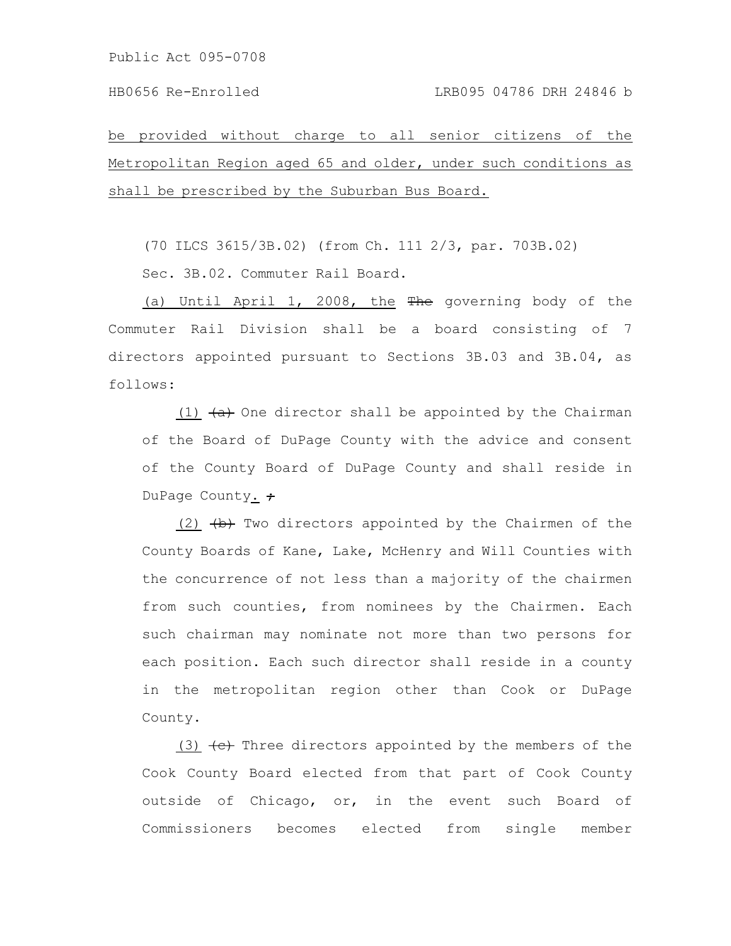be provided without charge to all senior citizens of the Metropolitan Region aged 65 and older, under such conditions as shall be prescribed by the Suburban Bus Board.

(70 ILCS 3615/3B.02) (from Ch. 111 2/3, par. 703B.02)

Sec. 3B.02. Commuter Rail Board.

(a) Until April 1, 2008, the The governing body of the Commuter Rail Division shall be a board consisting of 7 directors appointed pursuant to Sections 3B.03 and 3B.04, as follows:

(1)  $\leftrightarrow$  One director shall be appointed by the Chairman of the Board of DuPage County with the advice and consent of the County Board of DuPage County and shall reside in DuPage County.  $\div$ 

(2)  $\leftrightarrow$  Two directors appointed by the Chairmen of the County Boards of Kane, Lake, McHenry and Will Counties with the concurrence of not less than a majority of the chairmen from such counties, from nominees by the Chairmen. Each such chairman may nominate not more than two persons for each position. Each such director shall reside in a county in the metropolitan region other than Cook or DuPage County.

(3)  $\leftrightarrow$  Three directors appointed by the members of the Cook County Board elected from that part of Cook County outside of Chicago, or, in the event such Board of Commissioners becomes elected from single member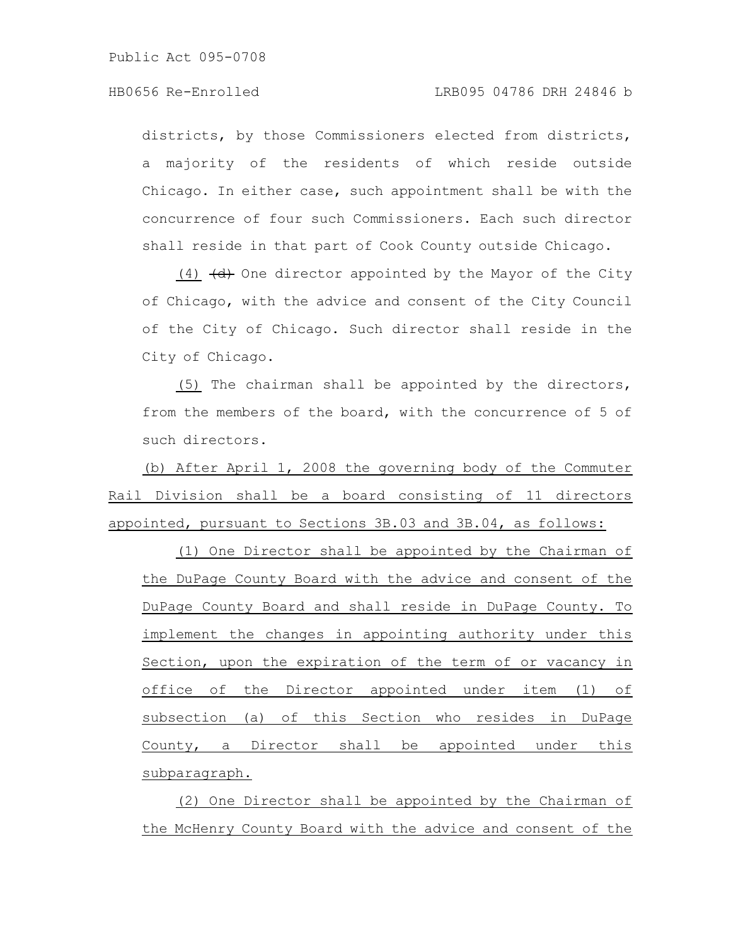districts, by those Commissioners elected from districts, a majority of the residents of which reside outside Chicago. In either case, such appointment shall be with the concurrence of four such Commissioners. Each such director shall reside in that part of Cook County outside Chicago.

(4)  $\left(\frac{d}{dt}\right)$  One director appointed by the Mayor of the City of Chicago, with the advice and consent of the City Council of the City of Chicago. Such director shall reside in the City of Chicago.

(5) The chairman shall be appointed by the directors, from the members of the board, with the concurrence of 5 of such directors.

(b) After April 1, 2008 the governing body of the Commuter Rail Division shall be a board consisting of 11 directors appointed, pursuant to Sections 3B.03 and 3B.04, as follows:

(1) One Director shall be appointed by the Chairman of the DuPage County Board with the advice and consent of the DuPage County Board and shall reside in DuPage County. To implement the changes in appointing authority under this Section, upon the expiration of the term of or vacancy in office of the Director appointed under item (1) of subsection (a) of this Section who resides in DuPage County, a Director shall be appointed under this subparagraph.

(2) One Director shall be appointed by the Chairman of the McHenry County Board with the advice and consent of the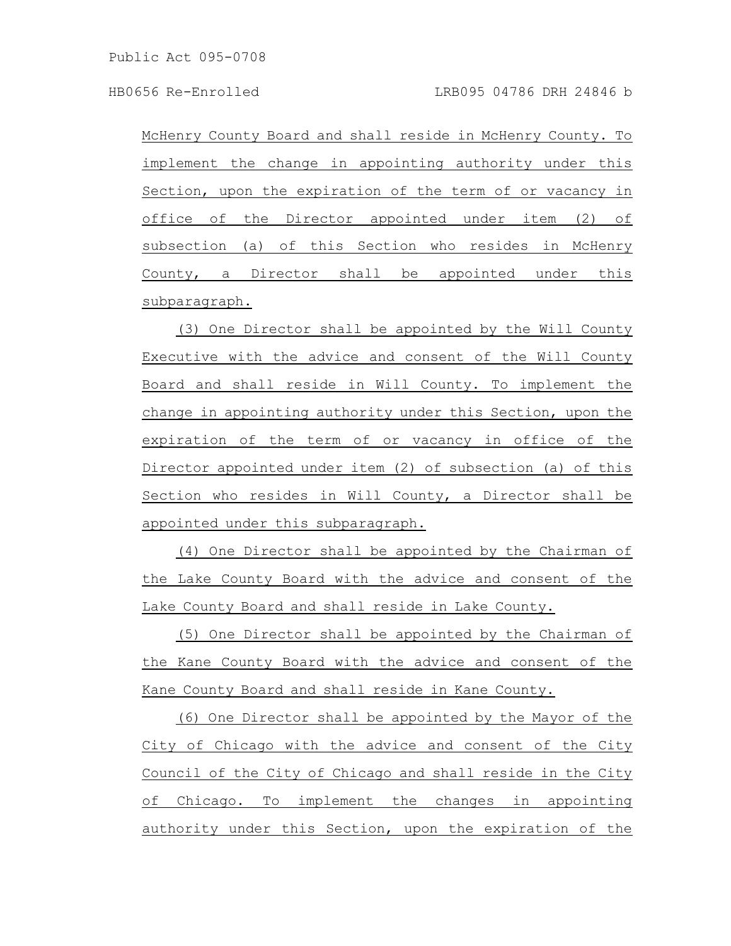McHenry County Board and shall reside in McHenry County. To implement the change in appointing authority under this Section, upon the expiration of the term of or vacancy in office of the Director appointed under item (2) of subsection (a) of this Section who resides in McHenry County, a Director shall be appointed under this subparagraph.

(3) One Director shall be appointed by the Will County Executive with the advice and consent of the Will County Board and shall reside in Will County. To implement the change in appointing authority under this Section, upon the expiration of the term of or vacancy in office of the Director appointed under item (2) of subsection (a) of this Section who resides in Will County, a Director shall be appointed under this subparagraph.

(4) One Director shall be appointed by the Chairman of the Lake County Board with the advice and consent of the Lake County Board and shall reside in Lake County.

(5) One Director shall be appointed by the Chairman of the Kane County Board with the advice and consent of the Kane County Board and shall reside in Kane County.

(6) One Director shall be appointed by the Mayor of the City of Chicago with the advice and consent of the City Council of the City of Chicago and shall reside in the City of Chicago. To implement the changes in appointing authority under this Section, upon the expiration of the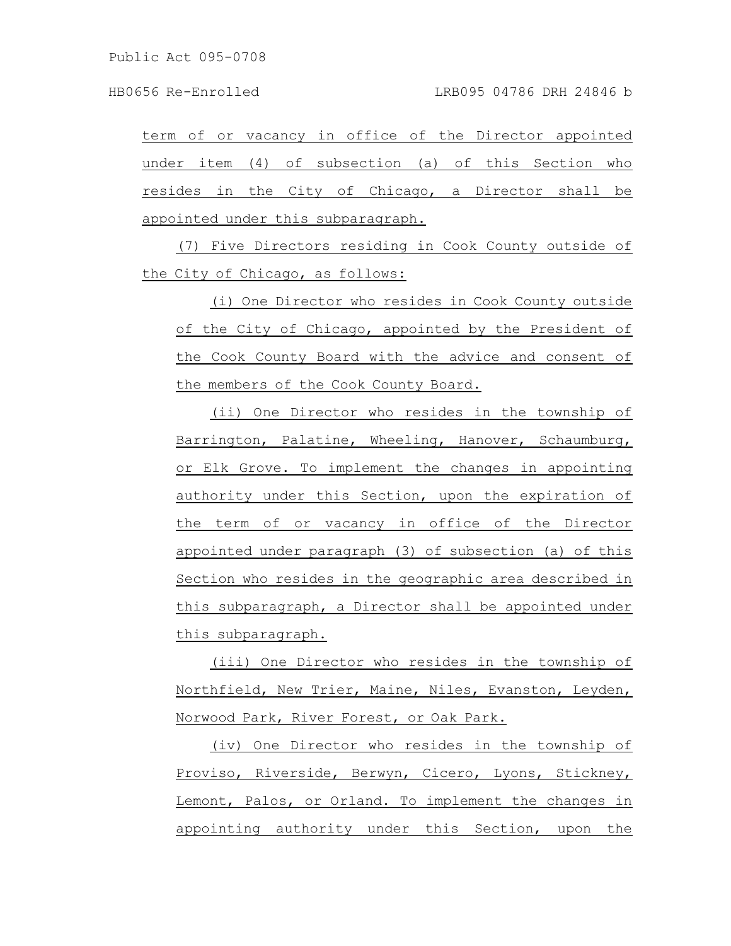term of or vacancy in office of the Director appointed under item (4) of subsection (a) of this Section who resides in the City of Chicago, a Director shall be appointed under this subparagraph.

(7) Five Directors residing in Cook County outside of the City of Chicago, as follows:

(i) One Director who resides in Cook County outside of the City of Chicago, appointed by the President of the Cook County Board with the advice and consent of the members of the Cook County Board.

(ii) One Director who resides in the township of Barrington, Palatine, Wheeling, Hanover, Schaumburg, or Elk Grove. To implement the changes in appointing authority under this Section, upon the expiration of the term of or vacancy in office of the Director appointed under paragraph (3) of subsection (a) of this Section who resides in the geographic area described in this subparagraph, a Director shall be appointed under this subparagraph.

(iii) One Director who resides in the township of Northfield, New Trier, Maine, Niles, Evanston, Leyden, Norwood Park, River Forest, or Oak Park.

(iv) One Director who resides in the township of Proviso, Riverside, Berwyn, Cicero, Lyons, Stickney, Lemont, Palos, or Orland. To implement the changes in appointing authority under this Section, upon the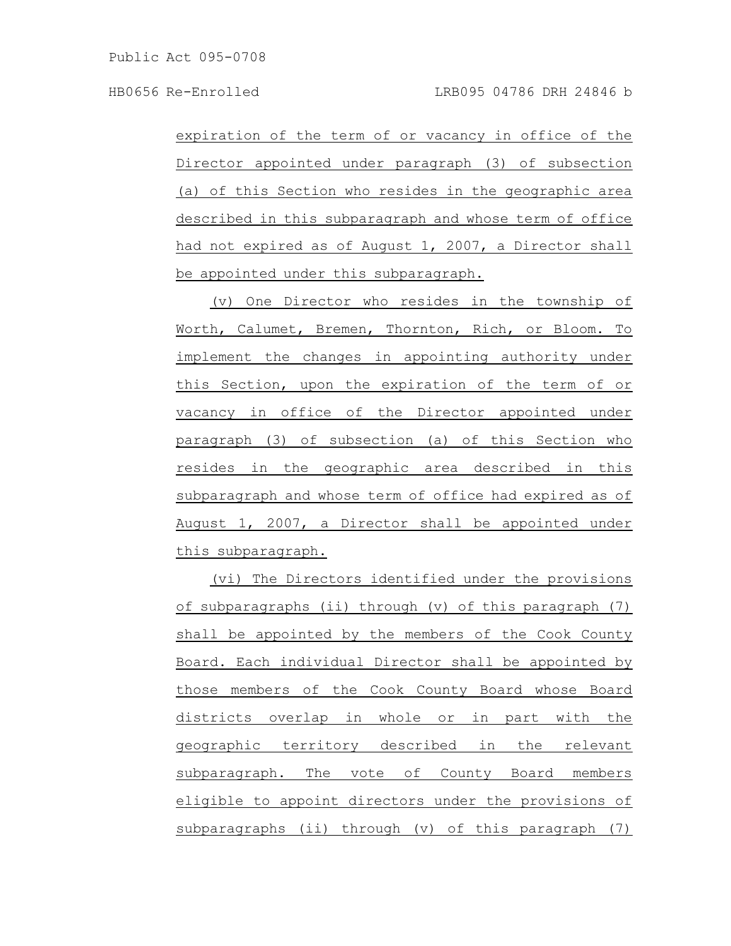expiration of the term of or vacancy in office of the Director appointed under paragraph (3) of subsection (a) of this Section who resides in the geographic area described in this subparagraph and whose term of office had not expired as of August 1, 2007, a Director shall be appointed under this subparagraph.

(v) One Director who resides in the township of Worth, Calumet, Bremen, Thornton, Rich, or Bloom. To implement the changes in appointing authority under this Section, upon the expiration of the term of or vacancy in office of the Director appointed under paragraph (3) of subsection (a) of this Section who resides in the geographic area described in this subparagraph and whose term of office had expired as of August 1, 2007, a Director shall be appointed under this subparagraph.

(vi) The Directors identified under the provisions of subparagraphs (ii) through (v) of this paragraph (7) shall be appointed by the members of the Cook County Board. Each individual Director shall be appointed by those members of the Cook County Board whose Board districts overlap in whole or in part with the geographic territory described in the relevant subparagraph. The vote of County Board members eligible to appoint directors under the provisions of subparagraphs (ii) through (v) of this paragraph (7)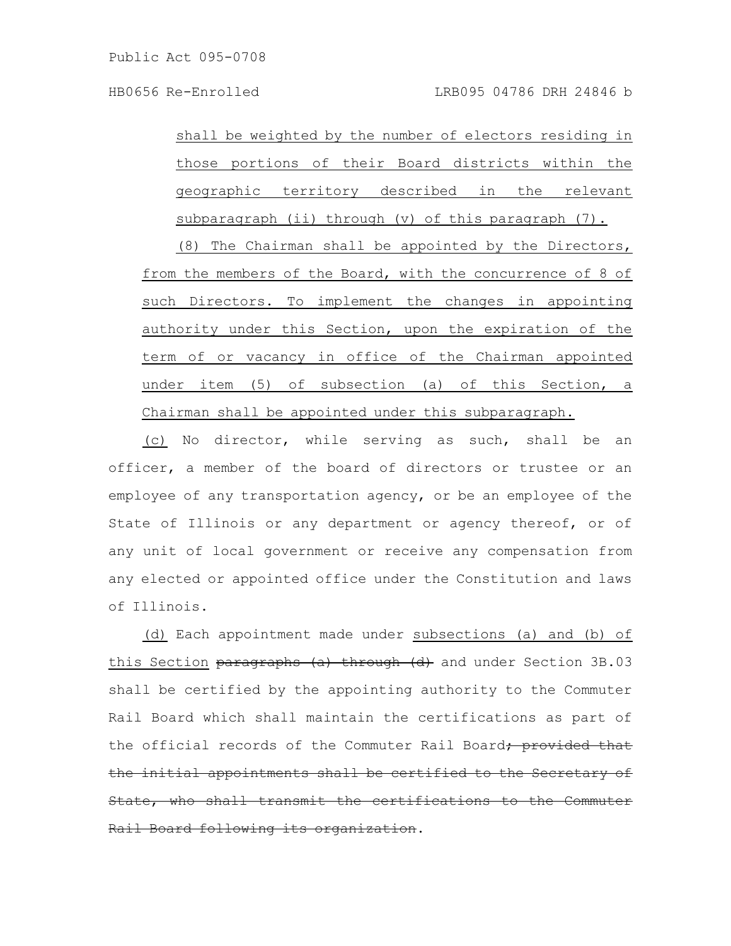shall be weighted by the number of electors residing in those portions of their Board districts within the geographic territory described in the relevant subparagraph (ii) through (v) of this paragraph (7).

(8) The Chairman shall be appointed by the Directors, from the members of the Board, with the concurrence of 8 of such Directors. To implement the changes in appointing authority under this Section, upon the expiration of the term of or vacancy in office of the Chairman appointed under item (5) of subsection (a) of this Section, a Chairman shall be appointed under this subparagraph.

(c) No director, while serving as such, shall be an officer, a member of the board of directors or trustee or an employee of any transportation agency, or be an employee of the State of Illinois or any department or agency thereof, or of any unit of local government or receive any compensation from any elected or appointed office under the Constitution and laws of Illinois.

(d) Each appointment made under subsections (a) and (b) of this Section paragraphs (a) through (d) and under Section 3B.03 shall be certified by the appointing authority to the Commuter Rail Board which shall maintain the certifications as part of the official records of the Commuter Rail Board, provided the initial appointments shall be certified to the Secretary of State, who shall transmit the certifications to the Commuter ail Board following its organization.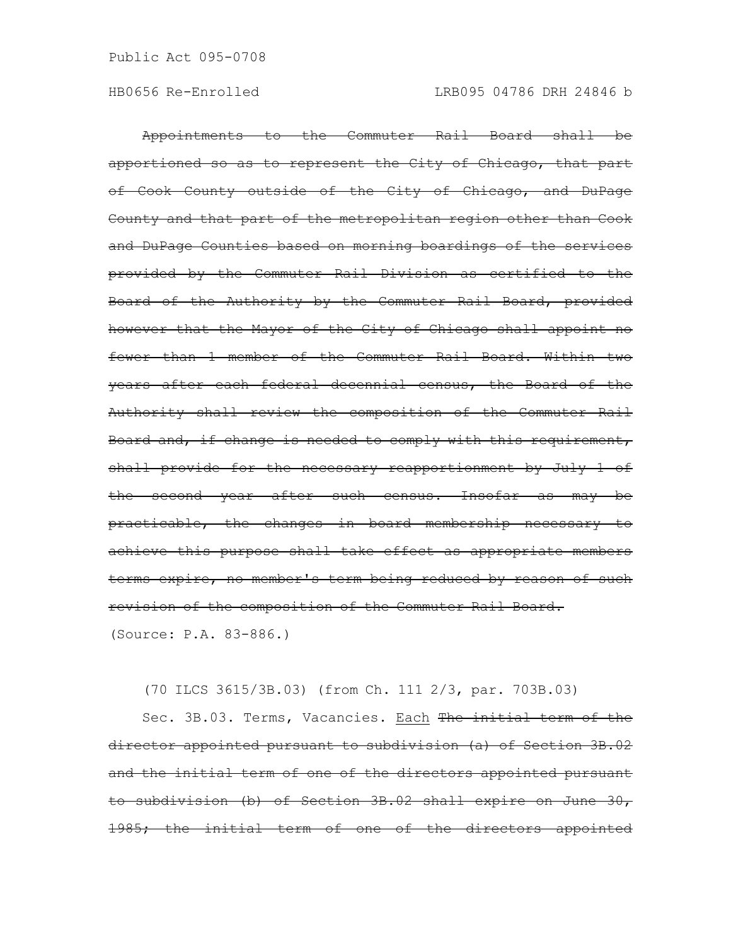Appointments to the Commuter Rail Board shall be apportioned so as to represent the City of Chicago, that part of Cook County outside of the City of Chicago, and DuPage County and that part of the metropolitan region other than Cook and DuPage Counties based on morning boardings of the services provided by the Commuter Rail Division as certified to the Board of the Authority by the Commuter Rail Board, provided however that the Mayor of the City of Chicago shall appoint no fewer than 1 member of the Commuter Rail Board. Within two years after each federal decennial census, the Board of the Authority shall review the composition of the Commuter Rail Board and, if change is needed to comply with this requirement, shall provide for the necessary reapportionment by July 1 of the second year after such census. Insofar as may be practicable, the changes in board membership necessary to achieve this purpose shall take effect as appropriate members terms expire, no member's term being reduced by reason of such revision of the composition of the Commuter Rail Board. (Source: P.A. 83-886.)

(70 ILCS 3615/3B.03) (from Ch. 111 2/3, par. 703B.03)

Sec. 3B.03. Terms, Vacancies. Each The initial term of the director appointed pursuant to subdivision (a) of Section 3B.02 and the initial term of one of the directors appointed pursuant to subdivision (b) of Section 3B.02 shall expire on June 30, 1985; the initial term of one of the directors appointed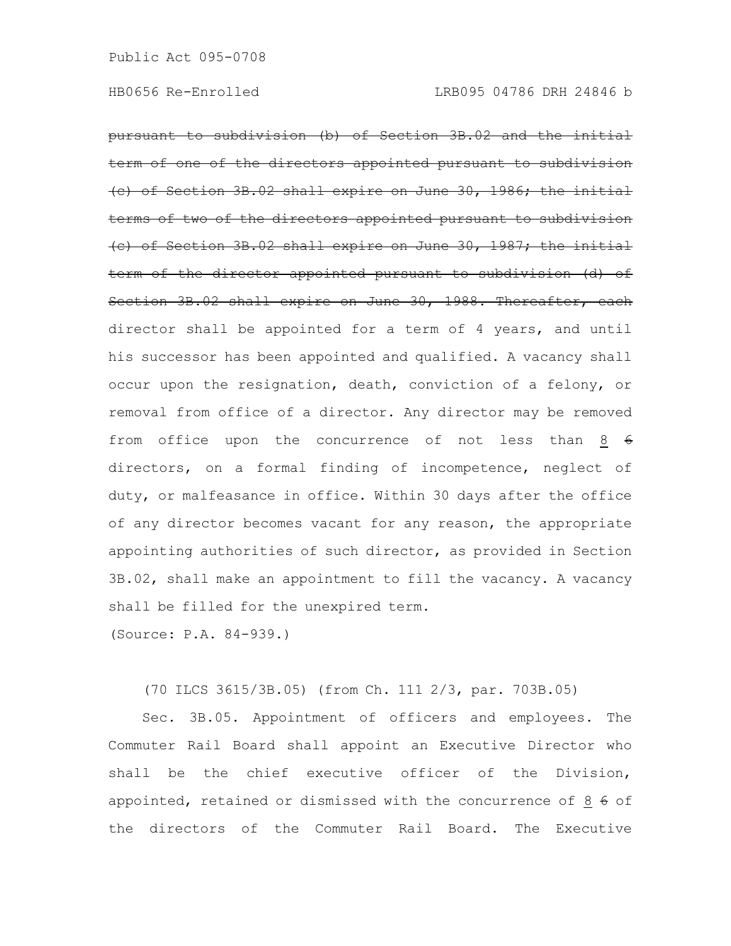pursuant to subdivision (b) of Section 3B.02 and the initial term of one of the directors appointed pursuant to subdivision (c) of Section 3B.02 shall expire on June 30, 1986; the initial the directors appointed pursuant  $(e)$  of Section 3B.02 shall expire on June 30, 1987; term of the director appointed pursuant to subdivision (d) of Section 3B.02 shall expire on June 30, 1988. Thereafter, each director shall be appointed for a term of 4 years, and until his successor has been appointed and qualified. A vacancy shall occur upon the resignation, death, conviction of a felony, or removal from office of a director. Any director may be removed from office upon the concurrence of not less than  $8 \div 6$ directors, on a formal finding of incompetence, neglect of duty, or malfeasance in office. Within 30 days after the office of any director becomes vacant for any reason, the appropriate appointing authorities of such director, as provided in Section 3B.02, shall make an appointment to fill the vacancy. A vacancy shall be filled for the unexpired term.

(Source: P.A. 84-939.)

(70 ILCS 3615/3B.05) (from Ch. 111 2/3, par. 703B.05)

Sec. 3B.05. Appointment of officers and employees. The Commuter Rail Board shall appoint an Executive Director who shall be the chief executive officer of the Division, appointed, retained or dismissed with the concurrence of  $8 \div 6$ the directors of the Commuter Rail Board. The Executive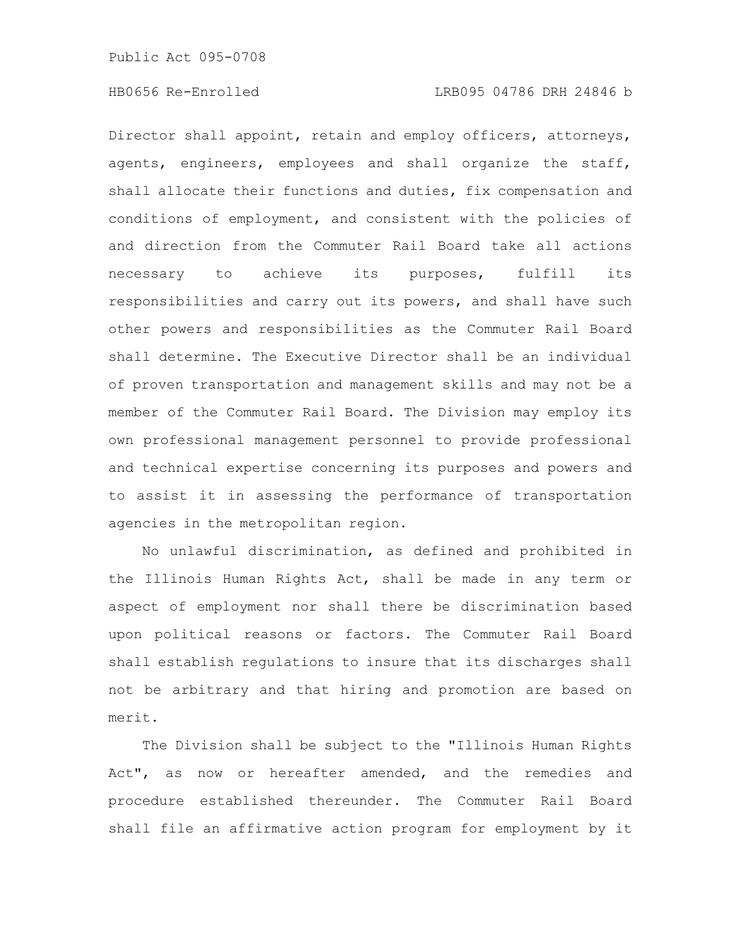Director shall appoint, retain and employ officers, attorneys, agents, engineers, employees and shall organize the staff, shall allocate their functions and duties, fix compensation and conditions of employment, and consistent with the policies of and direction from the Commuter Rail Board take all actions necessary to achieve its purposes, fulfill its responsibilities and carry out its powers, and shall have such other powers and responsibilities as the Commuter Rail Board shall determine. The Executive Director shall be an individual of proven transportation and management skills and may not be a member of the Commuter Rail Board. The Division may employ its own professional management personnel to provide professional and technical expertise concerning its purposes and powers and to assist it in assessing the performance of transportation agencies in the metropolitan region.

No unlawful discrimination, as defined and prohibited in the Illinois Human Rights Act, shall be made in any term or aspect of employment nor shall there be discrimination based upon political reasons or factors. The Commuter Rail Board shall establish regulations to insure that its discharges shall not be arbitrary and that hiring and promotion are based on merit.

The Division shall be subject to the "Illinois Human Rights Act", as now or hereafter amended, and the remedies and procedure established thereunder. The Commuter Rail Board shall file an affirmative action program for employment by it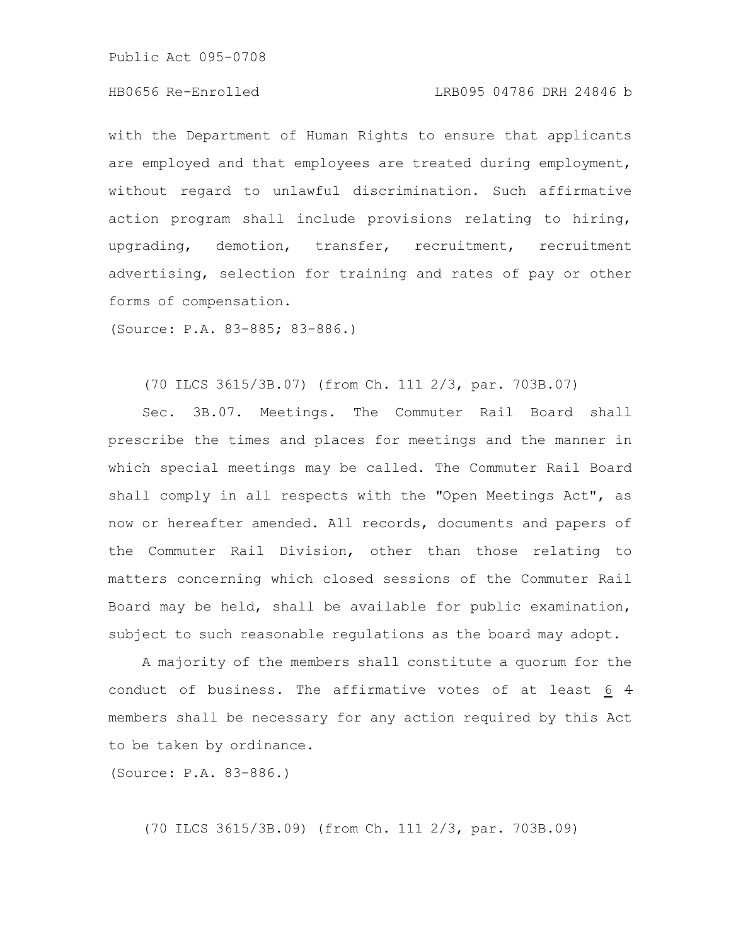Public Act 095-0708

## HB0656 Re-Enrolled LRB095 04786 DRH 24846 b

with the Department of Human Rights to ensure that applicants are employed and that employees are treated during employment, without regard to unlawful discrimination. Such affirmative action program shall include provisions relating to hiring, upgrading, demotion, transfer, recruitment, recruitment advertising, selection for training and rates of pay or other forms of compensation.

(Source: P.A. 83-885; 83-886.)

#### (70 ILCS 3615/3B.07) (from Ch. 111 2/3, par. 703B.07)

Sec. 3B.07. Meetings. The Commuter Rail Board shall prescribe the times and places for meetings and the manner in which special meetings may be called. The Commuter Rail Board shall comply in all respects with the "Open Meetings Act", as now or hereafter amended. All records, documents and papers of the Commuter Rail Division, other than those relating to matters concerning which closed sessions of the Commuter Rail Board may be held, shall be available for public examination, subject to such reasonable regulations as the board may adopt.

A majority of the members shall constitute a quorum for the conduct of business. The affirmative votes of at least 6 4 members shall be necessary for any action required by this Act to be taken by ordinance.

(Source: P.A. 83-886.)

(70 ILCS 3615/3B.09) (from Ch. 111 2/3, par. 703B.09)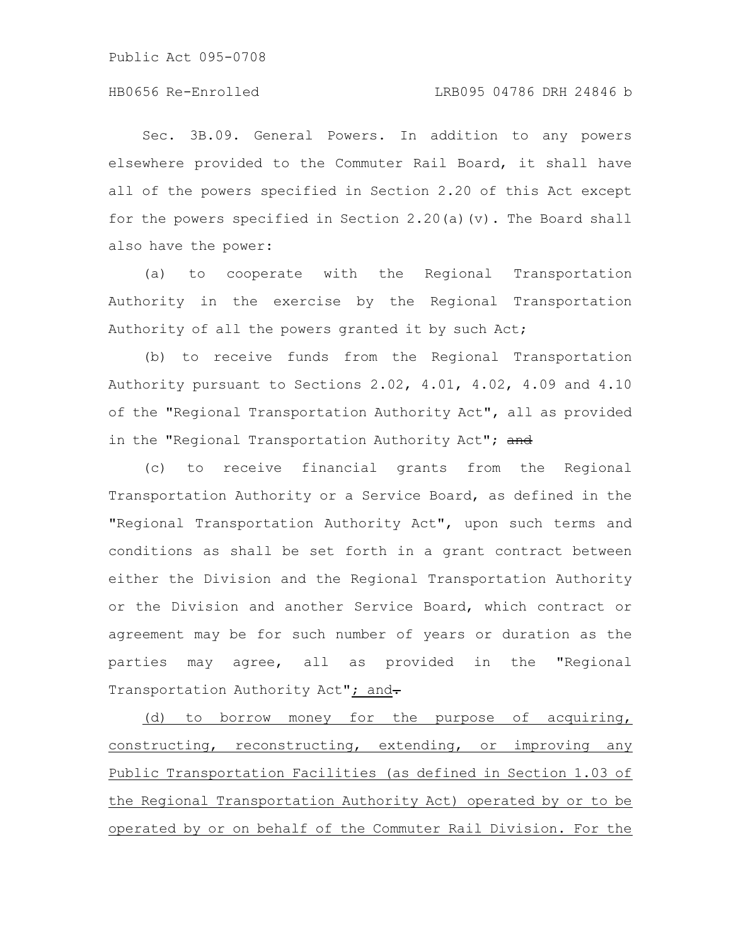# HB0656 Re-Enrolled LRB095 04786 DRH 24846 b

Sec. 3B.09. General Powers. In addition to any powers elsewhere provided to the Commuter Rail Board, it shall have all of the powers specified in Section 2.20 of this Act except for the powers specified in Section 2.20(a)(v). The Board shall also have the power:

(a) to cooperate with the Regional Transportation Authority in the exercise by the Regional Transportation Authority of all the powers granted it by such Act;

(b) to receive funds from the Regional Transportation Authority pursuant to Sections 2.02, 4.01, 4.02, 4.09 and 4.10 of the "Regional Transportation Authority Act", all as provided in the "Regional Transportation Authority Act"; and

(c) to receive financial grants from the Regional Transportation Authority or a Service Board, as defined in the "Regional Transportation Authority Act", upon such terms and conditions as shall be set forth in a grant contract between either the Division and the Regional Transportation Authority or the Division and another Service Board, which contract or agreement may be for such number of years or duration as the parties may agree, all as provided in the "Regional Transportation Authority Act"; and-

(d) to borrow money for the purpose of acquiring, constructing, reconstructing, extending, or improving any Public Transportation Facilities (as defined in Section 1.03 of the Regional Transportation Authority Act) operated by or to be operated by or on behalf of the Commuter Rail Division. For the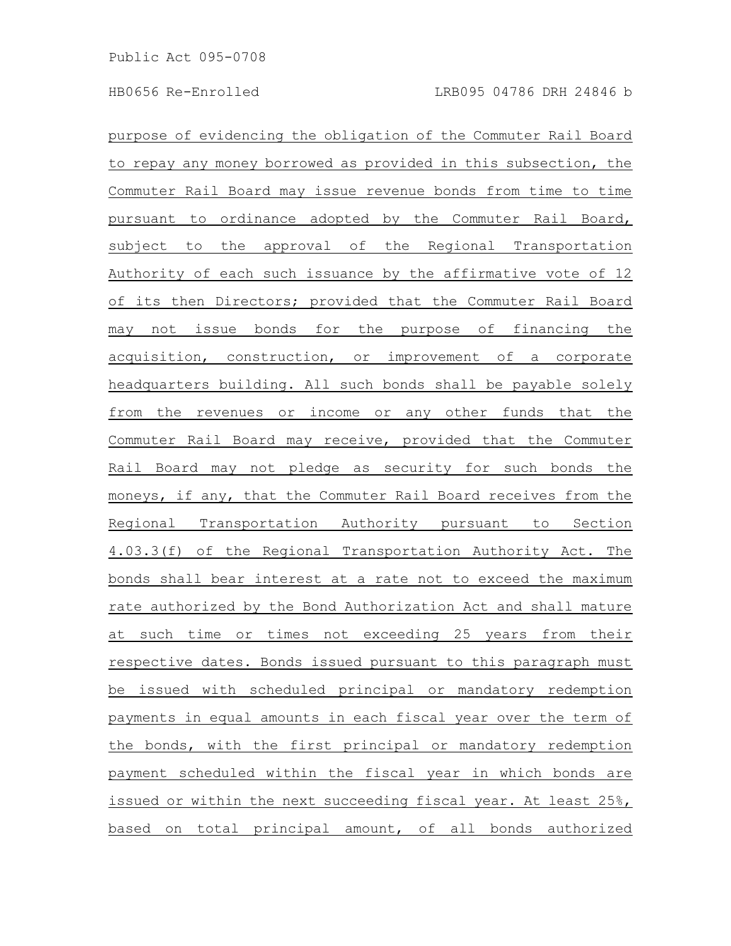purpose of evidencing the obligation of the Commuter Rail Board to repay any money borrowed as provided in this subsection, the Commuter Rail Board may issue revenue bonds from time to time pursuant to ordinance adopted by the Commuter Rail Board, subject to the approval of the Regional Transportation Authority of each such issuance by the affirmative vote of 12 of its then Directors; provided that the Commuter Rail Board may not issue bonds for the purpose of financing the acquisition, construction, or improvement of a corporate headquarters building. All such bonds shall be payable solely from the revenues or income or any other funds that the Commuter Rail Board may receive, provided that the Commuter Rail Board may not pledge as security for such bonds the moneys, if any, that the Commuter Rail Board receives from the Regional Transportation Authority pursuant to Section 4.03.3(f) of the Regional Transportation Authority Act. The bonds shall bear interest at a rate not to exceed the maximum rate authorized by the Bond Authorization Act and shall mature at such time or times not exceeding 25 years from their respective dates. Bonds issued pursuant to this paragraph must be issued with scheduled principal or mandatory redemption payments in equal amounts in each fiscal year over the term of the bonds, with the first principal or mandatory redemption payment scheduled within the fiscal year in which bonds are issued or within the next succeeding fiscal year. At least 25%, based on total principal amount, of all bonds authorized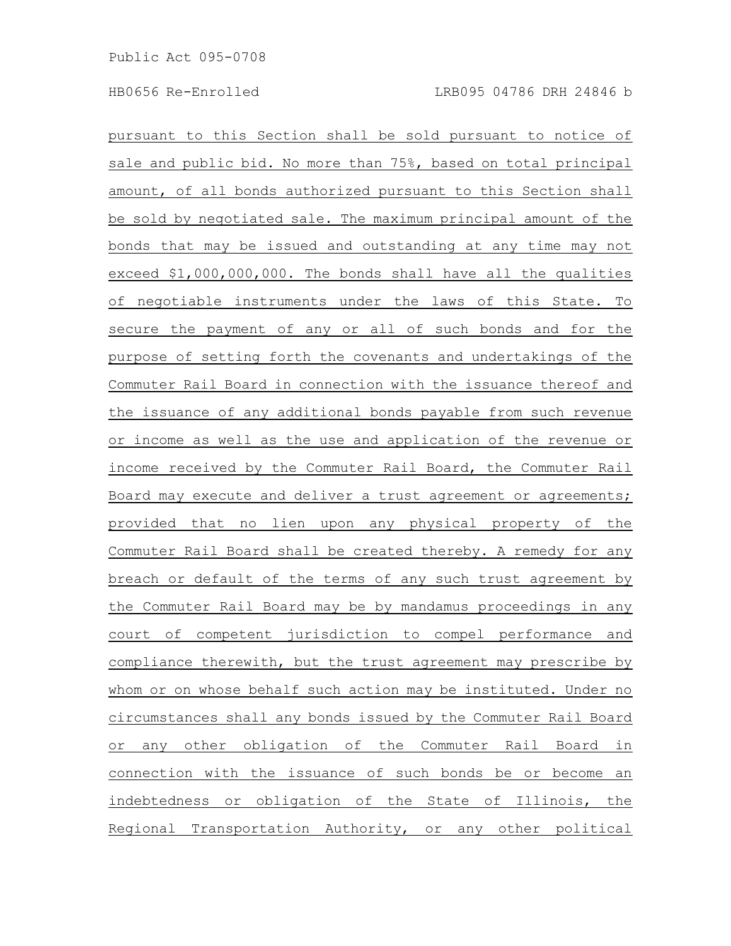pursuant to this Section shall be sold pursuant to notice of sale and public bid. No more than 75%, based on total principal amount, of all bonds authorized pursuant to this Section shall be sold by negotiated sale. The maximum principal amount of the bonds that may be issued and outstanding at any time may not exceed \$1,000,000,000. The bonds shall have all the qualities of negotiable instruments under the laws of this State. To secure the payment of any or all of such bonds and for the purpose of setting forth the covenants and undertakings of the Commuter Rail Board in connection with the issuance thereof and the issuance of any additional bonds payable from such revenue or income as well as the use and application of the revenue or income received by the Commuter Rail Board, the Commuter Rail Board may execute and deliver a trust agreement or agreements; provided that no lien upon any physical property of the Commuter Rail Board shall be created thereby. A remedy for any breach or default of the terms of any such trust agreement by the Commuter Rail Board may be by mandamus proceedings in any court of competent jurisdiction to compel performance and compliance therewith, but the trust agreement may prescribe by whom or on whose behalf such action may be instituted. Under no circumstances shall any bonds issued by the Commuter Rail Board or any other obligation of the Commuter Rail Board in connection with the issuance of such bonds be or become an indebtedness or obligation of the State of Illinois, the Regional Transportation Authority, or any other political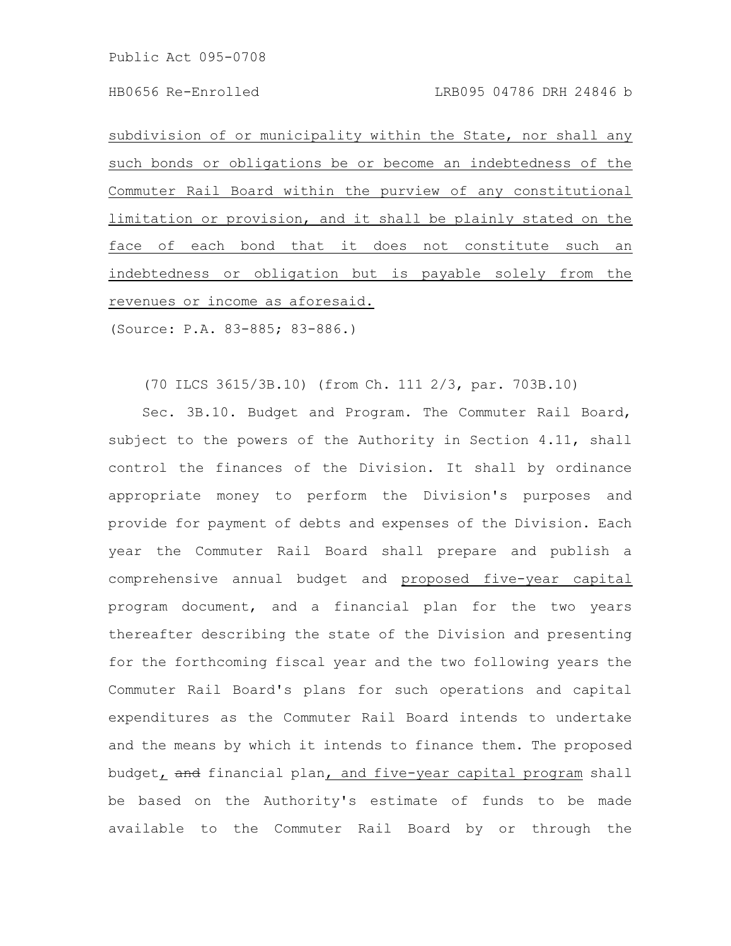Public Act 095-0708

subdivision of or municipality within the State, nor shall any such bonds or obligations be or become an indebtedness of the Commuter Rail Board within the purview of any constitutional limitation or provision, and it shall be plainly stated on the face of each bond that it does not constitute such an indebtedness or obligation but is payable solely from the revenues or income as aforesaid.

(Source: P.A. 83-885; 83-886.)

(70 ILCS 3615/3B.10) (from Ch. 111 2/3, par. 703B.10)

Sec. 3B.10. Budget and Program. The Commuter Rail Board, subject to the powers of the Authority in Section 4.11, shall control the finances of the Division. It shall by ordinance appropriate money to perform the Division's purposes and provide for payment of debts and expenses of the Division. Each year the Commuter Rail Board shall prepare and publish a comprehensive annual budget and proposed five-year capital program document, and a financial plan for the two years thereafter describing the state of the Division and presenting for the forthcoming fiscal year and the two following years the Commuter Rail Board's plans for such operations and capital expenditures as the Commuter Rail Board intends to undertake and the means by which it intends to finance them. The proposed budget, and financial plan, and five-year capital program shall be based on the Authority's estimate of funds to be made available to the Commuter Rail Board by or through the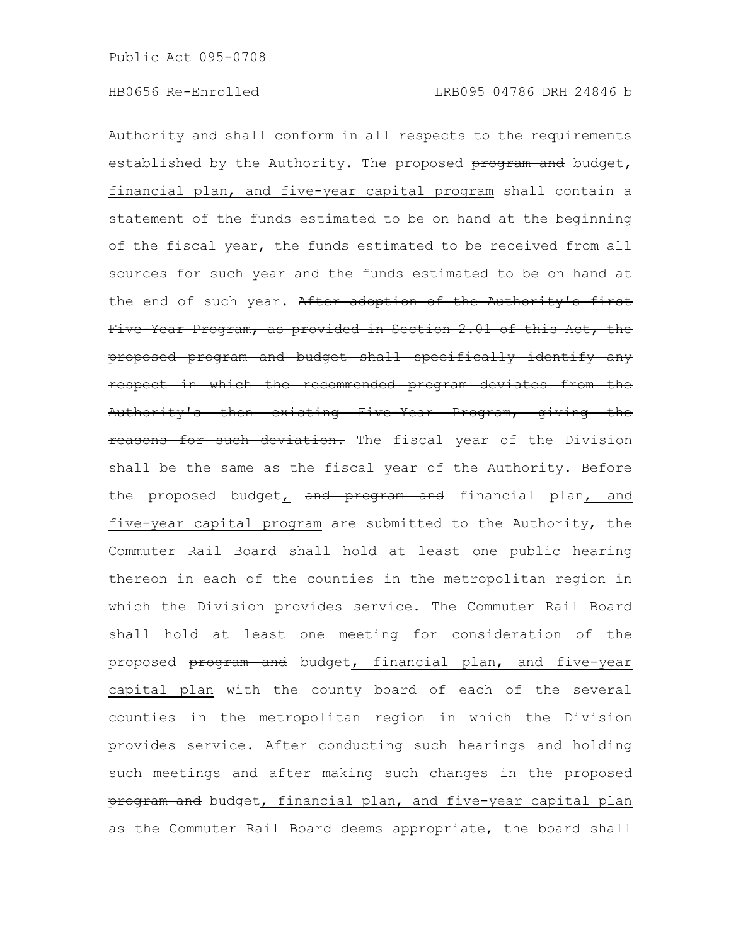Authority and shall conform in all respects to the requirements established by the Authority. The proposed program and budget, financial plan, and five-year capital program shall contain a statement of the funds estimated to be on hand at the beginning of the fiscal year, the funds estimated to be received from all sources for such year and the funds estimated to be on hand at the end of such year. After adoption of the Authority's first Five-Year Program, as provided in Section 2.01 of this Act, the proposed program and budget shall specifically identify any respect in which the recommended program deviates from the Authority's then existing Five-Year Program, giving the reasons for such deviation. The fiscal year of the Division shall be the same as the fiscal year of the Authority. Before the proposed budget, and program and financial plan, and five-year capital program are submitted to the Authority, the Commuter Rail Board shall hold at least one public hearing thereon in each of the counties in the metropolitan region in which the Division provides service. The Commuter Rail Board shall hold at least one meeting for consideration of the proposed **program and** budget, financial plan, and five-year capital plan with the county board of each of the several counties in the metropolitan region in which the Division provides service. After conducting such hearings and holding such meetings and after making such changes in the proposed program and budget, financial plan, and five-year capital plan as the Commuter Rail Board deems appropriate, the board shall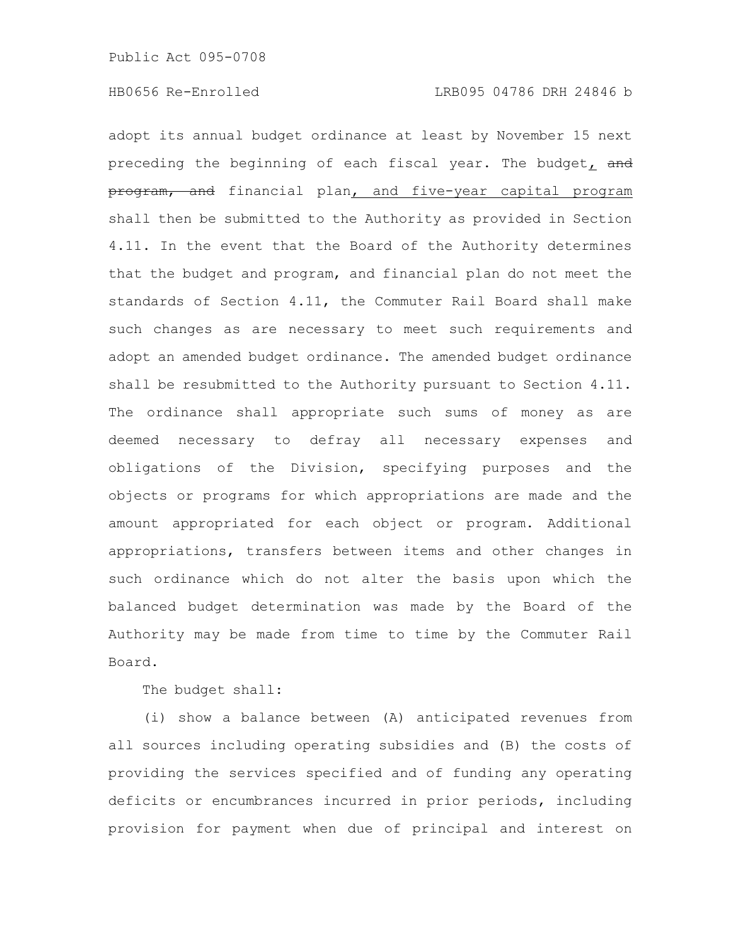adopt its annual budget ordinance at least by November 15 next preceding the beginning of each fiscal year. The budget, and program, and financial plan, and five-year capital program shall then be submitted to the Authority as provided in Section 4.11. In the event that the Board of the Authority determines that the budget and program, and financial plan do not meet the standards of Section 4.11, the Commuter Rail Board shall make such changes as are necessary to meet such requirements and adopt an amended budget ordinance. The amended budget ordinance shall be resubmitted to the Authority pursuant to Section 4.11. The ordinance shall appropriate such sums of money as are deemed necessary to defray all necessary expenses and obligations of the Division, specifying purposes and the objects or programs for which appropriations are made and the amount appropriated for each object or program. Additional appropriations, transfers between items and other changes in such ordinance which do not alter the basis upon which the balanced budget determination was made by the Board of the Authority may be made from time to time by the Commuter Rail Board.

The budget shall:

(i) show a balance between (A) anticipated revenues from all sources including operating subsidies and (B) the costs of providing the services specified and of funding any operating deficits or encumbrances incurred in prior periods, including provision for payment when due of principal and interest on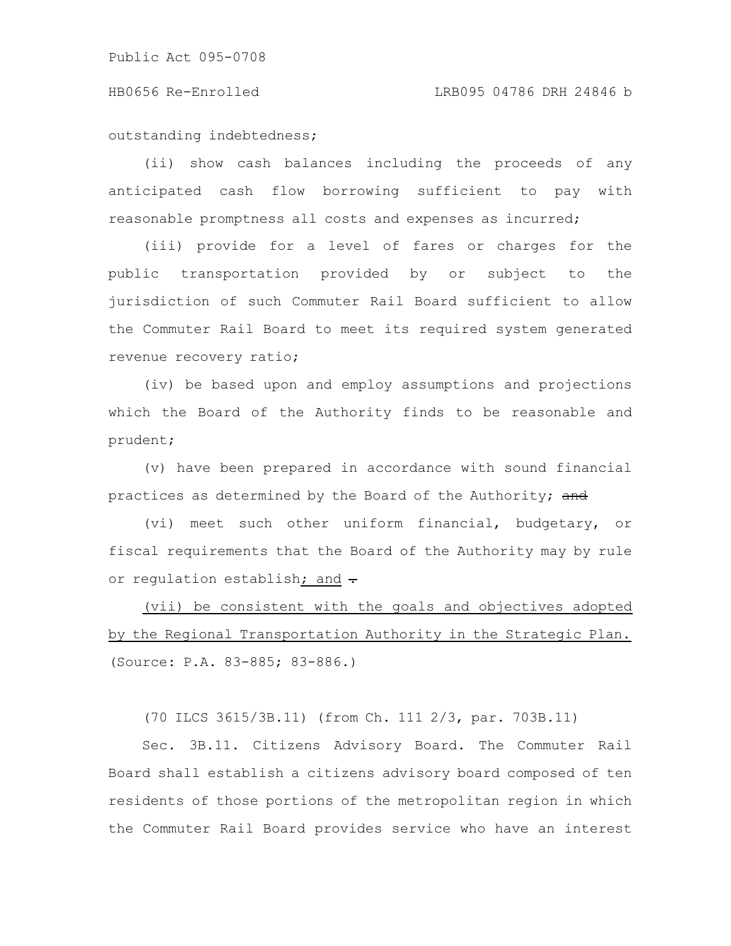outstanding indebtedness;

(ii) show cash balances including the proceeds of any anticipated cash flow borrowing sufficient to pay with reasonable promptness all costs and expenses as incurred;

(iii) provide for a level of fares or charges for the public transportation provided by or subject to the jurisdiction of such Commuter Rail Board sufficient to allow the Commuter Rail Board to meet its required system generated revenue recovery ratio;

(iv) be based upon and employ assumptions and projections which the Board of the Authority finds to be reasonable and prudent;

(v) have been prepared in accordance with sound financial practices as determined by the Board of the Authority; and

(vi) meet such other uniform financial, budgetary, or fiscal requirements that the Board of the Authority may by rule or regulation establish; and -

(vii) be consistent with the goals and objectives adopted by the Regional Transportation Authority in the Strategic Plan. (Source: P.A. 83-885; 83-886.)

(70 ILCS 3615/3B.11) (from Ch. 111 2/3, par. 703B.11)

Sec. 3B.11. Citizens Advisory Board. The Commuter Rail Board shall establish a citizens advisory board composed of ten residents of those portions of the metropolitan region in which the Commuter Rail Board provides service who have an interest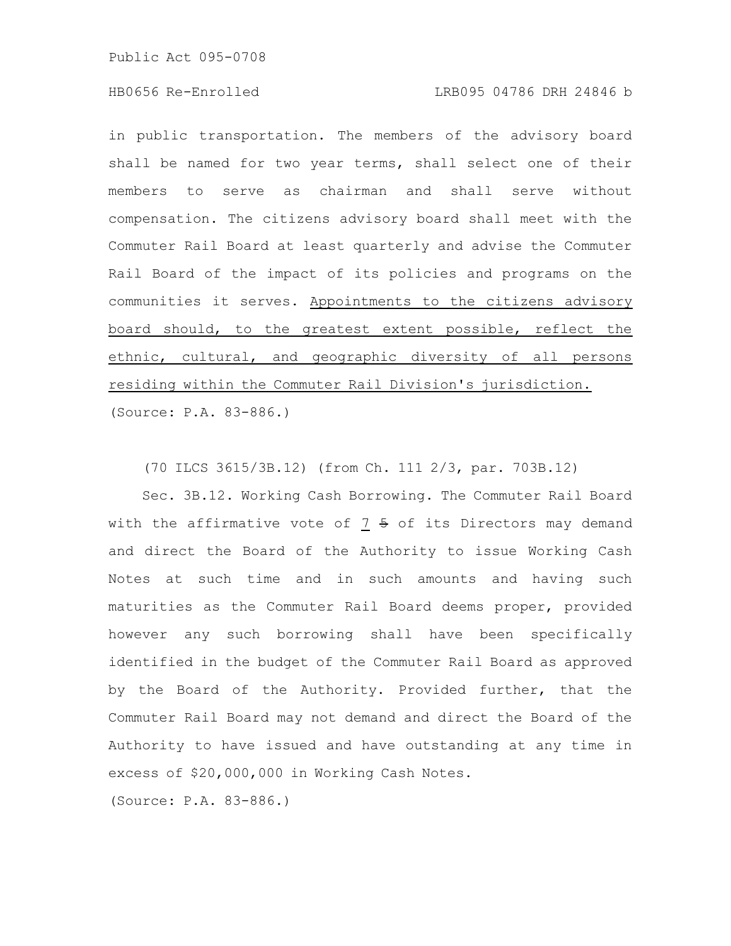Public Act 095-0708

## HB0656 Re-Enrolled LRB095 04786 DRH 24846 b

in public transportation. The members of the advisory board shall be named for two year terms, shall select one of their members to serve as chairman and shall serve without compensation. The citizens advisory board shall meet with the Commuter Rail Board at least quarterly and advise the Commuter Rail Board of the impact of its policies and programs on the communities it serves. Appointments to the citizens advisory board should, to the greatest extent possible, reflect the ethnic, cultural, and geographic diversity of all persons residing within the Commuter Rail Division's jurisdiction. (Source: P.A. 83-886.)

(70 ILCS 3615/3B.12) (from Ch. 111 2/3, par. 703B.12)

Sec. 3B.12. Working Cash Borrowing. The Commuter Rail Board with the affirmative vote of  $7 + 5$  of its Directors may demand and direct the Board of the Authority to issue Working Cash Notes at such time and in such amounts and having such maturities as the Commuter Rail Board deems proper, provided however any such borrowing shall have been specifically identified in the budget of the Commuter Rail Board as approved by the Board of the Authority. Provided further, that the Commuter Rail Board may not demand and direct the Board of the Authority to have issued and have outstanding at any time in excess of \$20,000,000 in Working Cash Notes.

(Source: P.A. 83-886.)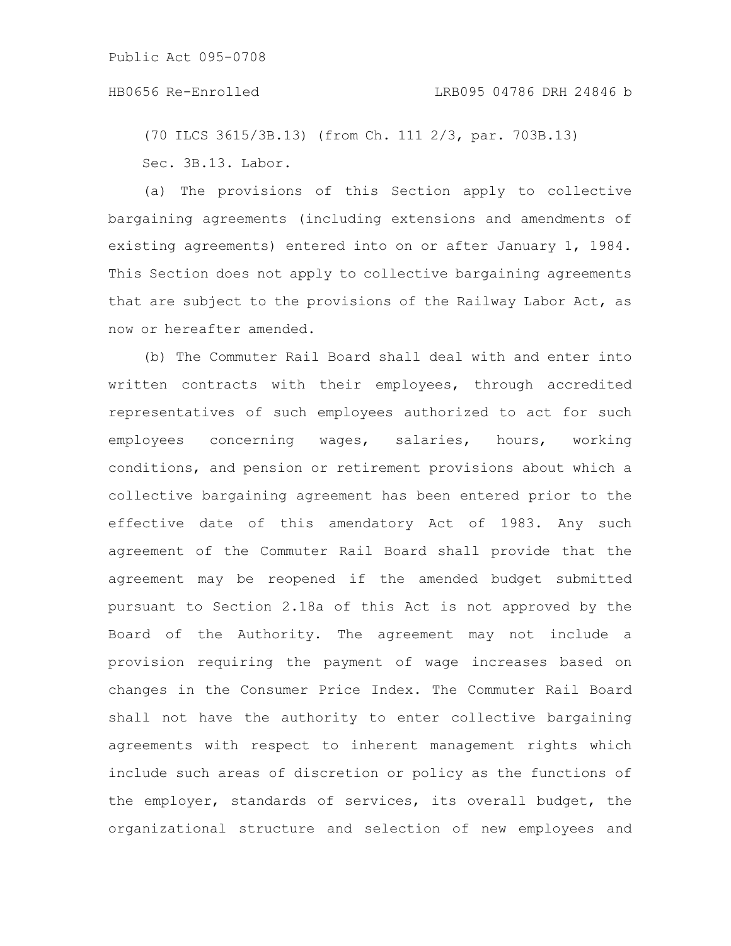(70 ILCS 3615/3B.13) (from Ch. 111 2/3, par. 703B.13) Sec. 3B.13. Labor.

(a) The provisions of this Section apply to collective bargaining agreements (including extensions and amendments of existing agreements) entered into on or after January 1, 1984. This Section does not apply to collective bargaining agreements that are subject to the provisions of the Railway Labor Act, as now or hereafter amended.

(b) The Commuter Rail Board shall deal with and enter into written contracts with their employees, through accredited representatives of such employees authorized to act for such employees concerning wages, salaries, hours, working conditions, and pension or retirement provisions about which a collective bargaining agreement has been entered prior to the effective date of this amendatory Act of 1983. Any such agreement of the Commuter Rail Board shall provide that the agreement may be reopened if the amended budget submitted pursuant to Section 2.18a of this Act is not approved by the Board of the Authority. The agreement may not include a provision requiring the payment of wage increases based on changes in the Consumer Price Index. The Commuter Rail Board shall not have the authority to enter collective bargaining agreements with respect to inherent management rights which include such areas of discretion or policy as the functions of the employer, standards of services, its overall budget, the organizational structure and selection of new employees and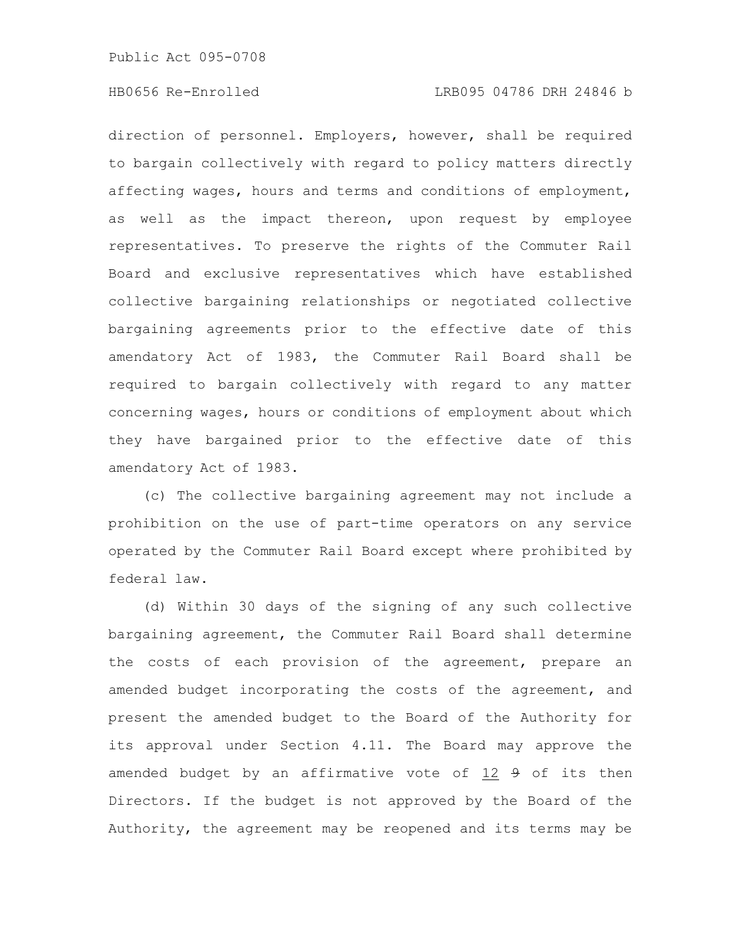Public Act 095-0708

## HB0656 Re-Enrolled LRB095 04786 DRH 24846 b

direction of personnel. Employers, however, shall be required to bargain collectively with regard to policy matters directly affecting wages, hours and terms and conditions of employment, as well as the impact thereon, upon request by employee representatives. To preserve the rights of the Commuter Rail Board and exclusive representatives which have established collective bargaining relationships or negotiated collective bargaining agreements prior to the effective date of this amendatory Act of 1983, the Commuter Rail Board shall be required to bargain collectively with regard to any matter concerning wages, hours or conditions of employment about which they have bargained prior to the effective date of this amendatory Act of 1983.

(c) The collective bargaining agreement may not include a prohibition on the use of part-time operators on any service operated by the Commuter Rail Board except where prohibited by federal law.

(d) Within 30 days of the signing of any such collective bargaining agreement, the Commuter Rail Board shall determine the costs of each provision of the agreement, prepare an amended budget incorporating the costs of the agreement, and present the amended budget to the Board of the Authority for its approval under Section 4.11. The Board may approve the amended budget by an affirmative vote of 12 9 of its then Directors. If the budget is not approved by the Board of the Authority, the agreement may be reopened and its terms may be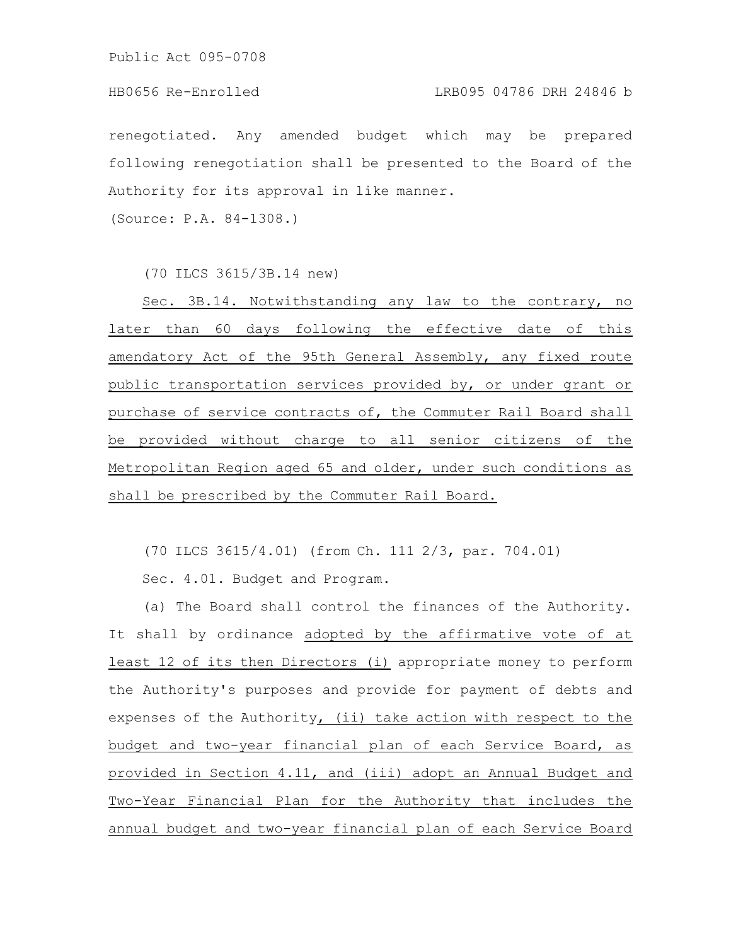Public Act 095-0708

## HB0656 Re-Enrolled LRB095 04786 DRH 24846 b

renegotiated. Any amended budget which may be prepared following renegotiation shall be presented to the Board of the Authority for its approval in like manner.

(Source: P.A. 84-1308.)

(70 ILCS 3615/3B.14 new)

Sec. 3B.14. Notwithstanding any law to the contrary, no later than 60 days following the effective date of this amendatory Act of the 95th General Assembly, any fixed route public transportation services provided by, or under grant or purchase of service contracts of, the Commuter Rail Board shall be provided without charge to all senior citizens of the Metropolitan Region aged 65 and older, under such conditions as shall be prescribed by the Commuter Rail Board.

(70 ILCS 3615/4.01) (from Ch. 111 2/3, par. 704.01)

Sec. 4.01. Budget and Program.

(a) The Board shall control the finances of the Authority. It shall by ordinance adopted by the affirmative vote of at least 12 of its then Directors (i) appropriate money to perform the Authority's purposes and provide for payment of debts and expenses of the Authority, (ii) take action with respect to the budget and two-year financial plan of each Service Board, as provided in Section 4.11, and (iii) adopt an Annual Budget and Two-Year Financial Plan for the Authority that includes the annual budget and two-year financial plan of each Service Board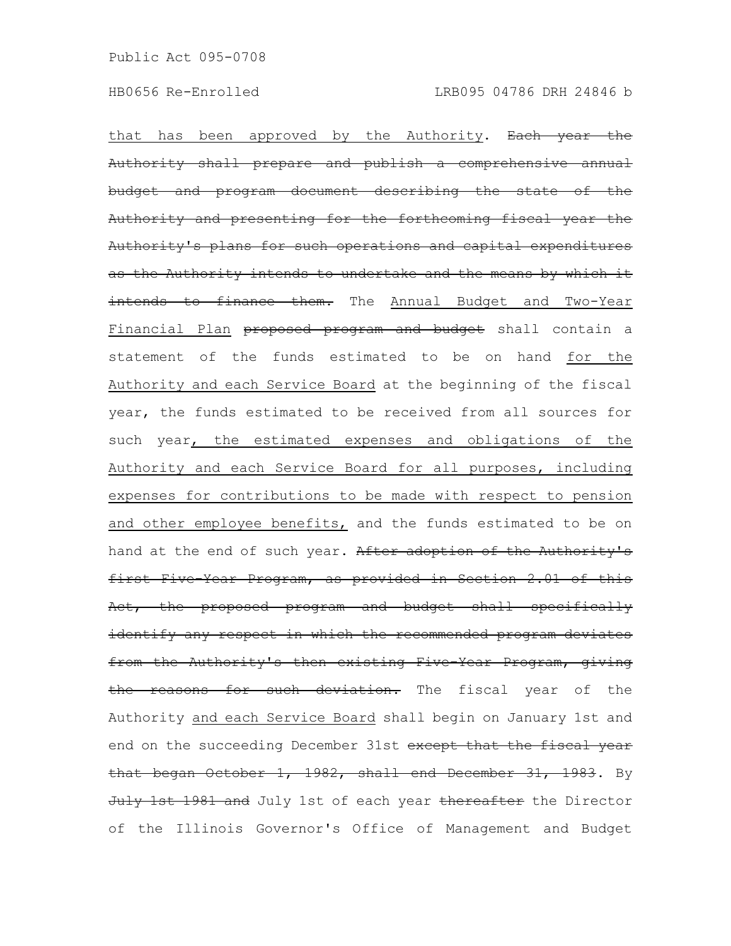that has been approved by the Authority. Each year the Authority shall prepare and publish a comprehensive annual budget and program document describing the state of the Authority and presenting for the forthcoming fiscal year the Authority's plans for such operations and capital expenditures as the Authority intends to undertake and the means by which it intends to finance them. The Annual Budget and Two-Year Financial Plan proposed program and budget shall contain a statement of the funds estimated to be on hand for the Authority and each Service Board at the beginning of the fiscal year, the funds estimated to be received from all sources for such year, the estimated expenses and obligations of the Authority and each Service Board for all purposes, including expenses for contributions to be made with respect to pension and other employee benefits, and the funds estimated to be on hand at the end of such year. After adoption of the Authority's first Five Year Program, as provided in Section 2.01 of this Act, the proposed program and budget shall specifically identify any respect in which the recommended program deviates from the Authority's then existing Five-Year Program, giving the reasons for such deviation. The fiscal year of the Authority and each Service Board shall begin on January 1st and end on the succeeding December 31st except that the fiscal year that began October 1, 1982, shall end December 31, 1983. By July 1st 1981 and July 1st of each year thereafter the Director of the Illinois Governor's Office of Management and Budget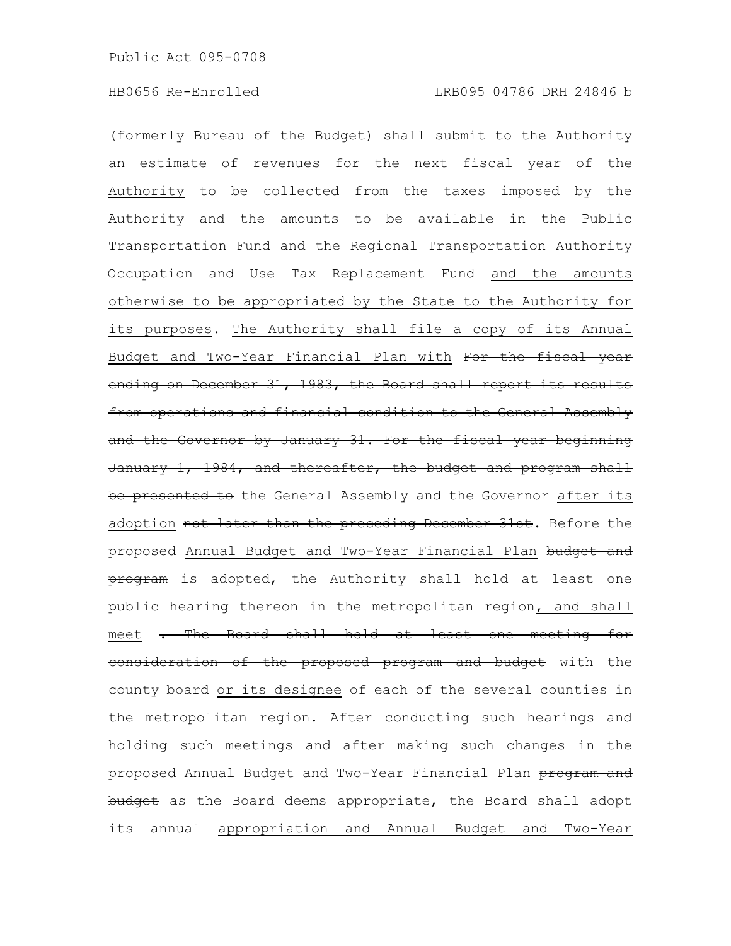(formerly Bureau of the Budget) shall submit to the Authority an estimate of revenues for the next fiscal year of the Authority to be collected from the taxes imposed by the Authority and the amounts to be available in the Public Transportation Fund and the Regional Transportation Authority Occupation and Use Tax Replacement Fund and the amounts otherwise to be appropriated by the State to the Authority for its purposes. The Authority shall file a copy of its Annual Budget and Two-Year Financial Plan with For the fiscal year ending on December 31, 1983, the Board shall report its results from operations and financial condition to the General Assembly and the Governor by January 31. For the fiscal year beginning January 1, 1984, and thereafter, the budget and program shall be presented to the General Assembly and the Governor after its adoption not later than the preceding December 31st. Before the proposed Annual Budget and Two-Year Financial Plan budget and program is adopted, the Authority shall hold at least one public hearing thereon in the metropolitan region, and shall meet . The Board shall hold at least one meeting for consideration of the proposed program and budget with the county board or its designee of each of the several counties in the metropolitan region. After conducting such hearings and holding such meetings and after making such changes in the proposed Annual Budget and Two-Year Financial Plan program and budget as the Board deems appropriate, the Board shall adopt its annual appropriation and Annual Budget and Two-Year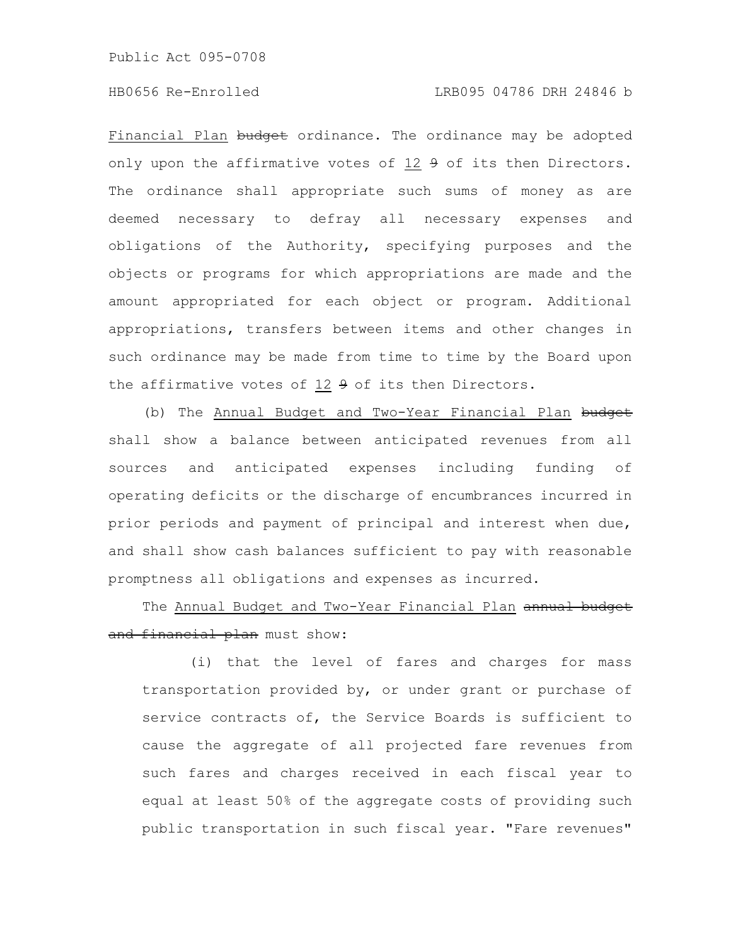Public Act 095-0708

## HB0656 Re-Enrolled LRB095 04786 DRH 24846 b

Financial Plan budget ordinance. The ordinance may be adopted only upon the affirmative votes of 12 9 of its then Directors. The ordinance shall appropriate such sums of money as are deemed necessary to defray all necessary expenses and obligations of the Authority, specifying purposes and the objects or programs for which appropriations are made and the amount appropriated for each object or program. Additional appropriations, transfers between items and other changes in such ordinance may be made from time to time by the Board upon the affirmative votes of  $12 + 9$  of its then Directors.

(b) The Annual Budget and Two-Year Financial Plan budget shall show a balance between anticipated revenues from all sources and anticipated expenses including funding of operating deficits or the discharge of encumbrances incurred in prior periods and payment of principal and interest when due, and shall show cash balances sufficient to pay with reasonable promptness all obligations and expenses as incurred.

The Annual Budget and Two-Year Financial Plan annual budget and financial plan must show:

(i) that the level of fares and charges for mass transportation provided by, or under grant or purchase of service contracts of, the Service Boards is sufficient to cause the aggregate of all projected fare revenues from such fares and charges received in each fiscal year to equal at least 50% of the aggregate costs of providing such public transportation in such fiscal year. "Fare revenues"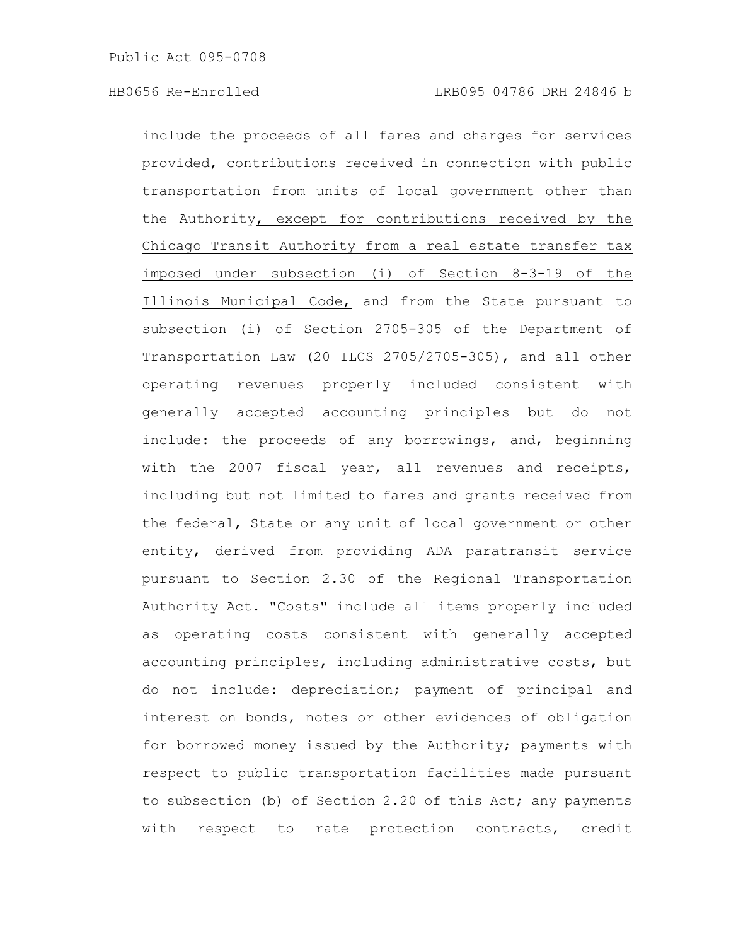include the proceeds of all fares and charges for services provided, contributions received in connection with public transportation from units of local government other than the Authority, except for contributions received by the Chicago Transit Authority from a real estate transfer tax imposed under subsection (i) of Section 8-3-19 of the Illinois Municipal Code, and from the State pursuant to subsection (i) of Section 2705-305 of the Department of Transportation Law (20 ILCS 2705/2705-305), and all other operating revenues properly included consistent with generally accepted accounting principles but do not include: the proceeds of any borrowings, and, beginning with the 2007 fiscal year, all revenues and receipts, including but not limited to fares and grants received from the federal, State or any unit of local government or other entity, derived from providing ADA paratransit service pursuant to Section 2.30 of the Regional Transportation Authority Act. "Costs" include all items properly included as operating costs consistent with generally accepted accounting principles, including administrative costs, but do not include: depreciation; payment of principal and interest on bonds, notes or other evidences of obligation for borrowed money issued by the Authority; payments with respect to public transportation facilities made pursuant to subsection (b) of Section 2.20 of this Act; any payments with respect to rate protection contracts, credit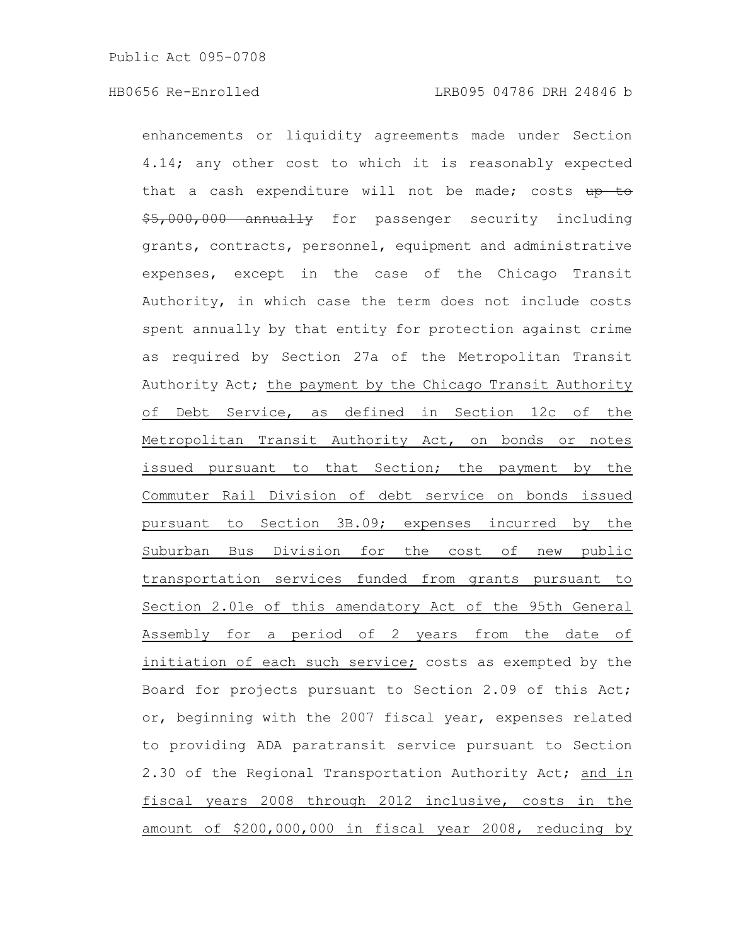enhancements or liquidity agreements made under Section 4.14; any other cost to which it is reasonably expected that a cash expenditure will not be made; costs  $up$  to \$5,000,000 annually for passenger security including grants, contracts, personnel, equipment and administrative expenses, except in the case of the Chicago Transit Authority, in which case the term does not include costs spent annually by that entity for protection against crime as required by Section 27a of the Metropolitan Transit Authority Act; the payment by the Chicago Transit Authority of Debt Service, as defined in Section 12c of the Metropolitan Transit Authority Act, on bonds or notes issued pursuant to that Section; the payment by the Commuter Rail Division of debt service on bonds issued pursuant to Section 3B.09; expenses incurred by the Suburban Bus Division for the cost of new public transportation services funded from grants pursuant to Section 2.01e of this amendatory Act of the 95th General Assembly for a period of 2 years from the date of initiation of each such service; costs as exempted by the Board for projects pursuant to Section 2.09 of this Act; or, beginning with the 2007 fiscal year, expenses related to providing ADA paratransit service pursuant to Section 2.30 of the Regional Transportation Authority Act; and in fiscal years 2008 through 2012 inclusive, costs in the amount of \$200,000,000 in fiscal year 2008, reducing by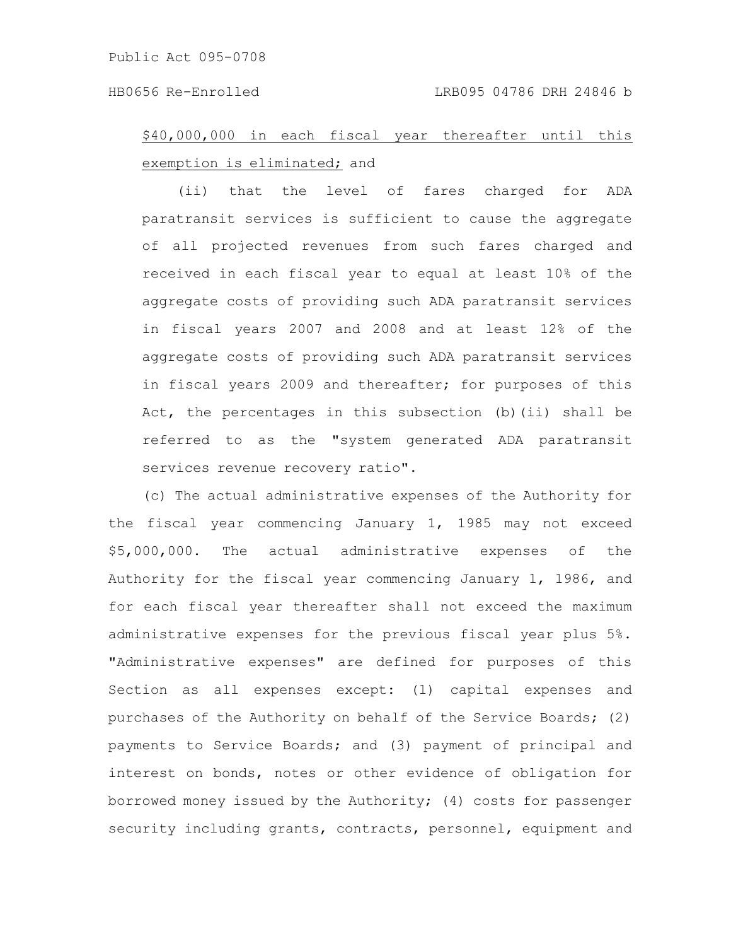# \$40,000,000 in each fiscal year thereafter until this exemption is eliminated; and

(ii) that the level of fares charged for ADA paratransit services is sufficient to cause the aggregate of all projected revenues from such fares charged and received in each fiscal year to equal at least 10% of the aggregate costs of providing such ADA paratransit services in fiscal years 2007 and 2008 and at least 12% of the aggregate costs of providing such ADA paratransit services in fiscal years 2009 and thereafter; for purposes of this Act, the percentages in this subsection (b)(ii) shall be referred to as the "system generated ADA paratransit services revenue recovery ratio".

(c) The actual administrative expenses of the Authority for the fiscal year commencing January 1, 1985 may not exceed \$5,000,000. The actual administrative expenses of the Authority for the fiscal year commencing January 1, 1986, and for each fiscal year thereafter shall not exceed the maximum administrative expenses for the previous fiscal year plus 5%. "Administrative expenses" are defined for purposes of this Section as all expenses except: (1) capital expenses and purchases of the Authority on behalf of the Service Boards; (2) payments to Service Boards; and (3) payment of principal and interest on bonds, notes or other evidence of obligation for borrowed money issued by the Authority; (4) costs for passenger security including grants, contracts, personnel, equipment and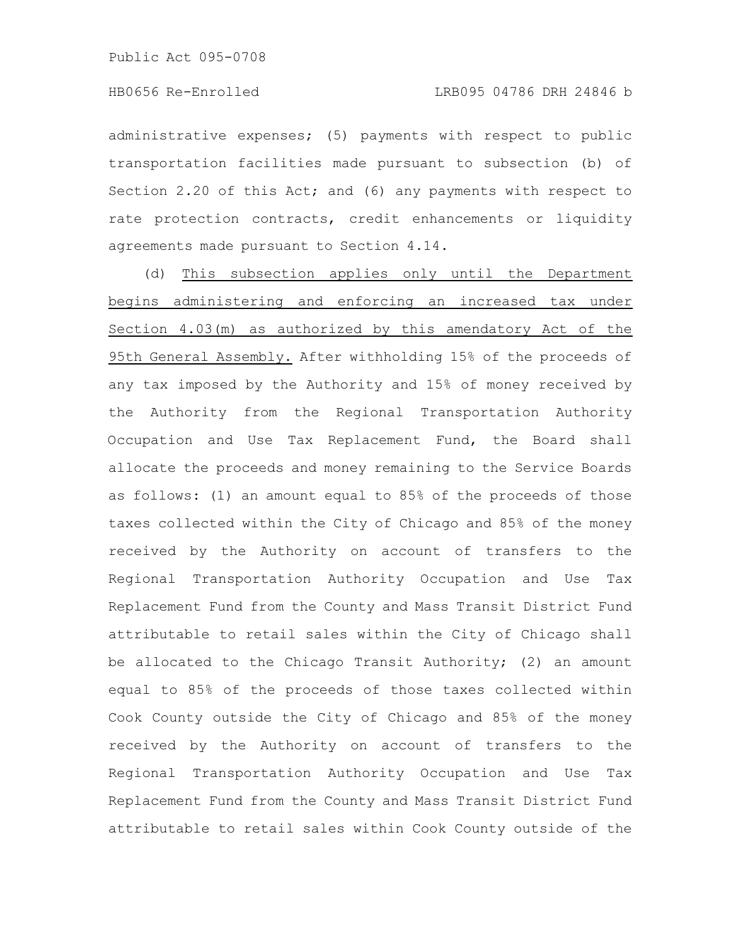administrative expenses; (5) payments with respect to public transportation facilities made pursuant to subsection (b) of Section 2.20 of this Act; and (6) any payments with respect to rate protection contracts, credit enhancements or liquidity agreements made pursuant to Section 4.14.

(d) This subsection applies only until the Department begins administering and enforcing an increased tax under Section 4.03(m) as authorized by this amendatory Act of the 95th General Assembly. After withholding 15% of the proceeds of any tax imposed by the Authority and 15% of money received by the Authority from the Regional Transportation Authority Occupation and Use Tax Replacement Fund, the Board shall allocate the proceeds and money remaining to the Service Boards as follows: (1) an amount equal to 85% of the proceeds of those taxes collected within the City of Chicago and 85% of the money received by the Authority on account of transfers to the Regional Transportation Authority Occupation and Use Tax Replacement Fund from the County and Mass Transit District Fund attributable to retail sales within the City of Chicago shall be allocated to the Chicago Transit Authority; (2) an amount equal to 85% of the proceeds of those taxes collected within Cook County outside the City of Chicago and 85% of the money received by the Authority on account of transfers to the Regional Transportation Authority Occupation and Use Tax Replacement Fund from the County and Mass Transit District Fund attributable to retail sales within Cook County outside of the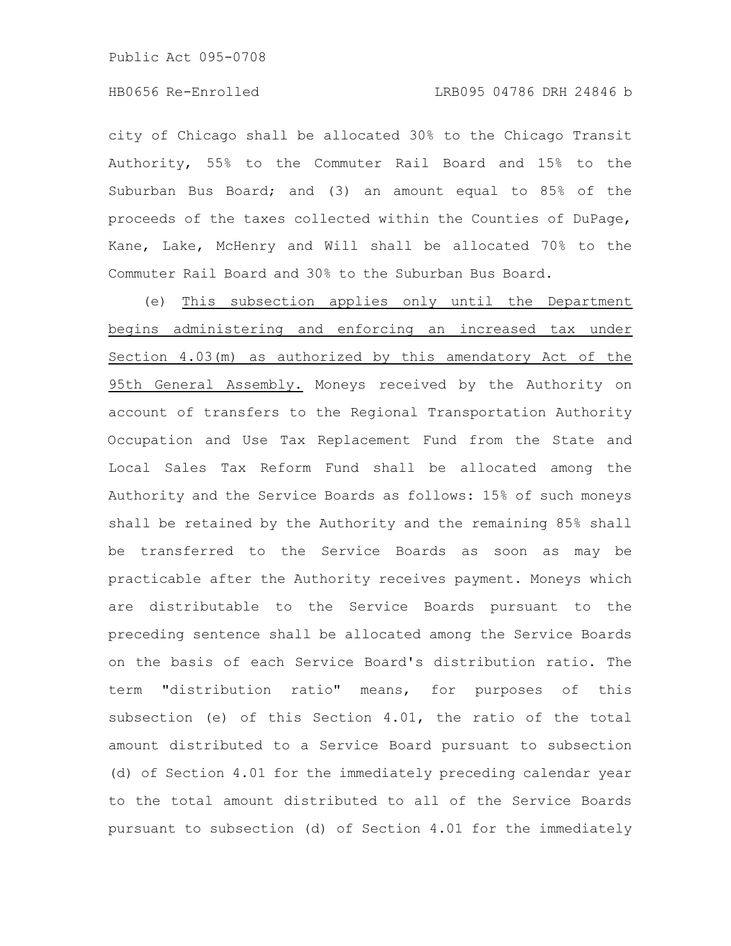city of Chicago shall be allocated 30% to the Chicago Transit Authority, 55% to the Commuter Rail Board and 15% to the Suburban Bus Board; and (3) an amount equal to 85% of the proceeds of the taxes collected within the Counties of DuPage, Kane, Lake, McHenry and Will shall be allocated 70% to the Commuter Rail Board and 30% to the Suburban Bus Board.

(e) This subsection applies only until the Department begins administering and enforcing an increased tax under Section 4.03(m) as authorized by this amendatory Act of the 95th General Assembly. Moneys received by the Authority on account of transfers to the Regional Transportation Authority Occupation and Use Tax Replacement Fund from the State and Local Sales Tax Reform Fund shall be allocated among the Authority and the Service Boards as follows: 15% of such moneys shall be retained by the Authority and the remaining 85% shall be transferred to the Service Boards as soon as may be practicable after the Authority receives payment. Moneys which are distributable to the Service Boards pursuant to the preceding sentence shall be allocated among the Service Boards on the basis of each Service Board's distribution ratio. The term "distribution ratio" means, for purposes of this subsection (e) of this Section 4.01, the ratio of the total amount distributed to a Service Board pursuant to subsection (d) of Section 4.01 for the immediately preceding calendar year to the total amount distributed to all of the Service Boards pursuant to subsection (d) of Section 4.01 for the immediately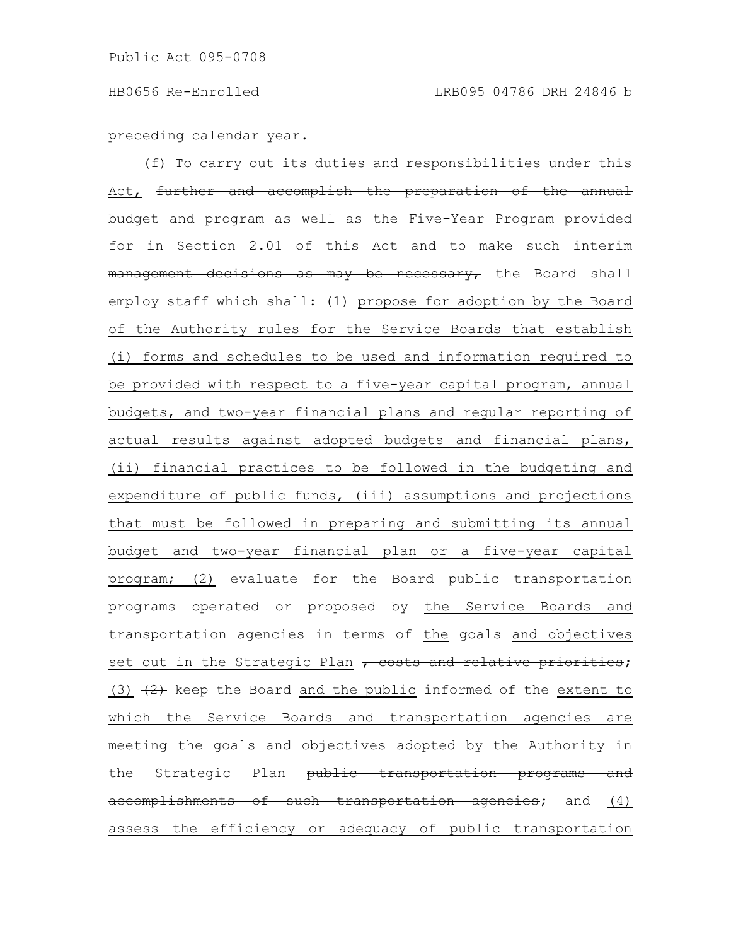preceding calendar year.

(f) To carry out its duties and responsibilities under this Act, further and accomplish the preparation of the annual budget and program as well as the Five-Year Program provide for in Section 2.01 of this Act and to make management decisions as may be necessary, the Board shall employ staff which shall: (1) propose for adoption by the Board of the Authority rules for the Service Boards that establish (i) forms and schedules to be used and information required to be provided with respect to a five-year capital program, annual budgets, and two-year financial plans and regular reporting of actual results against adopted budgets and financial plans, (ii) financial practices to be followed in the budgeting and expenditure of public funds, (iii) assumptions and projections that must be followed in preparing and submitting its annual budget and two-year financial plan or a five-year capital program; (2) evaluate for the Board public transportation programs operated or proposed by the Service Boards and transportation agencies in terms of the goals and objectives set out in the Strategic Plan , costs and relative priorities; (3)  $(2)$  keep the Board and the public informed of the extent to which the Service Boards and transportation agencies are meeting the goals and objectives adopted by the Authority in the Strategic Plan public transportation programs and accomplishments of such transportation agencies; and (4) assess the efficiency or adequacy of public transportation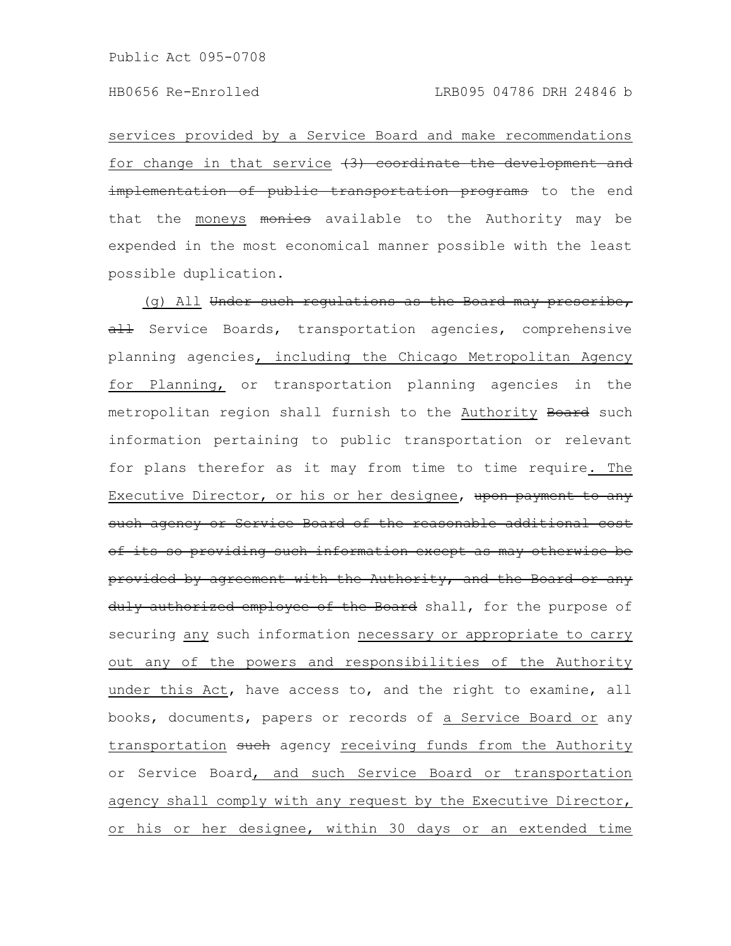services provided by a Service Board and make recommendations for change in that service  $(3)$  coordinate the development and implementation of public transportation programs to the end that the moneys monics available to the Authority may be expended in the most economical manner possible with the least possible duplication.

(g) All Under such regulations as the Board may prescribe, all Service Boards, transportation agencies, comprehensive planning agencies, including the Chicago Metropolitan Agency for Planning, or transportation planning agencies in the metropolitan region shall furnish to the Authority Board such information pertaining to public transportation or relevant for plans therefor as it may from time to time require. The Executive Director, or his or her designee, upon payment to any such agency or Service Board of the reasonable additional cost of its so providing such information except as may otherwise be provided by agreement with the Authority, and the Board or any duly authorized employee of the Board shall, for the purpose of securing any such information necessary or appropriate to carry out any of the powers and responsibilities of the Authority under this Act, have access to, and the right to examine, all books, documents, papers or records of a Service Board or any transportation such agency receiving funds from the Authority or Service Board, and such Service Board or transportation agency shall comply with any request by the Executive Director, or his or her designee, within 30 days or an extended time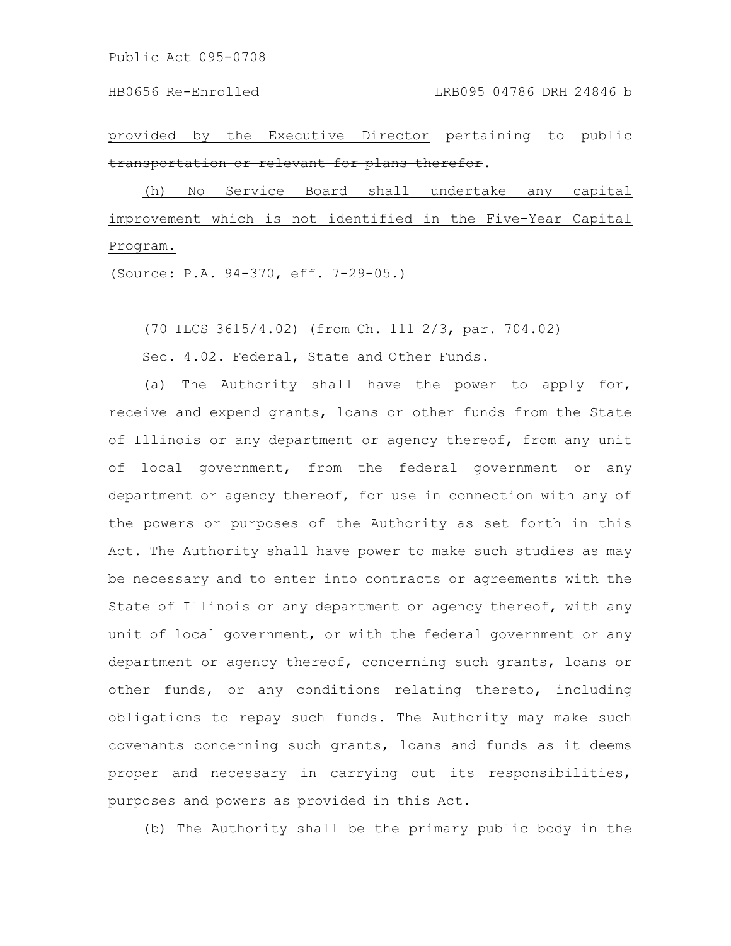Public Act 095-0708

provided by the Executive Director pertaining transportation or relevant for plans therefor.

(h) No Service Board shall undertake any capital improvement which is not identified in the Five-Year Capital Program.

(Source: P.A. 94-370, eff. 7-29-05.)

(70 ILCS 3615/4.02) (from Ch. 111 2/3, par. 704.02)

Sec. 4.02. Federal, State and Other Funds.

(a) The Authority shall have the power to apply for, receive and expend grants, loans or other funds from the State of Illinois or any department or agency thereof, from any unit of local government, from the federal government or any department or agency thereof, for use in connection with any of the powers or purposes of the Authority as set forth in this Act. The Authority shall have power to make such studies as may be necessary and to enter into contracts or agreements with the State of Illinois or any department or agency thereof, with any unit of local government, or with the federal government or any department or agency thereof, concerning such grants, loans or other funds, or any conditions relating thereto, including obligations to repay such funds. The Authority may make such covenants concerning such grants, loans and funds as it deems proper and necessary in carrying out its responsibilities, purposes and powers as provided in this Act.

(b) The Authority shall be the primary public body in the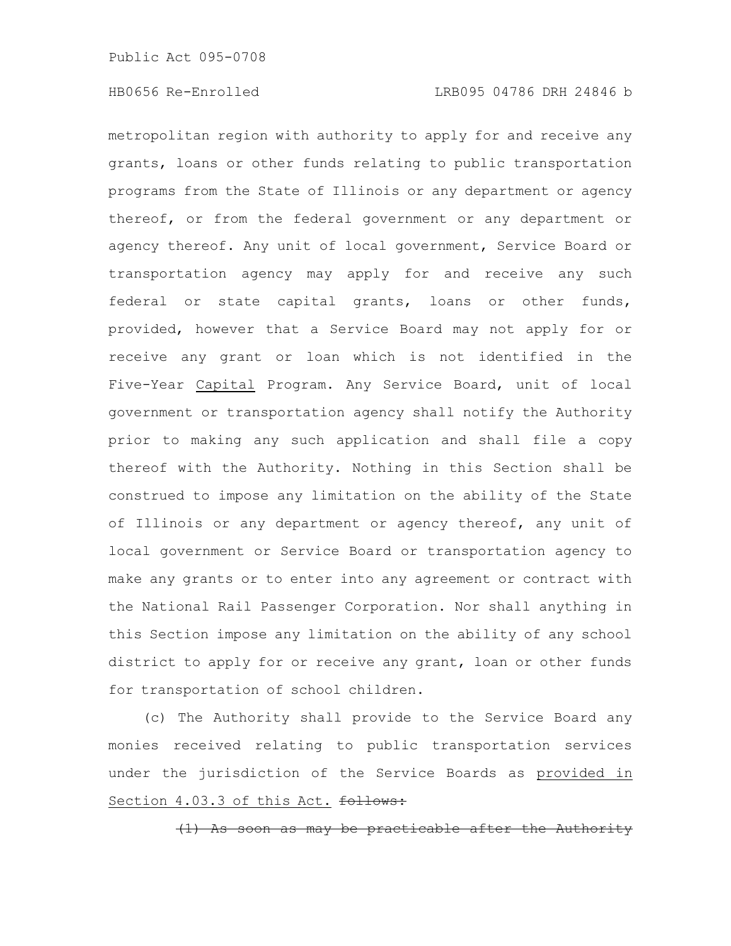metropolitan region with authority to apply for and receive any grants, loans or other funds relating to public transportation programs from the State of Illinois or any department or agency thereof, or from the federal government or any department or agency thereof. Any unit of local government, Service Board or transportation agency may apply for and receive any such federal or state capital grants, loans or other funds, provided, however that a Service Board may not apply for or receive any grant or loan which is not identified in the Five-Year Capital Program. Any Service Board, unit of local government or transportation agency shall notify the Authority prior to making any such application and shall file a copy thereof with the Authority. Nothing in this Section shall be construed to impose any limitation on the ability of the State of Illinois or any department or agency thereof, any unit of local government or Service Board or transportation agency to make any grants or to enter into any agreement or contract with the National Rail Passenger Corporation. Nor shall anything in this Section impose any limitation on the ability of any school district to apply for or receive any grant, loan or other funds for transportation of school children.

(c) The Authority shall provide to the Service Board any monies received relating to public transportation services under the jurisdiction of the Service Boards as provided in Section 4.03.3 of this Act. follows:

As soon as may be practicable after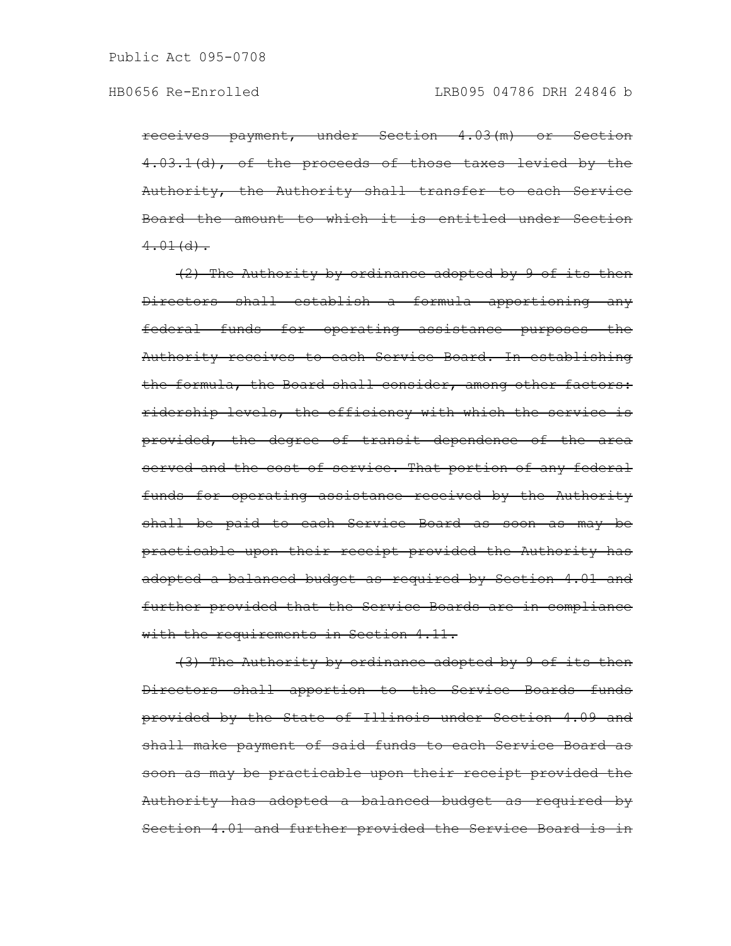receives payment, under Section 4.03(m) or Section 4.03.1(d), of the proceeds of those taxes levied by the Authority, the Authority shall transfer to each Service Board the amount to which it is entitled under Section  $4.01(d)$ .

(2) The Authority by ordinance adopted by 9 of its then Directors shall establish a formula apportioning any federal funds for operating assistance purposes the Authority receives to each Service Board. In establishing the formula, the Board shall consider, among other factors: ridership levels, the efficiency with which the service is provided, the degree of transit dependence of the area served and the cost of service. That portion of any federal funds for operating assistance received by the Authority shall be paid to each Service Board as soon as may be practicable upon their receipt provided the Authority has adopted a balanced budget as required by Section 4.01 and further provided that the Service Boards are in compliance with the requirements in Section 4.11.

(3) The Authority by ordinance adopted by 9 of its then Directors shall apportion to the Service Boards funds provided by the State of Illinois under Section 4.09 and shall make payment of said funds to each Service Board as soon as may be practicable upon their receipt provided the Authority has adopted a balanced budget as required by Section 4.01 and further provided the Service Board is in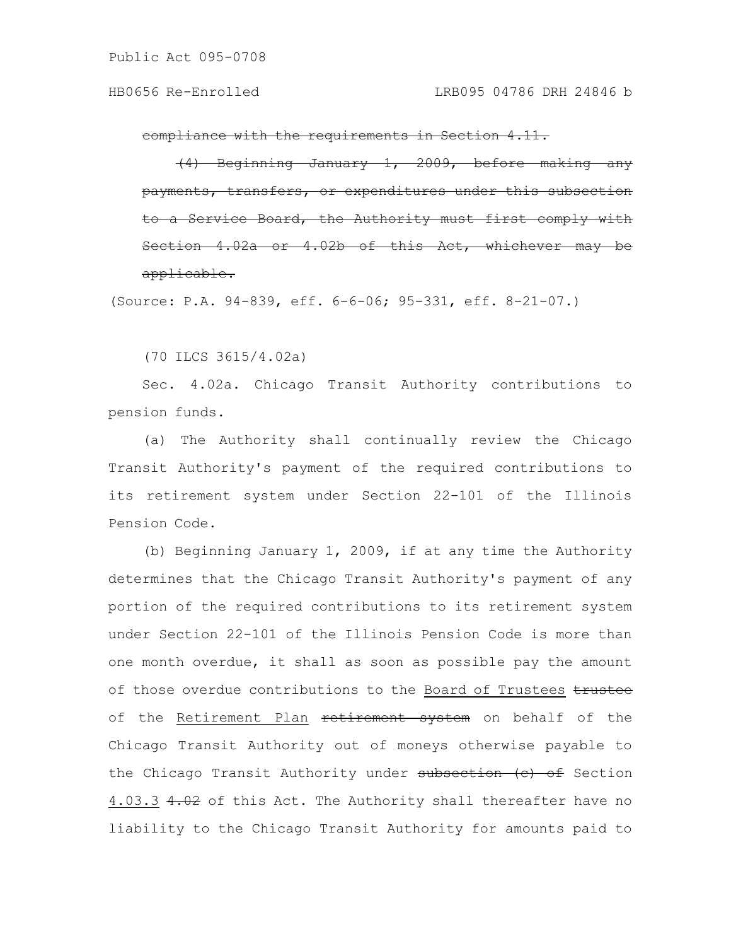compliance with the requirements in Section 4.11.

Beginning January 1, 2009, before making transfers, or expenditures under this Board, the Authority must Section  $4.02a$  or  $4.02b$  of this Act, which applicable.

(Source: P.A. 94-839, eff. 6-6-06; 95-331, eff. 8-21-07.)

(70 ILCS 3615/4.02a)

Sec. 4.02a. Chicago Transit Authority contributions to pension funds.

(a) The Authority shall continually review the Chicago Transit Authority's payment of the required contributions to its retirement system under Section 22-101 of the Illinois Pension Code.

(b) Beginning January 1, 2009, if at any time the Authority determines that the Chicago Transit Authority's payment of any portion of the required contributions to its retirement system under Section 22-101 of the Illinois Pension Code is more than one month overdue, it shall as soon as possible pay the amount of those overdue contributions to the Board of Trustees trustee of the Retirement Plan retirement system on behalf of the Chicago Transit Authority out of moneys otherwise payable to the Chicago Transit Authority under subsection (c) of Section 4.03.3 4.02 of this Act. The Authority shall thereafter have no liability to the Chicago Transit Authority for amounts paid to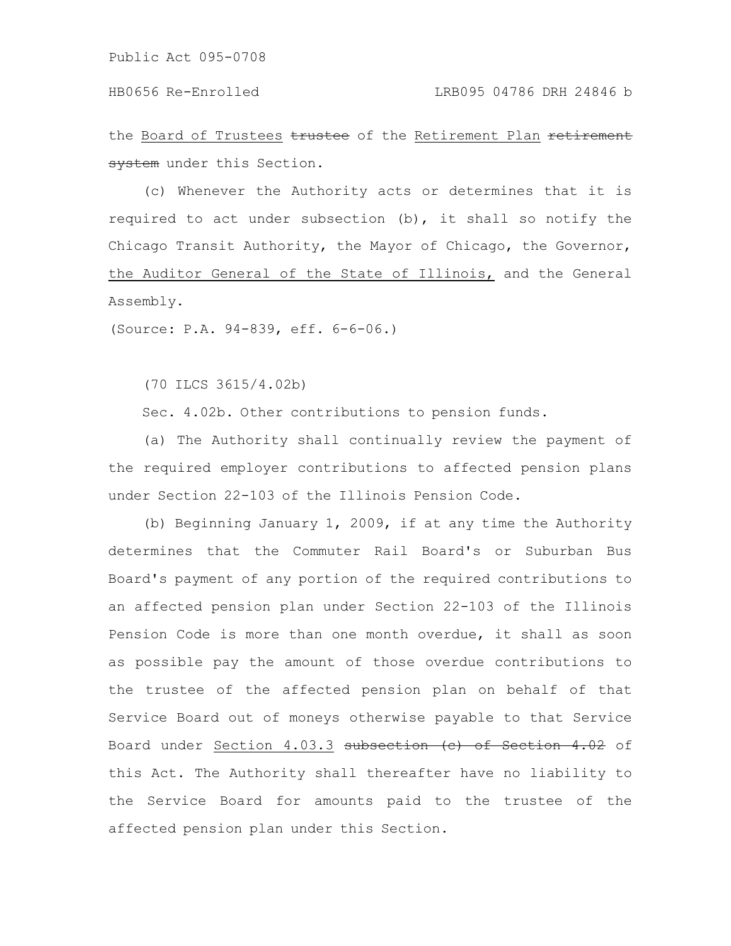the Board of Trustees trustee of the Retirement Plan retirement system under this Section.

(c) Whenever the Authority acts or determines that it is required to act under subsection (b), it shall so notify the Chicago Transit Authority, the Mayor of Chicago, the Governor, the Auditor General of the State of Illinois, and the General Assembly.

(Source: P.A. 94-839, eff. 6-6-06.)

(70 ILCS 3615/4.02b)

Sec. 4.02b. Other contributions to pension funds.

(a) The Authority shall continually review the payment of the required employer contributions to affected pension plans under Section 22-103 of the Illinois Pension Code.

(b) Beginning January 1, 2009, if at any time the Authority determines that the Commuter Rail Board's or Suburban Bus Board's payment of any portion of the required contributions to an affected pension plan under Section 22-103 of the Illinois Pension Code is more than one month overdue, it shall as soon as possible pay the amount of those overdue contributions to the trustee of the affected pension plan on behalf of that Service Board out of moneys otherwise payable to that Service Board under Section 4.03.3 subsection (c) of Section 4.02 of this Act. The Authority shall thereafter have no liability to the Service Board for amounts paid to the trustee of the affected pension plan under this Section.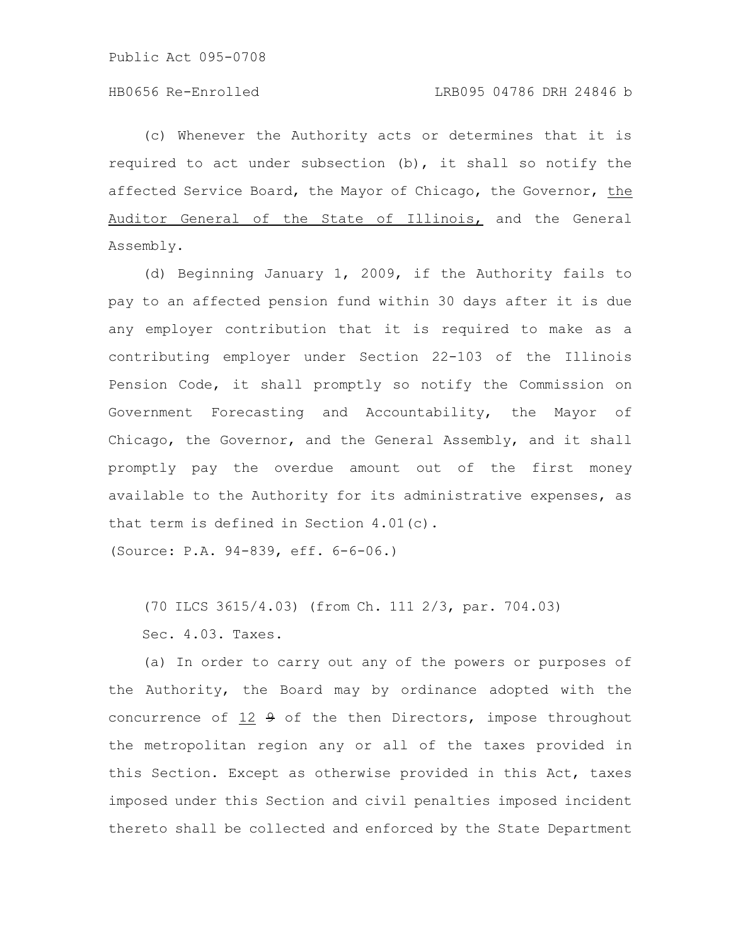(c) Whenever the Authority acts or determines that it is required to act under subsection (b), it shall so notify the affected Service Board, the Mayor of Chicago, the Governor, the Auditor General of the State of Illinois, and the General Assembly.

(d) Beginning January 1, 2009, if the Authority fails to pay to an affected pension fund within 30 days after it is due any employer contribution that it is required to make as a contributing employer under Section 22-103 of the Illinois Pension Code, it shall promptly so notify the Commission on Government Forecasting and Accountability, the Mayor of Chicago, the Governor, and the General Assembly, and it shall promptly pay the overdue amount out of the first money available to the Authority for its administrative expenses, as that term is defined in Section 4.01(c).

(Source: P.A. 94-839, eff. 6-6-06.)

(70 ILCS 3615/4.03) (from Ch. 111 2/3, par. 704.03) Sec. 4.03. Taxes.

(a) In order to carry out any of the powers or purposes of the Authority, the Board may by ordinance adopted with the concurrence of 12 9 of the then Directors, impose throughout the metropolitan region any or all of the taxes provided in this Section. Except as otherwise provided in this Act, taxes imposed under this Section and civil penalties imposed incident thereto shall be collected and enforced by the State Department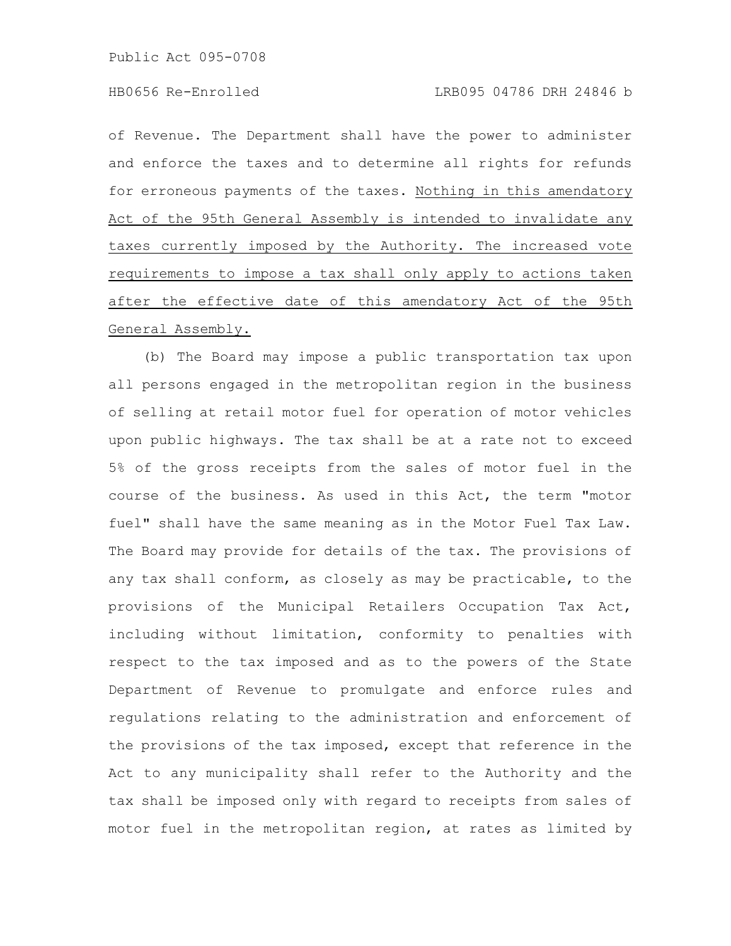of Revenue. The Department shall have the power to administer and enforce the taxes and to determine all rights for refunds for erroneous payments of the taxes. Nothing in this amendatory Act of the 95th General Assembly is intended to invalidate any taxes currently imposed by the Authority. The increased vote requirements to impose a tax shall only apply to actions taken after the effective date of this amendatory Act of the 95th General Assembly.

(b) The Board may impose a public transportation tax upon all persons engaged in the metropolitan region in the business of selling at retail motor fuel for operation of motor vehicles upon public highways. The tax shall be at a rate not to exceed 5% of the gross receipts from the sales of motor fuel in the course of the business. As used in this Act, the term "motor fuel" shall have the same meaning as in the Motor Fuel Tax Law. The Board may provide for details of the tax. The provisions of any tax shall conform, as closely as may be practicable, to the provisions of the Municipal Retailers Occupation Tax Act, including without limitation, conformity to penalties with respect to the tax imposed and as to the powers of the State Department of Revenue to promulgate and enforce rules and regulations relating to the administration and enforcement of the provisions of the tax imposed, except that reference in the Act to any municipality shall refer to the Authority and the tax shall be imposed only with regard to receipts from sales of motor fuel in the metropolitan region, at rates as limited by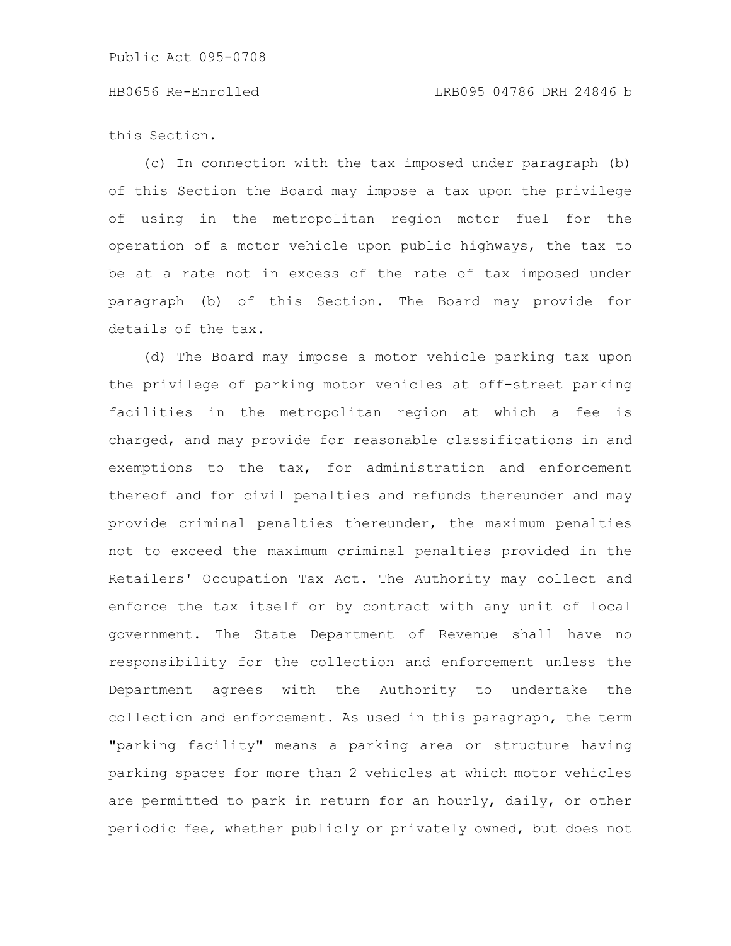this Section.

(c) In connection with the tax imposed under paragraph (b) of this Section the Board may impose a tax upon the privilege of using in the metropolitan region motor fuel for the operation of a motor vehicle upon public highways, the tax to be at a rate not in excess of the rate of tax imposed under paragraph (b) of this Section. The Board may provide for details of the tax.

(d) The Board may impose a motor vehicle parking tax upon the privilege of parking motor vehicles at off-street parking facilities in the metropolitan region at which a fee is charged, and may provide for reasonable classifications in and exemptions to the tax, for administration and enforcement thereof and for civil penalties and refunds thereunder and may provide criminal penalties thereunder, the maximum penalties not to exceed the maximum criminal penalties provided in the Retailers' Occupation Tax Act. The Authority may collect and enforce the tax itself or by contract with any unit of local government. The State Department of Revenue shall have no responsibility for the collection and enforcement unless the Department agrees with the Authority to undertake the collection and enforcement. As used in this paragraph, the term "parking facility" means a parking area or structure having parking spaces for more than 2 vehicles at which motor vehicles are permitted to park in return for an hourly, daily, or other periodic fee, whether publicly or privately owned, but does not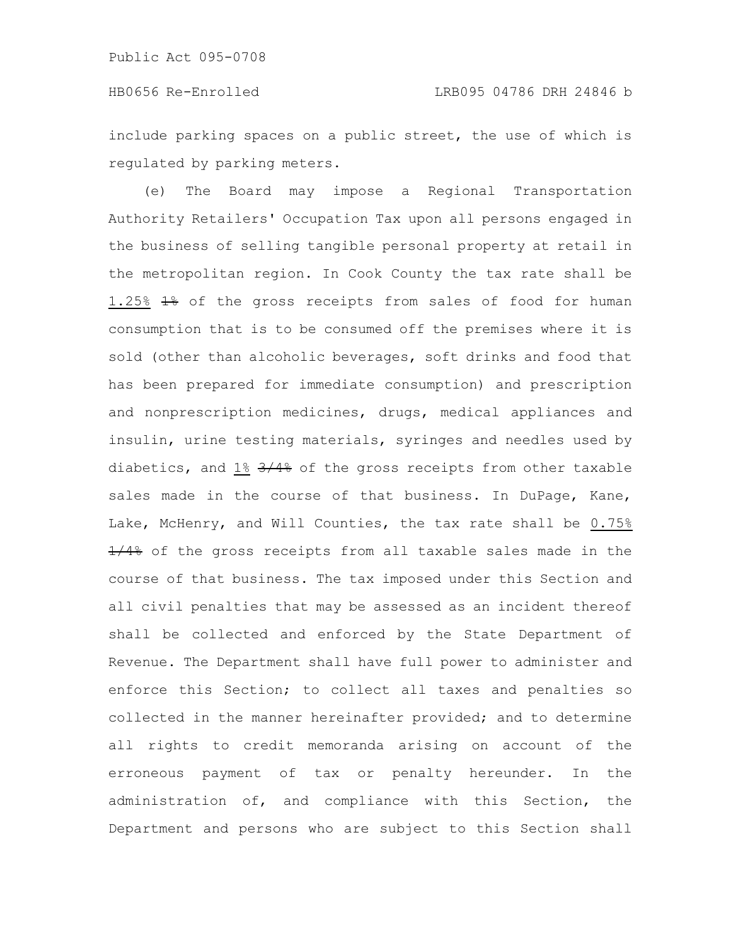include parking spaces on a public street, the use of which is regulated by parking meters.

(e) The Board may impose a Regional Transportation Authority Retailers' Occupation Tax upon all persons engaged in the business of selling tangible personal property at retail in the metropolitan region. In Cook County the tax rate shall be 1.25% 1% of the gross receipts from sales of food for human consumption that is to be consumed off the premises where it is sold (other than alcoholic beverages, soft drinks and food that has been prepared for immediate consumption) and prescription and nonprescription medicines, drugs, medical appliances and insulin, urine testing materials, syringes and needles used by diabetics, and 1% 3/4% of the gross receipts from other taxable sales made in the course of that business. In DuPage, Kane, Lake, McHenry, and Will Counties, the tax rate shall be 0.75%  $\frac{1}{48}$  of the gross receipts from all taxable sales made in the course of that business. The tax imposed under this Section and all civil penalties that may be assessed as an incident thereof shall be collected and enforced by the State Department of Revenue. The Department shall have full power to administer and enforce this Section; to collect all taxes and penalties so collected in the manner hereinafter provided; and to determine all rights to credit memoranda arising on account of the erroneous payment of tax or penalty hereunder. In the administration of, and compliance with this Section, the Department and persons who are subject to this Section shall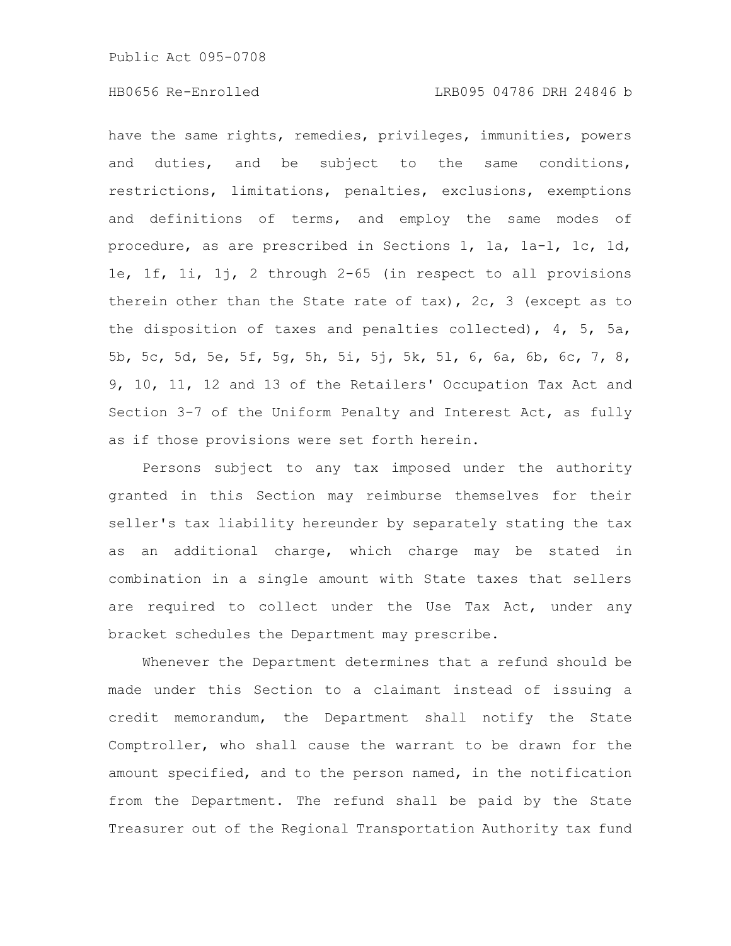have the same rights, remedies, privileges, immunities, powers and duties, and be subject to the same conditions, restrictions, limitations, penalties, exclusions, exemptions and definitions of terms, and employ the same modes of procedure, as are prescribed in Sections 1, 1a, 1a-1, 1c, 1d, 1e, 1f, 1i, 1j, 2 through 2-65 (in respect to all provisions therein other than the State rate of tax), 2c, 3 (except as to the disposition of taxes and penalties collected), 4, 5, 5a, 5b, 5c, 5d, 5e, 5f, 5g, 5h, 5i, 5j, 5k, 5l, 6, 6a, 6b, 6c, 7, 8, 9, 10, 11, 12 and 13 of the Retailers' Occupation Tax Act and Section 3-7 of the Uniform Penalty and Interest Act, as fully as if those provisions were set forth herein.

Persons subject to any tax imposed under the authority granted in this Section may reimburse themselves for their seller's tax liability hereunder by separately stating the tax as an additional charge, which charge may be stated in combination in a single amount with State taxes that sellers are required to collect under the Use Tax Act, under any bracket schedules the Department may prescribe.

Whenever the Department determines that a refund should be made under this Section to a claimant instead of issuing a credit memorandum, the Department shall notify the State Comptroller, who shall cause the warrant to be drawn for the amount specified, and to the person named, in the notification from the Department. The refund shall be paid by the State Treasurer out of the Regional Transportation Authority tax fund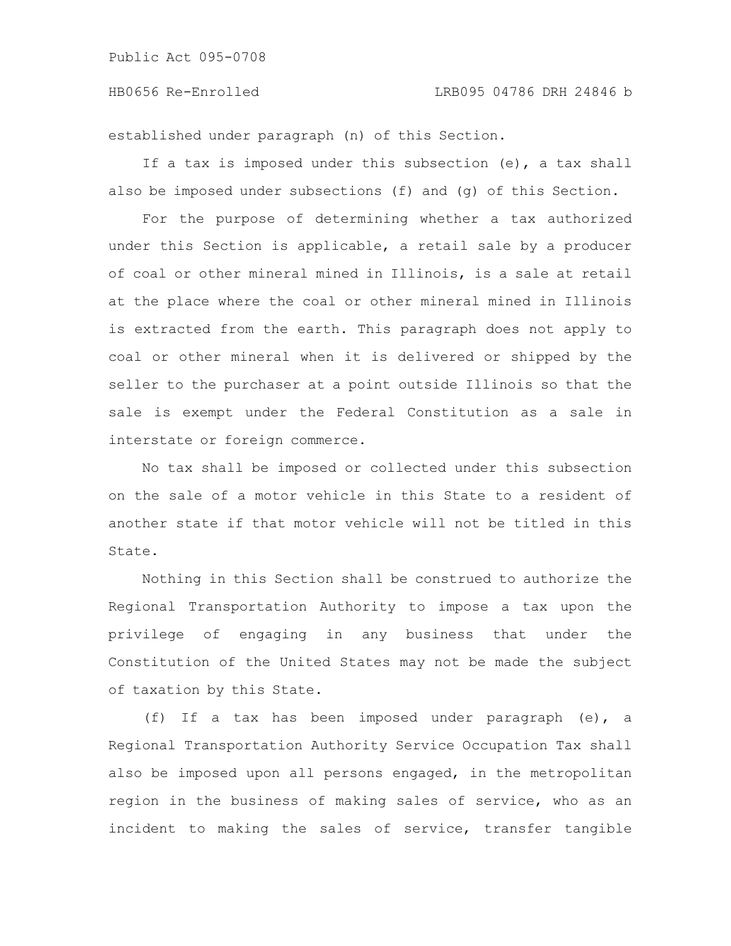established under paragraph (n) of this Section.

If a tax is imposed under this subsection (e), a tax shall also be imposed under subsections (f) and (g) of this Section.

For the purpose of determining whether a tax authorized under this Section is applicable, a retail sale by a producer of coal or other mineral mined in Illinois, is a sale at retail at the place where the coal or other mineral mined in Illinois is extracted from the earth. This paragraph does not apply to coal or other mineral when it is delivered or shipped by the seller to the purchaser at a point outside Illinois so that the sale is exempt under the Federal Constitution as a sale in interstate or foreign commerce.

No tax shall be imposed or collected under this subsection on the sale of a motor vehicle in this State to a resident of another state if that motor vehicle will not be titled in this State.

Nothing in this Section shall be construed to authorize the Regional Transportation Authority to impose a tax upon the privilege of engaging in any business that under the Constitution of the United States may not be made the subject of taxation by this State.

(f) If a tax has been imposed under paragraph (e), a Regional Transportation Authority Service Occupation Tax shall also be imposed upon all persons engaged, in the metropolitan region in the business of making sales of service, who as an incident to making the sales of service, transfer tangible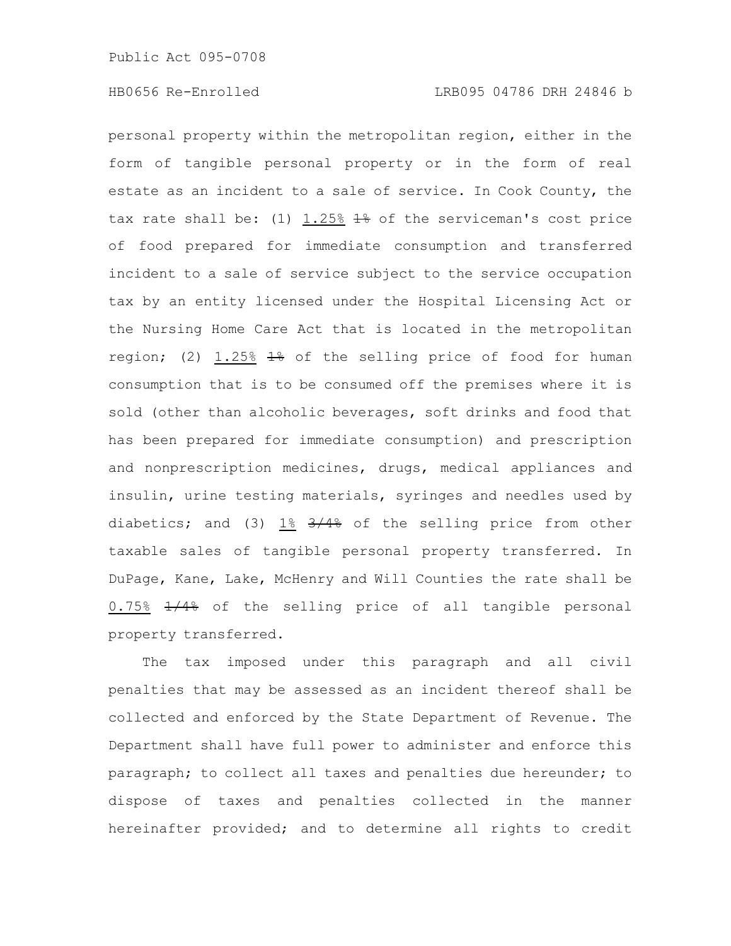personal property within the metropolitan region, either in the form of tangible personal property or in the form of real estate as an incident to a sale of service. In Cook County, the tax rate shall be: (1)  $1.25\%$   $\frac{12}{16}$  of the serviceman's cost price of food prepared for immediate consumption and transferred incident to a sale of service subject to the service occupation tax by an entity licensed under the Hospital Licensing Act or the Nursing Home Care Act that is located in the metropolitan region; (2) 1.25% 1% of the selling price of food for human consumption that is to be consumed off the premises where it is sold (other than alcoholic beverages, soft drinks and food that has been prepared for immediate consumption) and prescription and nonprescription medicines, drugs, medical appliances and insulin, urine testing materials, syringes and needles used by diabetics; and (3)  $1\frac{8}{5}$   $3/4\frac{2}{7}$  of the selling price from other taxable sales of tangible personal property transferred. In DuPage, Kane, Lake, McHenry and Will Counties the rate shall be 0.75%  $\frac{1}{48}$  of the selling price of all tangible personal property transferred.

The tax imposed under this paragraph and all civil penalties that may be assessed as an incident thereof shall be collected and enforced by the State Department of Revenue. The Department shall have full power to administer and enforce this paragraph; to collect all taxes and penalties due hereunder; to dispose of taxes and penalties collected in the manner hereinafter provided; and to determine all rights to credit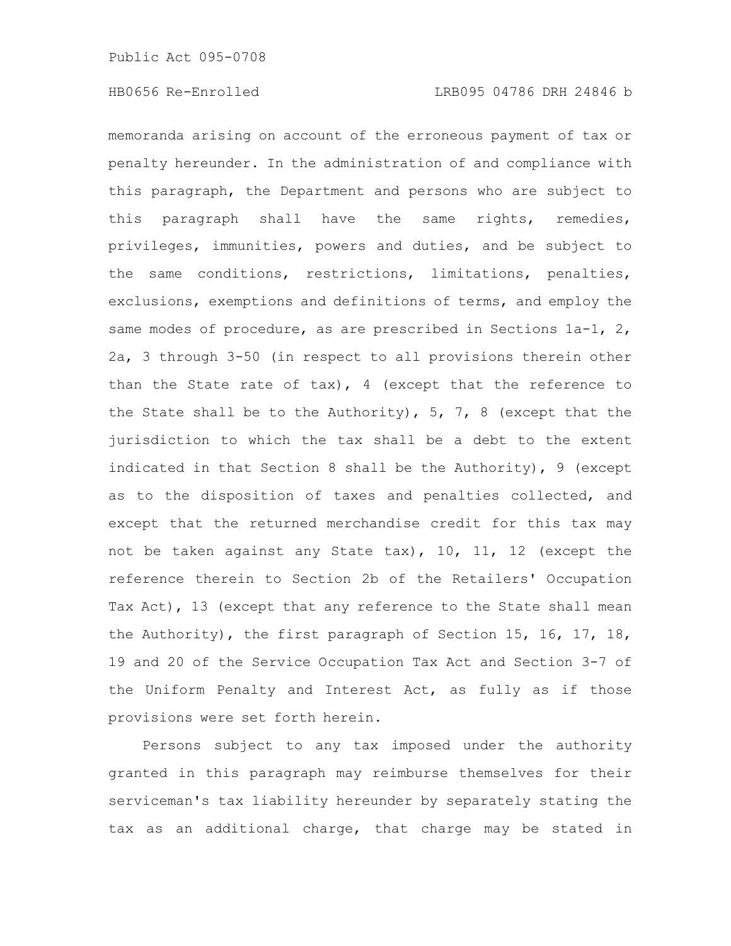memoranda arising on account of the erroneous payment of tax or penalty hereunder. In the administration of and compliance with this paragraph, the Department and persons who are subject to this paragraph shall have the same rights, remedies, privileges, immunities, powers and duties, and be subject to the same conditions, restrictions, limitations, penalties, exclusions, exemptions and definitions of terms, and employ the same modes of procedure, as are prescribed in Sections 1a-1, 2, 2a, 3 through 3-50 (in respect to all provisions therein other than the State rate of  $\text{tax}$ ), 4 (except that the reference to the State shall be to the Authority),  $5, 7, 8$  (except that the jurisdiction to which the tax shall be a debt to the extent indicated in that Section 8 shall be the Authority), 9 (except as to the disposition of taxes and penalties collected, and except that the returned merchandise credit for this tax may not be taken against any State tax), 10, 11, 12 (except the reference therein to Section 2b of the Retailers' Occupation Tax Act), 13 (except that any reference to the State shall mean the Authority), the first paragraph of Section 15, 16, 17, 18, 19 and 20 of the Service Occupation Tax Act and Section 3-7 of the Uniform Penalty and Interest Act, as fully as if those provisions were set forth herein.

Persons subject to any tax imposed under the authority granted in this paragraph may reimburse themselves for their serviceman's tax liability hereunder by separately stating the tax as an additional charge, that charge may be stated in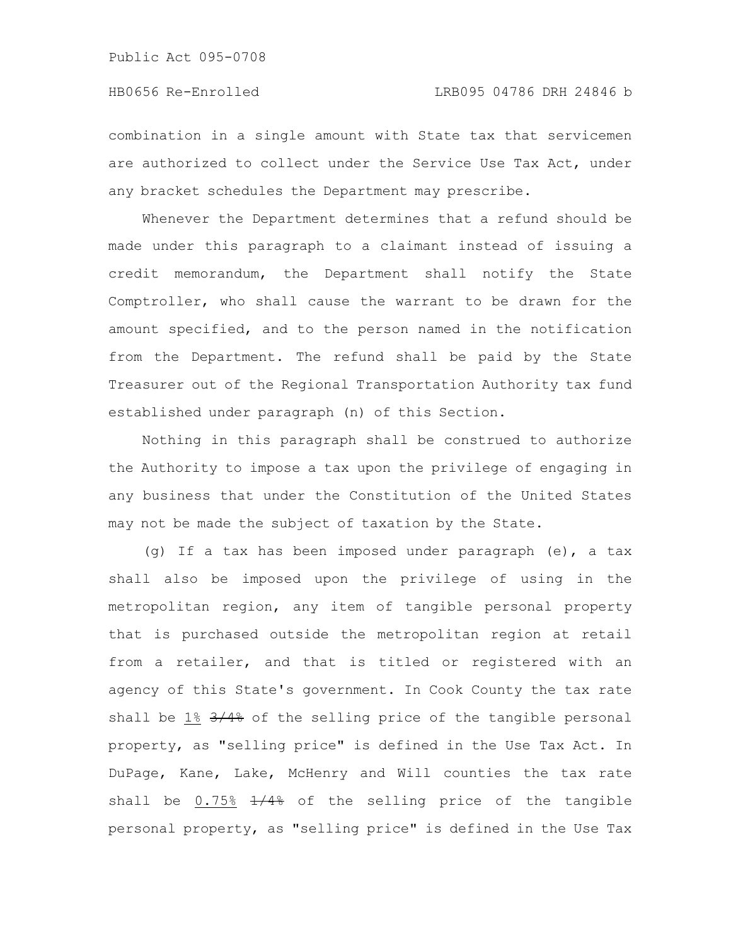combination in a single amount with State tax that servicemen are authorized to collect under the Service Use Tax Act, under any bracket schedules the Department may prescribe.

Whenever the Department determines that a refund should be made under this paragraph to a claimant instead of issuing a credit memorandum, the Department shall notify the State Comptroller, who shall cause the warrant to be drawn for the amount specified, and to the person named in the notification from the Department. The refund shall be paid by the State Treasurer out of the Regional Transportation Authority tax fund established under paragraph (n) of this Section.

Nothing in this paragraph shall be construed to authorize the Authority to impose a tax upon the privilege of engaging in any business that under the Constitution of the United States may not be made the subject of taxation by the State.

(g) If a tax has been imposed under paragraph (e), a tax shall also be imposed upon the privilege of using in the metropolitan region, any item of tangible personal property that is purchased outside the metropolitan region at retail from a retailer, and that is titled or registered with an agency of this State's government. In Cook County the tax rate shall be 1% 3/4% of the selling price of the tangible personal property, as "selling price" is defined in the Use Tax Act. In DuPage, Kane, Lake, McHenry and Will counties the tax rate shall be  $0.75\%$   $\frac{1}{4\%}$  of the selling price of the tangible personal property, as "selling price" is defined in the Use Tax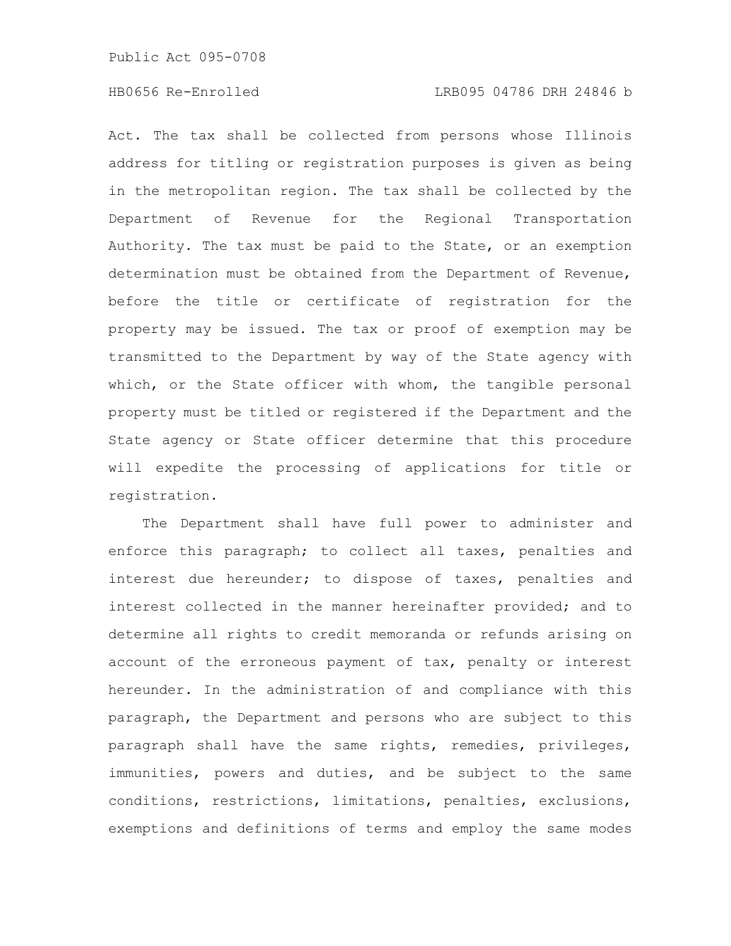Act. The tax shall be collected from persons whose Illinois address for titling or registration purposes is given as being in the metropolitan region. The tax shall be collected by the Department of Revenue for the Regional Transportation Authority. The tax must be paid to the State, or an exemption determination must be obtained from the Department of Revenue, before the title or certificate of registration for the property may be issued. The tax or proof of exemption may be transmitted to the Department by way of the State agency with which, or the State officer with whom, the tangible personal property must be titled or registered if the Department and the State agency or State officer determine that this procedure will expedite the processing of applications for title or registration.

The Department shall have full power to administer and enforce this paragraph; to collect all taxes, penalties and interest due hereunder; to dispose of taxes, penalties and interest collected in the manner hereinafter provided; and to determine all rights to credit memoranda or refunds arising on account of the erroneous payment of tax, penalty or interest hereunder. In the administration of and compliance with this paragraph, the Department and persons who are subject to this paragraph shall have the same rights, remedies, privileges, immunities, powers and duties, and be subject to the same conditions, restrictions, limitations, penalties, exclusions, exemptions and definitions of terms and employ the same modes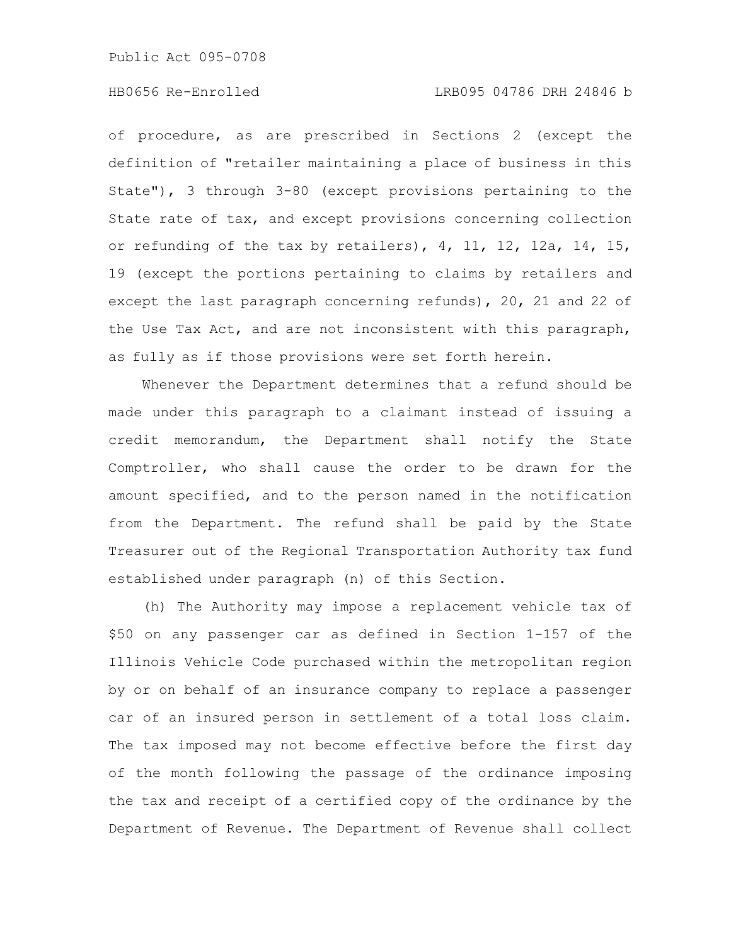of procedure, as are prescribed in Sections 2 (except the definition of "retailer maintaining a place of business in this State"), 3 through 3-80 (except provisions pertaining to the State rate of tax, and except provisions concerning collection or refunding of the tax by retailers),  $4$ ,  $11$ ,  $12$ ,  $12a$ ,  $14$ ,  $15$ , 19 (except the portions pertaining to claims by retailers and except the last paragraph concerning refunds), 20, 21 and 22 of the Use Tax Act, and are not inconsistent with this paragraph, as fully as if those provisions were set forth herein.

Whenever the Department determines that a refund should be made under this paragraph to a claimant instead of issuing a credit memorandum, the Department shall notify the State Comptroller, who shall cause the order to be drawn for the amount specified, and to the person named in the notification from the Department. The refund shall be paid by the State Treasurer out of the Regional Transportation Authority tax fund established under paragraph (n) of this Section.

(h) The Authority may impose a replacement vehicle tax of \$50 on any passenger car as defined in Section 1-157 of the Illinois Vehicle Code purchased within the metropolitan region by or on behalf of an insurance company to replace a passenger car of an insured person in settlement of a total loss claim. The tax imposed may not become effective before the first day of the month following the passage of the ordinance imposing the tax and receipt of a certified copy of the ordinance by the Department of Revenue. The Department of Revenue shall collect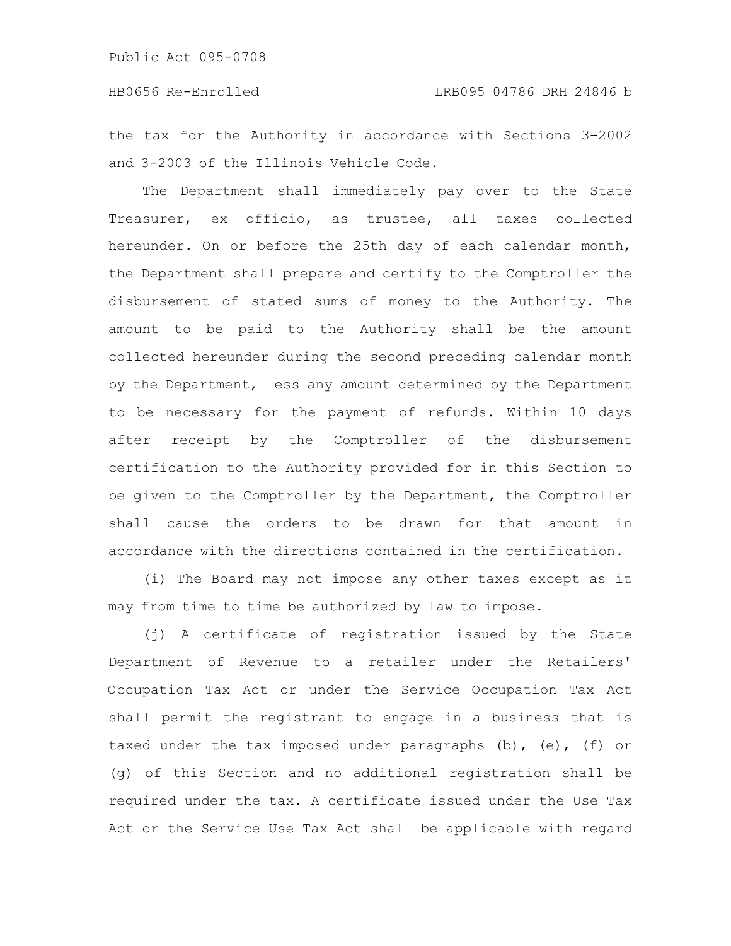the tax for the Authority in accordance with Sections 3-2002 and 3-2003 of the Illinois Vehicle Code.

The Department shall immediately pay over to the State Treasurer, ex officio, as trustee, all taxes collected hereunder. On or before the 25th day of each calendar month, the Department shall prepare and certify to the Comptroller the disbursement of stated sums of money to the Authority. The amount to be paid to the Authority shall be the amount collected hereunder during the second preceding calendar month by the Department, less any amount determined by the Department to be necessary for the payment of refunds. Within 10 days after receipt by the Comptroller of the disbursement certification to the Authority provided for in this Section to be given to the Comptroller by the Department, the Comptroller shall cause the orders to be drawn for that amount in accordance with the directions contained in the certification.

(i) The Board may not impose any other taxes except as it may from time to time be authorized by law to impose.

(j) A certificate of registration issued by the State Department of Revenue to a retailer under the Retailers' Occupation Tax Act or under the Service Occupation Tax Act shall permit the registrant to engage in a business that is taxed under the tax imposed under paragraphs (b), (e), (f) or (g) of this Section and no additional registration shall be required under the tax. A certificate issued under the Use Tax Act or the Service Use Tax Act shall be applicable with regard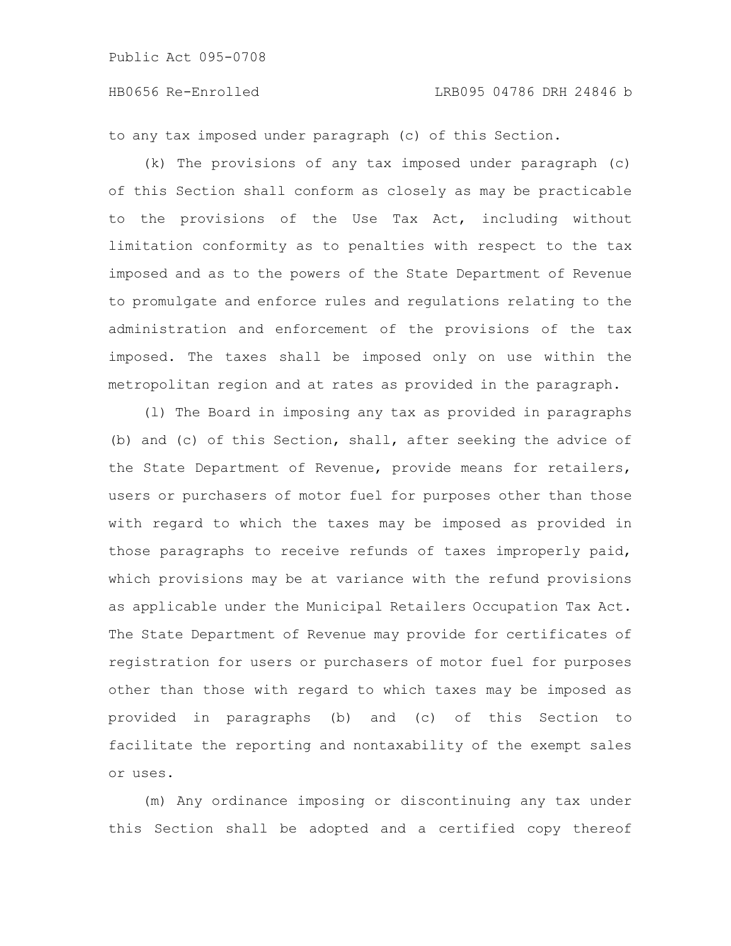to any tax imposed under paragraph (c) of this Section.

(k) The provisions of any tax imposed under paragraph (c) of this Section shall conform as closely as may be practicable to the provisions of the Use Tax Act, including without limitation conformity as to penalties with respect to the tax imposed and as to the powers of the State Department of Revenue to promulgate and enforce rules and regulations relating to the administration and enforcement of the provisions of the tax imposed. The taxes shall be imposed only on use within the metropolitan region and at rates as provided in the paragraph.

(l) The Board in imposing any tax as provided in paragraphs (b) and (c) of this Section, shall, after seeking the advice of the State Department of Revenue, provide means for retailers, users or purchasers of motor fuel for purposes other than those with regard to which the taxes may be imposed as provided in those paragraphs to receive refunds of taxes improperly paid, which provisions may be at variance with the refund provisions as applicable under the Municipal Retailers Occupation Tax Act. The State Department of Revenue may provide for certificates of registration for users or purchasers of motor fuel for purposes other than those with regard to which taxes may be imposed as provided in paragraphs (b) and (c) of this Section to facilitate the reporting and nontaxability of the exempt sales or uses.

(m) Any ordinance imposing or discontinuing any tax under this Section shall be adopted and a certified copy thereof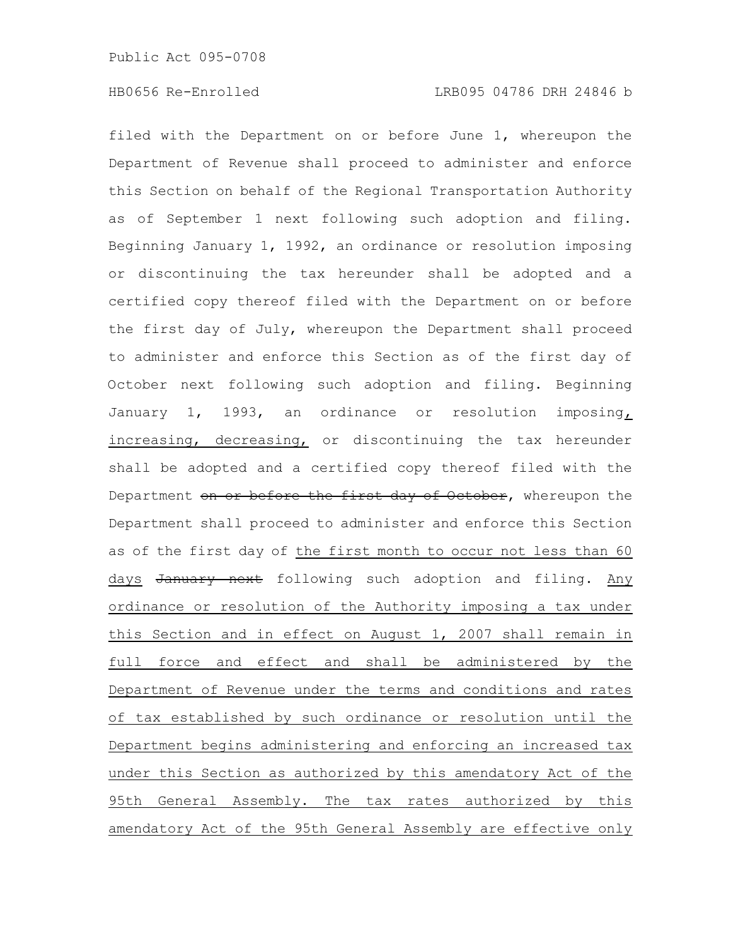filed with the Department on or before June 1, whereupon the Department of Revenue shall proceed to administer and enforce this Section on behalf of the Regional Transportation Authority as of September 1 next following such adoption and filing. Beginning January 1, 1992, an ordinance or resolution imposing or discontinuing the tax hereunder shall be adopted and a certified copy thereof filed with the Department on or before the first day of July, whereupon the Department shall proceed to administer and enforce this Section as of the first day of October next following such adoption and filing. Beginning January 1, 1993, an ordinance or resolution imposing, increasing, decreasing, or discontinuing the tax hereunder shall be adopted and a certified copy thereof filed with the Department on or before the first day of October, whereupon the Department shall proceed to administer and enforce this Section as of the first day of the first month to occur not less than 60 days January next following such adoption and filing. Any ordinance or resolution of the Authority imposing a tax under this Section and in effect on August 1, 2007 shall remain in full force and effect and shall be administered by the Department of Revenue under the terms and conditions and rates of tax established by such ordinance or resolution until the Department begins administering and enforcing an increased tax under this Section as authorized by this amendatory Act of the 95th General Assembly. The tax rates authorized by this amendatory Act of the 95th General Assembly are effective only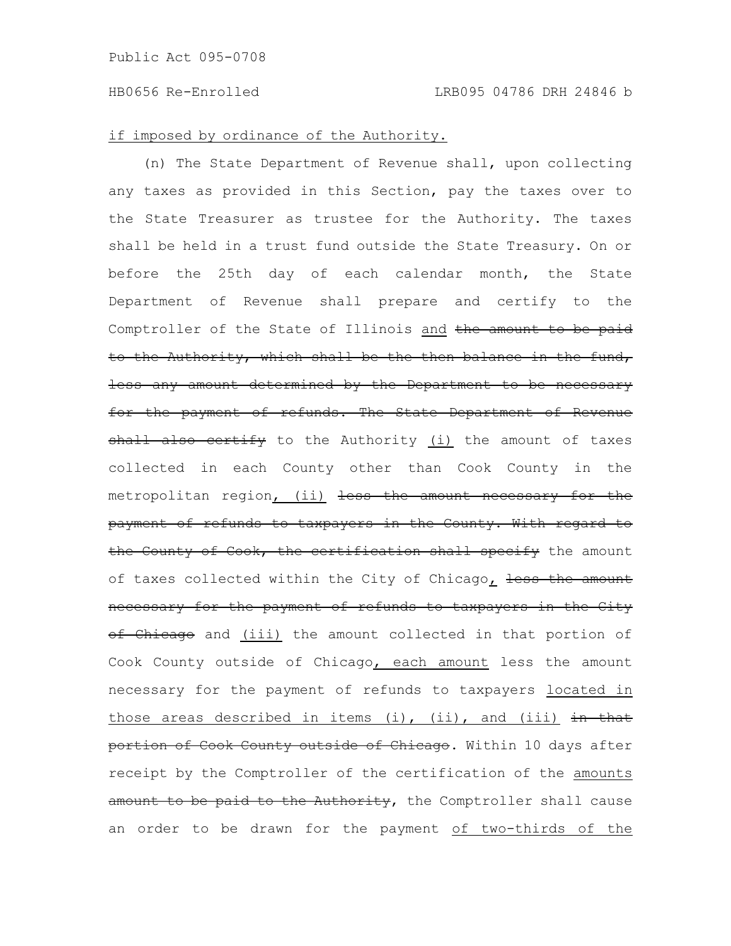## if imposed by ordinance of the Authority.

(n) The State Department of Revenue shall, upon collecting any taxes as provided in this Section, pay the taxes over to the State Treasurer as trustee for the Authority. The taxes shall be held in a trust fund outside the State Treasury. On or before the 25th day of each calendar month, the State Department of Revenue shall prepare and certify to the Comptroller of the State of Illinois and the amount to be paid to the Authority, which shall be the then balance in the fund, less any amount determined by the Department to be necessary for the payment of refunds. The State Department of Revenue shall also certify to the Authority (i) the amount of taxes collected in each County other than Cook County in the metropolitan region, (ii) less the amount necessary for the payment of refunds to taxpayers in the County. With regard to the County of Cook, the certification shall specify the amount of taxes collected within the City of Chicago, less the amount necessary for the payment of refunds to taxpayers in the City of Chicago and (iii) the amount collected in that portion of Cook County outside of Chicago, each amount less the amount necessary for the payment of refunds to taxpayers located in those areas described in items (i), (ii), and (iii)  $\frac{1}{2}$  in that portion of Cook County outside of Chicago. Within 10 days after receipt by the Comptroller of the certification of the amounts amount to be paid to the Authority, the Comptroller shall cause an order to be drawn for the payment of two-thirds of the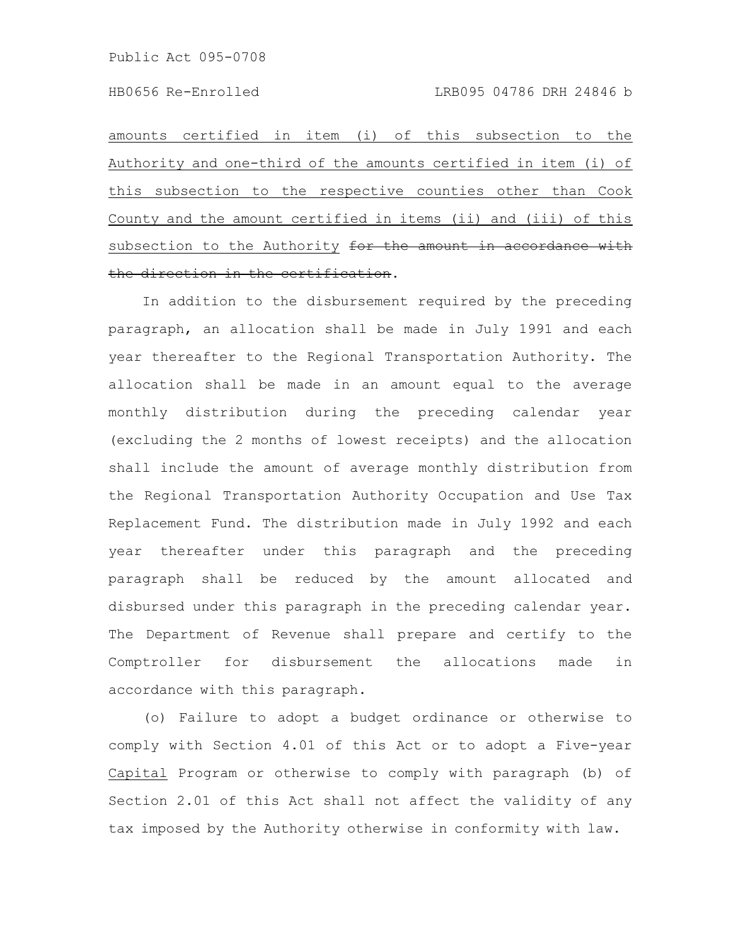amounts certified in item (i) of this subsection to the Authority and one-third of the amounts certified in item (i) of this subsection to the respective counties other than Cook County and the amount certified in items (ii) and (iii) of this subsection to the Authority for the amount in accordance with the direction in the certification.

In addition to the disbursement required by the preceding paragraph, an allocation shall be made in July 1991 and each year thereafter to the Regional Transportation Authority. The allocation shall be made in an amount equal to the average monthly distribution during the preceding calendar year (excluding the 2 months of lowest receipts) and the allocation shall include the amount of average monthly distribution from the Regional Transportation Authority Occupation and Use Tax Replacement Fund. The distribution made in July 1992 and each year thereafter under this paragraph and the preceding paragraph shall be reduced by the amount allocated and disbursed under this paragraph in the preceding calendar year. The Department of Revenue shall prepare and certify to the Comptroller for disbursement the allocations made in accordance with this paragraph.

(o) Failure to adopt a budget ordinance or otherwise to comply with Section 4.01 of this Act or to adopt a Five-year Capital Program or otherwise to comply with paragraph (b) of Section 2.01 of this Act shall not affect the validity of any tax imposed by the Authority otherwise in conformity with law.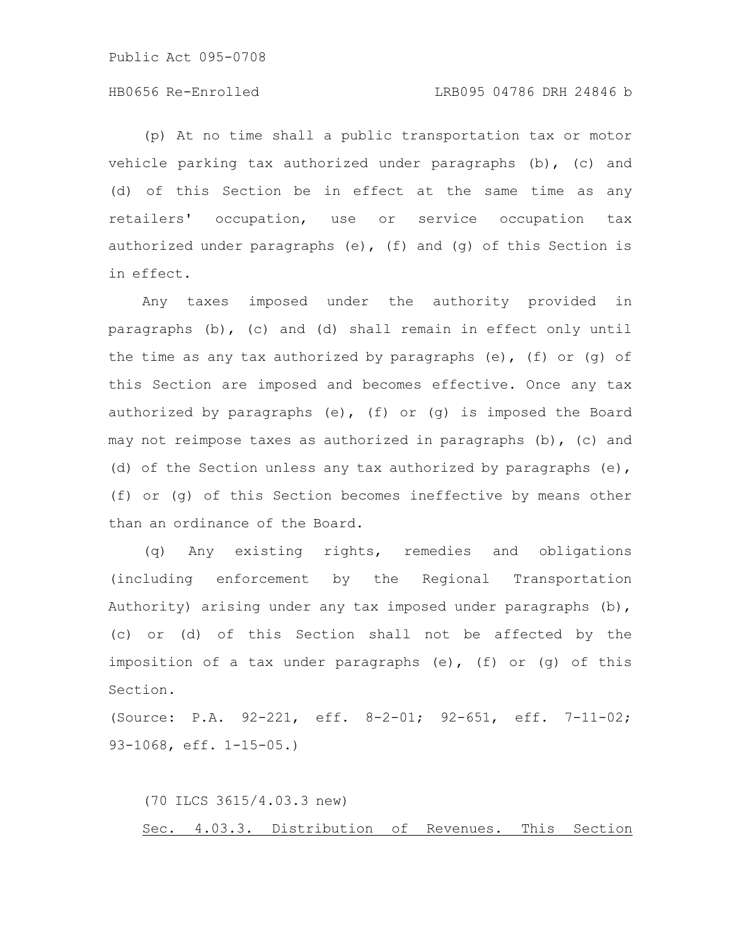## HB0656 Re-Enrolled LRB095 04786 DRH 24846 b

(p) At no time shall a public transportation tax or motor vehicle parking tax authorized under paragraphs (b), (c) and (d) of this Section be in effect at the same time as any retailers' occupation, use or service occupation tax authorized under paragraphs (e), (f) and (q) of this Section is in effect.

Any taxes imposed under the authority provided in paragraphs (b), (c) and (d) shall remain in effect only until the time as any tax authorized by paragraphs (e), (f) or (q) of this Section are imposed and becomes effective. Once any tax authorized by paragraphs (e), (f) or (g) is imposed the Board may not reimpose taxes as authorized in paragraphs (b), (c) and (d) of the Section unless any tax authorized by paragraphs (e), (f) or (g) of this Section becomes ineffective by means other than an ordinance of the Board.

(q) Any existing rights, remedies and obligations (including enforcement by the Regional Transportation Authority) arising under any tax imposed under paragraphs (b), (c) or (d) of this Section shall not be affected by the imposition of a tax under paragraphs (e), (f) or (g) of this Section.

(Source: P.A. 92-221, eff. 8-2-01; 92-651, eff. 7-11-02; 93-1068, eff. 1-15-05.)

(70 ILCS 3615/4.03.3 new) Sec. 4.03.3. Distribution of Revenues. This Section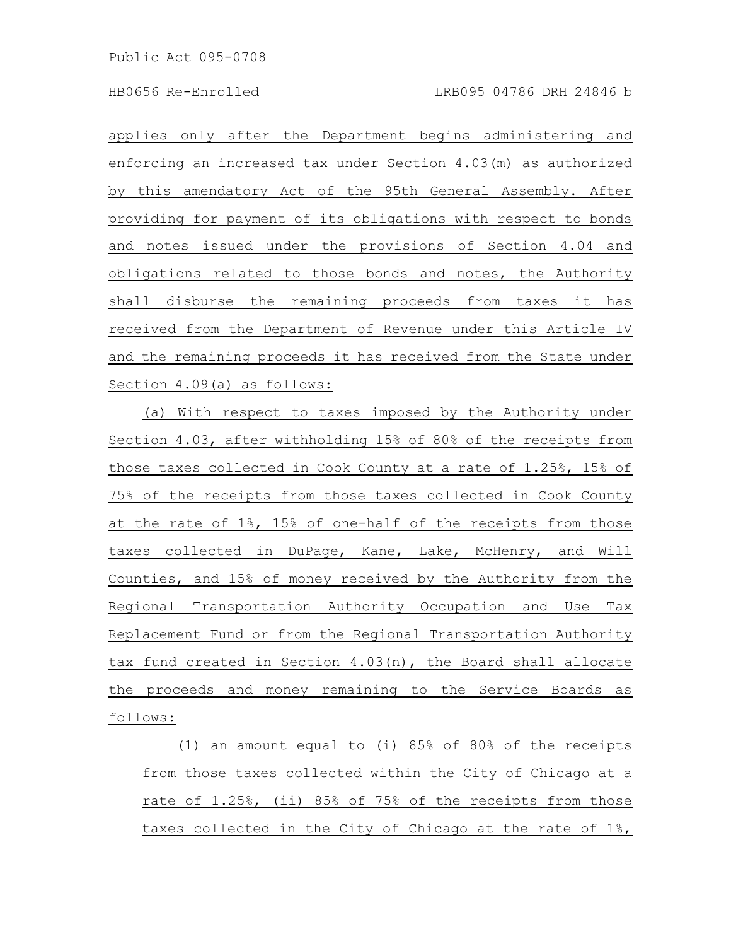applies only after the Department begins administering and enforcing an increased tax under Section 4.03(m) as authorized by this amendatory Act of the 95th General Assembly. After providing for payment of its obligations with respect to bonds and notes issued under the provisions of Section 4.04 and obligations related to those bonds and notes, the Authority shall disburse the remaining proceeds from taxes it has received from the Department of Revenue under this Article IV and the remaining proceeds it has received from the State under Section 4.09(a) as follows:

(a) With respect to taxes imposed by the Authority under Section 4.03, after withholding 15% of 80% of the receipts from those taxes collected in Cook County at a rate of 1.25%, 15% of 75% of the receipts from those taxes collected in Cook County at the rate of 1%, 15% of one-half of the receipts from those taxes collected in DuPage, Kane, Lake, McHenry, and Will Counties, and 15% of money received by the Authority from the Regional Transportation Authority Occupation and Use Tax Replacement Fund or from the Regional Transportation Authority tax fund created in Section 4.03(n), the Board shall allocate the proceeds and money remaining to the Service Boards as follows:

(1) an amount equal to (i) 85% of 80% of the receipts from those taxes collected within the City of Chicago at a rate of 1.25%, (ii) 85% of 75% of the receipts from those taxes collected in the City of Chicago at the rate of 1%,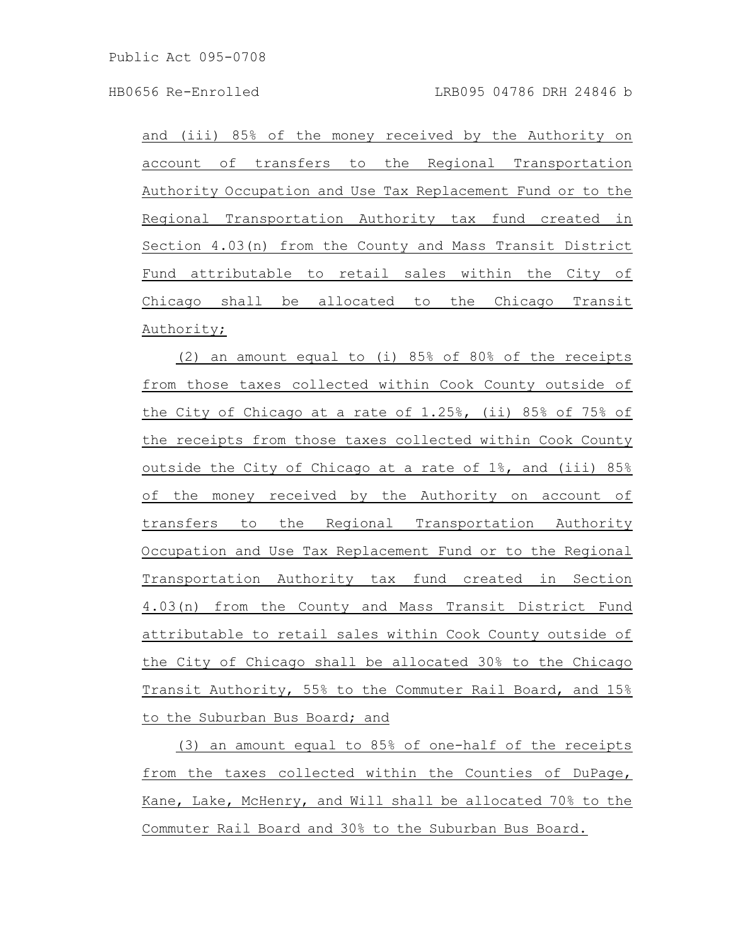and (iii) 85% of the money received by the Authority on account of transfers to the Regional Transportation Authority Occupation and Use Tax Replacement Fund or to the Regional Transportation Authority tax fund created in Section 4.03(n) from the County and Mass Transit District Fund attributable to retail sales within the City of Chicago shall be allocated to the Chicago Transit Authority;

(2) an amount equal to (i) 85% of 80% of the receipts from those taxes collected within Cook County outside of the City of Chicago at a rate of 1.25%, (ii) 85% of 75% of the receipts from those taxes collected within Cook County outside the City of Chicago at a rate of 1%, and (iii) 85% of the money received by the Authority on account of transfers to the Regional Transportation Authority Occupation and Use Tax Replacement Fund or to the Regional Transportation Authority tax fund created in Section 4.03(n) from the County and Mass Transit District Fund attributable to retail sales within Cook County outside of the City of Chicago shall be allocated 30% to the Chicago Transit Authority, 55% to the Commuter Rail Board, and 15% to the Suburban Bus Board; and

(3) an amount equal to 85% of one-half of the receipts from the taxes collected within the Counties of DuPage, Kane, Lake, McHenry, and Will shall be allocated 70% to the Commuter Rail Board and 30% to the Suburban Bus Board.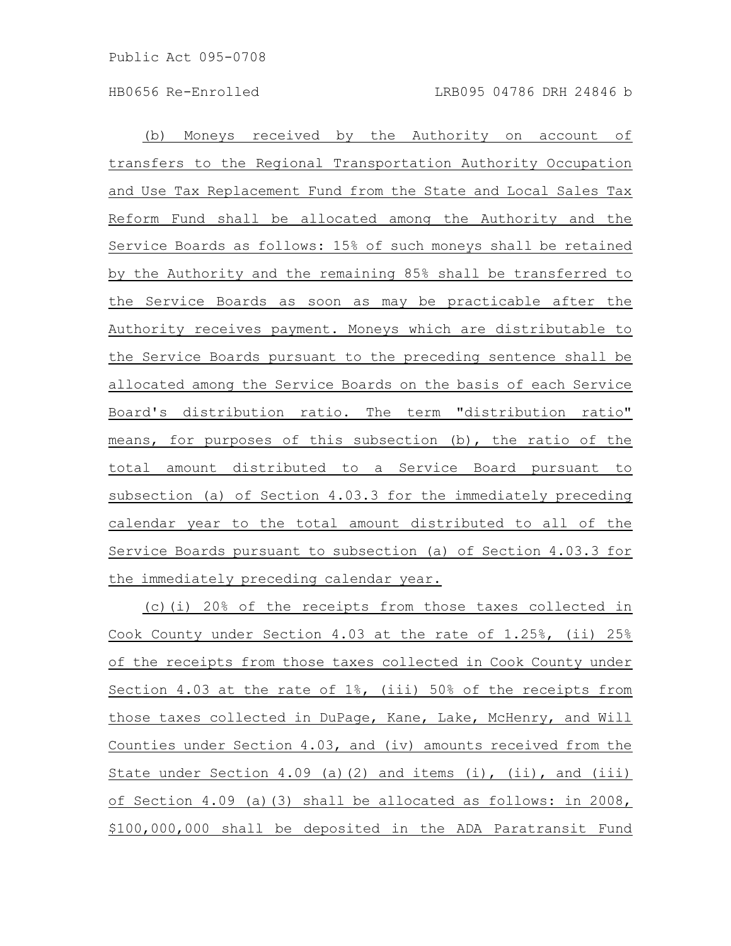(b) Moneys received by the Authority on account of transfers to the Regional Transportation Authority Occupation and Use Tax Replacement Fund from the State and Local Sales Tax Reform Fund shall be allocated among the Authority and the Service Boards as follows: 15% of such moneys shall be retained by the Authority and the remaining 85% shall be transferred to the Service Boards as soon as may be practicable after the Authority receives payment. Moneys which are distributable to the Service Boards pursuant to the preceding sentence shall be allocated among the Service Boards on the basis of each Service Board's distribution ratio. The term "distribution ratio" means, for purposes of this subsection (b), the ratio of the total amount distributed to a Service Board pursuant to subsection (a) of Section 4.03.3 for the immediately preceding calendar year to the total amount distributed to all of the Service Boards pursuant to subsection (a) of Section 4.03.3 for the immediately preceding calendar year.

(c)(i) 20% of the receipts from those taxes collected in Cook County under Section 4.03 at the rate of 1.25%, (ii) 25% of the receipts from those taxes collected in Cook County under Section 4.03 at the rate of 1%, (iii) 50% of the receipts from those taxes collected in DuPage, Kane, Lake, McHenry, and Will Counties under Section 4.03, and (iv) amounts received from the State under Section 4.09 (a)(2) and items (i), (ii), and (iii) of Section 4.09 (a)(3) shall be allocated as follows: in 2008, \$100,000,000 shall be deposited in the ADA Paratransit Fund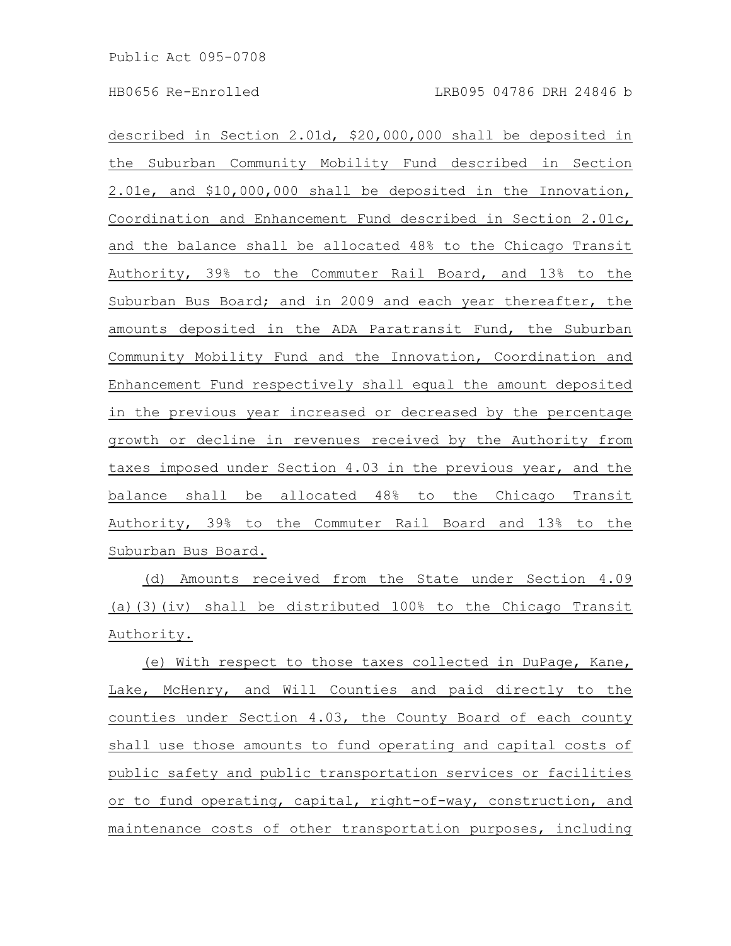described in Section 2.01d, \$20,000,000 shall be deposited in the Suburban Community Mobility Fund described in Section 2.01e, and \$10,000,000 shall be deposited in the Innovation, Coordination and Enhancement Fund described in Section 2.01c, and the balance shall be allocated 48% to the Chicago Transit Authority, 39% to the Commuter Rail Board, and 13% to the Suburban Bus Board; and in 2009 and each year thereafter, the amounts deposited in the ADA Paratransit Fund, the Suburban Community Mobility Fund and the Innovation, Coordination and Enhancement Fund respectively shall equal the amount deposited in the previous year increased or decreased by the percentage growth or decline in revenues received by the Authority from taxes imposed under Section 4.03 in the previous year, and the balance shall be allocated 48% to the Chicago Transit Authority, 39% to the Commuter Rail Board and 13% to the Suburban Bus Board.

(d) Amounts received from the State under Section 4.09 (a)(3)(iv) shall be distributed 100% to the Chicago Transit Authority.

(e) With respect to those taxes collected in DuPage, Kane, Lake, McHenry, and Will Counties and paid directly to the counties under Section 4.03, the County Board of each county shall use those amounts to fund operating and capital costs of public safety and public transportation services or facilities or to fund operating, capital, right-of-way, construction, and maintenance costs of other transportation purposes, including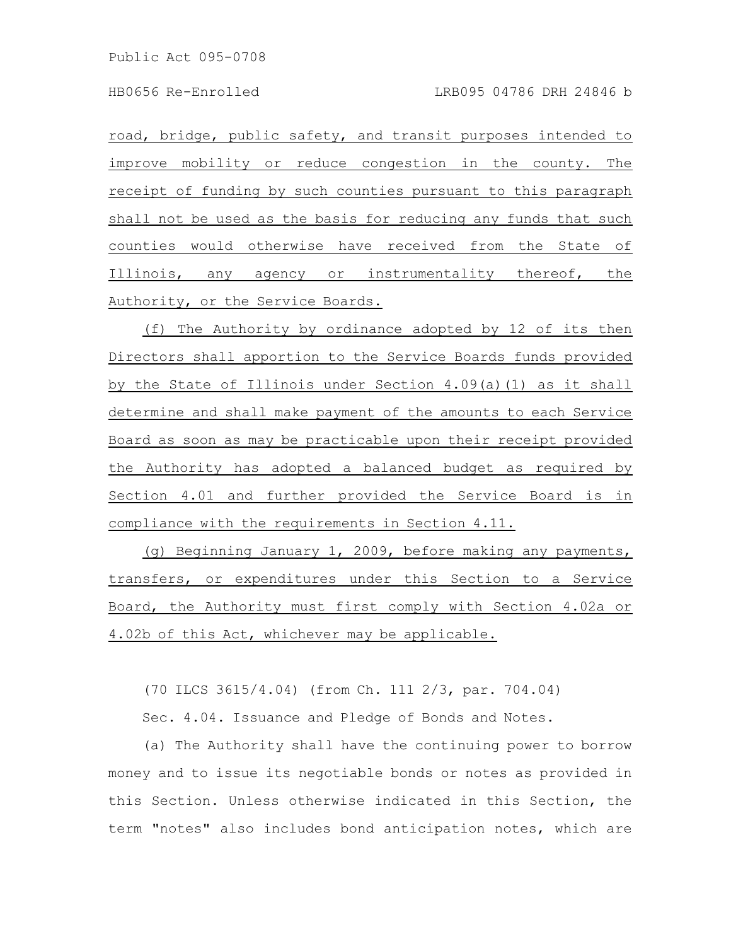road, bridge, public safety, and transit purposes intended to improve mobility or reduce congestion in the county. The receipt of funding by such counties pursuant to this paragraph shall not be used as the basis for reducing any funds that such counties would otherwise have received from the State of Illinois, any agency or instrumentality thereof, the Authority, or the Service Boards.

(f) The Authority by ordinance adopted by 12 of its then Directors shall apportion to the Service Boards funds provided by the State of Illinois under Section 4.09(a)(1) as it shall determine and shall make payment of the amounts to each Service Board as soon as may be practicable upon their receipt provided the Authority has adopted a balanced budget as required by Section 4.01 and further provided the Service Board is in compliance with the requirements in Section 4.11.

(g) Beginning January 1, 2009, before making any payments, transfers, or expenditures under this Section to a Service Board, the Authority must first comply with Section 4.02a or 4.02b of this Act, whichever may be applicable.

(70 ILCS 3615/4.04) (from Ch. 111 2/3, par. 704.04)

Sec. 4.04. Issuance and Pledge of Bonds and Notes.

(a) The Authority shall have the continuing power to borrow money and to issue its negotiable bonds or notes as provided in this Section. Unless otherwise indicated in this Section, the term "notes" also includes bond anticipation notes, which are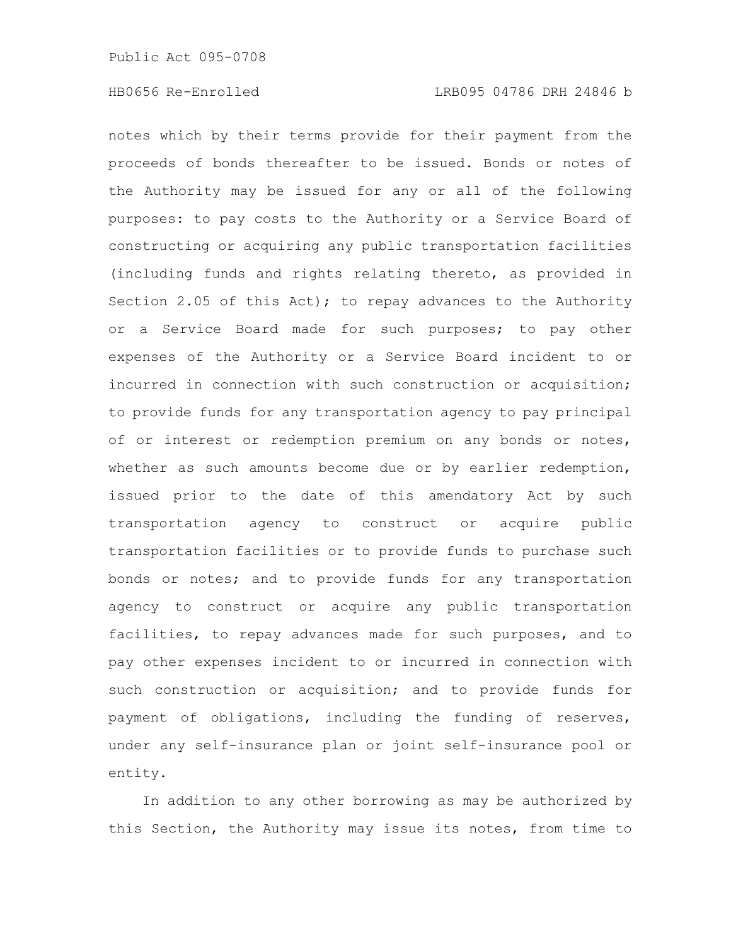notes which by their terms provide for their payment from the proceeds of bonds thereafter to be issued. Bonds or notes of the Authority may be issued for any or all of the following purposes: to pay costs to the Authority or a Service Board of constructing or acquiring any public transportation facilities (including funds and rights relating thereto, as provided in Section 2.05 of this Act); to repay advances to the Authority or a Service Board made for such purposes; to pay other expenses of the Authority or a Service Board incident to or incurred in connection with such construction or acquisition; to provide funds for any transportation agency to pay principal of or interest or redemption premium on any bonds or notes, whether as such amounts become due or by earlier redemption, issued prior to the date of this amendatory Act by such transportation agency to construct or acquire public transportation facilities or to provide funds to purchase such bonds or notes; and to provide funds for any transportation agency to construct or acquire any public transportation facilities, to repay advances made for such purposes, and to pay other expenses incident to or incurred in connection with such construction or acquisition; and to provide funds for payment of obligations, including the funding of reserves, under any self-insurance plan or joint self-insurance pool or entity.

In addition to any other borrowing as may be authorized by this Section, the Authority may issue its notes, from time to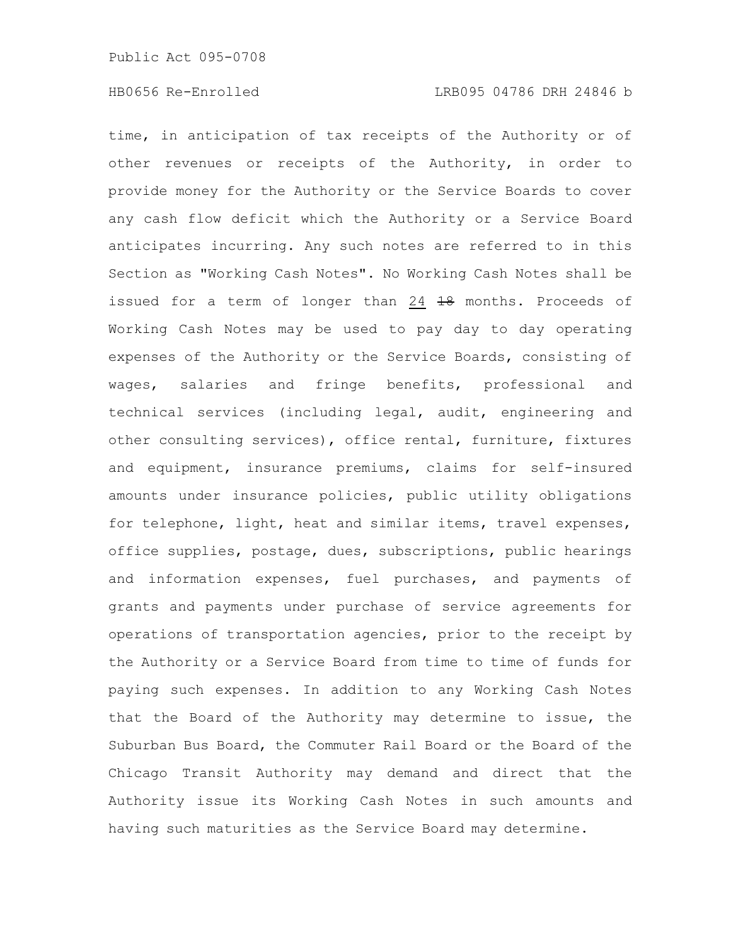time, in anticipation of tax receipts of the Authority or of other revenues or receipts of the Authority, in order to provide money for the Authority or the Service Boards to cover any cash flow deficit which the Authority or a Service Board anticipates incurring. Any such notes are referred to in this Section as "Working Cash Notes". No Working Cash Notes shall be issued for a term of longer than  $24$   $18$  months. Proceeds of Working Cash Notes may be used to pay day to day operating expenses of the Authority or the Service Boards, consisting of wages, salaries and fringe benefits, professional and technical services (including legal, audit, engineering and other consulting services), office rental, furniture, fixtures and equipment, insurance premiums, claims for self-insured amounts under insurance policies, public utility obligations for telephone, light, heat and similar items, travel expenses, office supplies, postage, dues, subscriptions, public hearings and information expenses, fuel purchases, and payments of grants and payments under purchase of service agreements for operations of transportation agencies, prior to the receipt by the Authority or a Service Board from time to time of funds for paying such expenses. In addition to any Working Cash Notes that the Board of the Authority may determine to issue, the Suburban Bus Board, the Commuter Rail Board or the Board of the Chicago Transit Authority may demand and direct that the Authority issue its Working Cash Notes in such amounts and having such maturities as the Service Board may determine.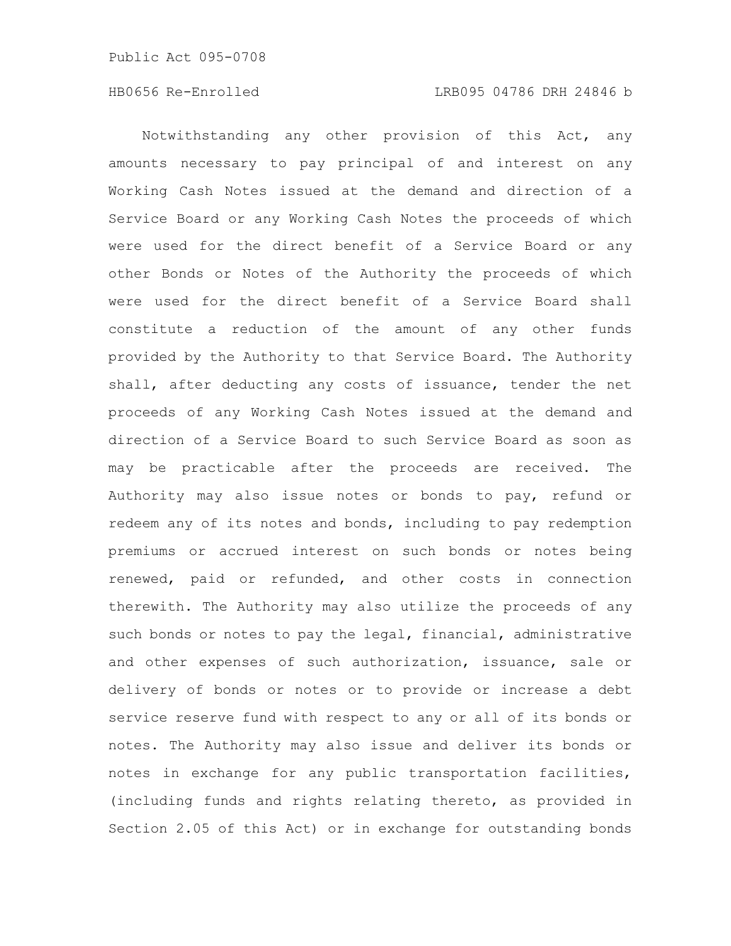Notwithstanding any other provision of this Act, any amounts necessary to pay principal of and interest on any Working Cash Notes issued at the demand and direction of a Service Board or any Working Cash Notes the proceeds of which were used for the direct benefit of a Service Board or any other Bonds or Notes of the Authority the proceeds of which were used for the direct benefit of a Service Board shall constitute a reduction of the amount of any other funds provided by the Authority to that Service Board. The Authority shall, after deducting any costs of issuance, tender the net proceeds of any Working Cash Notes issued at the demand and direction of a Service Board to such Service Board as soon as may be practicable after the proceeds are received. The Authority may also issue notes or bonds to pay, refund or redeem any of its notes and bonds, including to pay redemption premiums or accrued interest on such bonds or notes being renewed, paid or refunded, and other costs in connection therewith. The Authority may also utilize the proceeds of any such bonds or notes to pay the legal, financial, administrative and other expenses of such authorization, issuance, sale or delivery of bonds or notes or to provide or increase a debt service reserve fund with respect to any or all of its bonds or notes. The Authority may also issue and deliver its bonds or notes in exchange for any public transportation facilities, (including funds and rights relating thereto, as provided in Section 2.05 of this Act) or in exchange for outstanding bonds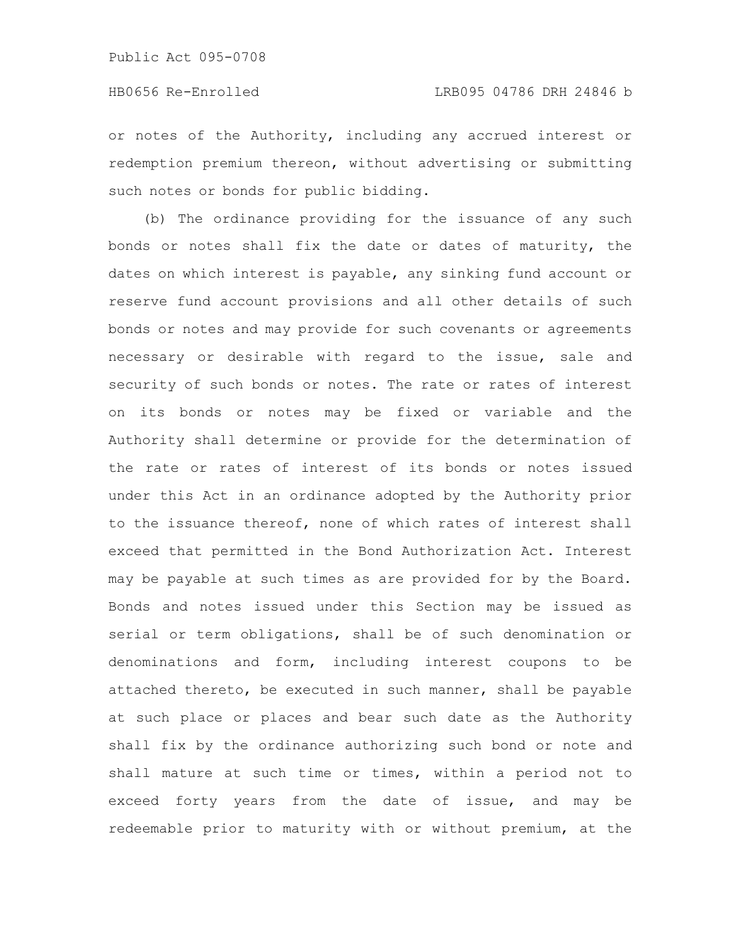or notes of the Authority, including any accrued interest or redemption premium thereon, without advertising or submitting such notes or bonds for public bidding.

(b) The ordinance providing for the issuance of any such bonds or notes shall fix the date or dates of maturity, the dates on which interest is payable, any sinking fund account or reserve fund account provisions and all other details of such bonds or notes and may provide for such covenants or agreements necessary or desirable with regard to the issue, sale and security of such bonds or notes. The rate or rates of interest on its bonds or notes may be fixed or variable and the Authority shall determine or provide for the determination of the rate or rates of interest of its bonds or notes issued under this Act in an ordinance adopted by the Authority prior to the issuance thereof, none of which rates of interest shall exceed that permitted in the Bond Authorization Act. Interest may be payable at such times as are provided for by the Board. Bonds and notes issued under this Section may be issued as serial or term obligations, shall be of such denomination or denominations and form, including interest coupons to be attached thereto, be executed in such manner, shall be payable at such place or places and bear such date as the Authority shall fix by the ordinance authorizing such bond or note and shall mature at such time or times, within a period not to exceed forty years from the date of issue, and may be redeemable prior to maturity with or without premium, at the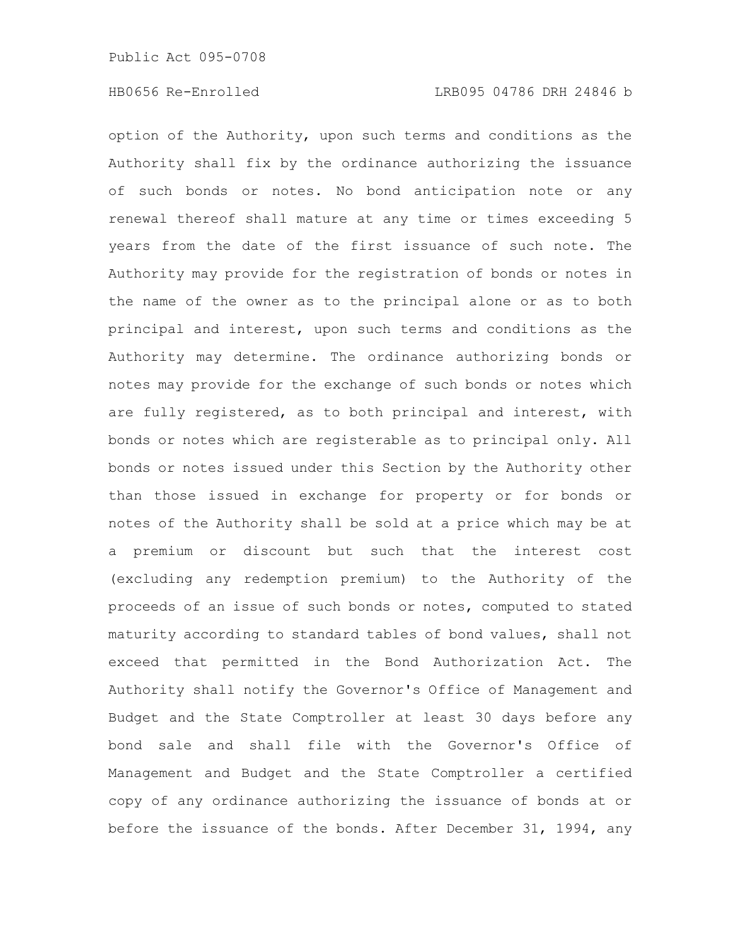option of the Authority, upon such terms and conditions as the Authority shall fix by the ordinance authorizing the issuance of such bonds or notes. No bond anticipation note or any renewal thereof shall mature at any time or times exceeding 5 years from the date of the first issuance of such note. The Authority may provide for the registration of bonds or notes in the name of the owner as to the principal alone or as to both principal and interest, upon such terms and conditions as the Authority may determine. The ordinance authorizing bonds or notes may provide for the exchange of such bonds or notes which are fully registered, as to both principal and interest, with bonds or notes which are registerable as to principal only. All bonds or notes issued under this Section by the Authority other than those issued in exchange for property or for bonds or notes of the Authority shall be sold at a price which may be at a premium or discount but such that the interest cost (excluding any redemption premium) to the Authority of the proceeds of an issue of such bonds or notes, computed to stated maturity according to standard tables of bond values, shall not exceed that permitted in the Bond Authorization Act. The Authority shall notify the Governor's Office of Management and Budget and the State Comptroller at least 30 days before any bond sale and shall file with the Governor's Office of Management and Budget and the State Comptroller a certified copy of any ordinance authorizing the issuance of bonds at or before the issuance of the bonds. After December 31, 1994, any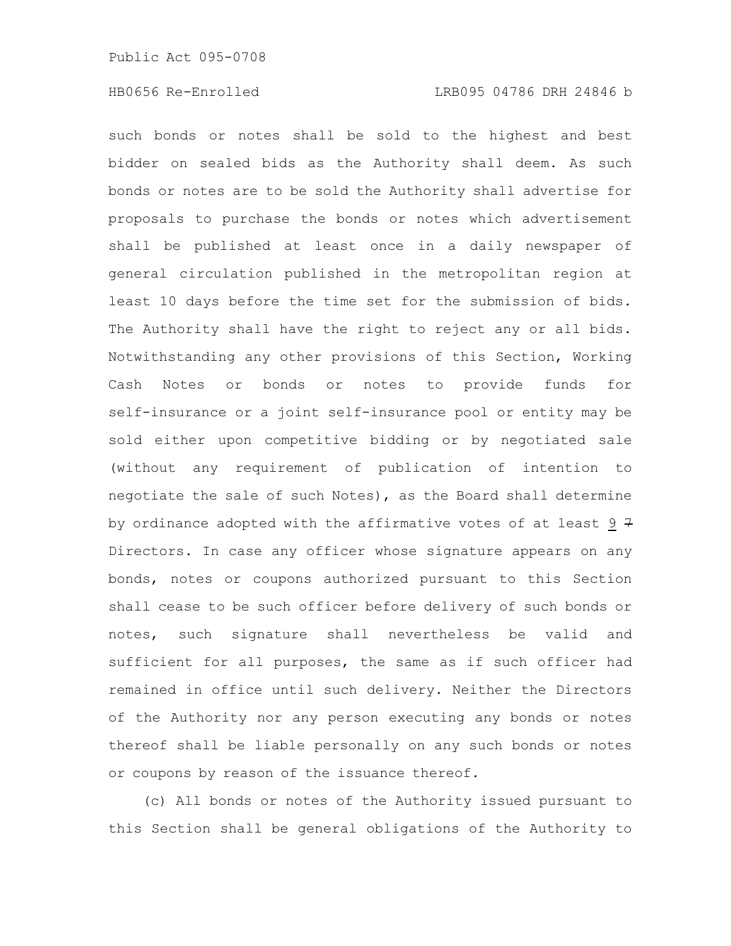such bonds or notes shall be sold to the highest and best bidder on sealed bids as the Authority shall deem. As such bonds or notes are to be sold the Authority shall advertise for proposals to purchase the bonds or notes which advertisement shall be published at least once in a daily newspaper of general circulation published in the metropolitan region at least 10 days before the time set for the submission of bids. The Authority shall have the right to reject any or all bids. Notwithstanding any other provisions of this Section, Working Cash Notes or bonds or notes to provide funds for self-insurance or a joint self-insurance pool or entity may be sold either upon competitive bidding or by negotiated sale (without any requirement of publication of intention to negotiate the sale of such Notes), as the Board shall determine by ordinance adopted with the affirmative votes of at least  $9 \div 7$ Directors. In case any officer whose signature appears on any bonds, notes or coupons authorized pursuant to this Section shall cease to be such officer before delivery of such bonds or notes, such signature shall nevertheless be valid and sufficient for all purposes, the same as if such officer had remained in office until such delivery. Neither the Directors of the Authority nor any person executing any bonds or notes thereof shall be liable personally on any such bonds or notes or coupons by reason of the issuance thereof.

(c) All bonds or notes of the Authority issued pursuant to this Section shall be general obligations of the Authority to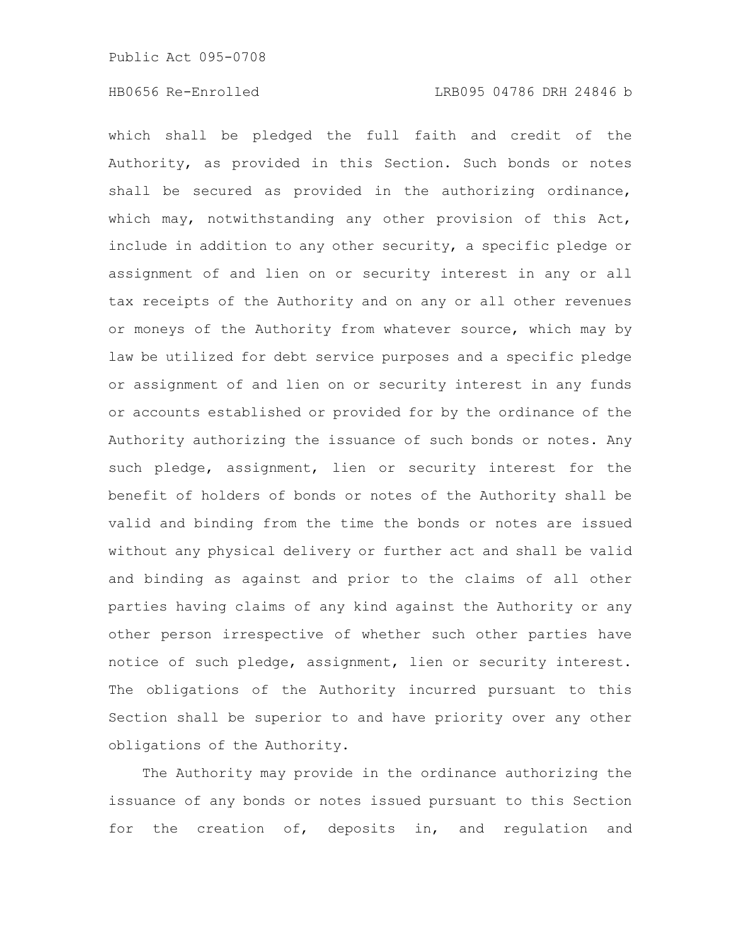which shall be pledged the full faith and credit of the Authority, as provided in this Section. Such bonds or notes shall be secured as provided in the authorizing ordinance, which may, notwithstanding any other provision of this Act, include in addition to any other security, a specific pledge or assignment of and lien on or security interest in any or all tax receipts of the Authority and on any or all other revenues or moneys of the Authority from whatever source, which may by law be utilized for debt service purposes and a specific pledge or assignment of and lien on or security interest in any funds or accounts established or provided for by the ordinance of the Authority authorizing the issuance of such bonds or notes. Any such pledge, assignment, lien or security interest for the benefit of holders of bonds or notes of the Authority shall be valid and binding from the time the bonds or notes are issued without any physical delivery or further act and shall be valid and binding as against and prior to the claims of all other parties having claims of any kind against the Authority or any other person irrespective of whether such other parties have notice of such pledge, assignment, lien or security interest. The obligations of the Authority incurred pursuant to this Section shall be superior to and have priority over any other obligations of the Authority.

The Authority may provide in the ordinance authorizing the issuance of any bonds or notes issued pursuant to this Section for the creation of, deposits in, and regulation and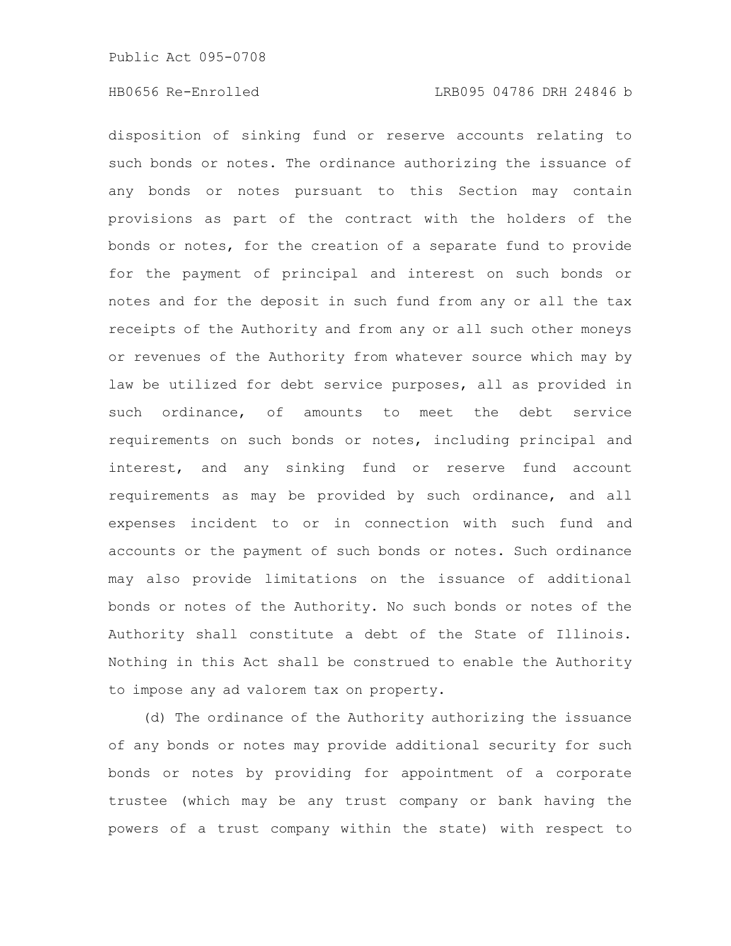disposition of sinking fund or reserve accounts relating to such bonds or notes. The ordinance authorizing the issuance of any bonds or notes pursuant to this Section may contain provisions as part of the contract with the holders of the bonds or notes, for the creation of a separate fund to provide for the payment of principal and interest on such bonds or notes and for the deposit in such fund from any or all the tax receipts of the Authority and from any or all such other moneys or revenues of the Authority from whatever source which may by law be utilized for debt service purposes, all as provided in such ordinance, of amounts to meet the debt service requirements on such bonds or notes, including principal and interest, and any sinking fund or reserve fund account requirements as may be provided by such ordinance, and all expenses incident to or in connection with such fund and accounts or the payment of such bonds or notes. Such ordinance may also provide limitations on the issuance of additional bonds or notes of the Authority. No such bonds or notes of the Authority shall constitute a debt of the State of Illinois. Nothing in this Act shall be construed to enable the Authority to impose any ad valorem tax on property.

(d) The ordinance of the Authority authorizing the issuance of any bonds or notes may provide additional security for such bonds or notes by providing for appointment of a corporate trustee (which may be any trust company or bank having the powers of a trust company within the state) with respect to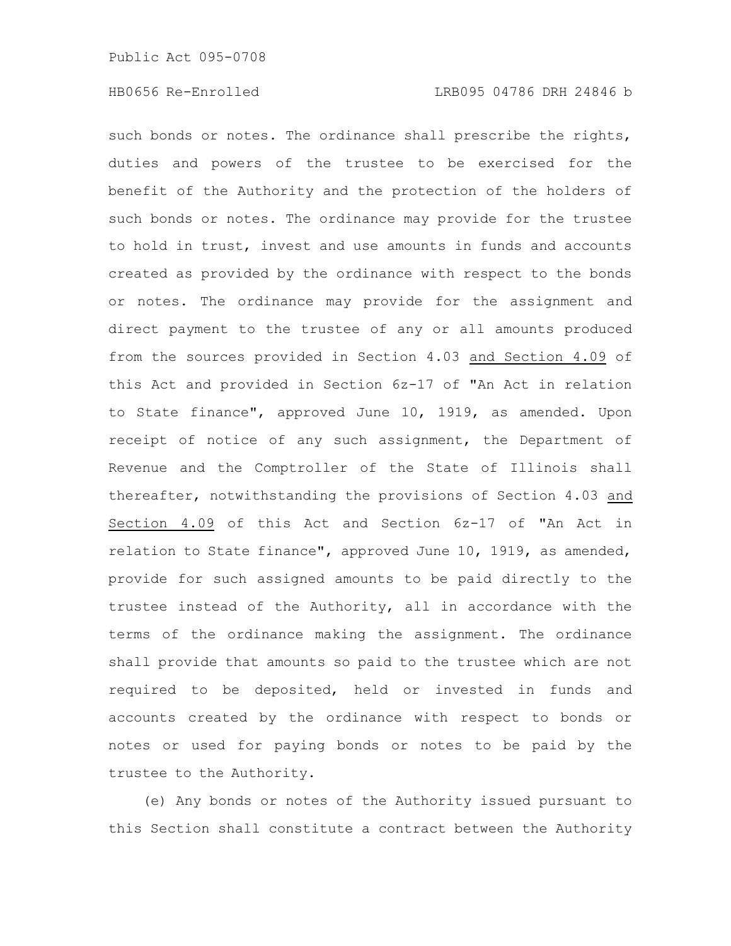such bonds or notes. The ordinance shall prescribe the rights, duties and powers of the trustee to be exercised for the benefit of the Authority and the protection of the holders of such bonds or notes. The ordinance may provide for the trustee to hold in trust, invest and use amounts in funds and accounts created as provided by the ordinance with respect to the bonds or notes. The ordinance may provide for the assignment and direct payment to the trustee of any or all amounts produced from the sources provided in Section 4.03 and Section 4.09 of this Act and provided in Section 6z-17 of "An Act in relation to State finance", approved June 10, 1919, as amended. Upon receipt of notice of any such assignment, the Department of Revenue and the Comptroller of the State of Illinois shall thereafter, notwithstanding the provisions of Section 4.03 and Section 4.09 of this Act and Section 6z-17 of "An Act in relation to State finance", approved June 10, 1919, as amended, provide for such assigned amounts to be paid directly to the trustee instead of the Authority, all in accordance with the terms of the ordinance making the assignment. The ordinance shall provide that amounts so paid to the trustee which are not required to be deposited, held or invested in funds and accounts created by the ordinance with respect to bonds or notes or used for paying bonds or notes to be paid by the trustee to the Authority.

(e) Any bonds or notes of the Authority issued pursuant to this Section shall constitute a contract between the Authority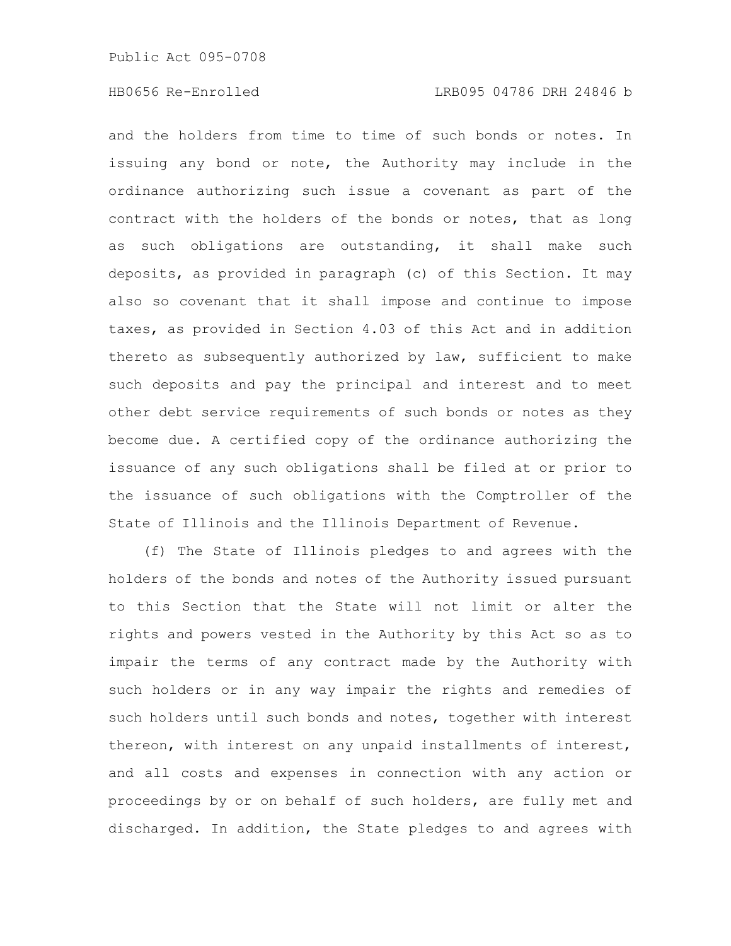and the holders from time to time of such bonds or notes. In issuing any bond or note, the Authority may include in the ordinance authorizing such issue a covenant as part of the contract with the holders of the bonds or notes, that as long as such obligations are outstanding, it shall make such deposits, as provided in paragraph (c) of this Section. It may also so covenant that it shall impose and continue to impose taxes, as provided in Section 4.03 of this Act and in addition thereto as subsequently authorized by law, sufficient to make such deposits and pay the principal and interest and to meet other debt service requirements of such bonds or notes as they become due. A certified copy of the ordinance authorizing the issuance of any such obligations shall be filed at or prior to the issuance of such obligations with the Comptroller of the State of Illinois and the Illinois Department of Revenue.

(f) The State of Illinois pledges to and agrees with the holders of the bonds and notes of the Authority issued pursuant to this Section that the State will not limit or alter the rights and powers vested in the Authority by this Act so as to impair the terms of any contract made by the Authority with such holders or in any way impair the rights and remedies of such holders until such bonds and notes, together with interest thereon, with interest on any unpaid installments of interest, and all costs and expenses in connection with any action or proceedings by or on behalf of such holders, are fully met and discharged. In addition, the State pledges to and agrees with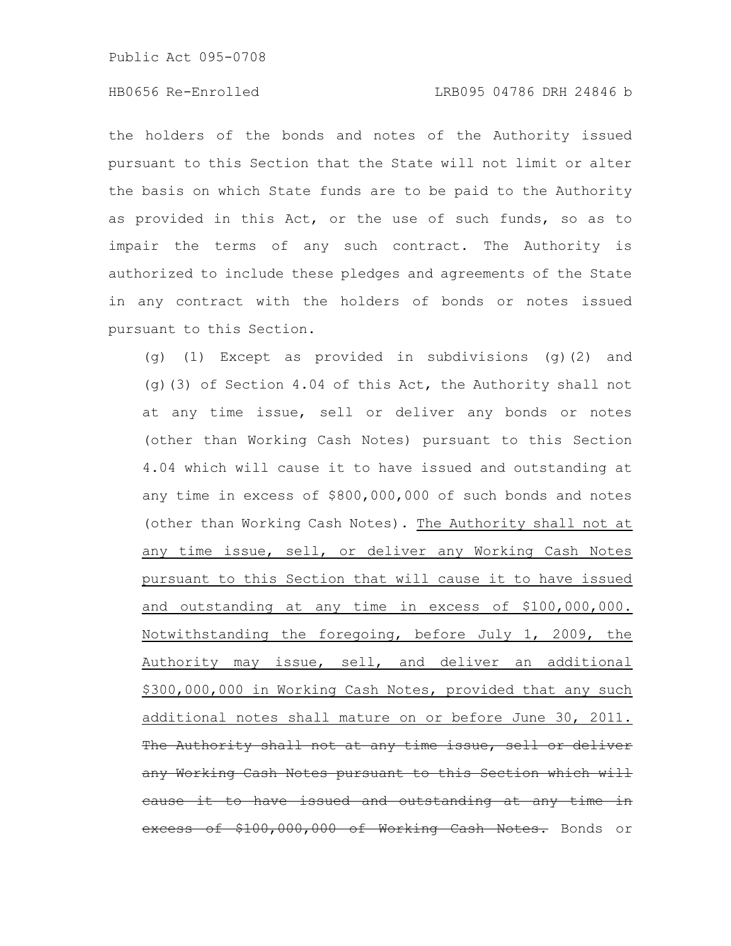# HB0656 Re-Enrolled LRB095 04786 DRH 24846 b

the holders of the bonds and notes of the Authority issued pursuant to this Section that the State will not limit or alter the basis on which State funds are to be paid to the Authority as provided in this Act, or the use of such funds, so as to impair the terms of any such contract. The Authority is authorized to include these pledges and agreements of the State in any contract with the holders of bonds or notes issued pursuant to this Section.

(g) (1) Except as provided in subdivisions (g)(2) and (g)(3) of Section 4.04 of this Act, the Authority shall not at any time issue, sell or deliver any bonds or notes (other than Working Cash Notes) pursuant to this Section 4.04 which will cause it to have issued and outstanding at any time in excess of \$800,000,000 of such bonds and notes (other than Working Cash Notes). The Authority shall not at any time issue, sell, or deliver any Working Cash Notes pursuant to this Section that will cause it to have issued and outstanding at any time in excess of \$100,000,000. Notwithstanding the foregoing, before July 1, 2009, the Authority may issue, sell, and deliver an additional \$300,000,000 in Working Cash Notes, provided that any such additional notes shall mature on or before June 30, 2011. Authority shall not at any time issue, sell or deliver any Working Cash Notes pursuant to this Section which will cause it to have issued and outstanding at any time in xcess of \$100,000,000 of Working Cash Notes. Bonds or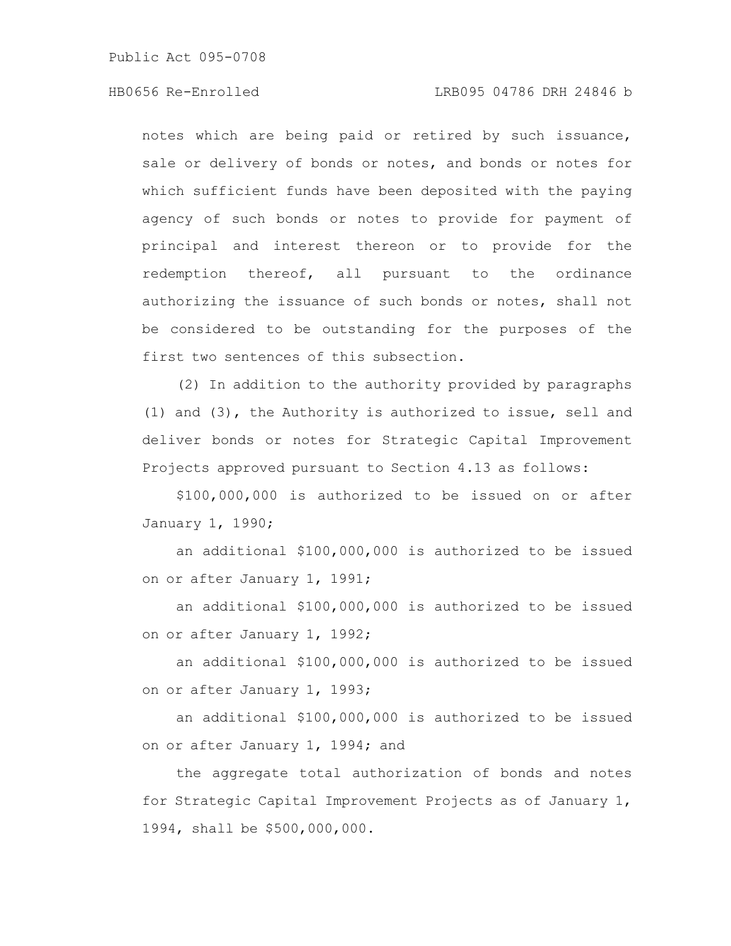# HB0656 Re-Enrolled LRB095 04786 DRH 24846 b

notes which are being paid or retired by such issuance, sale or delivery of bonds or notes, and bonds or notes for which sufficient funds have been deposited with the paying agency of such bonds or notes to provide for payment of principal and interest thereon or to provide for the redemption thereof, all pursuant to the ordinance authorizing the issuance of such bonds or notes, shall not be considered to be outstanding for the purposes of the first two sentences of this subsection.

(2) In addition to the authority provided by paragraphs (1) and (3), the Authority is authorized to issue, sell and deliver bonds or notes for Strategic Capital Improvement Projects approved pursuant to Section 4.13 as follows:

\$100,000,000 is authorized to be issued on or after January 1, 1990;

an additional \$100,000,000 is authorized to be issued on or after January 1, 1991;

an additional \$100,000,000 is authorized to be issued on or after January 1, 1992;

an additional \$100,000,000 is authorized to be issued on or after January 1, 1993;

an additional \$100,000,000 is authorized to be issued on or after January 1, 1994; and

the aggregate total authorization of bonds and notes for Strategic Capital Improvement Projects as of January 1, 1994, shall be \$500,000,000.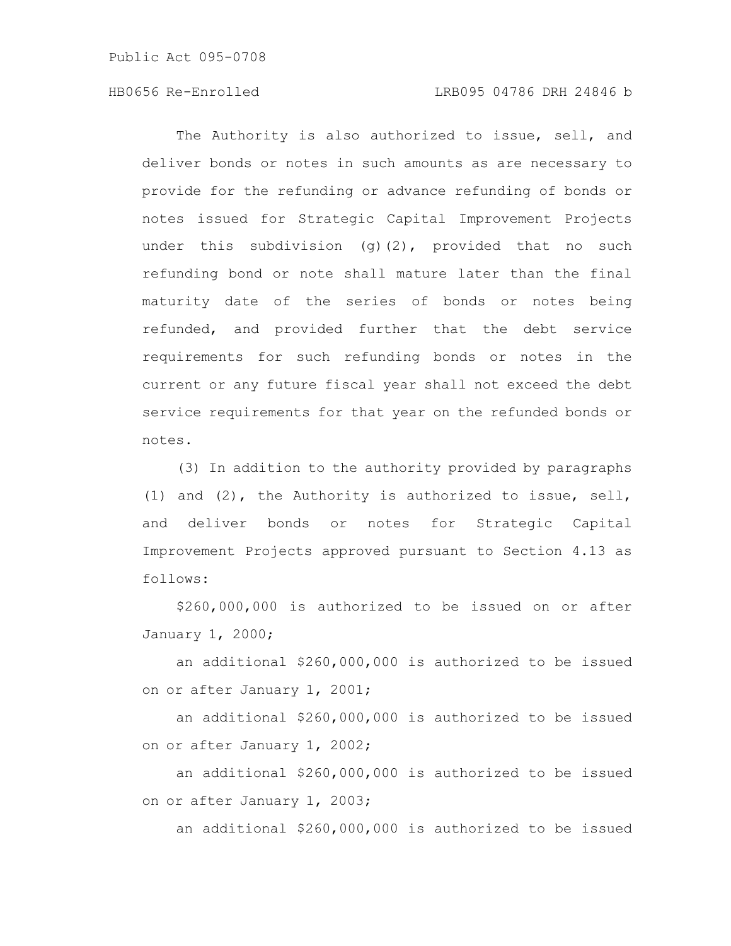# HB0656 Re-Enrolled LRB095 04786 DRH 24846 b

The Authority is also authorized to issue, sell, and deliver bonds or notes in such amounts as are necessary to provide for the refunding or advance refunding of bonds or notes issued for Strategic Capital Improvement Projects under this subdivision  $(q)(2)$ , provided that no such refunding bond or note shall mature later than the final maturity date of the series of bonds or notes being refunded, and provided further that the debt service requirements for such refunding bonds or notes in the current or any future fiscal year shall not exceed the debt service requirements for that year on the refunded bonds or notes.

(3) In addition to the authority provided by paragraphs (1) and (2), the Authority is authorized to issue, sell, and deliver bonds or notes for Strategic Capital Improvement Projects approved pursuant to Section 4.13 as follows:

\$260,000,000 is authorized to be issued on or after January 1, 2000;

an additional \$260,000,000 is authorized to be issued on or after January 1, 2001;

an additional \$260,000,000 is authorized to be issued on or after January 1, 2002;

an additional \$260,000,000 is authorized to be issued on or after January 1, 2003;

an additional \$260,000,000 is authorized to be issued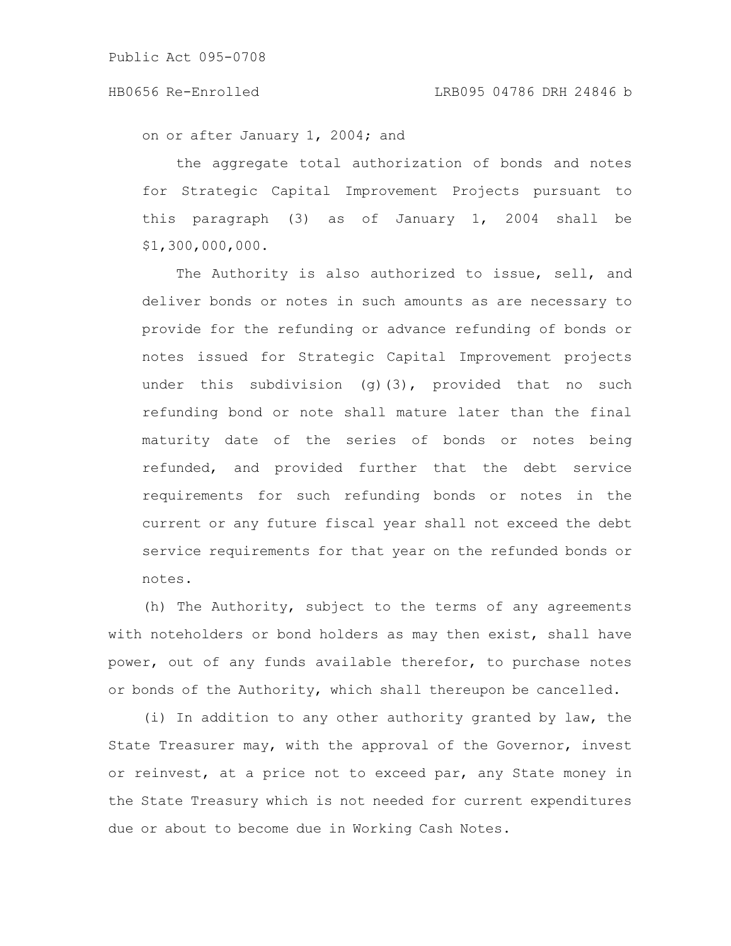### HB0656 Re-Enrolled LRB095 04786 DRH 24846 b

on or after January 1, 2004; and

the aggregate total authorization of bonds and notes for Strategic Capital Improvement Projects pursuant to this paragraph (3) as of January 1, 2004 shall be \$1,300,000,000.

The Authority is also authorized to issue, sell, and deliver bonds or notes in such amounts as are necessary to provide for the refunding or advance refunding of bonds or notes issued for Strategic Capital Improvement projects under this subdivision (q)(3), provided that no such refunding bond or note shall mature later than the final maturity date of the series of bonds or notes being refunded, and provided further that the debt service requirements for such refunding bonds or notes in the current or any future fiscal year shall not exceed the debt service requirements for that year on the refunded bonds or notes.

(h) The Authority, subject to the terms of any agreements with noteholders or bond holders as may then exist, shall have power, out of any funds available therefor, to purchase notes or bonds of the Authority, which shall thereupon be cancelled.

(i) In addition to any other authority granted by law, the State Treasurer may, with the approval of the Governor, invest or reinvest, at a price not to exceed par, any State money in the State Treasury which is not needed for current expenditures due or about to become due in Working Cash Notes.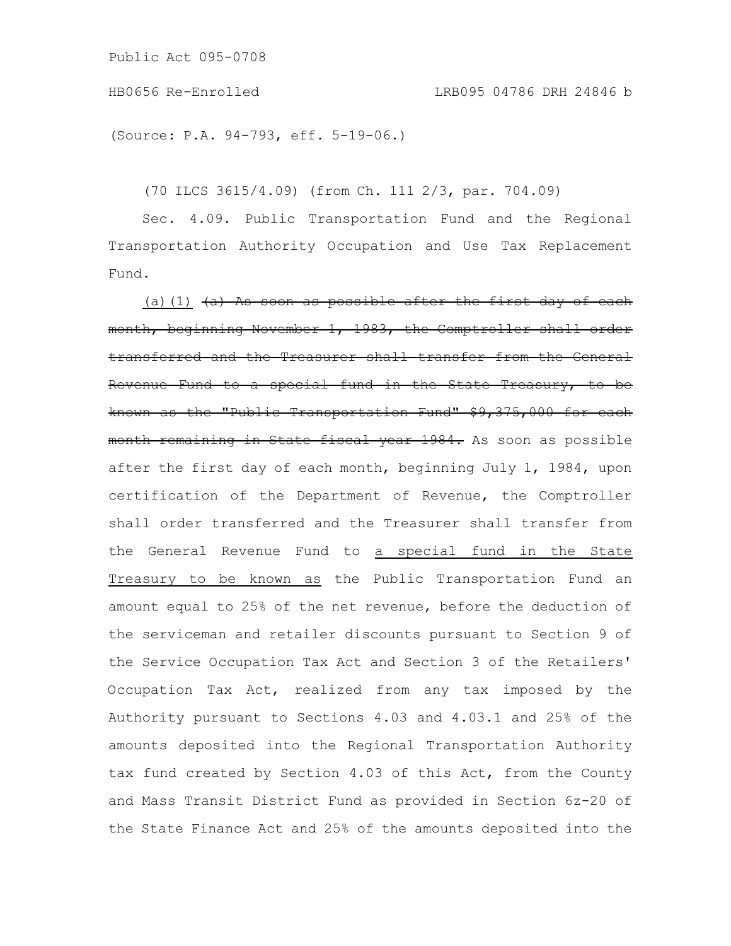```
Public Act 095-0708
```
(Source: P.A. 94-793, eff. 5-19-06.)

(70 ILCS 3615/4.09) (from Ch. 111 2/3, par. 704.09)

Sec. 4.09. Public Transportation Fund and the Regional Transportation Authority Occupation and Use Tax Replacement Fund.

(a)(1)  $(a)$  As soon as possible after the first day of each month, beginning November 1, 1983, the Comptroller shall order transferred and the Treasurer shall transfer from the General Revenue Fund to a special fund in the State Treasury, to be known as the "Public Transportation Fund" \$9,375,000 for each month remaining in State fiscal year 1984. As soon as possible after the first day of each month, beginning July 1, 1984, upon certification of the Department of Revenue, the Comptroller shall order transferred and the Treasurer shall transfer from the General Revenue Fund to a special fund in the State Treasury to be known as the Public Transportation Fund an amount equal to 25% of the net revenue, before the deduction of the serviceman and retailer discounts pursuant to Section 9 of the Service Occupation Tax Act and Section 3 of the Retailers' Occupation Tax Act, realized from any tax imposed by the Authority pursuant to Sections 4.03 and 4.03.1 and 25% of the amounts deposited into the Regional Transportation Authority tax fund created by Section 4.03 of this Act, from the County and Mass Transit District Fund as provided in Section 6z-20 of the State Finance Act and 25% of the amounts deposited into the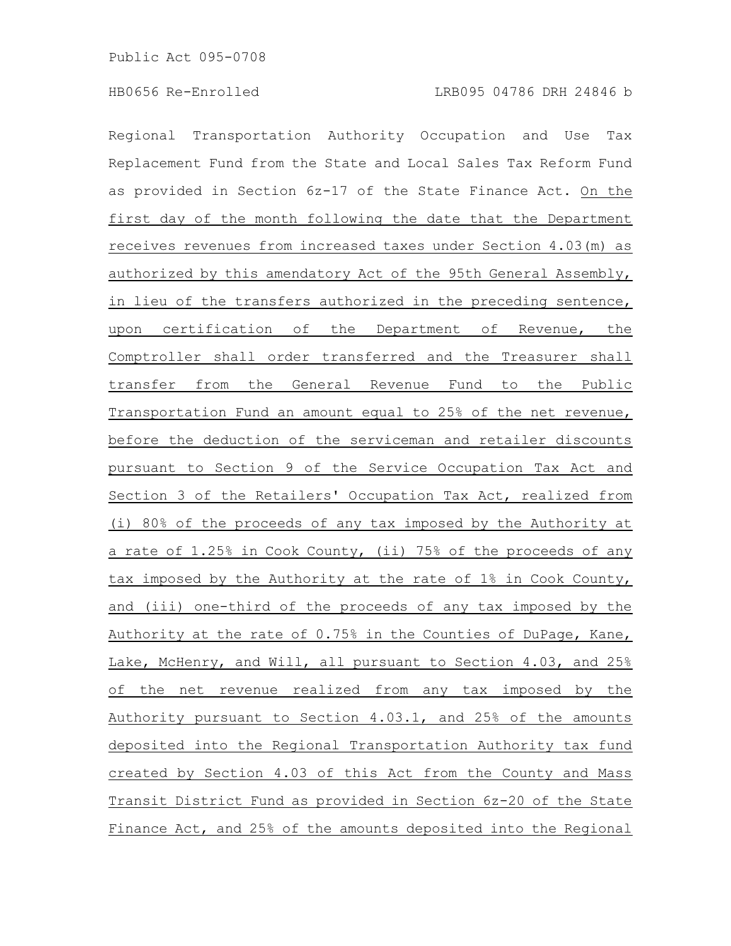Regional Transportation Authority Occupation and Use Tax Replacement Fund from the State and Local Sales Tax Reform Fund as provided in Section 6z-17 of the State Finance Act. On the first day of the month following the date that the Department receives revenues from increased taxes under Section 4.03(m) as authorized by this amendatory Act of the 95th General Assembly, in lieu of the transfers authorized in the preceding sentence, upon certification of the Department of Revenue, the Comptroller shall order transferred and the Treasurer shall transfer from the General Revenue Fund to the Public Transportation Fund an amount equal to 25% of the net revenue, before the deduction of the serviceman and retailer discounts pursuant to Section 9 of the Service Occupation Tax Act and Section 3 of the Retailers' Occupation Tax Act, realized from (i) 80% of the proceeds of any tax imposed by the Authority at a rate of 1.25% in Cook County, (ii) 75% of the proceeds of any tax imposed by the Authority at the rate of 1% in Cook County, and (iii) one-third of the proceeds of any tax imposed by the Authority at the rate of 0.75% in the Counties of DuPage, Kane, Lake, McHenry, and Will, all pursuant to Section 4.03, and 25% of the net revenue realized from any tax imposed by the Authority pursuant to Section 4.03.1, and 25% of the amounts deposited into the Regional Transportation Authority tax fund created by Section 4.03 of this Act from the County and Mass Transit District Fund as provided in Section 6z-20 of the State Finance Act, and 25% of the amounts deposited into the Regional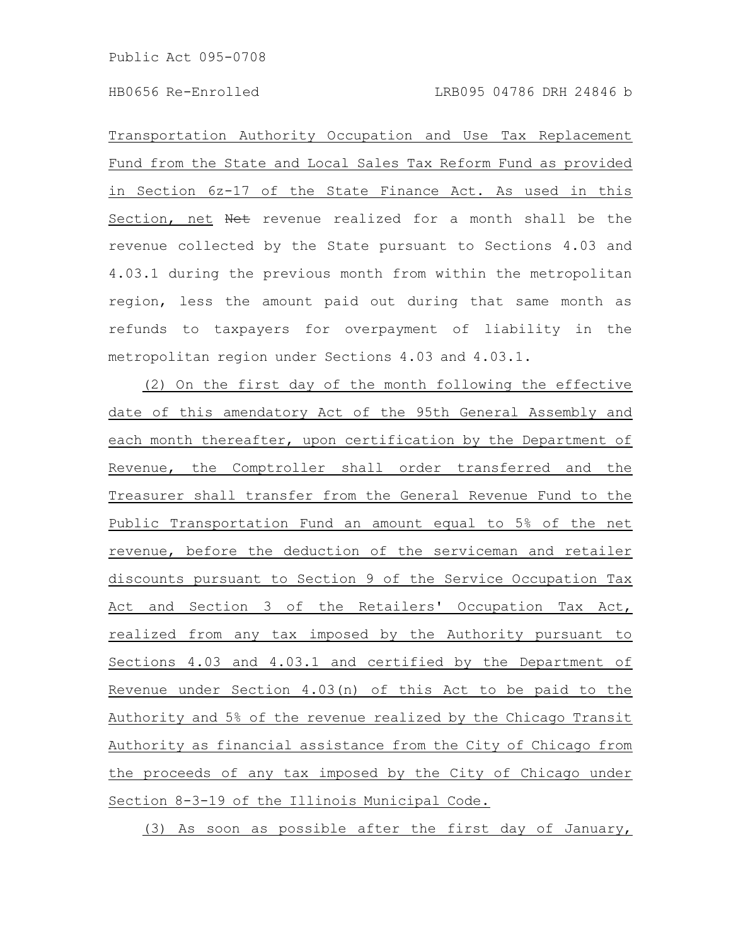Transportation Authority Occupation and Use Tax Replacement Fund from the State and Local Sales Tax Reform Fund as provided in Section 6z-17 of the State Finance Act. As used in this Section, net Net revenue realized for a month shall be the revenue collected by the State pursuant to Sections 4.03 and 4.03.1 during the previous month from within the metropolitan region, less the amount paid out during that same month as refunds to taxpayers for overpayment of liability in the metropolitan region under Sections 4.03 and 4.03.1.

(2) On the first day of the month following the effective date of this amendatory Act of the 95th General Assembly and each month thereafter, upon certification by the Department of Revenue, the Comptroller shall order transferred and the Treasurer shall transfer from the General Revenue Fund to the Public Transportation Fund an amount equal to 5% of the net revenue, before the deduction of the serviceman and retailer discounts pursuant to Section 9 of the Service Occupation Tax Act and Section 3 of the Retailers' Occupation Tax Act, realized from any tax imposed by the Authority pursuant to Sections 4.03 and 4.03.1 and certified by the Department of Revenue under Section 4.03(n) of this Act to be paid to the Authority and 5% of the revenue realized by the Chicago Transit Authority as financial assistance from the City of Chicago from the proceeds of any tax imposed by the City of Chicago under Section 8-3-19 of the Illinois Municipal Code.

(3) As soon as possible after the first day of January,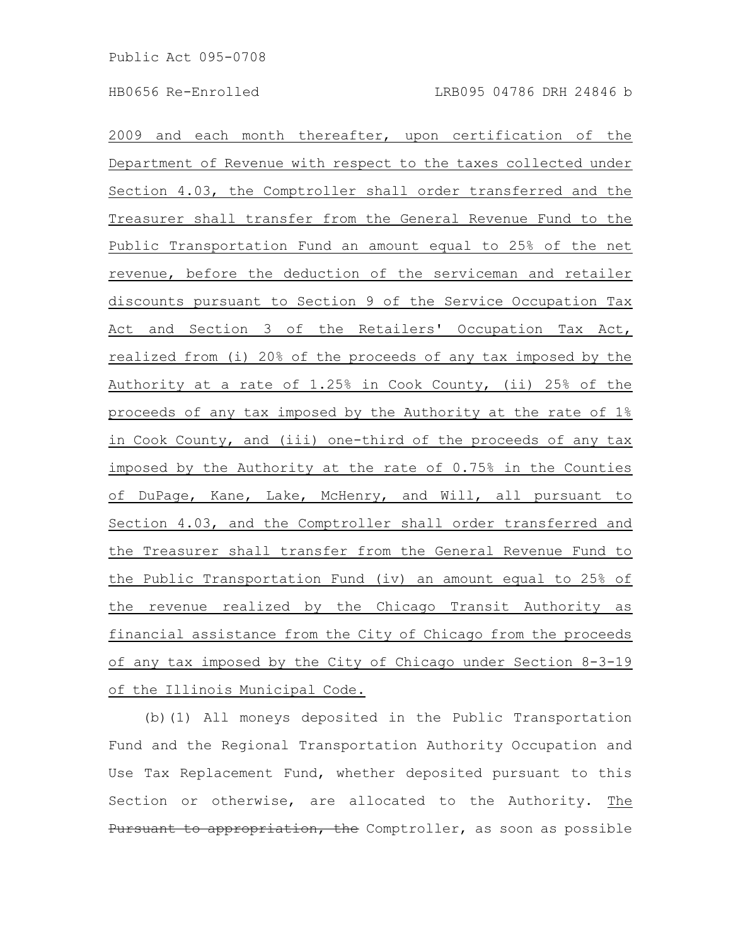2009 and each month thereafter, upon certification of the Department of Revenue with respect to the taxes collected under Section 4.03, the Comptroller shall order transferred and the Treasurer shall transfer from the General Revenue Fund to the Public Transportation Fund an amount equal to 25% of the net revenue, before the deduction of the serviceman and retailer discounts pursuant to Section 9 of the Service Occupation Tax Act and Section 3 of the Retailers' Occupation Tax Act, realized from (i) 20% of the proceeds of any tax imposed by the Authority at a rate of 1.25% in Cook County, (ii) 25% of the proceeds of any tax imposed by the Authority at the rate of 1% in Cook County, and (iii) one-third of the proceeds of any tax imposed by the Authority at the rate of 0.75% in the Counties of DuPage, Kane, Lake, McHenry, and Will, all pursuant to Section 4.03, and the Comptroller shall order transferred and the Treasurer shall transfer from the General Revenue Fund to the Public Transportation Fund (iv) an amount equal to 25% of the revenue realized by the Chicago Transit Authority as financial assistance from the City of Chicago from the proceeds of any tax imposed by the City of Chicago under Section 8-3-19 of the Illinois Municipal Code.

(b)(1) All moneys deposited in the Public Transportation Fund and the Regional Transportation Authority Occupation and Use Tax Replacement Fund, whether deposited pursuant to this Section or otherwise, are allocated to the Authority. The Pursuant to appropriation, the Comptroller, as soon as possible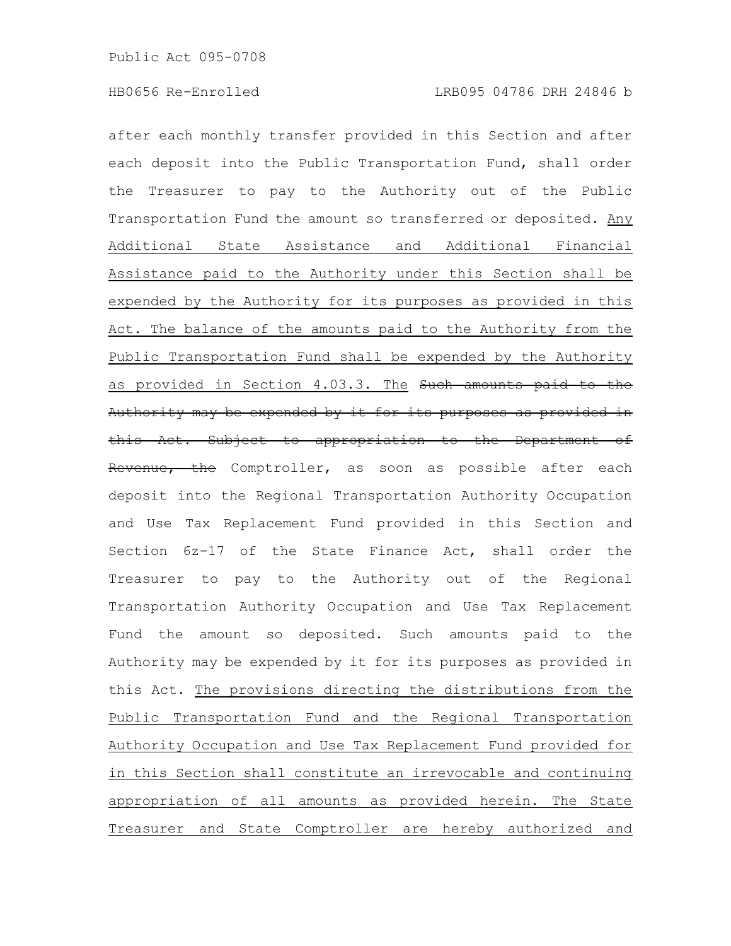after each monthly transfer provided in this Section and after each deposit into the Public Transportation Fund, shall order the Treasurer to pay to the Authority out of the Public Transportation Fund the amount so transferred or deposited. Any Additional State Assistance and Additional Financial Assistance paid to the Authority under this Section shall be expended by the Authority for its purposes as provided in this Act. The balance of the amounts paid to the Authority from the Public Transportation Fund shall be expended by the Authority as provided in Section 4.03.3. The Such amounts paid to the Authority may be expended by it for its purposes as provided in this Act. Subject to appropriation to the Department of Revenue, the Comptroller, as soon as possible after each deposit into the Regional Transportation Authority Occupation and Use Tax Replacement Fund provided in this Section and Section 6z-17 of the State Finance Act, shall order the Treasurer to pay to the Authority out of the Regional Transportation Authority Occupation and Use Tax Replacement Fund the amount so deposited. Such amounts paid to the Authority may be expended by it for its purposes as provided in this Act. The provisions directing the distributions from the Public Transportation Fund and the Regional Transportation Authority Occupation and Use Tax Replacement Fund provided for in this Section shall constitute an irrevocable and continuing appropriation of all amounts as provided herein. The State Treasurer and State Comptroller are hereby authorized and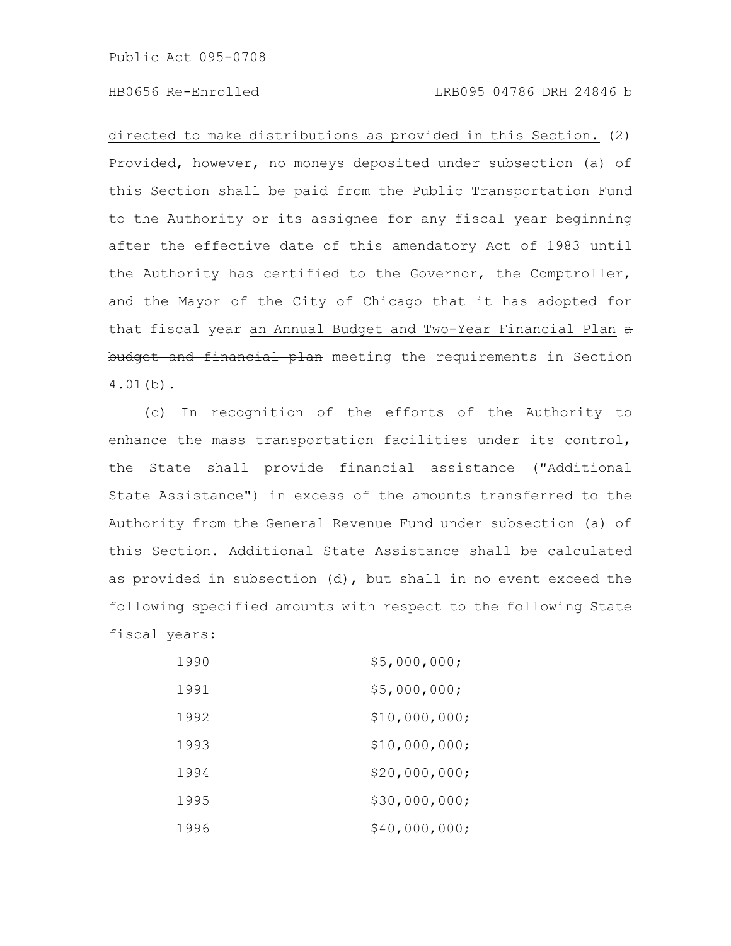# HB0656 Re-Enrolled LRB095 04786 DRH 24846 b

directed to make distributions as provided in this Section. (2) Provided, however, no moneys deposited under subsection (a) of this Section shall be paid from the Public Transportation Fund to the Authority or its assignee for any fiscal year beginning after the effective date of this amendatory Act of 1983 until the Authority has certified to the Governor, the Comptroller, and the Mayor of the City of Chicago that it has adopted for that fiscal year an Annual Budget and Two-Year Financial Plan  $\alpha$ budget and financial plan meeting the requirements in Section 4.01(b).

(c) In recognition of the efforts of the Authority to enhance the mass transportation facilities under its control, the State shall provide financial assistance ("Additional State Assistance") in excess of the amounts transferred to the Authority from the General Revenue Fund under subsection (a) of this Section. Additional State Assistance shall be calculated as provided in subsection (d), but shall in no event exceed the following specified amounts with respect to the following State fiscal years:

| 1990 | \$5,000,000;  |
|------|---------------|
| 1991 | \$5,000,000;  |
| 1992 | \$10,000,000; |
| 1993 | \$10,000,000; |
| 1994 | \$20,000,000; |
| 1995 | \$30,000,000; |
| 1996 | \$40,000,000; |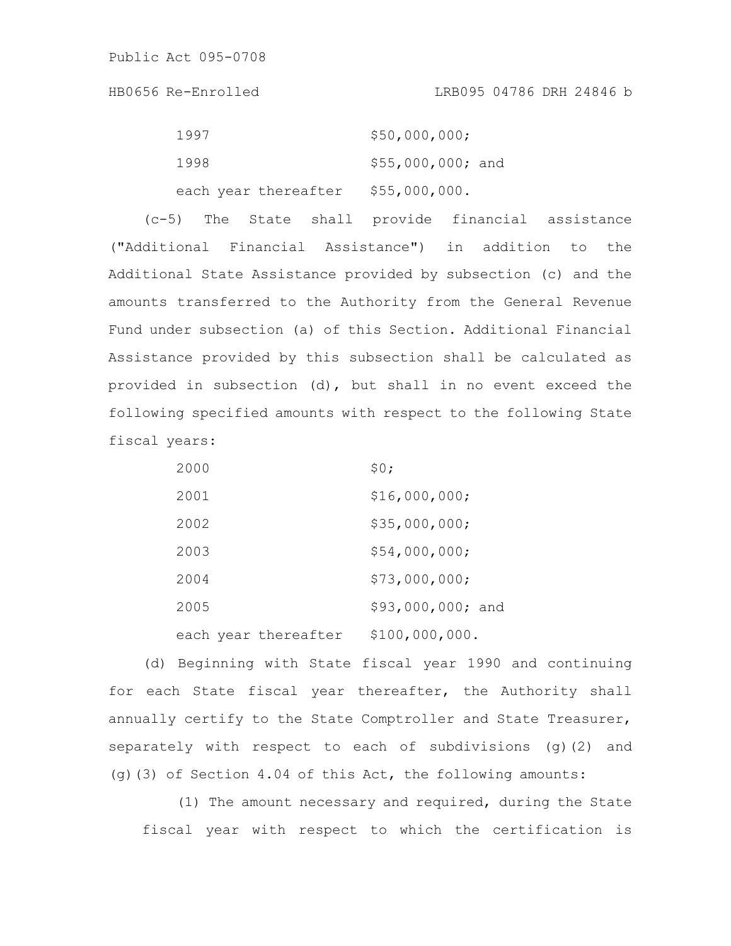HB0656 Re-Enrolled LRB095 04786 DRH 24846 b

| 1997                 | \$50,000,000;      |
|----------------------|--------------------|
| 1998                 | $$55,000,000;$ and |
| each year thereafter | \$55,000,000.      |

(c-5) The State shall provide financial assistance ("Additional Financial Assistance") in addition to the Additional State Assistance provided by subsection (c) and the amounts transferred to the Authority from the General Revenue Fund under subsection (a) of this Section. Additional Financial Assistance provided by this subsection shall be calculated as provided in subsection (d), but shall in no event exceed the following specified amounts with respect to the following State fiscal years:

| 2000                 | \$0:              |
|----------------------|-------------------|
| 2001                 | \$16,000,000;     |
| 2002                 | \$35,000,000;     |
| 2003                 | \$54,000,000;     |
| 2004                 | \$73,000,000;     |
| 2005                 | \$93,000,000; and |
| each year thereafter | \$100,000,000.    |

(d) Beginning with State fiscal year 1990 and continuing for each State fiscal year thereafter, the Authority shall annually certify to the State Comptroller and State Treasurer, separately with respect to each of subdivisions (g)(2) and (g)(3) of Section 4.04 of this Act, the following amounts:

(1) The amount necessary and required, during the State fiscal year with respect to which the certification is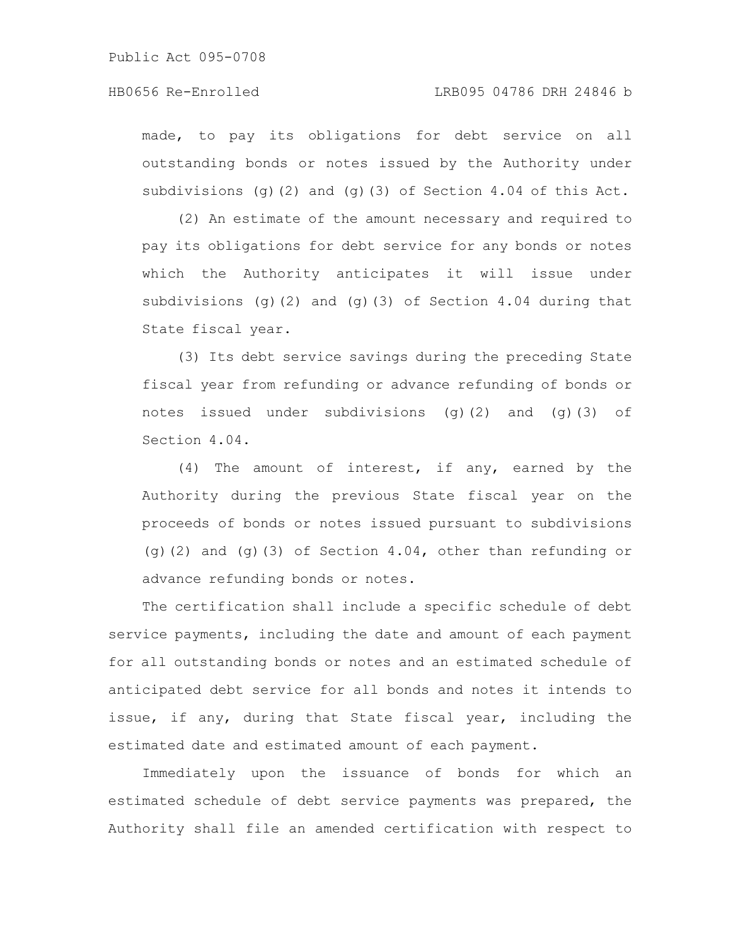# HB0656 Re-Enrolled LRB095 04786 DRH 24846 b

made, to pay its obligations for debt service on all outstanding bonds or notes issued by the Authority under subdivisions (g)(2) and (g)(3) of Section 4.04 of this Act.

(2) An estimate of the amount necessary and required to pay its obligations for debt service for any bonds or notes which the Authority anticipates it will issue under subdivisions (g)(2) and (g)(3) of Section 4.04 during that State fiscal year.

(3) Its debt service savings during the preceding State fiscal year from refunding or advance refunding of bonds or notes issued under subdivisions (g)(2) and (g)(3) of Section 4.04.

(4) The amount of interest, if any, earned by the Authority during the previous State fiscal year on the proceeds of bonds or notes issued pursuant to subdivisions (g)(2) and (g)(3) of Section 4.04, other than refunding or advance refunding bonds or notes.

The certification shall include a specific schedule of debt service payments, including the date and amount of each payment for all outstanding bonds or notes and an estimated schedule of anticipated debt service for all bonds and notes it intends to issue, if any, during that State fiscal year, including the estimated date and estimated amount of each payment.

Immediately upon the issuance of bonds for which an estimated schedule of debt service payments was prepared, the Authority shall file an amended certification with respect to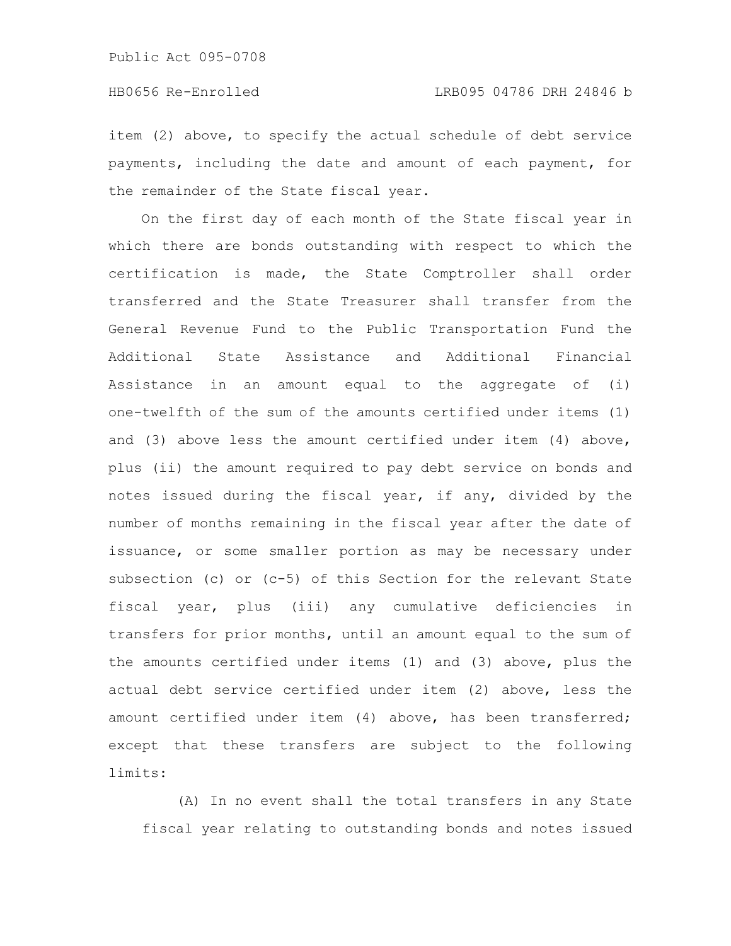item (2) above, to specify the actual schedule of debt service payments, including the date and amount of each payment, for the remainder of the State fiscal year.

On the first day of each month of the State fiscal year in which there are bonds outstanding with respect to which the certification is made, the State Comptroller shall order transferred and the State Treasurer shall transfer from the General Revenue Fund to the Public Transportation Fund the Additional State Assistance and Additional Financial Assistance in an amount equal to the aggregate of (i) one-twelfth of the sum of the amounts certified under items (1) and (3) above less the amount certified under item (4) above, plus (ii) the amount required to pay debt service on bonds and notes issued during the fiscal year, if any, divided by the number of months remaining in the fiscal year after the date of issuance, or some smaller portion as may be necessary under subsection (c) or (c-5) of this Section for the relevant State fiscal year, plus (iii) any cumulative deficiencies in transfers for prior months, until an amount equal to the sum of the amounts certified under items (1) and (3) above, plus the actual debt service certified under item (2) above, less the amount certified under item (4) above, has been transferred; except that these transfers are subject to the following limits:

(A) In no event shall the total transfers in any State fiscal year relating to outstanding bonds and notes issued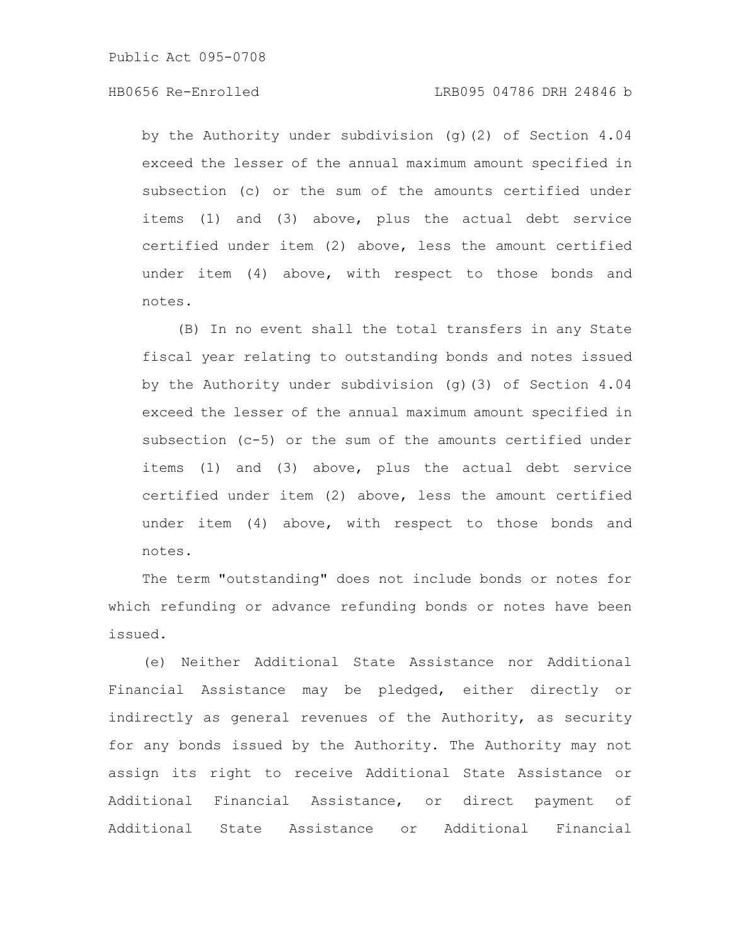## HB0656 Re-Enrolled LRB095 04786 DRH 24846 b

by the Authority under subdivision (g)(2) of Section 4.04 exceed the lesser of the annual maximum amount specified in subsection (c) or the sum of the amounts certified under items (1) and (3) above, plus the actual debt service certified under item (2) above, less the amount certified under item (4) above, with respect to those bonds and notes.

(B) In no event shall the total transfers in any State fiscal year relating to outstanding bonds and notes issued by the Authority under subdivision (g)(3) of Section 4.04 exceed the lesser of the annual maximum amount specified in subsection (c-5) or the sum of the amounts certified under items (1) and (3) above, plus the actual debt service certified under item (2) above, less the amount certified under item (4) above, with respect to those bonds and notes.

The term "outstanding" does not include bonds or notes for which refunding or advance refunding bonds or notes have been issued.

(e) Neither Additional State Assistance nor Additional Financial Assistance may be pledged, either directly or indirectly as general revenues of the Authority, as security for any bonds issued by the Authority. The Authority may not assign its right to receive Additional State Assistance or Additional Financial Assistance, or direct payment of Additional State Assistance or Additional Financial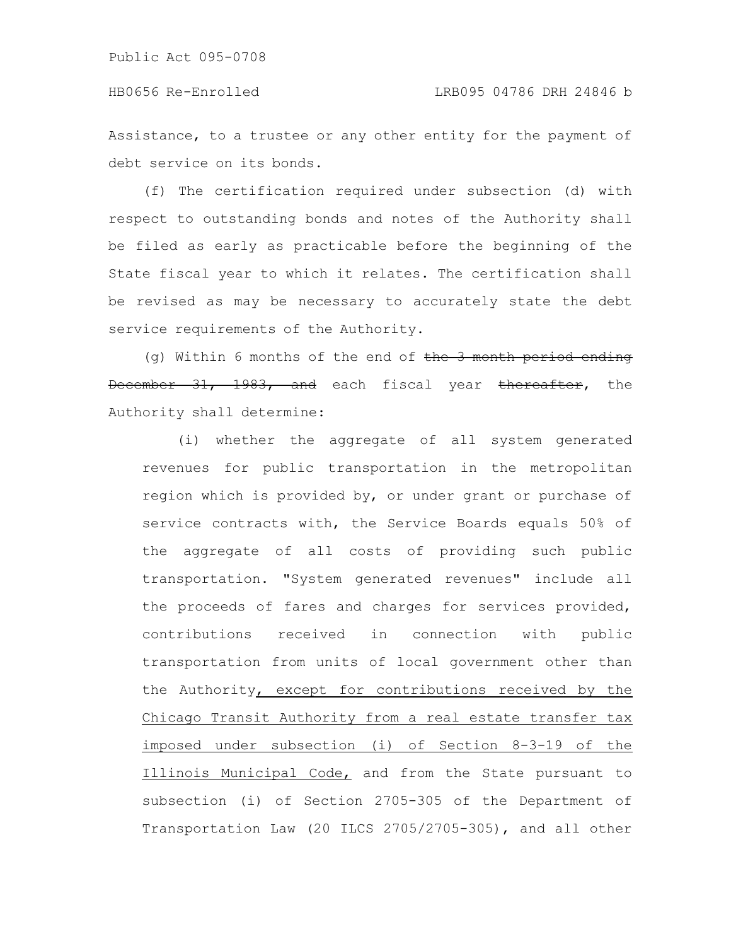Assistance, to a trustee or any other entity for the payment of debt service on its bonds.

(f) The certification required under subsection (d) with respect to outstanding bonds and notes of the Authority shall be filed as early as practicable before the beginning of the State fiscal year to which it relates. The certification shall be revised as may be necessary to accurately state the debt service requirements of the Authority.

(g) Within 6 months of the end of  $the$  3 month period ending December 31, 1983, and each fiscal year thereafter, the Authority shall determine:

(i) whether the aggregate of all system generated revenues for public transportation in the metropolitan region which is provided by, or under grant or purchase of service contracts with, the Service Boards equals 50% of the aggregate of all costs of providing such public transportation. "System generated revenues" include all the proceeds of fares and charges for services provided, contributions received in connection with public transportation from units of local government other than the Authority, except for contributions received by the Chicago Transit Authority from a real estate transfer tax imposed under subsection (i) of Section 8-3-19 of the Illinois Municipal Code, and from the State pursuant to subsection (i) of Section 2705-305 of the Department of Transportation Law (20 ILCS 2705/2705-305), and all other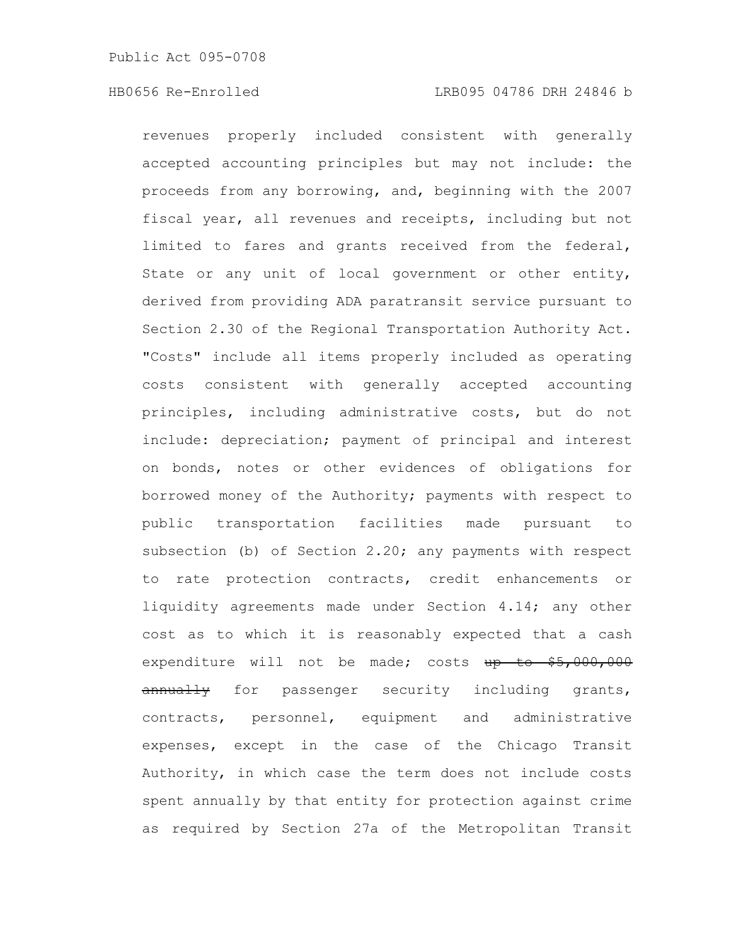### HB0656 Re-Enrolled LRB095 04786 DRH 24846 b

revenues properly included consistent with generally accepted accounting principles but may not include: the proceeds from any borrowing, and, beginning with the 2007 fiscal year, all revenues and receipts, including but not limited to fares and grants received from the federal, State or any unit of local government or other entity, derived from providing ADA paratransit service pursuant to Section 2.30 of the Regional Transportation Authority Act. "Costs" include all items properly included as operating costs consistent with generally accepted accounting principles, including administrative costs, but do not include: depreciation; payment of principal and interest on bonds, notes or other evidences of obligations for borrowed money of the Authority; payments with respect to public transportation facilities made pursuant to subsection (b) of Section 2.20; any payments with respect to rate protection contracts, credit enhancements or liquidity agreements made under Section 4.14; any other cost as to which it is reasonably expected that a cash expenditure will not be made; costs up to \$5,000,000 annually for passenger security including grants, contracts, personnel, equipment and administrative expenses, except in the case of the Chicago Transit Authority, in which case the term does not include costs spent annually by that entity for protection against crime as required by Section 27a of the Metropolitan Transit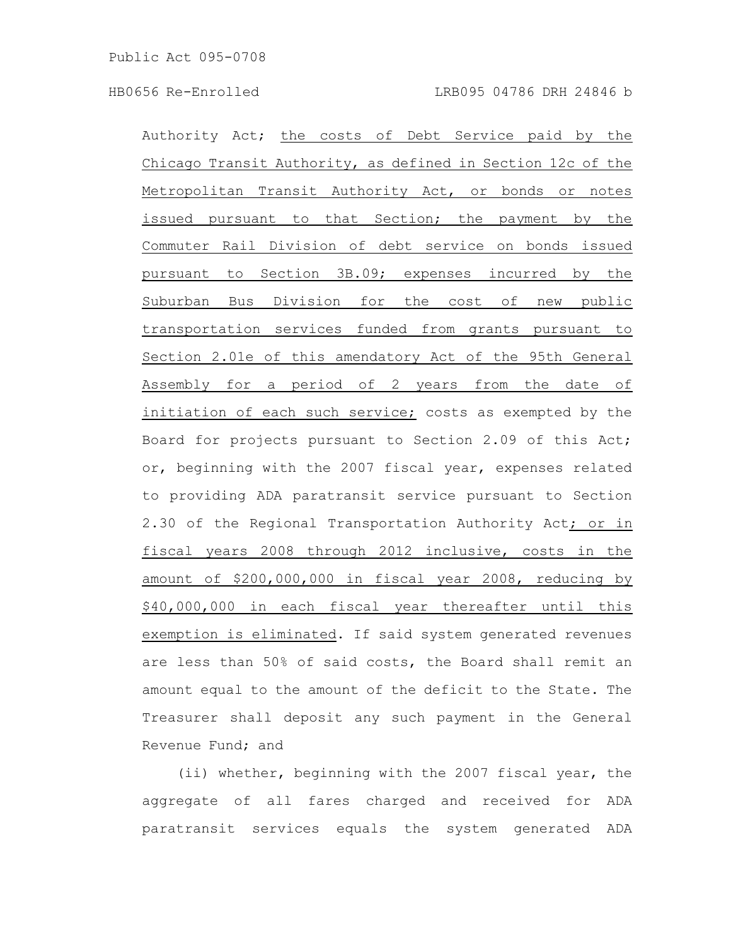Authority Act; the costs of Debt Service paid by the Chicago Transit Authority, as defined in Section 12c of the Metropolitan Transit Authority Act, or bonds or notes issued pursuant to that Section; the payment by the Commuter Rail Division of debt service on bonds issued pursuant to Section 3B.09; expenses incurred by the Suburban Bus Division for the cost of new public transportation services funded from grants pursuant to Section 2.01e of this amendatory Act of the 95th General Assembly for a period of 2 years from the date of initiation of each such service; costs as exempted by the Board for projects pursuant to Section 2.09 of this Act; or, beginning with the 2007 fiscal year, expenses related to providing ADA paratransit service pursuant to Section 2.30 of the Regional Transportation Authority Act; or in fiscal years 2008 through 2012 inclusive, costs in the amount of \$200,000,000 in fiscal year 2008, reducing by \$40,000,000 in each fiscal year thereafter until this exemption is eliminated. If said system generated revenues are less than 50% of said costs, the Board shall remit an amount equal to the amount of the deficit to the State. The Treasurer shall deposit any such payment in the General Revenue Fund; and

(ii) whether, beginning with the 2007 fiscal year, the aggregate of all fares charged and received for ADA paratransit services equals the system generated ADA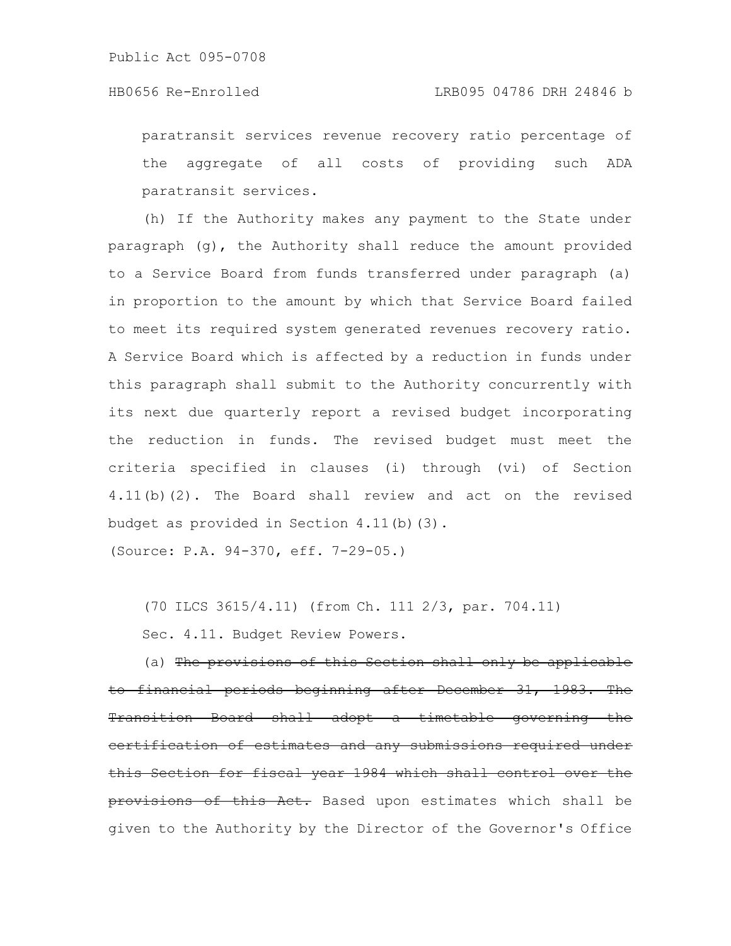paratransit services revenue recovery ratio percentage of the aggregate of all costs of providing such ADA paratransit services.

(h) If the Authority makes any payment to the State under paragraph (g), the Authority shall reduce the amount provided to a Service Board from funds transferred under paragraph (a) in proportion to the amount by which that Service Board failed to meet its required system generated revenues recovery ratio. A Service Board which is affected by a reduction in funds under this paragraph shall submit to the Authority concurrently with its next due quarterly report a revised budget incorporating the reduction in funds. The revised budget must meet the criteria specified in clauses (i) through (vi) of Section 4.11(b)(2). The Board shall review and act on the revised budget as provided in Section 4.11(b)(3).

(Source: P.A. 94-370, eff. 7-29-05.)

(70 ILCS 3615/4.11) (from Ch. 111 2/3, par. 704.11)

Sec. 4.11. Budget Review Powers.

(a) The provisions of this Section shall only be app to financial periods beginning after December 31, 1983. The Transition Board shall adopt a timetable governing the <u>eertification of estimates and any submissions required</u> this Section for fiscal year 1984 which shall control over the provisions of this Act. Based upon estimates which shall be given to the Authority by the Director of the Governor's Office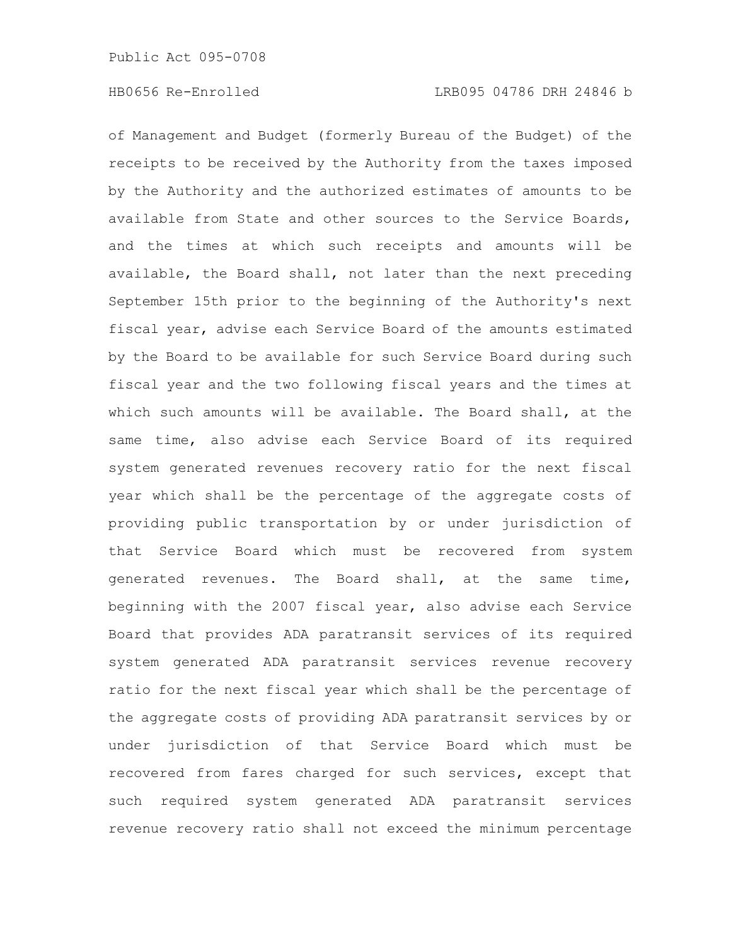of Management and Budget (formerly Bureau of the Budget) of the receipts to be received by the Authority from the taxes imposed by the Authority and the authorized estimates of amounts to be available from State and other sources to the Service Boards, and the times at which such receipts and amounts will be available, the Board shall, not later than the next preceding September 15th prior to the beginning of the Authority's next fiscal year, advise each Service Board of the amounts estimated by the Board to be available for such Service Board during such fiscal year and the two following fiscal years and the times at which such amounts will be available. The Board shall, at the same time, also advise each Service Board of its required system generated revenues recovery ratio for the next fiscal year which shall be the percentage of the aggregate costs of providing public transportation by or under jurisdiction of that Service Board which must be recovered from system generated revenues. The Board shall, at the same time, beginning with the 2007 fiscal year, also advise each Service Board that provides ADA paratransit services of its required system generated ADA paratransit services revenue recovery ratio for the next fiscal year which shall be the percentage of the aggregate costs of providing ADA paratransit services by or under jurisdiction of that Service Board which must be recovered from fares charged for such services, except that such required system generated ADA paratransit services revenue recovery ratio shall not exceed the minimum percentage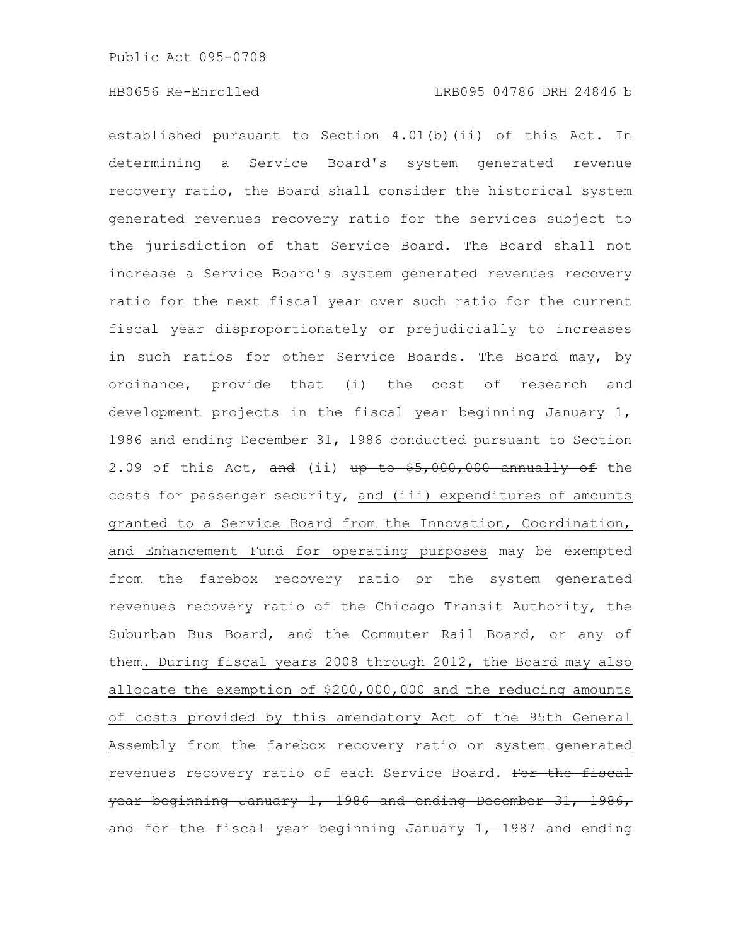established pursuant to Section 4.01(b)(ii) of this Act. In determining a Service Board's system generated revenue recovery ratio, the Board shall consider the historical system generated revenues recovery ratio for the services subject to the jurisdiction of that Service Board. The Board shall not increase a Service Board's system generated revenues recovery ratio for the next fiscal year over such ratio for the current fiscal year disproportionately or prejudicially to increases in such ratios for other Service Boards. The Board may, by ordinance, provide that (i) the cost of research and development projects in the fiscal year beginning January 1, 1986 and ending December 31, 1986 conducted pursuant to Section 2.09 of this Act, and (ii) up to  $$5,000,000$  annually of the costs for passenger security, and (iii) expenditures of amounts granted to a Service Board from the Innovation, Coordination, and Enhancement Fund for operating purposes may be exempted from the farebox recovery ratio or the system generated revenues recovery ratio of the Chicago Transit Authority, the Suburban Bus Board, and the Commuter Rail Board, or any of them. During fiscal years 2008 through 2012, the Board may also allocate the exemption of \$200,000,000 and the reducing amounts of costs provided by this amendatory Act of the 95th General Assembly from the farebox recovery ratio or system generated revenues recovery ratio of each Service Board. For the fiscal year beginning January 1, 1986 and ending December 31, 1986, and for the fiscal year beginning January 1, 1987 and ending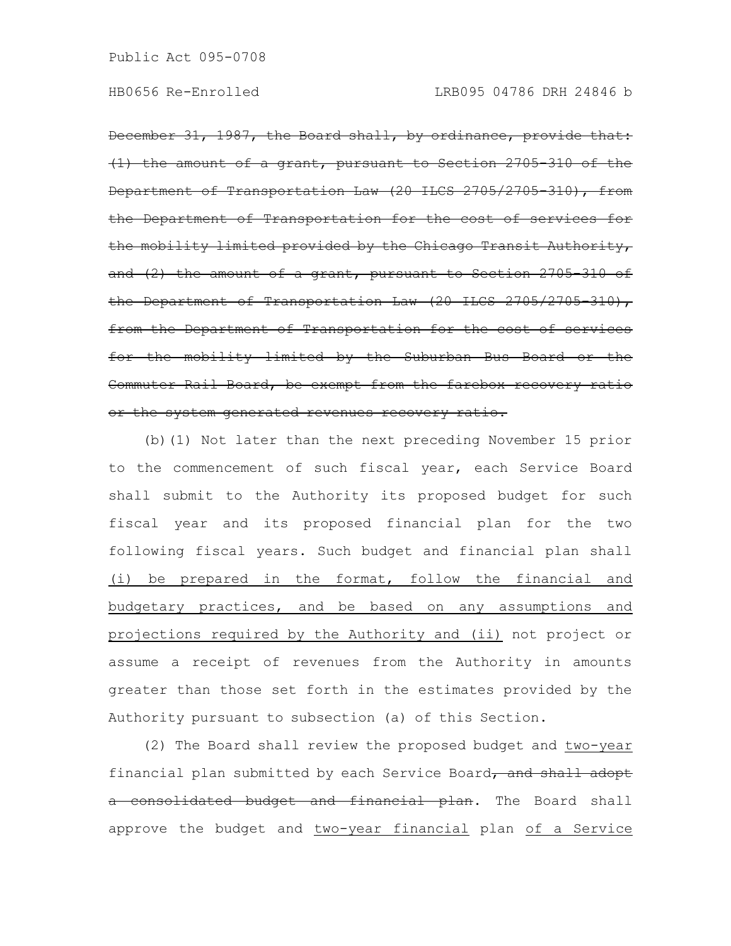December 31, 1987, the Board shall, by ordinance, provide (1) the amount of a grant, pursuant to Section 2705-310 of the Department of Transportation Law (20 ILCS 2705/2705-310), from the Department of Transportation for the cost of the mobility limited provided by the Chicago Transit Authority, and (2) the amount of a grant, pursuant to Section 2705 310 of the Department of Transportation Law (20 ILCS 2705/2705 310), from the Department of Transportation for the cost of services for the mobility limited by the Suburban Bus Board or the Commuter Rail Board, be exempt from the farebox recovery ratio or the system generated revenues recovery ratio.

(b)(1) Not later than the next preceding November 15 prior to the commencement of such fiscal year, each Service Board shall submit to the Authority its proposed budget for such fiscal year and its proposed financial plan for the two following fiscal years. Such budget and financial plan shall (i) be prepared in the format, follow the financial and budgetary practices, and be based on any assumptions and projections required by the Authority and (ii) not project or assume a receipt of revenues from the Authority in amounts greater than those set forth in the estimates provided by the Authority pursuant to subsection (a) of this Section.

(2) The Board shall review the proposed budget and two-year financial plan submitted by each Service Board, and shall adopt a consolidated budget and financial plan. The Board shall approve the budget and two-year financial plan of a Service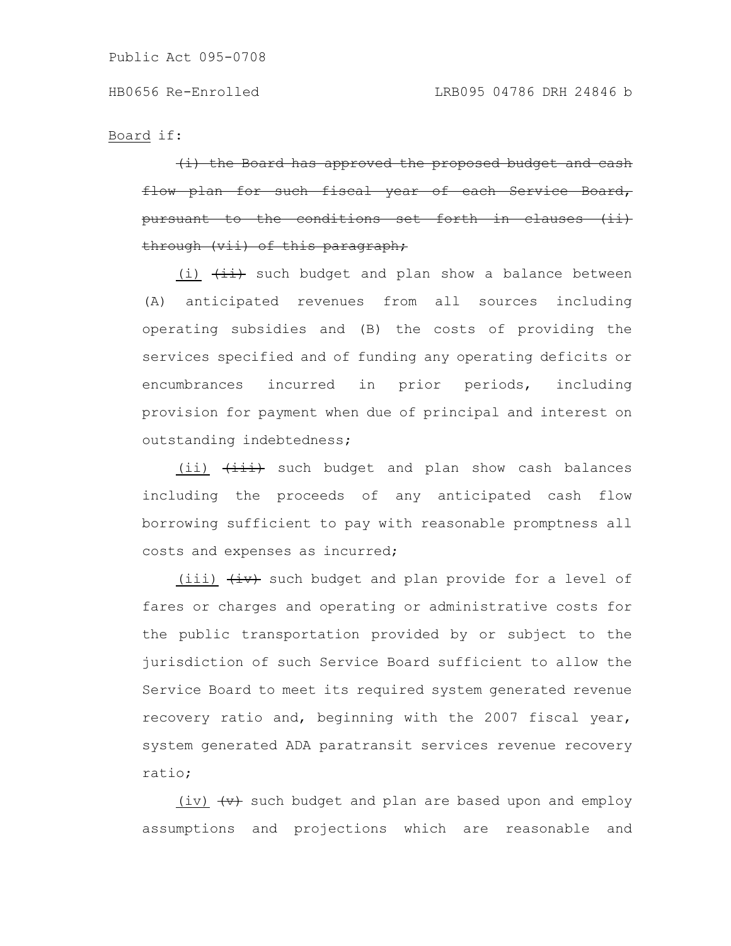Board if:

 $(i)$  the Board has approved the proposed budget for such fiscal year <u>-conditions</u> through (vii) of this paragraph;

(i)  $\overleftrightarrow{++}$  such budget and plan show a balance between (A) anticipated revenues from all sources including operating subsidies and (B) the costs of providing the services specified and of funding any operating deficits or encumbrances incurred in prior periods, including provision for payment when due of principal and interest on outstanding indebtedness;

(ii)  $\overline{(\text{iii})}$  such budget and plan show cash balances including the proceeds of any anticipated cash flow borrowing sufficient to pay with reasonable promptness all costs and expenses as incurred;

(iii)  $\overleftrightarrow{iv}$  such budget and plan provide for a level of fares or charges and operating or administrative costs for the public transportation provided by or subject to the jurisdiction of such Service Board sufficient to allow the Service Board to meet its required system generated revenue recovery ratio and, beginning with the 2007 fiscal year, system generated ADA paratransit services revenue recovery ratio;

(iv)  $\left\langle v\right\rangle$  such budget and plan are based upon and employ assumptions and projections which are reasonable and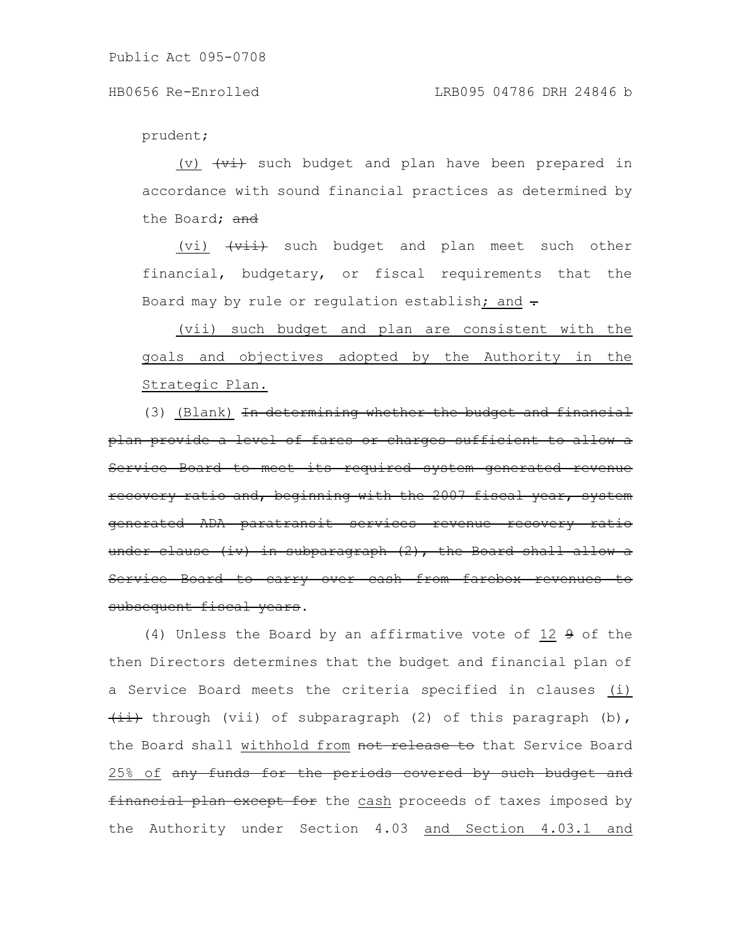prudent;

(v)  $\overleftrightarrow{v}$  such budget and plan have been prepared in accordance with sound financial practices as determined by the Board; and

(vi)  $\overline{+ \overline{v} + \overline{v}}$  such budget and plan meet such other financial, budgetary, or fiscal requirements that the Board may by rule or regulation establish; and  $\div$ 

(vii) such budget and plan are consistent with the goals and objectives adopted by the Authority in the Strategic Plan.

(3) (Blank) In determining whether the budget and financial plan provide a level of fares or charges sufficient to allow a Service Board to meet its required system generated recovery ratio and, beginning with the 2007 fiscal year, system generated ADA paratransit services revenue recovery under clause (iv) in subparagraph  $(2)$ , the Board shall Service Board to carry over cash from farebox revenues subsequent fiscal years.

(4) Unless the Board by an affirmative vote of 12 9 of the then Directors determines that the budget and financial plan of a Service Board meets the criteria specified in clauses (i)  $\overline{(\texttt{iii})}$  through (vii) of subparagraph (2) of this paragraph (b), the Board shall withhold from not release to that Service Board 25% of any funds for the periods covered by such budget and financial plan except for the cash proceeds of taxes imposed by the Authority under Section 4.03 and Section 4.03.1 and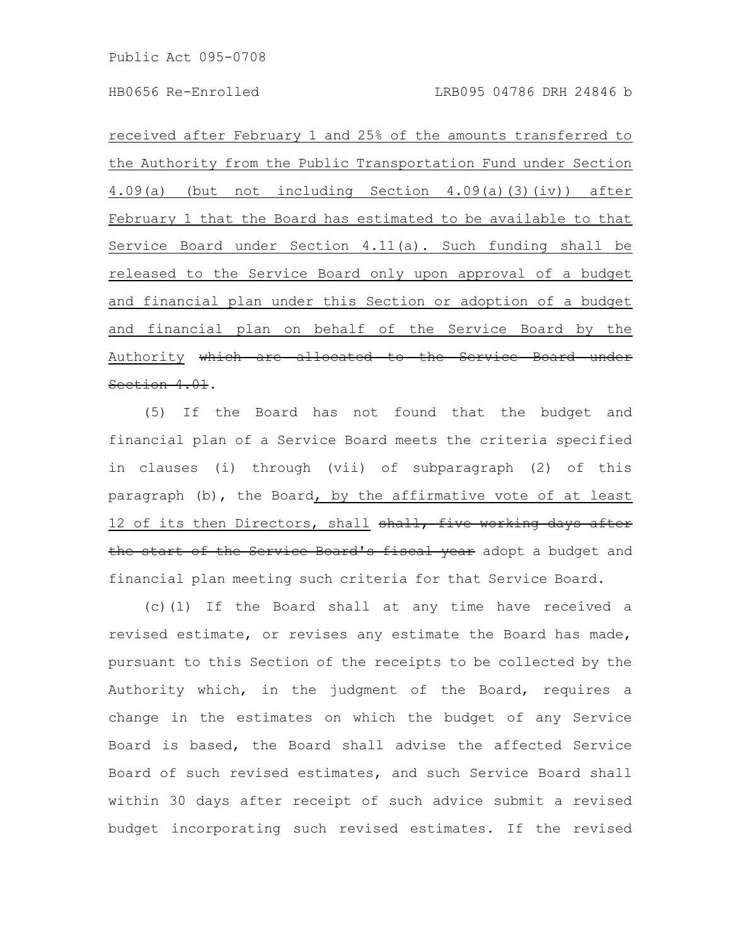received after February 1 and 25% of the amounts transferred to the Authority from the Public Transportation Fund under Section 4.09(a) (but not including Section 4.09(a)(3)(iv)) after February 1 that the Board has estimated to be available to that Service Board under Section 4.11(a). Such funding shall be released to the Service Board only upon approval of a budget and financial plan under this Section or adoption of a budget and financial plan on behalf of the Service Board by the Authority which are allocated to the Service Board under Section 4.01.

(5) If the Board has not found that the budget and financial plan of a Service Board meets the criteria specified in clauses (i) through (vii) of subparagraph (2) of this paragraph (b), the Board, by the affirmative vote of at least 12 of its then Directors, shall shall, five working days after the start of the Service Board's fiscal year adopt a budget and financial plan meeting such criteria for that Service Board.

(c)(1) If the Board shall at any time have received a revised estimate, or revises any estimate the Board has made, pursuant to this Section of the receipts to be collected by the Authority which, in the judgment of the Board, requires a change in the estimates on which the budget of any Service Board is based, the Board shall advise the affected Service Board of such revised estimates, and such Service Board shall within 30 days after receipt of such advice submit a revised budget incorporating such revised estimates. If the revised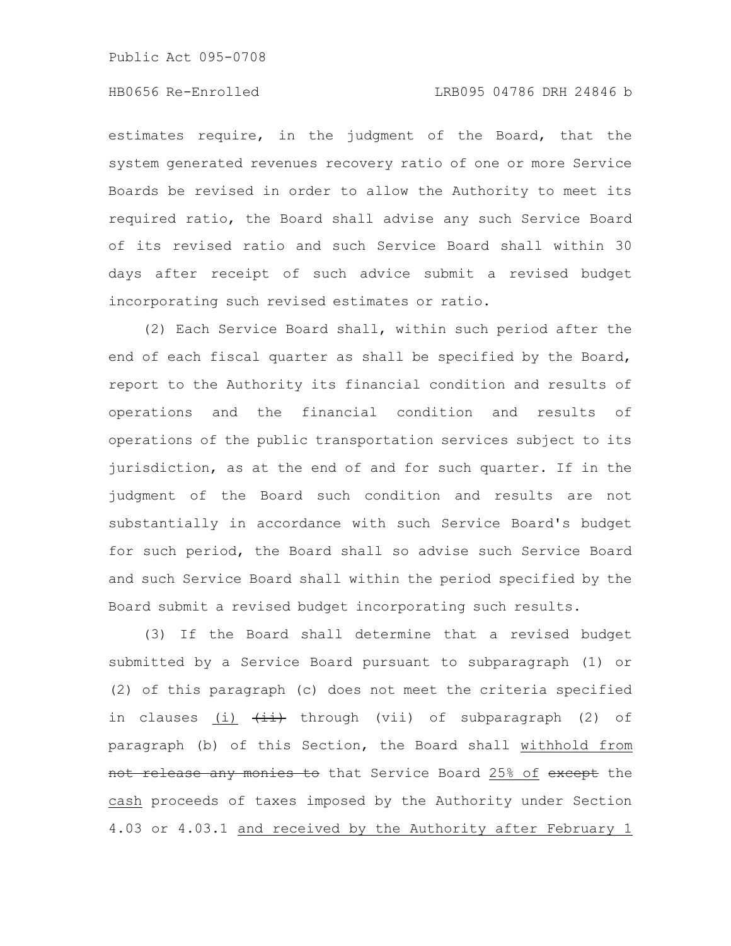# HB0656 Re-Enrolled LRB095 04786 DRH 24846 b

estimates require, in the judgment of the Board, that the system generated revenues recovery ratio of one or more Service Boards be revised in order to allow the Authority to meet its required ratio, the Board shall advise any such Service Board of its revised ratio and such Service Board shall within 30 days after receipt of such advice submit a revised budget incorporating such revised estimates or ratio.

(2) Each Service Board shall, within such period after the end of each fiscal quarter as shall be specified by the Board, report to the Authority its financial condition and results of operations and the financial condition and results of operations of the public transportation services subject to its jurisdiction, as at the end of and for such quarter. If in the judgment of the Board such condition and results are not substantially in accordance with such Service Board's budget for such period, the Board shall so advise such Service Board and such Service Board shall within the period specified by the Board submit a revised budget incorporating such results.

(3) If the Board shall determine that a revised budget submitted by a Service Board pursuant to subparagraph (1) or (2) of this paragraph (c) does not meet the criteria specified in clauses (i)  $\overline{4i}$  through (vii) of subparagraph (2) of paragraph (b) of this Section, the Board shall withhold from not release any monies to that Service Board 25% of except the cash proceeds of taxes imposed by the Authority under Section 4.03 or 4.03.1 and received by the Authority after February 1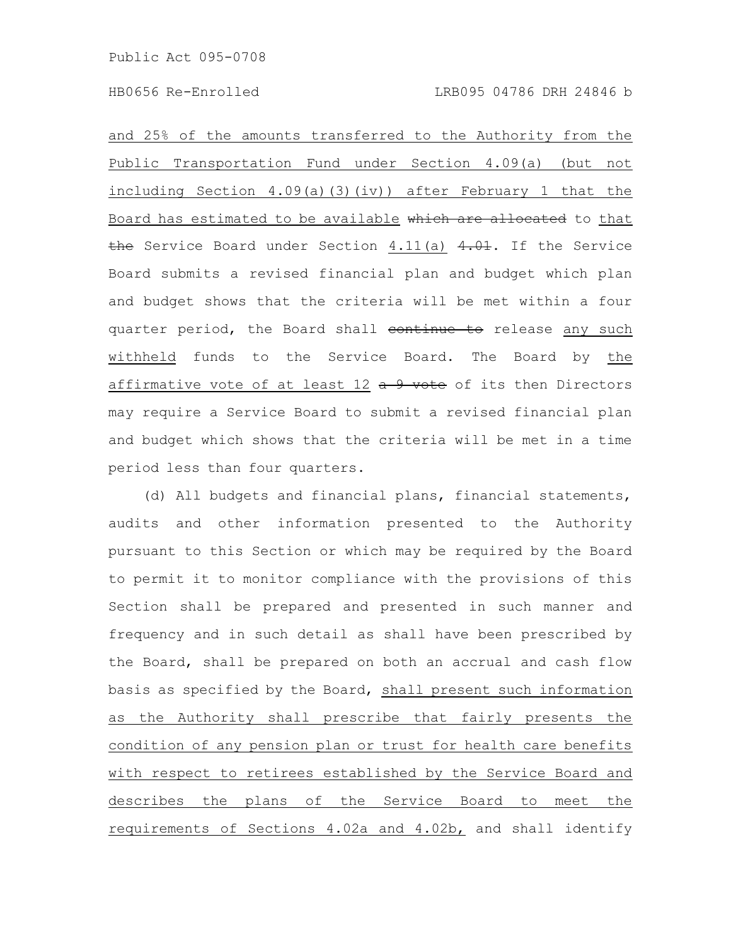and 25% of the amounts transferred to the Authority from the Public Transportation Fund under Section 4.09(a) (but not including Section 4.09(a)(3)(iv)) after February 1 that the Board has estimated to be available which are allocated to that the Service Board under Section  $4.11(a)$   $4.01$ . If the Service Board submits a revised financial plan and budget which plan and budget shows that the criteria will be met within a four quarter period, the Board shall continue to release any such withheld funds to the Service Board. The Board by the affirmative vote of at least  $12$   $\frac{a}{b}$  9 vote of its then Directors may require a Service Board to submit a revised financial plan and budget which shows that the criteria will be met in a time period less than four quarters.

(d) All budgets and financial plans, financial statements, audits and other information presented to the Authority pursuant to this Section or which may be required by the Board to permit it to monitor compliance with the provisions of this Section shall be prepared and presented in such manner and frequency and in such detail as shall have been prescribed by the Board, shall be prepared on both an accrual and cash flow basis as specified by the Board, shall present such information as the Authority shall prescribe that fairly presents the condition of any pension plan or trust for health care benefits with respect to retirees established by the Service Board and describes the plans of the Service Board to meet the requirements of Sections 4.02a and 4.02b, and shall identify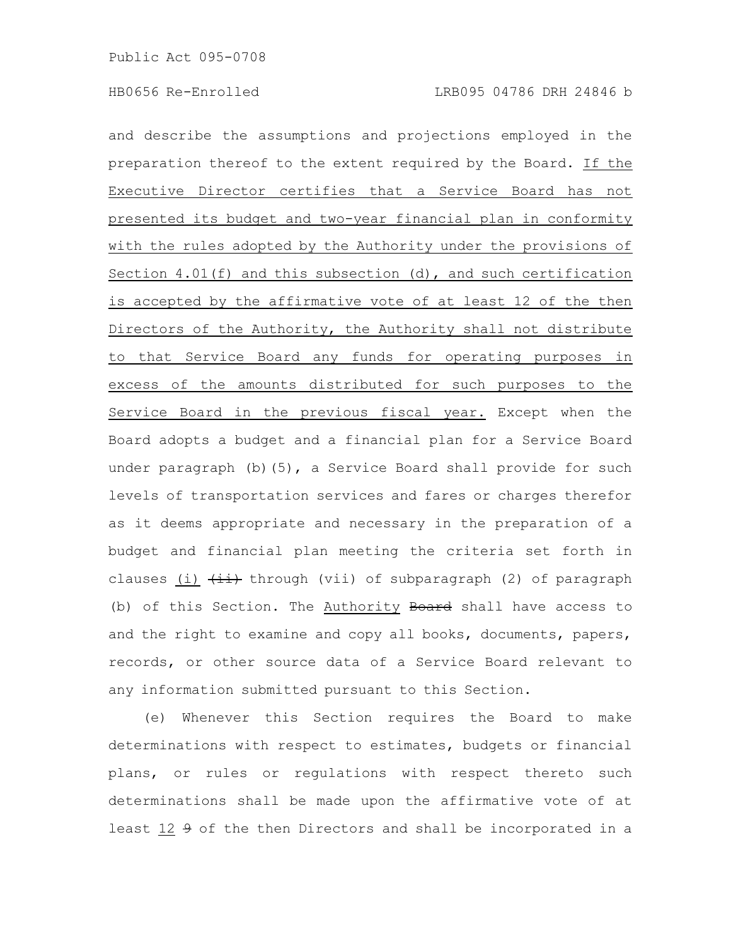and describe the assumptions and projections employed in the preparation thereof to the extent required by the Board. If the Executive Director certifies that a Service Board has not presented its budget and two-year financial plan in conformity with the rules adopted by the Authority under the provisions of Section 4.01(f) and this subsection (d), and such certification is accepted by the affirmative vote of at least 12 of the then Directors of the Authority, the Authority shall not distribute to that Service Board any funds for operating purposes in excess of the amounts distributed for such purposes to the Service Board in the previous fiscal year. Except when the Board adopts a budget and a financial plan for a Service Board under paragraph  $(b)$  (5), a Service Board shall provide for such levels of transportation services and fares or charges therefor as it deems appropriate and necessary in the preparation of a budget and financial plan meeting the criteria set forth in clauses (i)  $\overleftrightarrow{t}$  through (vii) of subparagraph (2) of paragraph (b) of this Section. The Authority Board shall have access to and the right to examine and copy all books, documents, papers, records, or other source data of a Service Board relevant to any information submitted pursuant to this Section.

(e) Whenever this Section requires the Board to make determinations with respect to estimates, budgets or financial plans, or rules or regulations with respect thereto such determinations shall be made upon the affirmative vote of at least 12 9 of the then Directors and shall be incorporated in a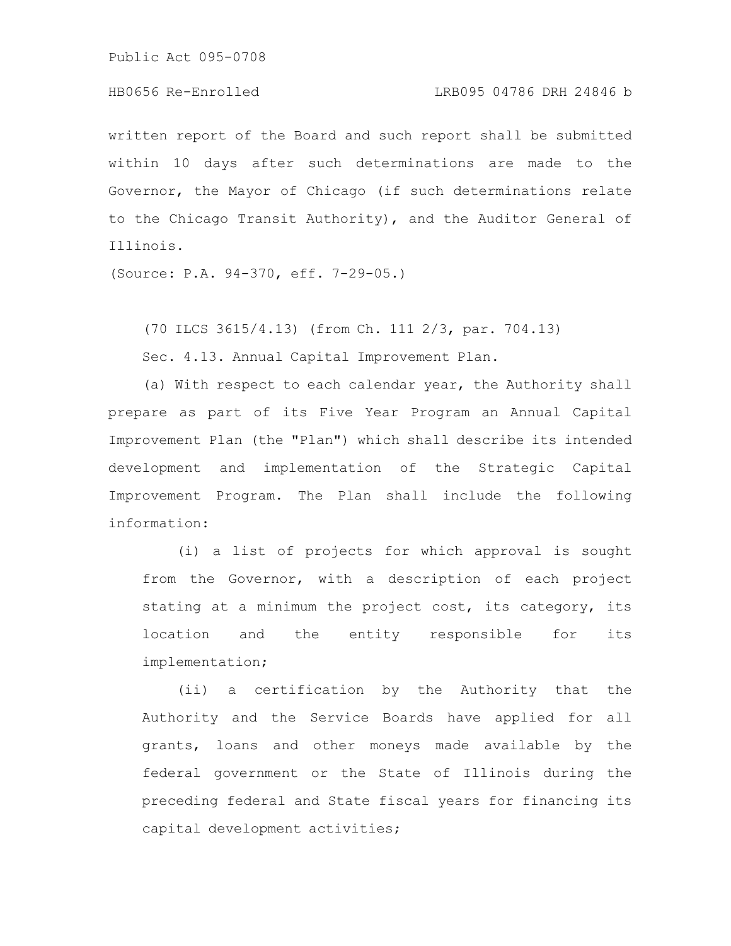# HB0656 Re-Enrolled LRB095 04786 DRH 24846 b

written report of the Board and such report shall be submitted within 10 days after such determinations are made to the Governor, the Mayor of Chicago (if such determinations relate to the Chicago Transit Authority), and the Auditor General of Illinois.

(Source: P.A. 94-370, eff. 7-29-05.)

(70 ILCS 3615/4.13) (from Ch. 111 2/3, par. 704.13)

Sec. 4.13. Annual Capital Improvement Plan.

(a) With respect to each calendar year, the Authority shall prepare as part of its Five Year Program an Annual Capital Improvement Plan (the "Plan") which shall describe its intended development and implementation of the Strategic Capital Improvement Program. The Plan shall include the following information:

(i) a list of projects for which approval is sought from the Governor, with a description of each project stating at a minimum the project cost, its category, its location and the entity responsible for its implementation;

(ii) a certification by the Authority that the Authority and the Service Boards have applied for all grants, loans and other moneys made available by the federal government or the State of Illinois during the preceding federal and State fiscal years for financing its capital development activities;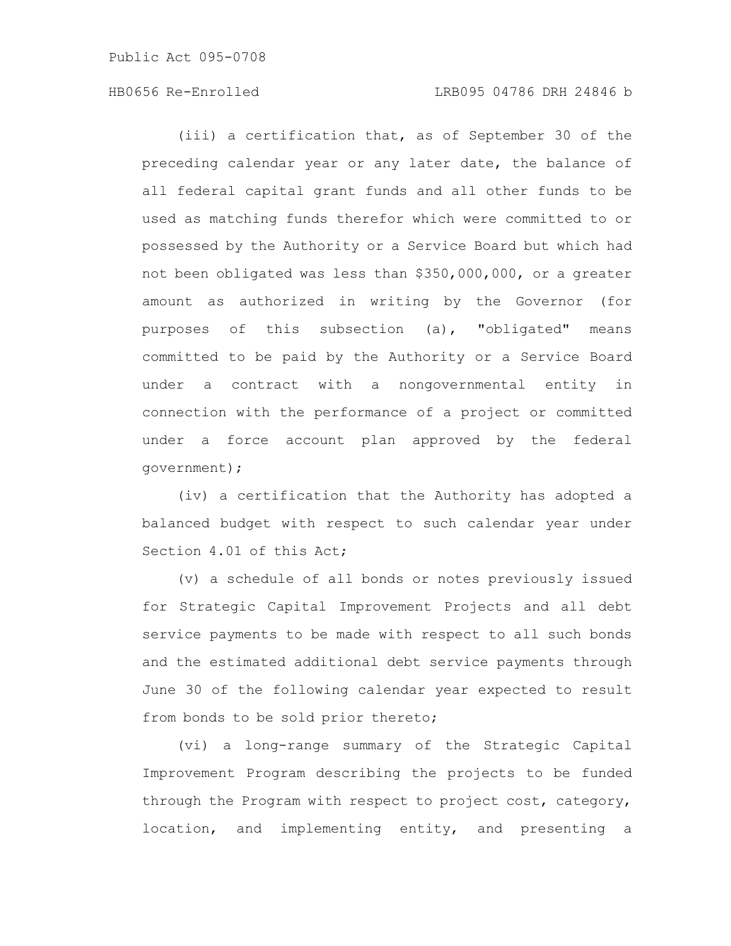(iii) a certification that, as of September 30 of the preceding calendar year or any later date, the balance of all federal capital grant funds and all other funds to be used as matching funds therefor which were committed to or possessed by the Authority or a Service Board but which had not been obligated was less than \$350,000,000, or a greater amount as authorized in writing by the Governor (for purposes of this subsection (a), "obligated" means committed to be paid by the Authority or a Service Board under a contract with a nongovernmental entity in connection with the performance of a project or committed under a force account plan approved by the federal government);

(iv) a certification that the Authority has adopted a balanced budget with respect to such calendar year under Section 4.01 of this Act;

(v) a schedule of all bonds or notes previously issued for Strategic Capital Improvement Projects and all debt service payments to be made with respect to all such bonds and the estimated additional debt service payments through June 30 of the following calendar year expected to result from bonds to be sold prior thereto;

(vi) a long-range summary of the Strategic Capital Improvement Program describing the projects to be funded through the Program with respect to project cost, category, location, and implementing entity, and presenting a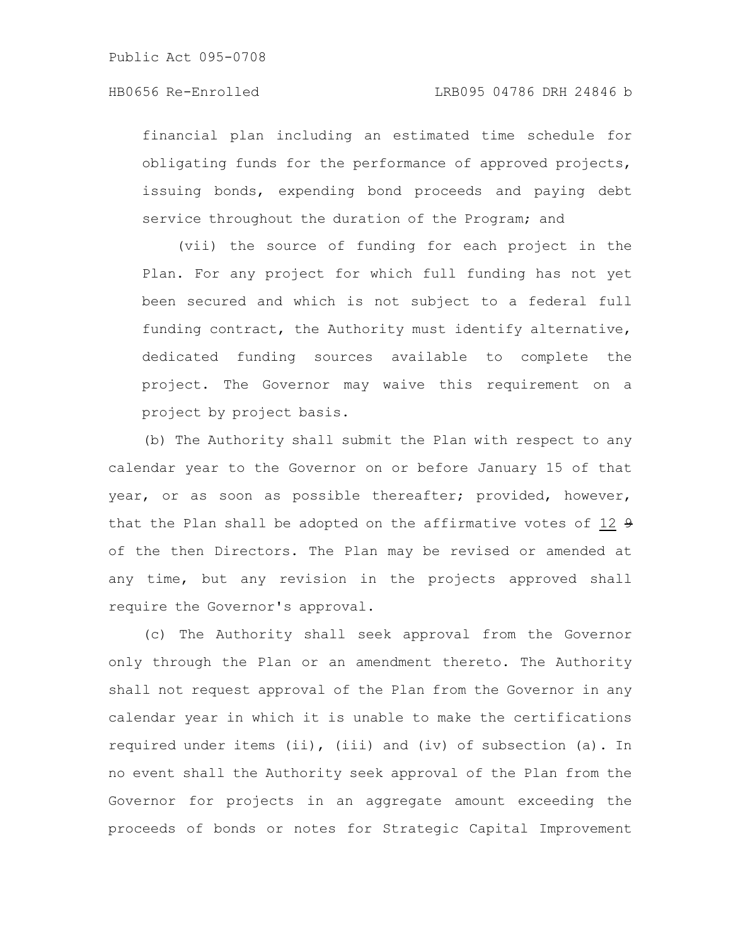financial plan including an estimated time schedule for obligating funds for the performance of approved projects, issuing bonds, expending bond proceeds and paying debt service throughout the duration of the Program; and

(vii) the source of funding for each project in the Plan. For any project for which full funding has not yet been secured and which is not subject to a federal full funding contract, the Authority must identify alternative, dedicated funding sources available to complete the project. The Governor may waive this requirement on a project by project basis.

(b) The Authority shall submit the Plan with respect to any calendar year to the Governor on or before January 15 of that year, or as soon as possible thereafter; provided, however, that the Plan shall be adopted on the affirmative votes of 12 9 of the then Directors. The Plan may be revised or amended at any time, but any revision in the projects approved shall require the Governor's approval.

(c) The Authority shall seek approval from the Governor only through the Plan or an amendment thereto. The Authority shall not request approval of the Plan from the Governor in any calendar year in which it is unable to make the certifications required under items (ii), (iii) and (iv) of subsection (a). In no event shall the Authority seek approval of the Plan from the Governor for projects in an aggregate amount exceeding the proceeds of bonds or notes for Strategic Capital Improvement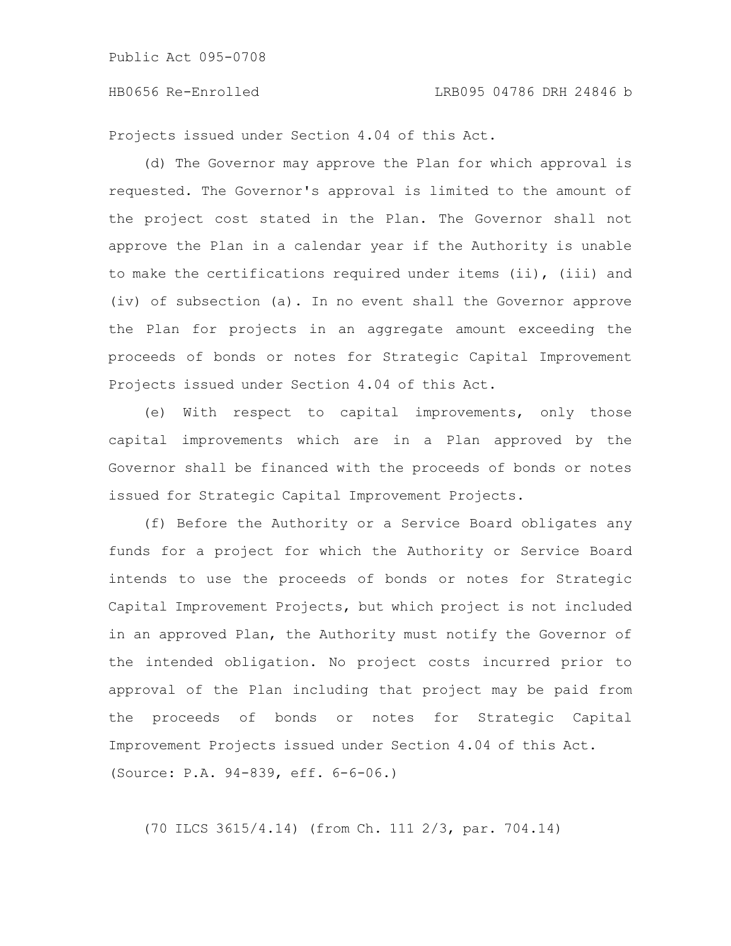Projects issued under Section 4.04 of this Act.

(d) The Governor may approve the Plan for which approval is requested. The Governor's approval is limited to the amount of the project cost stated in the Plan. The Governor shall not approve the Plan in a calendar year if the Authority is unable to make the certifications required under items (ii), (iii) and (iv) of subsection (a). In no event shall the Governor approve the Plan for projects in an aggregate amount exceeding the proceeds of bonds or notes for Strategic Capital Improvement Projects issued under Section 4.04 of this Act.

(e) With respect to capital improvements, only those capital improvements which are in a Plan approved by the Governor shall be financed with the proceeds of bonds or notes issued for Strategic Capital Improvement Projects.

(f) Before the Authority or a Service Board obligates any funds for a project for which the Authority or Service Board intends to use the proceeds of bonds or notes for Strategic Capital Improvement Projects, but which project is not included in an approved Plan, the Authority must notify the Governor of the intended obligation. No project costs incurred prior to approval of the Plan including that project may be paid from the proceeds of bonds or notes for Strategic Capital Improvement Projects issued under Section 4.04 of this Act. (Source: P.A. 94-839, eff. 6-6-06.)

(70 ILCS 3615/4.14) (from Ch. 111 2/3, par. 704.14)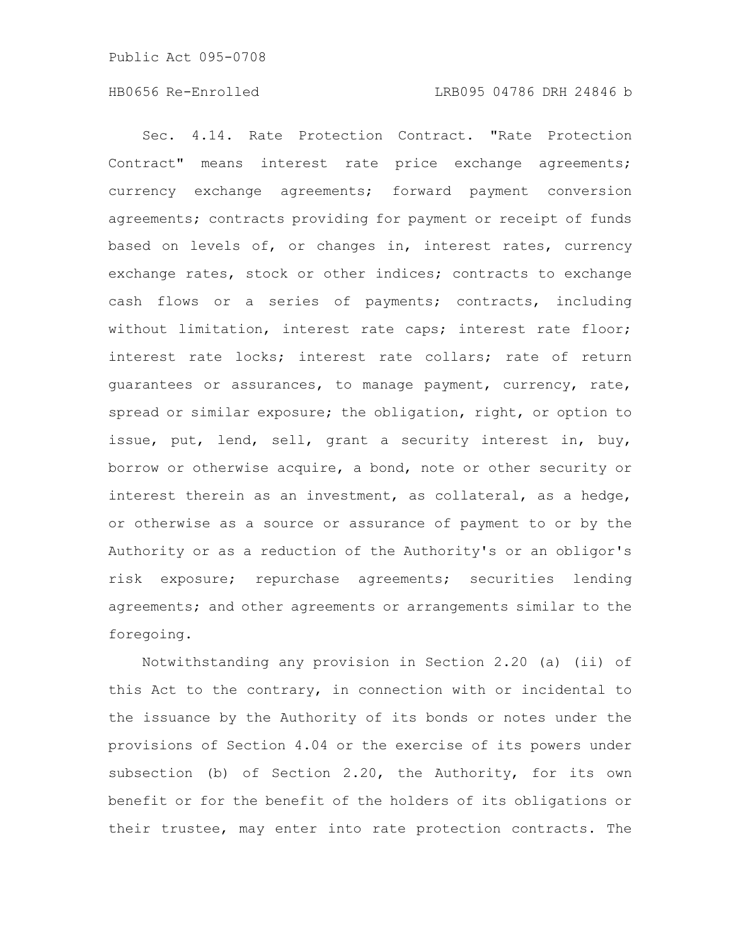Sec. 4.14. Rate Protection Contract. "Rate Protection Contract" means interest rate price exchange agreements; currency exchange agreements; forward payment conversion agreements; contracts providing for payment or receipt of funds based on levels of, or changes in, interest rates, currency exchange rates, stock or other indices; contracts to exchange cash flows or a series of payments; contracts, including without limitation, interest rate caps; interest rate floor; interest rate locks; interest rate collars; rate of return guarantees or assurances, to manage payment, currency, rate, spread or similar exposure; the obligation, right, or option to issue, put, lend, sell, grant a security interest in, buy, borrow or otherwise acquire, a bond, note or other security or interest therein as an investment, as collateral, as a hedge, or otherwise as a source or assurance of payment to or by the Authority or as a reduction of the Authority's or an obligor's risk exposure; repurchase agreements; securities lending agreements; and other agreements or arrangements similar to the foregoing.

Notwithstanding any provision in Section 2.20 (a) (ii) of this Act to the contrary, in connection with or incidental to the issuance by the Authority of its bonds or notes under the provisions of Section 4.04 or the exercise of its powers under subsection (b) of Section 2.20, the Authority, for its own benefit or for the benefit of the holders of its obligations or their trustee, may enter into rate protection contracts. The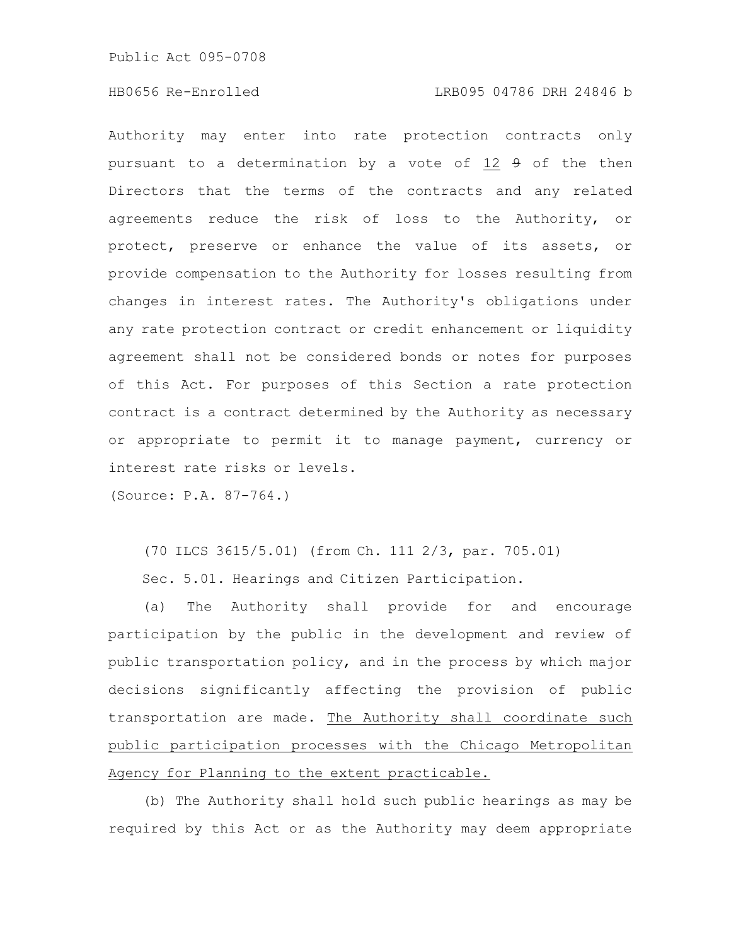Authority may enter into rate protection contracts only pursuant to a determination by a vote of 12 9 of the then Directors that the terms of the contracts and any related agreements reduce the risk of loss to the Authority, or protect, preserve or enhance the value of its assets, or provide compensation to the Authority for losses resulting from changes in interest rates. The Authority's obligations under any rate protection contract or credit enhancement or liquidity agreement shall not be considered bonds or notes for purposes of this Act. For purposes of this Section a rate protection contract is a contract determined by the Authority as necessary or appropriate to permit it to manage payment, currency or interest rate risks or levels.

(Source: P.A. 87-764.)

(70 ILCS 3615/5.01) (from Ch. 111 2/3, par. 705.01)

Sec. 5.01. Hearings and Citizen Participation.

(a) The Authority shall provide for and encourage participation by the public in the development and review of public transportation policy, and in the process by which major decisions significantly affecting the provision of public transportation are made. The Authority shall coordinate such public participation processes with the Chicago Metropolitan Agency for Planning to the extent practicable.

(b) The Authority shall hold such public hearings as may be required by this Act or as the Authority may deem appropriate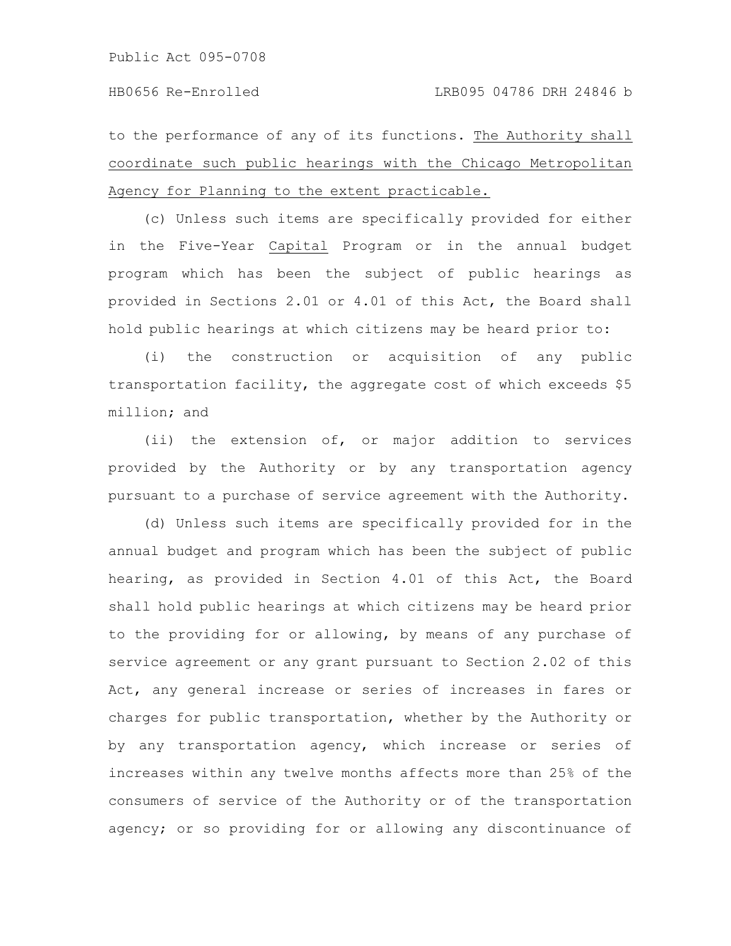to the performance of any of its functions. The Authority shall coordinate such public hearings with the Chicago Metropolitan Agency for Planning to the extent practicable.

(c) Unless such items are specifically provided for either in the Five-Year Capital Program or in the annual budget program which has been the subject of public hearings as provided in Sections 2.01 or 4.01 of this Act, the Board shall hold public hearings at which citizens may be heard prior to:

(i) the construction or acquisition of any public transportation facility, the aggregate cost of which exceeds \$5 million; and

(ii) the extension of, or major addition to services provided by the Authority or by any transportation agency pursuant to a purchase of service agreement with the Authority.

(d) Unless such items are specifically provided for in the annual budget and program which has been the subject of public hearing, as provided in Section 4.01 of this Act, the Board shall hold public hearings at which citizens may be heard prior to the providing for or allowing, by means of any purchase of service agreement or any grant pursuant to Section 2.02 of this Act, any general increase or series of increases in fares or charges for public transportation, whether by the Authority or by any transportation agency, which increase or series of increases within any twelve months affects more than 25% of the consumers of service of the Authority or of the transportation agency; or so providing for or allowing any discontinuance of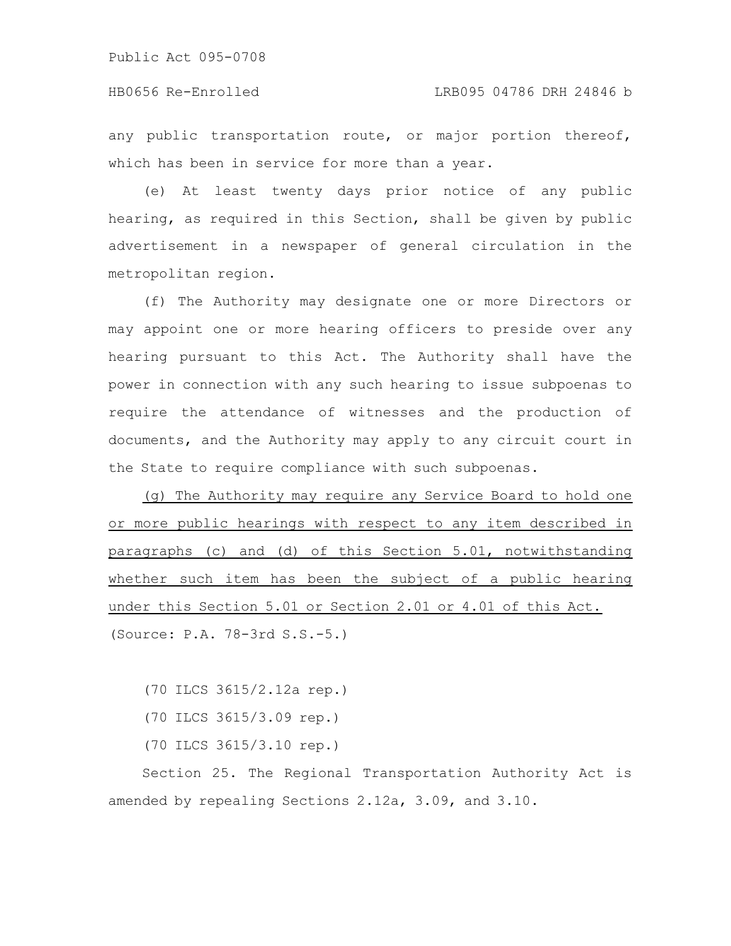any public transportation route, or major portion thereof, which has been in service for more than a year.

(e) At least twenty days prior notice of any public hearing, as required in this Section, shall be given by public advertisement in a newspaper of general circulation in the metropolitan region.

(f) The Authority may designate one or more Directors or may appoint one or more hearing officers to preside over any hearing pursuant to this Act. The Authority shall have the power in connection with any such hearing to issue subpoenas to require the attendance of witnesses and the production of documents, and the Authority may apply to any circuit court in the State to require compliance with such subpoenas.

(g) The Authority may require any Service Board to hold one or more public hearings with respect to any item described in paragraphs (c) and (d) of this Section 5.01, notwithstanding whether such item has been the subject of a public hearing under this Section 5.01 or Section 2.01 or 4.01 of this Act. (Source: P.A. 78-3rd S.S.-5.)

(70 ILCS 3615/2.12a rep.)

- (70 ILCS 3615/3.09 rep.)
- (70 ILCS 3615/3.10 rep.)

Section 25. The Regional Transportation Authority Act is amended by repealing Sections 2.12a, 3.09, and 3.10.